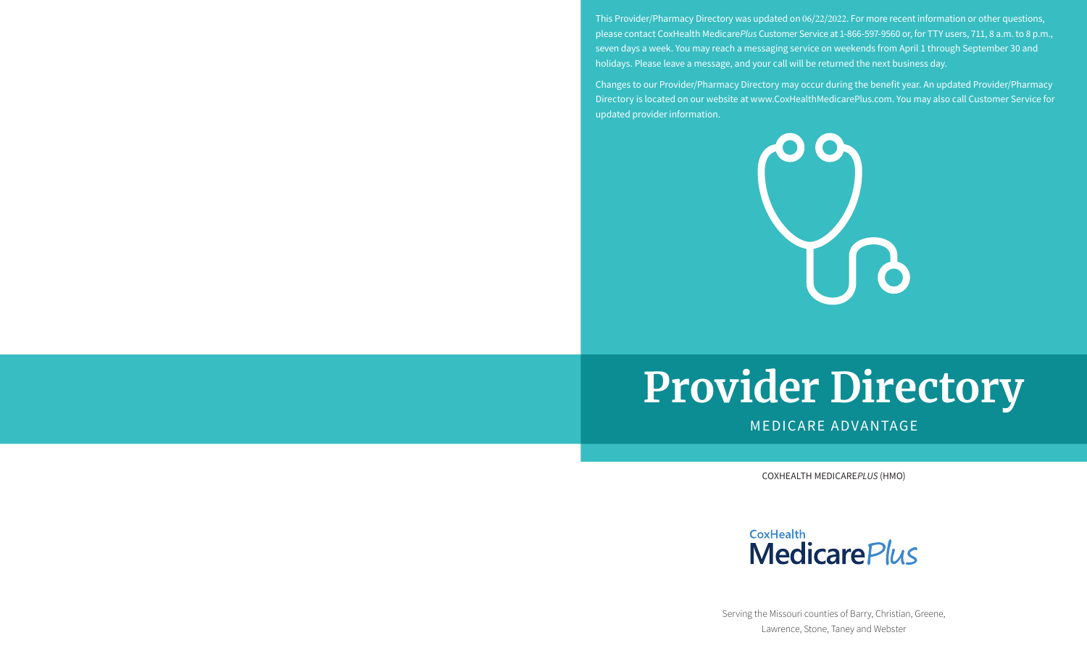This Provider/Pharmacy Directory was updated on 06/22/2022. For more recent information or other questions, please contact CoxHealth Medicare*Plus* Customer Service at 1-866-597-9560 or, for TTY users, 711, 8 a.m. to 8 p.m., seven days a week. You may reach a messaging service on weekends from April 1 through September 30 and holidays. Please leave a message, and your call will be returned the next business day.

Changes to our Provider/Pharmacy Directory may occur during the benefit year. An updated Provider/Pharmacy Directory is located on our website at [www.CoxHealthMedicarePlus.com.](http://www.CoxHealthMedicarePlus.com) You may also call Customer Service for updated provider information.



# **Provider Directory**

# MEDICARE ADVANTAGE

COXHEALTH MEDICARE*PLUS* (HMO)



Serving the Missouri counties of Barry, Christian, Greene, Lawrence, Stone, Taney and Webster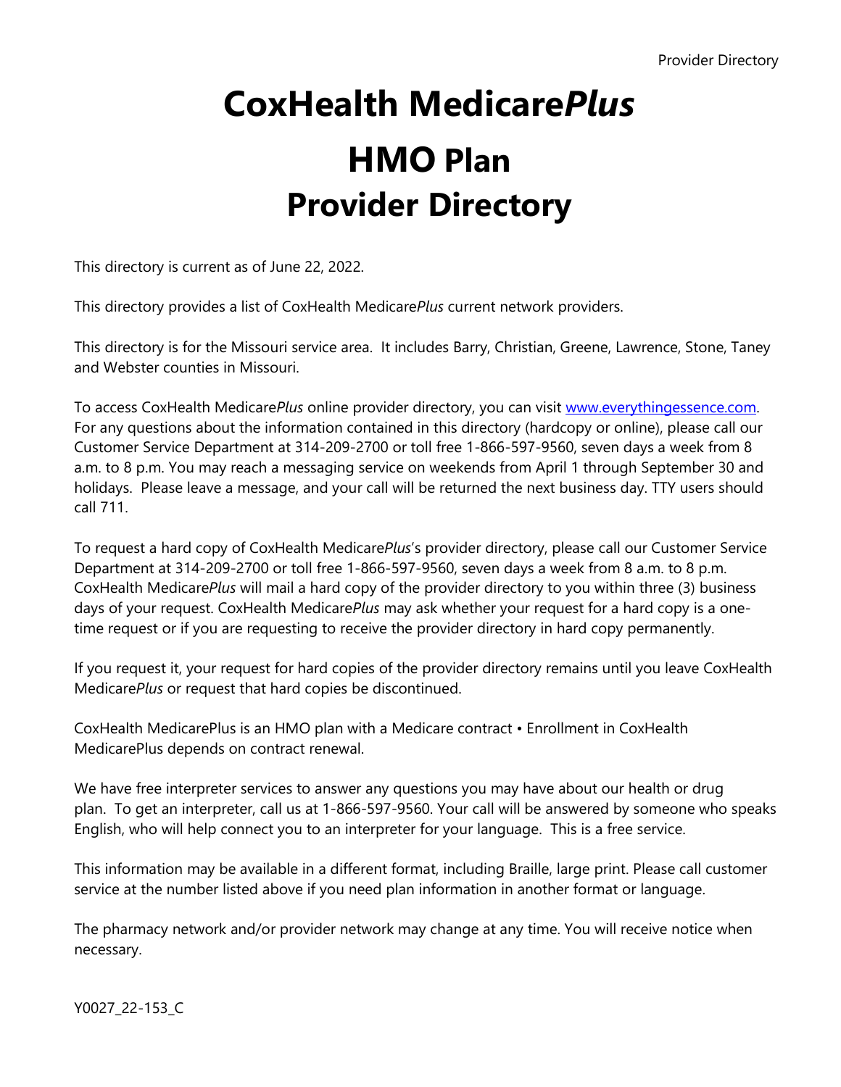# **CoxHealth Medicare***Plus* **HMO Plan Provider Directory**

This directory is current as of June 22, 2022.

This directory provides a list of CoxHealth Medicare*Plus* current network providers.

This directory is for the Missouri service area. It includes Barry, Christian, Greene, Lawrence, Stone, Taney and Webster counties in Missouri.

To access CoxHealth Medicare*Plus* online provider directory, you can visit [www.everythingessence.com.](http://www.everythingessence.com/) For any questions about the information contained in this directory (hardcopy or online), please call our Customer Service Department at 314-209-2700 or toll free 1-866-597-9560, seven days a week from 8 a.m. to 8 p.m. You may reach a messaging service on weekends from April 1 through September 30 and holidays. Please leave a message, and your call will be returned the next business day. TTY users should call 711.

To request a hard copy of CoxHealth Medicare*Plus*'s provider directory, please call our Customer Service Department at 314-209-2700 or toll free 1-866-597-9560, seven days a week from 8 a.m. to 8 p.m. CoxHealth Medicare*Plus* will mail a hard copy of the provider directory to you within three (3) business days of your request. CoxHealth Medicare*Plus* may ask whether your request for a hard copy is a onetime request or if you are requesting to receive the provider directory in hard copy permanently.

If you request it, your request for hard copies of the provider directory remains until you leave CoxHealth Medicare*Plus* or request that hard copies be discontinued.

CoxHealth MedicarePlus is an HMO plan with a Medicare contract • Enrollment in CoxHealth MedicarePlus depends on contract renewal.

We have free interpreter services to answer any questions you may have about our health or drug plan. To get an interpreter, call us at 1-866-597-9560. Your call will be answered by someone who speaks English, who will help connect you to an interpreter for your language. This is a free service.

This information may be available in a different format, including Braille, large print. Please call customer service at the number listed above if you need plan information in another format or language.

The pharmacy network and/or provider network may change at any time. You will receive notice when necessary.

Y0027\_22-153\_C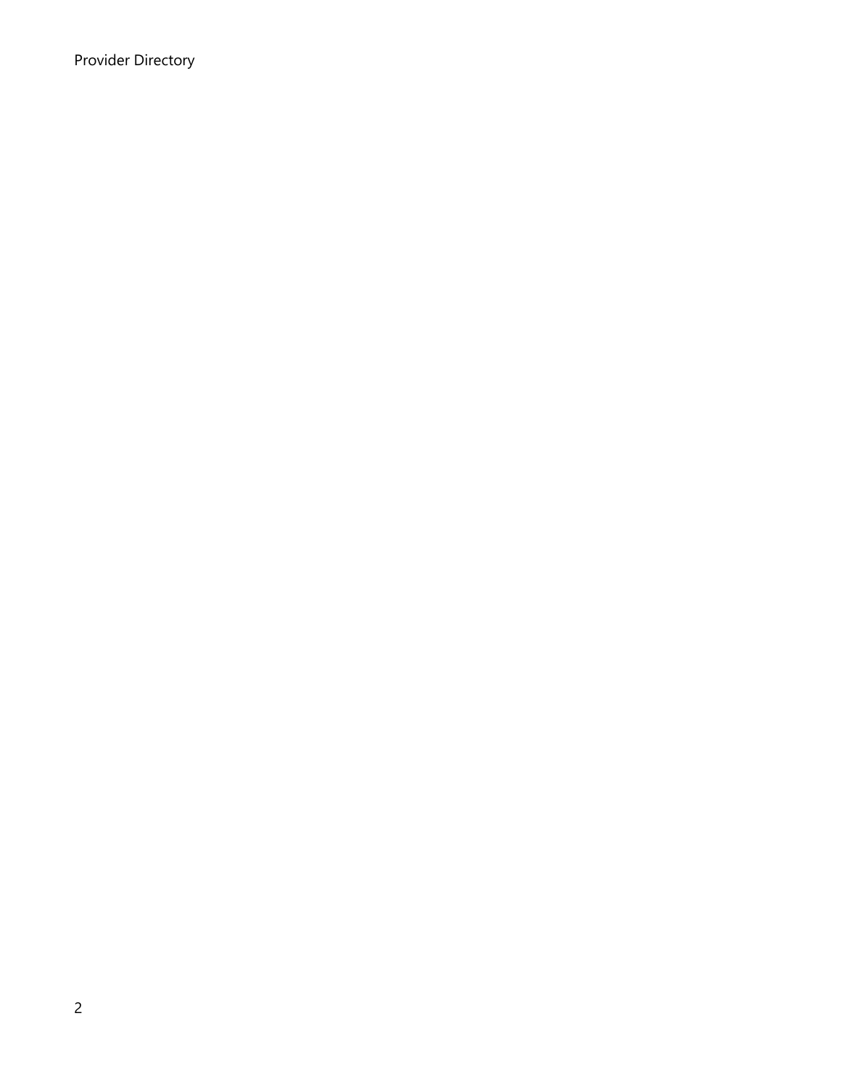Provider Directory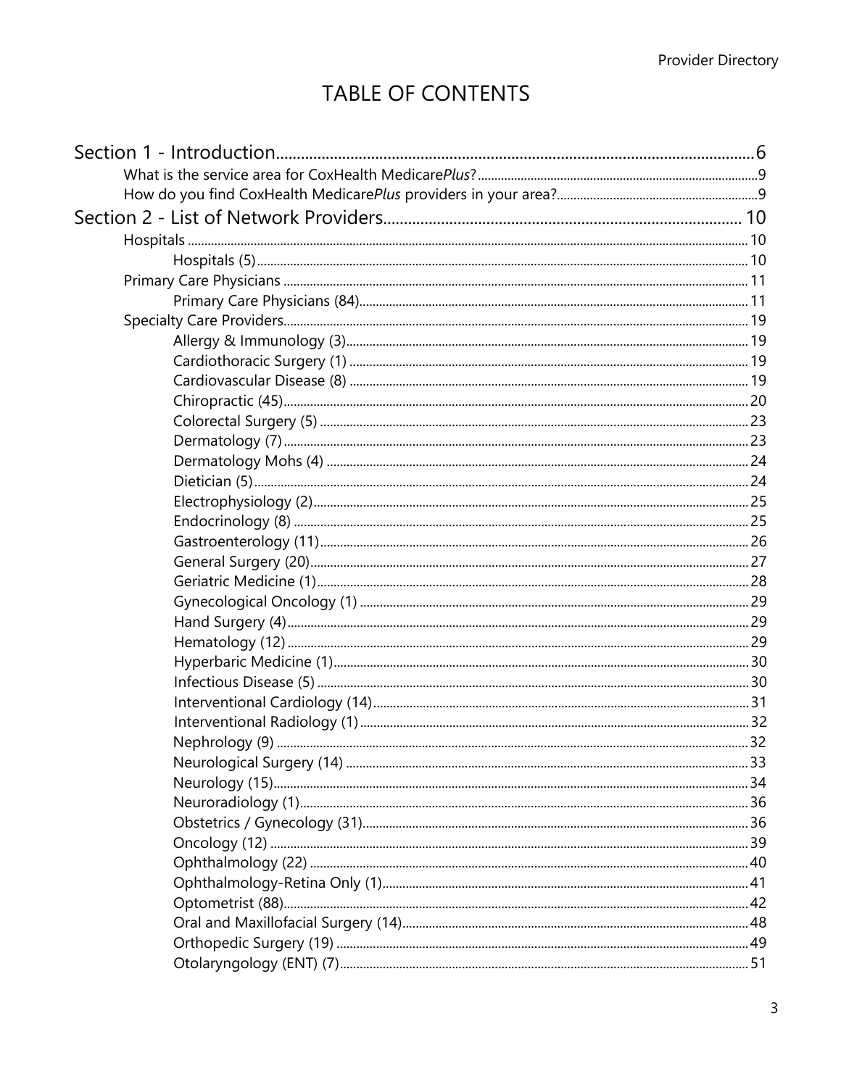# TABLE OF CONTENTS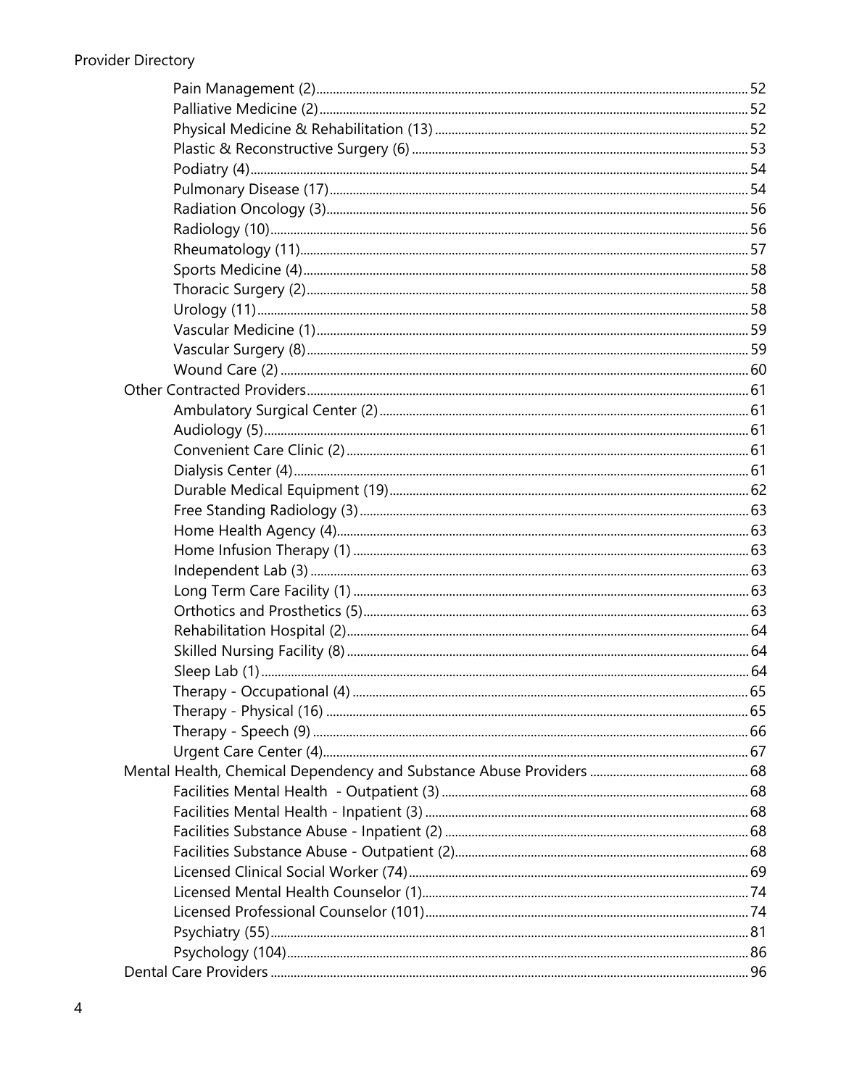| 65 |
|----|
|    |
|    |
|    |
|    |
|    |
|    |
|    |
|    |
|    |
|    |
|    |
|    |
|    |
|    |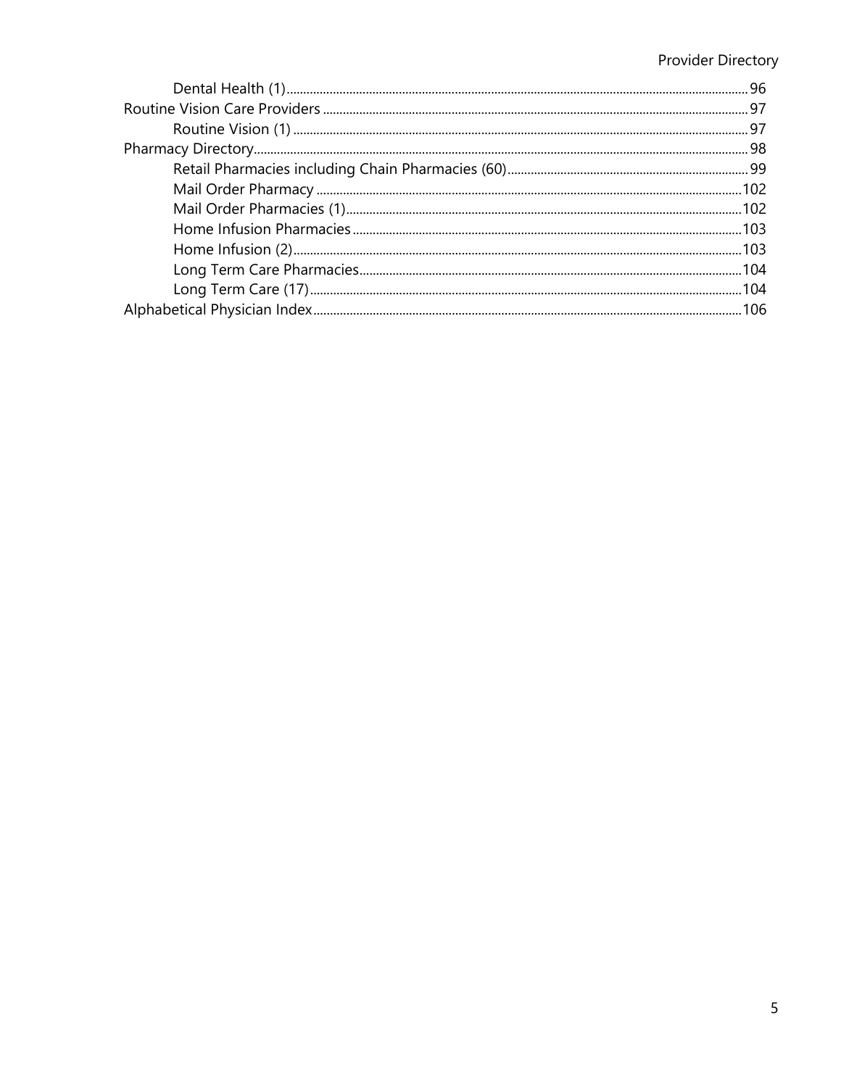#### **Provider Directory**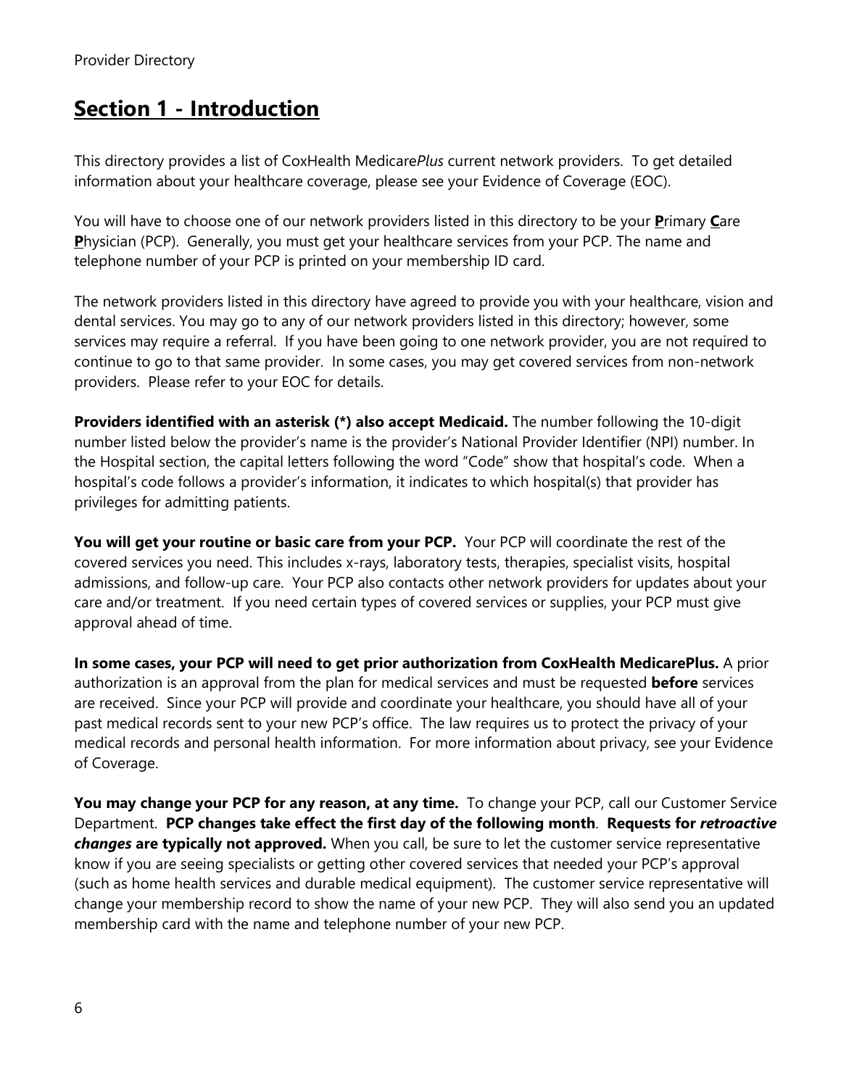# **Section 1 - Introduction**

This directory provides a list of CoxHealth Medicare*Plus* current network providers. To get detailed information about your healthcare coverage, please see your Evidence of Coverage (EOC).

You will have to choose one of our network providers listed in this directory to be your **P**rimary **C**are **P**hysician (PCP). Generally, you must get your healthcare services from your PCP. The name and telephone number of your PCP is printed on your membership ID card.

The network providers listed in this directory have agreed to provide you with your healthcare, vision and dental services. You may go to any of our network providers listed in this directory; however, some services may require a referral. If you have been going to one network provider, you are not required to continue to go to that same provider. In some cases, you may get covered services from non-network providers. Please refer to your EOC for details.

**Providers identified with an asterisk (\*) also accept Medicaid.** The number following the 10-digit number listed below the provider's name is the provider's National Provider Identifier (NPI) number. In the Hospital section, the capital letters following the word "Code" show that hospital's code. When a hospital's code follows a provider's information, it indicates to which hospital(s) that provider has privileges for admitting patients.

You will get your routine or basic care from your PCP. Your PCP will coordinate the rest of the covered services you need. This includes x-rays, laboratory tests, therapies, specialist visits, hospital admissions, and follow-up care. Your PCP also contacts other network providers for updates about your care and/or treatment. If you need certain types of covered services or supplies, your PCP must give approval ahead of time.

**In some cases, your PCP will need to get prior authorization from CoxHealth MedicarePlus.** A prior authorization is an approval from the plan for medical services and must be requested **before** services are received. Since your PCP will provide and coordinate your healthcare, you should have all of your past medical records sent to your new PCP's office. The law requires us to protect the privacy of your medical records and personal health information. For more information about privacy, see your Evidence of Coverage.

**You may change your PCP for any reason, at any time.** To change your PCP, call our Customer Service Department. **PCP changes take effect the first day of the following month**. **Requests for** *retroactive changes* **are typically not approved.** When you call, be sure to let the customer service representative know if you are seeing specialists or getting other covered services that needed your PCP's approval (such as home health services and durable medical equipment). The customer service representative will change your membership record to show the name of your new PCP. They will also send you an updated membership card with the name and telephone number of your new PCP.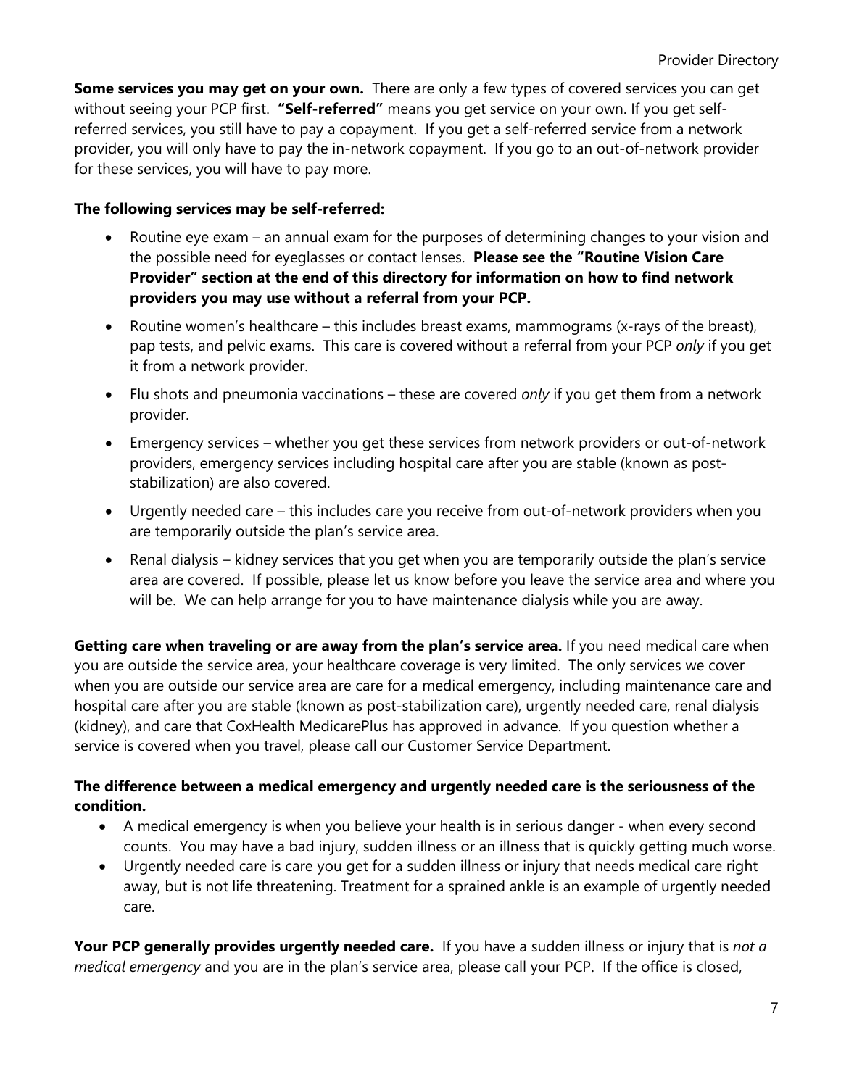**Some services you may get on your own.** There are only a few types of covered services you can get without seeing your PCP first. **"Self-referred"** means you get service on your own. If you get selfreferred services, you still have to pay a copayment. If you get a self-referred service from a network provider, you will only have to pay the in-network copayment. If you go to an out-of-network provider for these services, you will have to pay more.

#### **The following services may be self-referred:**

- Routine eye exam an annual exam for the purposes of determining changes to your vision and the possible need for eyeglasses or contact lenses. **Please see the "Routine Vision Care Provider" section at the end of this directory for information on how to find network providers you may use without a referral from your PCP.**
- Routine women's healthcare this includes breast exams, mammograms (x-rays of the breast), pap tests, and pelvic exams. This care is covered without a referral from your PCP *only* if you get it from a network provider.
- Flu shots and pneumonia vaccinations these are covered *only* if you get them from a network provider.
- Emergency services whether you get these services from network providers or out-of-network providers, emergency services including hospital care after you are stable (known as poststabilization) are also covered.
- Urgently needed care this includes care you receive from out-of-network providers when you are temporarily outside the plan's service area.
- Renal dialysis kidney services that you get when you are temporarily outside the plan's service area are covered. If possible, please let us know before you leave the service area and where you will be. We can help arrange for you to have maintenance dialysis while you are away.

**Getting care when traveling or are away from the plan's service area.** If you need medical care when you are outside the service area, your healthcare coverage is very limited. The only services we cover when you are outside our service area are care for a medical emergency, including maintenance care and hospital care after you are stable (known as post-stabilization care), urgently needed care, renal dialysis (kidney), and care that CoxHealth MedicarePlus has approved in advance. If you question whether a service is covered when you travel, please call our Customer Service Department.

#### **The difference between a medical emergency and urgently needed care is the seriousness of the condition.**

- A medical emergency is when you believe your health is in serious danger when every second counts. You may have a bad injury, sudden illness or an illness that is quickly getting much worse.
- Urgently needed care is care you get for a sudden illness or injury that needs medical care right away, but is not life threatening. Treatment for a sprained ankle is an example of urgently needed care.

**Your PCP generally provides urgently needed care.** If you have a sudden illness or injury that is *not a medical emergency* and you are in the plan's service area, please call your PCP. If the office is closed,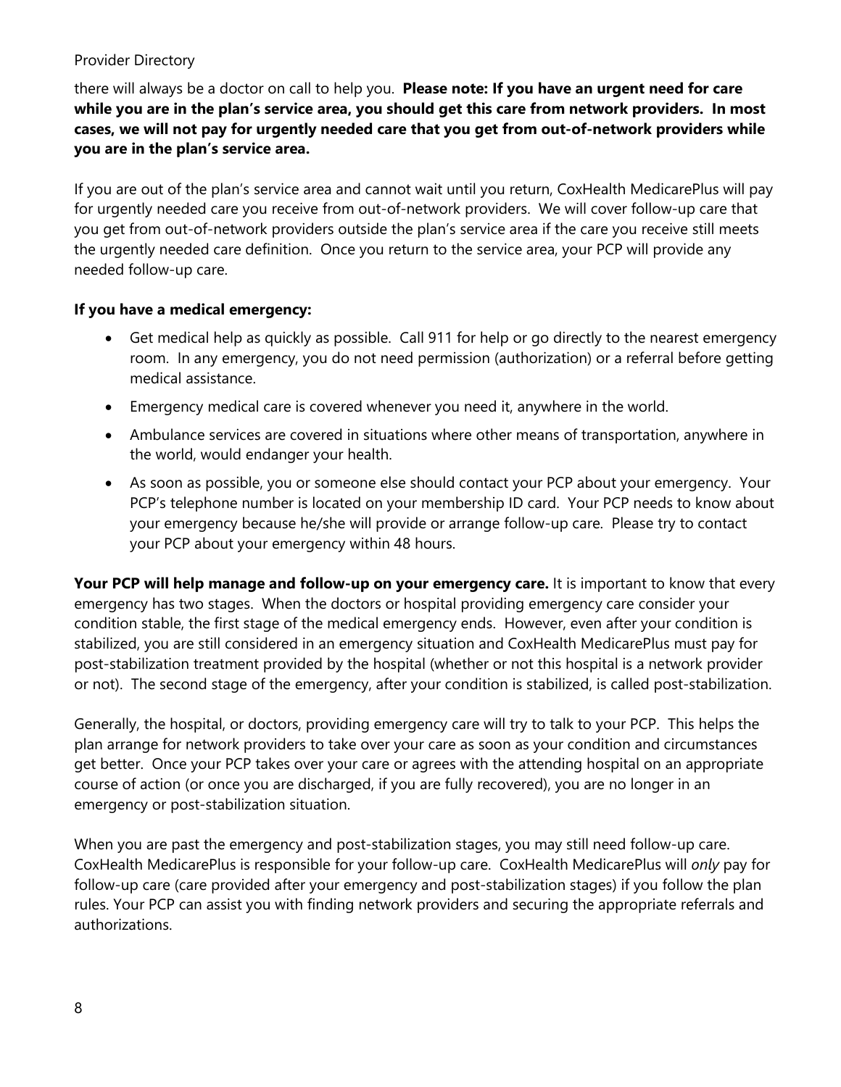#### Provider Directory

there will always be a doctor on call to help you. **Please note: If you have an urgent need for care while you are in the plan's service area, you should get this care from network providers. In most cases, we will not pay for urgently needed care that you get from out-of-network providers while you are in the plan's service area.**

If you are out of the plan's service area and cannot wait until you return, CoxHealth MedicarePlus will pay for urgently needed care you receive from out-of-network providers. We will cover follow-up care that you get from out-of-network providers outside the plan's service area if the care you receive still meets the urgently needed care definition. Once you return to the service area, your PCP will provide any needed follow-up care.

#### **If you have a medical emergency:**

- Get medical help as quickly as possible. Call 911 for help or go directly to the nearest emergency room. In any emergency, you do not need permission (authorization) or a referral before getting medical assistance.
- Emergency medical care is covered whenever you need it, anywhere in the world.
- Ambulance services are covered in situations where other means of transportation, anywhere in the world, would endanger your health.
- As soon as possible, you or someone else should contact your PCP about your emergency. Your PCP's telephone number is located on your membership ID card. Your PCP needs to know about your emergency because he/she will provide or arrange follow-up care. Please try to contact your PCP about your emergency within 48 hours.

**Your PCP will help manage and follow-up on your emergency care.** It is important to know that every emergency has two stages. When the doctors or hospital providing emergency care consider your condition stable, the first stage of the medical emergency ends. However, even after your condition is stabilized, you are still considered in an emergency situation and CoxHealth MedicarePlus must pay for post-stabilization treatment provided by the hospital (whether or not this hospital is a network provider or not). The second stage of the emergency, after your condition is stabilized, is called post-stabilization.

Generally, the hospital, or doctors, providing emergency care will try to talk to your PCP. This helps the plan arrange for network providers to take over your care as soon as your condition and circumstances get better. Once your PCP takes over your care or agrees with the attending hospital on an appropriate course of action (or once you are discharged, if you are fully recovered), you are no longer in an emergency or post-stabilization situation.

When you are past the emergency and post-stabilization stages, you may still need follow-up care. CoxHealth MedicarePlus is responsible for your follow-up care. CoxHealth MedicarePlus will *only* pay for follow-up care (care provided after your emergency and post-stabilization stages) if you follow the plan rules. Your PCP can assist you with finding network providers and securing the appropriate referrals and authorizations.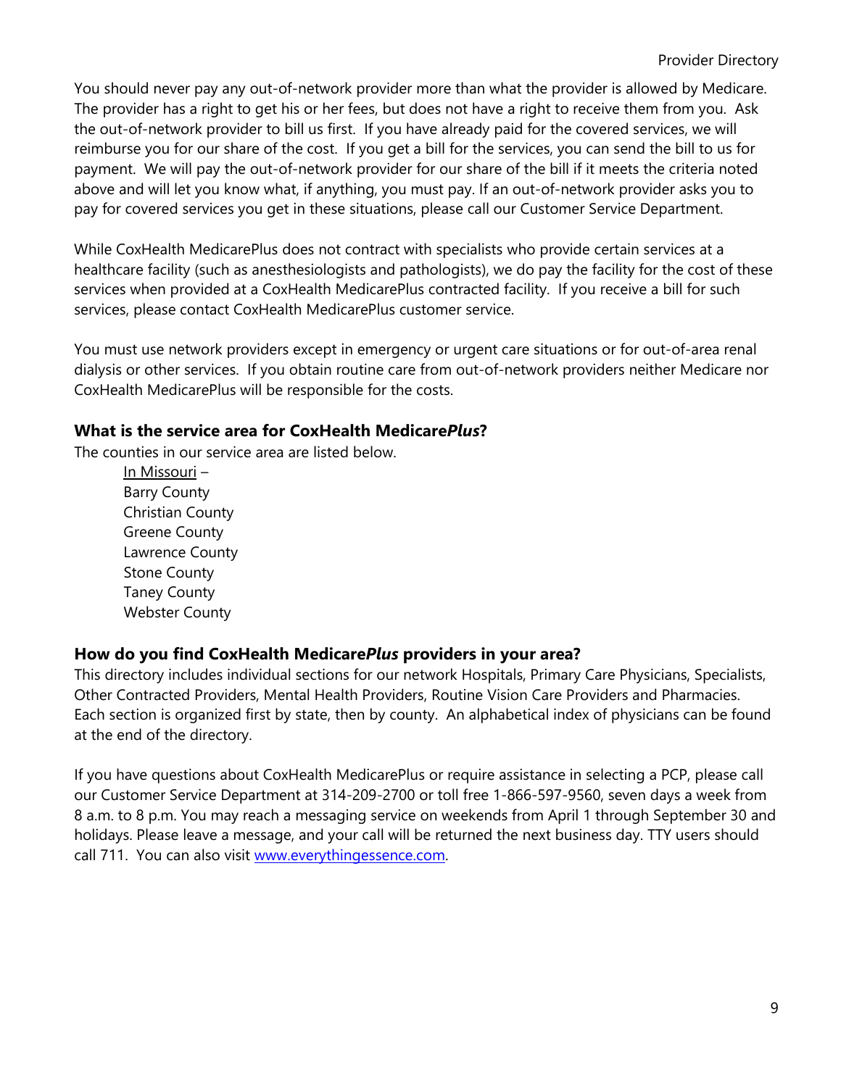You should never pay any out-of-network provider more than what the provider is allowed by Medicare. The provider has a right to get his or her fees, but does not have a right to receive them from you. Ask the out-of-network provider to bill us first. If you have already paid for the covered services, we will reimburse you for our share of the cost. If you get a bill for the services, you can send the bill to us for payment. We will pay the out-of-network provider for our share of the bill if it meets the criteria noted above and will let you know what, if anything, you must pay. If an out-of-network provider asks you to pay for covered services you get in these situations, please call our Customer Service Department.

While CoxHealth MedicarePlus does not contract with specialists who provide certain services at a healthcare facility (such as anesthesiologists and pathologists), we do pay the facility for the cost of these services when provided at a CoxHealth MedicarePlus contracted facility. If you receive a bill for such services, please contact CoxHealth MedicarePlus customer service.

You must use network providers except in emergency or urgent care situations or for out-of-area renal dialysis or other services. If you obtain routine care from out-of-network providers neither Medicare nor CoxHealth MedicarePlus will be responsible for the costs.

#### **What is the service area for CoxHealth Medicare***Plus***?**

The counties in our service area are listed below.

In Missouri – Barry County Christian County Greene County Lawrence County Stone County Taney County Webster County

#### **How do you find CoxHealth Medicare***Plus* **providers in your area?**

This directory includes individual sections for our network Hospitals, Primary Care Physicians, Specialists, Other Contracted Providers, Mental Health Providers, Routine Vision Care Providers and Pharmacies. Each section is organized first by state, then by county. An alphabetical index of physicians can be found at the end of the directory.

If you have questions about CoxHealth MedicarePlus or require assistance in selecting a PCP, please call our Customer Service Department at 314-209-2700 or toll free 1-866-597-9560, seven days a week from 8 a.m. to 8 p.m. You may reach a messaging service on weekends from April 1 through September 30 and holidays. Please leave a message, and your call will be returned the next business day. TTY users should call 711. You can also visit [www.everythingessence.com.](http://www.everythingessence.com/)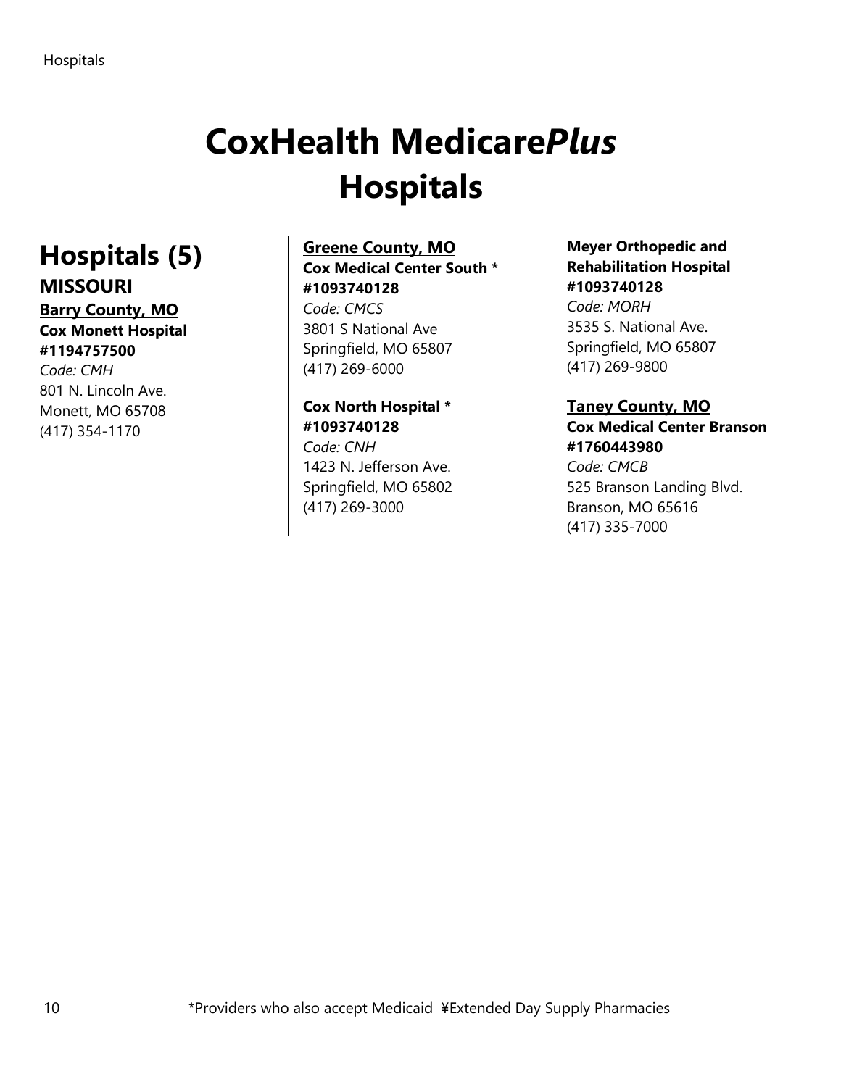# **CoxHealth Medicare***Plus* **Hospitals**

# **Hospitals (5) MISSOURI**

#### **Barry County, MO Cox Monett Hospital #1194757500**

*Code: CMH* 801 N. Lincoln Ave. Monett, MO 65708 (417) 354-1170

#### **Greene County, MO Cox Medical Center South \* #1093740128** *Code: CMCS* 3801 S National Ave Springfield, MO 65807 (417) 269-6000

#### **Cox North Hospital \* #1093740128** *Code: CNH* 1423 N. Jefferson Ave. Springfield, MO 65802 (417) 269-3000

**Meyer Orthopedic and Rehabilitation Hospital #1093740128** *Code: MORH* 3535 S. National Ave. Springfield, MO 65807 (417) 269-9800

#### **Taney County, MO**

**Cox Medical Center Branson #1760443980**

*Code: CMCB* 525 Branson Landing Blvd. Branson, MO 65616 (417) 335-7000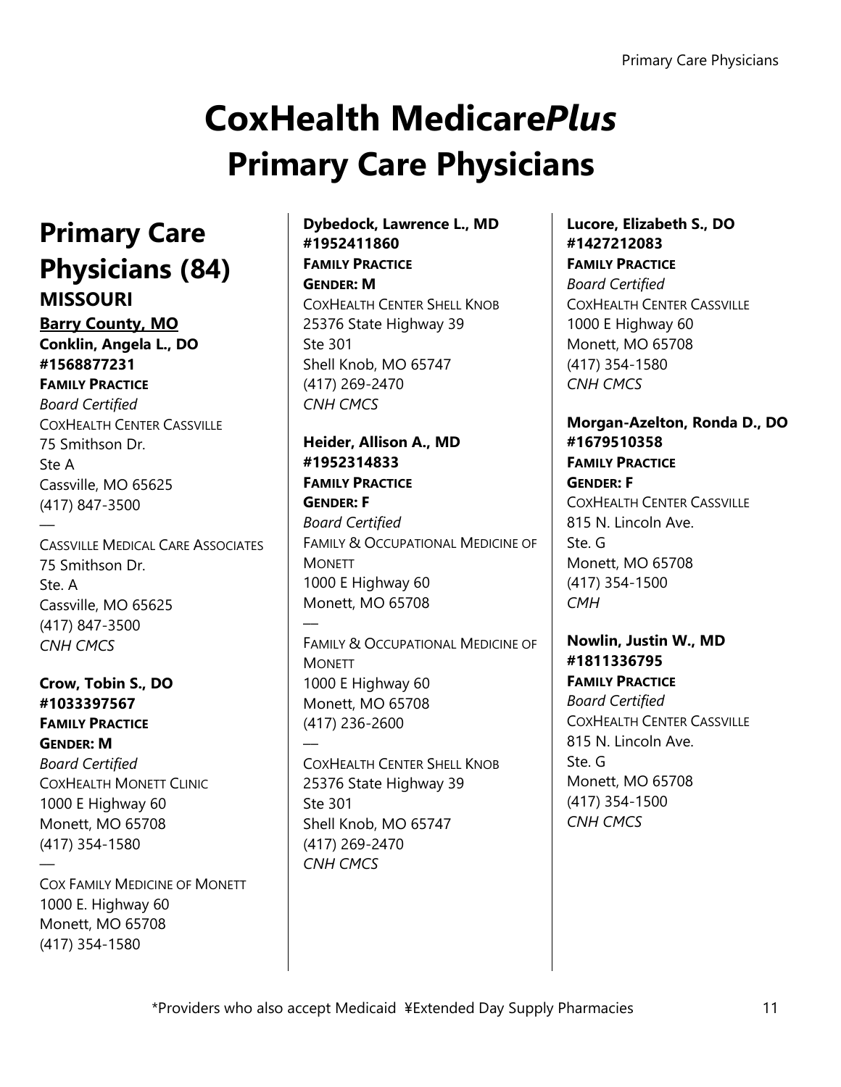# **CoxHealth Medicare***Plus*  **Primary Care Physicians**

# **Primary Care Physicians (84) MISSOURI**

**Barry County, MO Conklin, Angela L., DO #1568877231**

**FAMILY PRACTICE** *Board Certified* COXHEALTH CENTER CASSVILLE 75 Smithson Dr. Ste A

Cassville, MO 65625 (417) 847-3500 ––

CASSVILLE MEDICAL CARE ASSOCIATES 75 Smithson Dr. Ste. A Cassville, MO 65625 (417) 847-3500 *CNH CMCS*

**Crow, Tobin S., DO #1033397567 FAMILY PRACTICE GENDER: M**  *Board Certified*

COXHEALTH MONETT CLINIC 1000 E Highway 60 Monett, MO 65708 (417) 354-1580

––

COX FAMILY MEDICINE OF MONETT 1000 E. Highway 60 Monett, MO 65708 (417) 354-1580

**Dybedock, Lawrence L., MD #1952411860 FAMILY PRACTICE GENDER: M**  COXHEALTH CENTER SHELL KNOB 25376 State Highway 39 Ste 301 Shell Knob, MO 65747 (417) 269-2470 *CNH CMCS*

#### **Heider, Allison A., MD #1952314833 FAMILY PRACTICE**

**GENDER: F**  *Board Certified* FAMILY & OCCUPATIONAL MEDICINE OF **MONETT** 1000 E Highway 60 Monett, MO 65708

–– FAMILY & OCCUPATIONAL MEDICINE OF **MONETT** 1000 E Highway 60 Monett, MO 65708 (417) 236-2600

COXHEALTH CENTER SHELL KNOB 25376 State Highway 39 Ste 301 Shell Knob, MO 65747 (417) 269-2470 *CNH CMCS*

––

**Lucore, Elizabeth S., DO #1427212083 FAMILY PRACTICE** *Board Certified* COXHEALTH CENTER CASSVILLE 1000 E Highway 60 Monett, MO 65708 (417) 354-1580 *CNH CMCS*

**Morgan-Azelton, Ronda D., DO #1679510358 FAMILY PRACTICE GENDER: F**  COXHEALTH CENTER CASSVILLE 815 N. Lincoln Ave. Ste. G Monett, MO 65708 (417) 354-1500 *CMH*

**Nowlin, Justin W., MD #1811336795 FAMILY PRACTICE** *Board Certified* COXHEALTH CENTER CASSVILLE 815 N. Lincoln Ave. Ste. G Monett, MO 65708 (417) 354-1500 *CNH CMCS*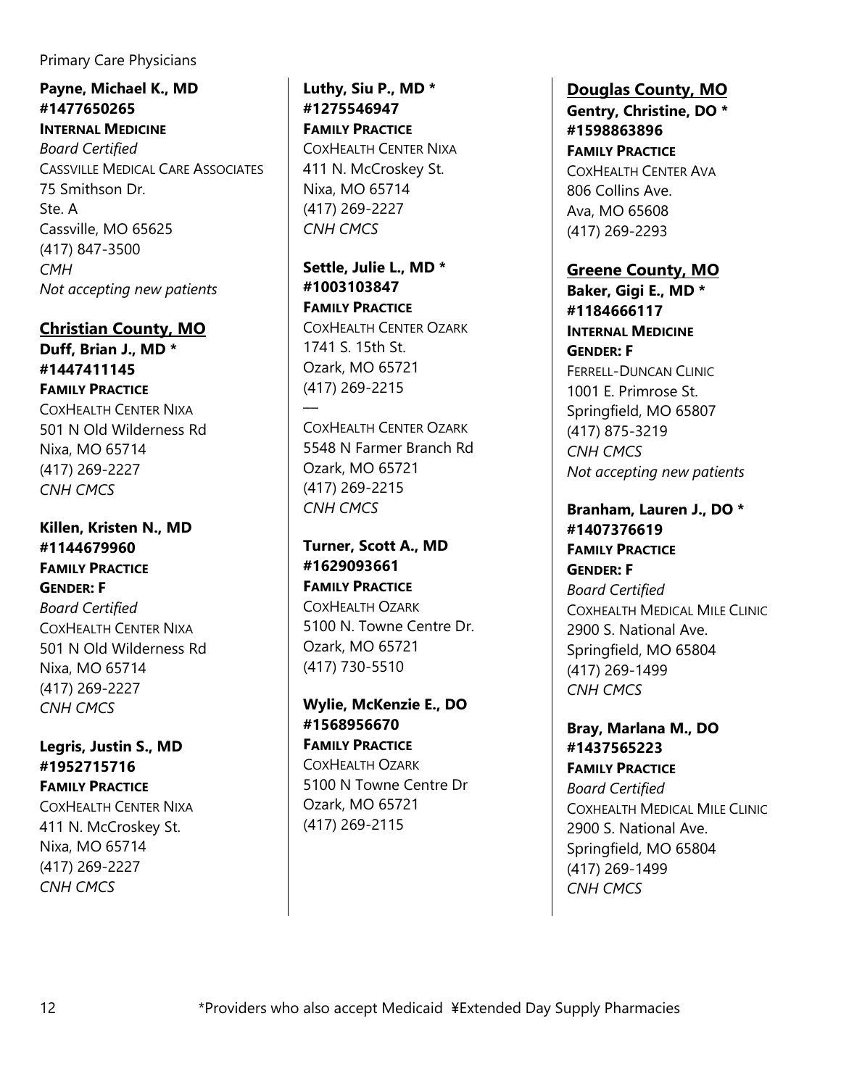**Payne, Michael K., MD #1477650265 INTERNAL MEDICINE** *Board Certified* CASSVILLE MEDICAL CARE ASSOCIATES 75 Smithson Dr. Ste. A Cassville, MO 65625 (417) 847-3500 *CMH Not accepting new patients*

**Christian County, MO Duff, Brian J., MD \* #1447411145 FAMILY PRACTICE** COXHEALTH CENTER NIXA 501 N Old Wilderness Rd

Nixa, MO 65714 (417) 269-2227 *CNH CMCS*

**Killen, Kristen N., MD #1144679960 FAMILY PRACTICE GENDER: F**  *Board Certified* COXHEALTH CENTER NIXA 501 N Old Wilderness Rd Nixa, MO 65714 (417) 269-2227 *CNH CMCS*

**Legris, Justin S., MD #1952715716 FAMILY PRACTICE**

COXHEALTH CENTER NIXA 411 N. McCroskey St. Nixa, MO 65714 (417) 269-2227 *CNH CMCS*

**Luthy, Siu P., MD \* #1275546947 FAMILY PRACTICE** COXHEALTH CENTER NIXA 411 N. McCroskey St. Nixa, MO 65714 (417) 269-2227 *CNH CMCS*

**Settle, Julie L., MD \* #1003103847 FAMILY PRACTICE** COXHEALTH CENTER OZARK 1741 S. 15th St. Ozark, MO 65721 (417) 269-2215

COXHEALTH CENTER OZARK 5548 N Farmer Branch Rd Ozark, MO 65721 (417) 269-2215 *CNH CMCS*

––

**Turner, Scott A., MD #1629093661 FAMILY PRACTICE** COXHEALTH OZARK 5100 N. Towne Centre Dr. Ozark, MO 65721 (417) 730-5510

**Wylie, McKenzie E., DO #1568956670 FAMILY PRACTICE** COXHEALTH OZARK 5100 N Towne Centre Dr Ozark, MO 65721 (417) 269-2115

**Douglas County, MO Gentry, Christine, DO \* #1598863896 FAMILY PRACTICE** COXHEALTH CENTER AVA 806 Collins Ave. Ava, MO 65608

(417) 269-2293

**Greene County, MO Baker, Gigi E., MD \* #1184666117 INTERNAL MEDICINE GENDER: F**  FERRELL-DUNCAN CLINIC 1001 E. Primrose St. Springfield, MO 65807 (417) 875-3219 *CNH CMCS Not accepting new patients*

**Branham, Lauren J., DO \* #1407376619 FAMILY PRACTICE GENDER: F**  *Board Certified* COXHEALTH MEDICAL MILE CLINIC 2900 S. National Ave. Springfield, MO 65804 (417) 269-1499 *CNH CMCS*

**Bray, Marlana M., DO #1437565223 FAMILY PRACTICE** *Board Certified* COXHEALTH MEDICAL MILE CLINIC 2900 S. National Ave. Springfield, MO 65804 (417) 269-1499 *CNH CMCS*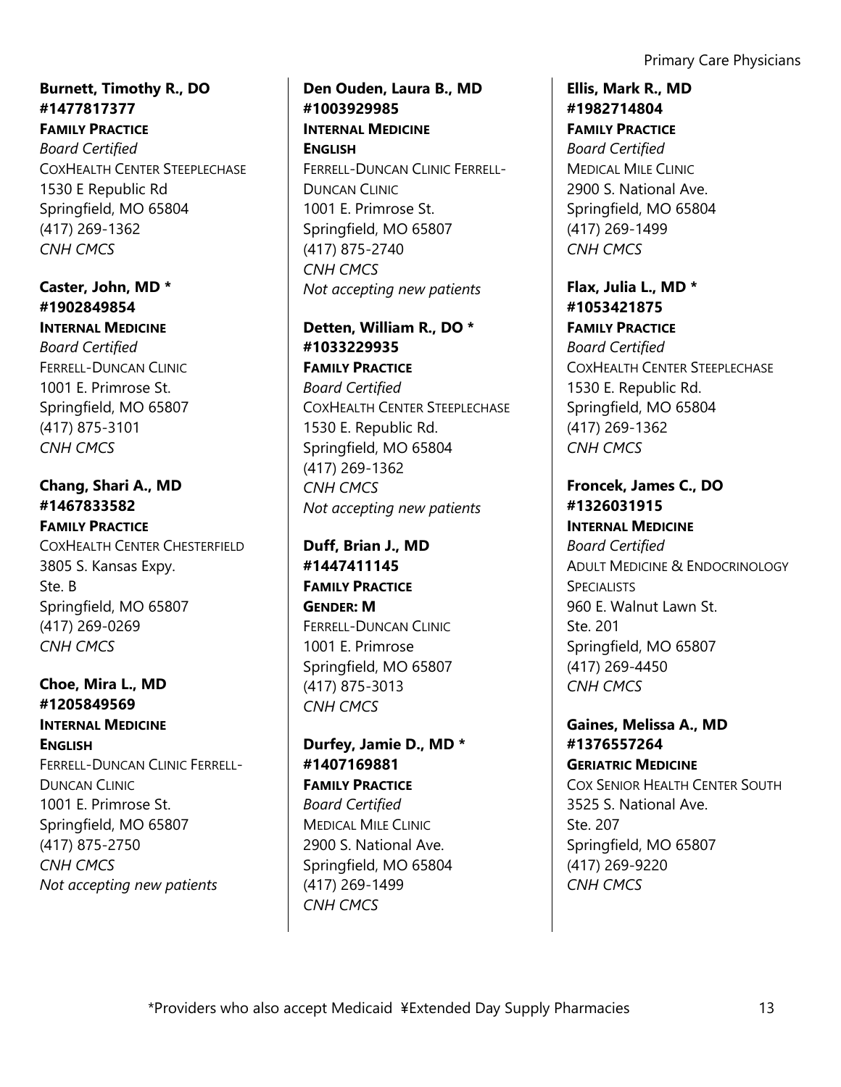#### **Burnett, Timothy R., DO #1477817377 FAMILY PRACTICE**

*Board Certified* COXHEALTH CENTER STEEPLECHASE 1530 E Republic Rd Springfield, MO 65804 (417) 269-1362 *CNH CMCS*

**Caster, John, MD \* #1902849854 INTERNAL MEDICINE**

*Board Certified* FERRELL-DUNCAN CLINIC 1001 E. Primrose St. Springfield, MO 65807 (417) 875-3101 *CNH CMCS*

#### **Chang, Shari A., MD #1467833582 FAMILY PRACTICE**

COXHEALTH CENTER CHESTERFIELD 3805 S. Kansas Expy. Ste. B Springfield, MO 65807 (417) 269-0269 *CNH CMCS*

**Choe, Mira L., MD #1205849569 INTERNAL MEDICINE ENGLISH** FERRELL-DUNCAN CLINIC FERRELL-DUNCAN CLINIC 1001 E. Primrose St. Springfield, MO 65807 (417) 875-2750 *CNH CMCS Not accepting new patients*

#### **Den Ouden, Laura B., MD #1003929985 INTERNAL MEDICINE ENGLISH** FERRELL-DUNCAN CLINIC FERRELL-DUNCAN CLINIC 1001 E. Primrose St. Springfield, MO 65807 (417) 875-2740 *CNH CMCS Not accepting new patients*

#### **Detten, William R., DO \* #1033229935 FAMILY PRACTICE**

*Board Certified* COXHEALTH CENTER STEEPLECHASE 1530 E. Republic Rd. Springfield, MO 65804 (417) 269-1362 *CNH CMCS Not accepting new patients*

**Duff, Brian J., MD #1447411145 FAMILY PRACTICE GENDER: M**  FERRELL-DUNCAN CLINIC 1001 E. Primrose Springfield, MO 65807 (417) 875-3013 *CNH CMCS*

**Durfey, Jamie D., MD \* #1407169881 FAMILY PRACTICE** *Board Certified* MEDICAL MILE CLINIC 2900 S. National Ave. Springfield, MO 65804 (417) 269-1499 *CNH CMCS*

**Ellis, Mark R., MD #1982714804 FAMILY PRACTICE** *Board Certified* MEDICAL MILE CLINIC 2900 S. National Ave. Springfield, MO 65804 (417) 269-1499 *CNH CMCS*

**Flax, Julia L., MD \* #1053421875 FAMILY PRACTICE**

*Board Certified* COXHEALTH CENTER STEEPLECHASE 1530 E. Republic Rd. Springfield, MO 65804 (417) 269-1362 *CNH CMCS*

**Froncek, James C., DO #1326031915 INTERNAL MEDICINE** *Board Certified* ADULT MEDICINE & ENDOCRINOLOGY **SPECIALISTS** 960 E. Walnut Lawn St. Ste. 201 Springfield, MO 65807 (417) 269-4450 *CNH CMCS*

**Gaines, Melissa A., MD #1376557264 GERIATRIC MEDICINE**

COX SENIOR HEALTH CENTER SOUTH 3525 S. National Ave. Ste. 207 Springfield, MO 65807 (417) 269-9220 *CNH CMCS*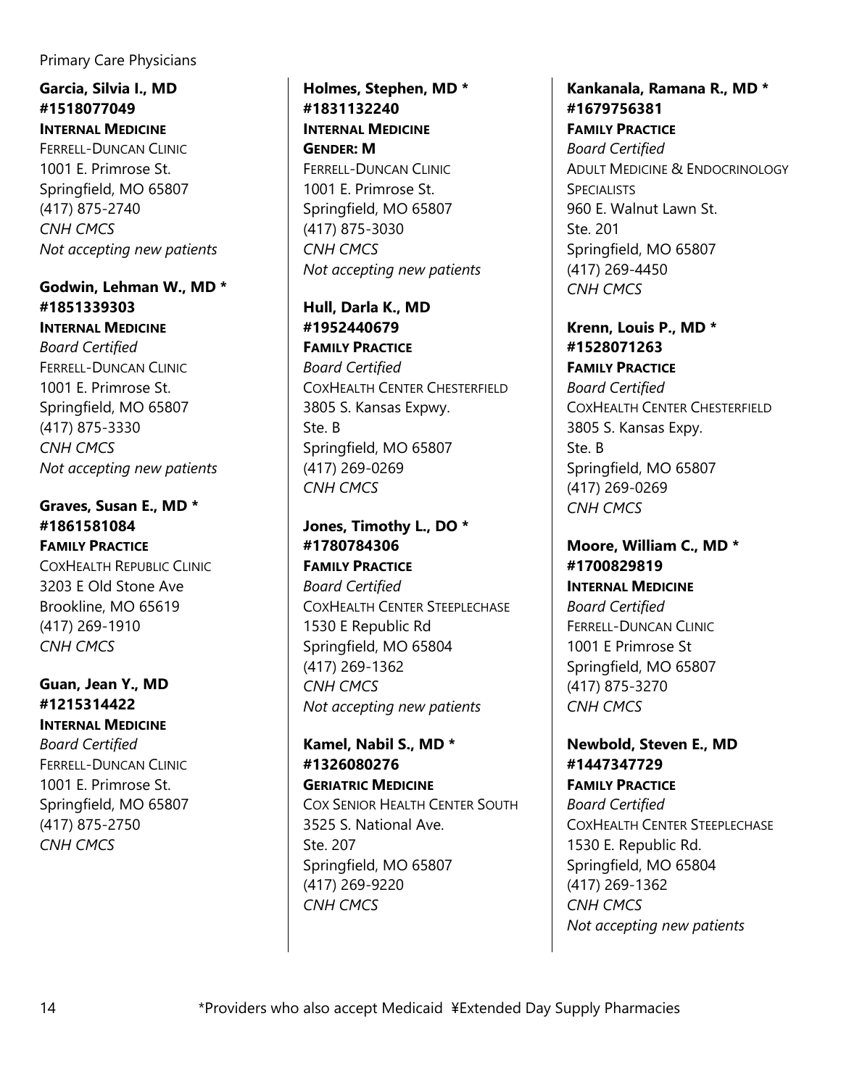**Garcia, Silvia I., MD #1518077049 INTERNAL MEDICINE** FERRELL-DUNCAN CLINIC 1001 E. Primrose St. Springfield, MO 65807 (417) 875-2740 *CNH CMCS Not accepting new patients*

#### **Godwin, Lehman W., MD \* #1851339303 INTERNAL MEDICINE**

*Board Certified* FERRELL-DUNCAN CLINIC 1001 E. Primrose St. Springfield, MO 65807 (417) 875-3330 *CNH CMCS Not accepting new patients*

#### **Graves, Susan E., MD \* #1861581084**

**FAMILY PRACTICE** COXHEALTH REPUBLIC CLINIC 3203 E Old Stone Ave Brookline, MO 65619 (417) 269-1910 *CNH CMCS*

#### **Guan, Jean Y., MD #1215314422 INTERNAL MEDICINE**

*Board Certified* FERRELL-DUNCAN CLINIC 1001 E. Primrose St. Springfield, MO 65807 (417) 875-2750 *CNH CMCS*

#### **Holmes, Stephen, MD \* #1831132240 INTERNAL MEDICINE GENDER: M**  FERRELL-DUNCAN CLINIC 1001 E. Primrose St. Springfield, MO 65807 (417) 875-3030 *CNH CMCS Not accepting new patients*

#### **Hull, Darla K., MD #1952440679**

**FAMILY PRACTICE** *Board Certified* COXHEALTH CENTER CHESTERFIELD 3805 S. Kansas Expwy. Ste. B Springfield, MO 65807 (417) 269-0269 *CNH CMCS*

#### **Jones, Timothy L., DO \* #1780784306 FAMILY PRACTICE**

*Board Certified* COXHEALTH CENTER STEEPLECHASE 1530 E Republic Rd Springfield, MO 65804 (417) 269-1362 *CNH CMCS Not accepting new patients*

**Kamel, Nabil S., MD \* #1326080276 GERIATRIC MEDICINE** COX SENIOR HEALTH CENTER SOUTH 3525 S. National Ave. Ste. 207 Springfield, MO 65807 (417) 269-9220 *CNH CMCS*

#### **Kankanala, Ramana R., MD \* #1679756381 FAMILY PRACTICE**

*Board Certified* ADULT MEDICINE & ENDOCRINOLOGY **SPECIALISTS** 960 E. Walnut Lawn St. Ste. 201 Springfield, MO 65807 (417) 269-4450 *CNH CMCS*

#### **Krenn, Louis P., MD \* #1528071263 FAMILY PRACTICE** *Board Certified* COXHEALTH CENTER CHESTERFIELD 3805 S. Kansas Expy. Ste. B Springfield, MO 65807 (417) 269-0269 *CNH CMCS*

**Moore, William C., MD \* #1700829819 INTERNAL MEDICINE** *Board Certified* FERRELL-DUNCAN CLINIC 1001 E Primrose St Springfield, MO 65807 (417) 875-3270 *CNH CMCS*

#### **Newbold, Steven E., MD #1447347729**

**FAMILY PRACTICE** *Board Certified* COXHEALTH CENTER STEEPLECHASE 1530 E. Republic Rd. Springfield, MO 65804 (417) 269-1362 *CNH CMCS Not accepting new patients*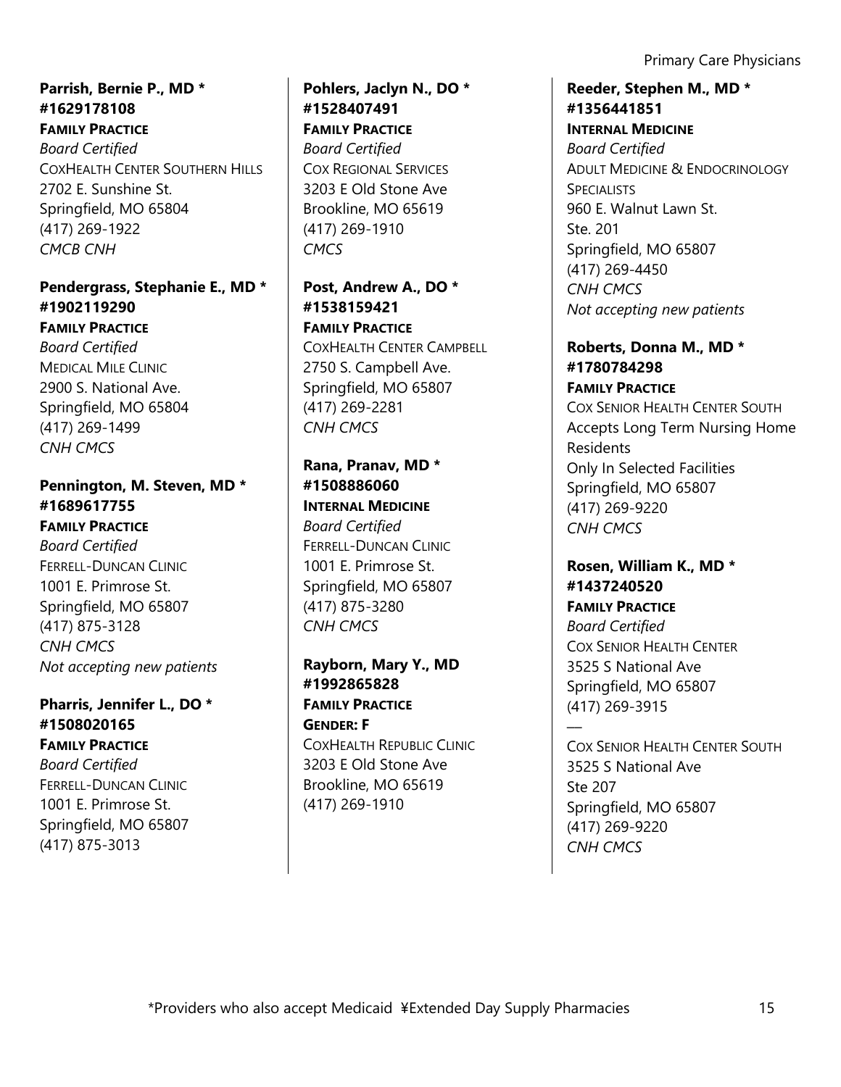**Parrish, Bernie P., MD \* #1629178108 FAMILY PRACTICE**

*Board Certified* COXHEALTH CENTER SOUTHERN HILLS 2702 E. Sunshine St. Springfield, MO 65804 (417) 269-1922 *CMCB CNH*

#### **Pendergrass, Stephanie E., MD \* #1902119290 FAMILY PRACTICE**

*Board Certified* MEDICAL MILE CLINIC 2900 S. National Ave. Springfield, MO 65804 (417) 269-1499 *CNH CMCS*

### **Pennington, M. Steven, MD \* #1689617755**

**FAMILY PRACTICE** *Board Certified*

FERRELL-DUNCAN CLINIC 1001 E. Primrose St. Springfield, MO 65807 (417) 875-3128 *CNH CMCS Not accepting new patients*

### **Pharris, Jennifer L., DO \* #1508020165**

**FAMILY PRACTICE** *Board Certified* FERRELL-DUNCAN CLINIC 1001 E. Primrose St. Springfield, MO 65807 (417) 875-3013

#### **Pohlers, Jaclyn N., DO \* #1528407491 FAMILY PRACTICE**

*Board Certified* COX REGIONAL SERVICES 3203 E Old Stone Ave Brookline, MO 65619 (417) 269-1910 *CMCS*

### **Post, Andrew A., DO \* #1538159421 FAMILY PRACTICE**

COXHEALTH CENTER CAMPBELL 2750 S. Campbell Ave. Springfield, MO 65807 (417) 269-2281 *CNH CMCS*

#### **Rana, Pranav, MD \* #1508886060 INTERNAL MEDICINE**

*Board Certified* FERRELL-DUNCAN CLINIC 1001 E. Primrose St. Springfield, MO 65807 (417) 875-3280 *CNH CMCS*

#### **Rayborn, Mary Y., MD #1992865828 FAMILY PRACTICE GENDER: F**  COXHEALTH REPUBLIC CLINIC 3203 E Old Stone Ave Brookline, MO 65619 (417) 269-1910

#### **Reeder, Stephen M., MD \* #1356441851 INTERNAL MEDICINE** *Board Certified* ADULT MEDICINE & ENDOCRINOLOGY **SPECIALISTS** 960 E. Walnut Lawn St. Ste. 201 Springfield, MO 65807 (417) 269-4450 *CNH CMCS Not accepting new patients*

#### **Roberts, Donna M., MD \* #1780784298 FAMILY PRACTICE**

COX SENIOR HEALTH CENTER SOUTH Accepts Long Term Nursing Home Residents Only In Selected Facilities Springfield, MO 65807 (417) 269-9220 *CNH CMCS*

### **Rosen, William K., MD \* #1437240520**

**FAMILY PRACTICE** *Board Certified* COX SENIOR HEALTH CENTER 3525 S National Ave Springfield, MO 65807 (417) 269-3915

–– COX SENIOR HEALTH CENTER SOUTH 3525 S National Ave Ste 207 Springfield, MO 65807 (417) 269-9220 *CNH CMCS*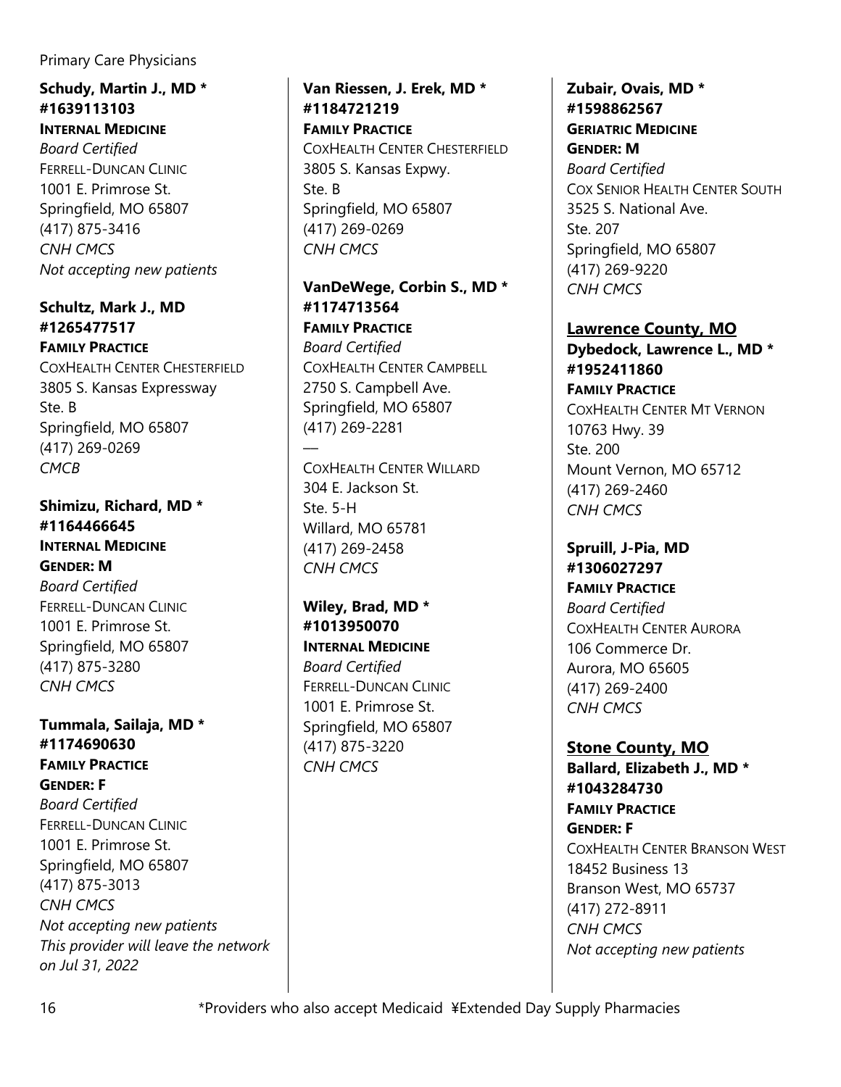**Schudy, Martin J., MD \* #1639113103 INTERNAL MEDICINE** *Board Certified* FERRELL-DUNCAN CLINIC 1001 E. Primrose St. Springfield, MO 65807 (417) 875-3416 *CNH CMCS Not accepting new patients*

#### **Schultz, Mark J., MD #1265477517**

**FAMILY PRACTICE** COXHEALTH CENTER CHESTERFIELD 3805 S. Kansas Expressway Ste. B Springfield, MO 65807 (417) 269-0269 *CMCB*

**Shimizu, Richard, MD \* #1164466645 INTERNAL MEDICINE GENDER: M**  *Board Certified* FERRELL-DUNCAN CLINIC 1001 E. Primrose St. Springfield, MO 65807

(417) 875-3280 *CNH CMCS*

**Tummala, Sailaja, MD \* #1174690630 FAMILY PRACTICE GENDER: F**  *Board Certified* FERRELL-DUNCAN CLINIC 1001 E. Primrose St. Springfield, MO 65807 (417) 875-3013 *CNH CMCS Not accepting new patients This provider will leave the network on Jul 31, 2022*

**Van Riessen, J. Erek, MD \* #1184721219 FAMILY PRACTICE** COXHEALTH CENTER CHESTERFIELD 3805 S. Kansas Expwy. Ste. B Springfield, MO 65807 (417) 269-0269 *CNH CMCS*

#### **VanDeWege, Corbin S., MD \* #1174713564 FAMILY PRACTICE**

*Board Certified* COXHEALTH CENTER CAMPBELL 2750 S. Campbell Ave. Springfield, MO 65807 (417) 269-2281 ––

COXHEALTH CENTER WILLARD 304 E. Jackson St. Ste. 5-H Willard, MO 65781 (417) 269-2458 *CNH CMCS*

**Wiley, Brad, MD \* #1013950070 INTERNAL MEDICINE** *Board Certified* FERRELL-DUNCAN CLINIC 1001 E. Primrose St. Springfield, MO 65807 (417) 875-3220 *CNH CMCS*

**Zubair, Ovais, MD \* #1598862567 GERIATRIC MEDICINE GENDER: M**  *Board Certified* COX SENIOR HEALTH CENTER SOUTH 3525 S. National Ave. Ste. 207 Springfield, MO 65807 (417) 269-9220 *CNH CMCS*

**Lawrence County, MO Dybedock, Lawrence L., MD \* #1952411860 FAMILY PRACTICE** COXHEALTH CENTER MT VERNON 10763 Hwy. 39 Ste. 200 Mount Vernon, MO 65712 (417) 269-2460 *CNH CMCS*

**Spruill, J-Pia, MD #1306027297 FAMILY PRACTICE** *Board Certified* COXHEALTH CENTER AURORA 106 Commerce Dr. Aurora, MO 65605 (417) 269-2400 *CNH CMCS*

**Stone County, MO Ballard, Elizabeth J., MD \* #1043284730 FAMILY PRACTICE GENDER: F**  COXHEALTH CENTER BRANSON WEST 18452 Business 13 Branson West, MO 65737 (417) 272-8911 *CNH CMCS Not accepting new patients*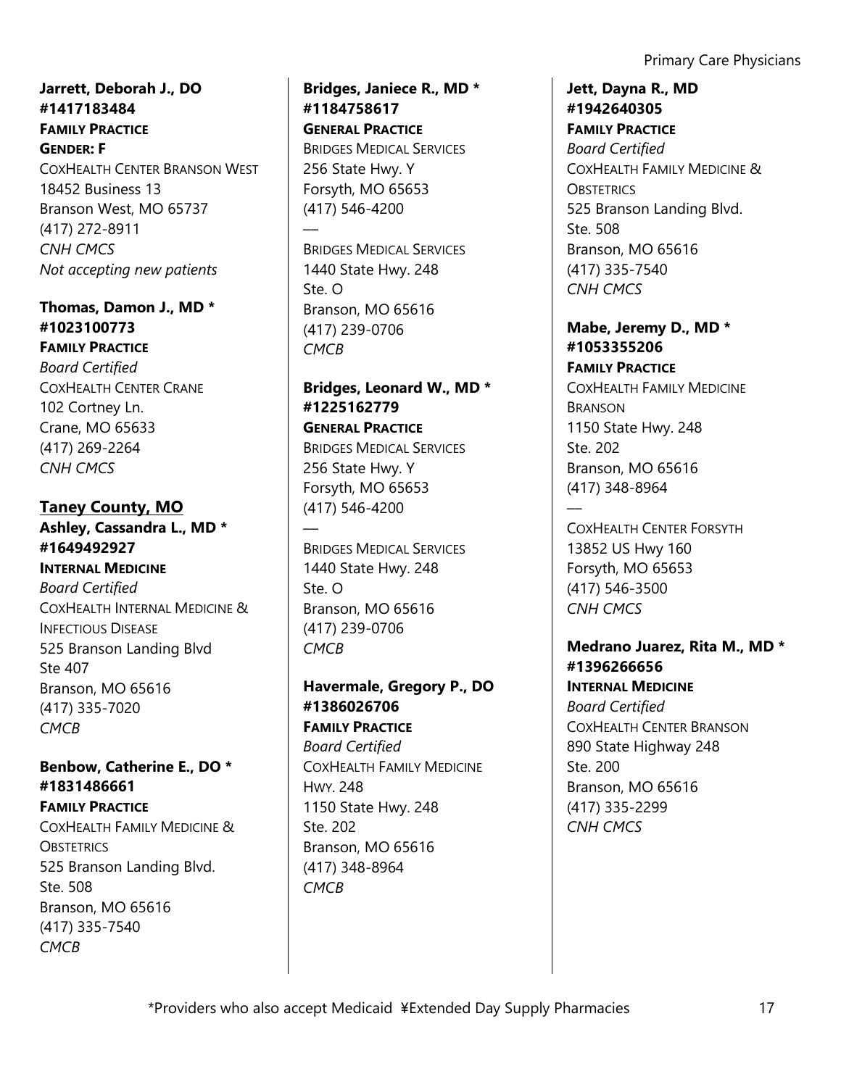**Jarrett, Deborah J., DO #1417183484 FAMILY PRACTICE GENDER: F**  COXHEALTH CENTER BRANSON WEST 18452 Business 13 Branson West, MO 65737 (417) 272-8911 *CNH CMCS Not accepting new patients*

#### **Thomas, Damon J., MD \* #1023100773**

**FAMILY PRACTICE** *Board Certified* COXHEALTH CENTER CRANE 102 Cortney Ln. Crane, MO 65633 (417) 269-2264 *CNH CMCS*

#### **Taney County, MO Ashley, Cassandra L., MD \***

**#1649492927 INTERNAL MEDICINE** *Board Certified* COXHEALTH INTERNAL MEDICINE & INFECTIOUS DISEASE 525 Branson Landing Blvd Ste 407 Branson, MO 65616 (417) 335-7020 *CMCB*

#### **Benbow, Catherine E., DO \* #1831486661**

**FAMILY PRACTICE** COXHEALTH FAMILY MEDICINE & **OBSTETRICS** 525 Branson Landing Blvd. Ste. 508 Branson, MO 65616 (417) 335-7540 *CMCB*

#### **Bridges, Janiece R., MD \* #1184758617 GENERAL PRACTICE**

BRIDGES MEDICAL SERVICES 256 State Hwy. Y Forsyth, MO 65653 (417) 546-4200

––

––

BRIDGES MEDICAL SERVICES 1440 State Hwy. 248 Ste. O Branson, MO 65616 (417) 239-0706 *CMCB*

#### **Bridges, Leonard W., MD \* #1225162779**

**GENERAL PRACTICE** BRIDGES MEDICAL SERVICES 256 State Hwy. Y Forsyth, MO 65653 (417) 546-4200

BRIDGES MEDICAL SERVICES 1440 State Hwy. 248 Ste. O Branson, MO 65616 (417) 239-0706 *CMCB*

#### **Havermale, Gregory P., DO #1386026706 FAMILY PRACTICE** *Board Certified* COXHEALTH FAMILY MEDICINE HWY. 248 1150 State Hwy. 248 Ste. 202 Branson, MO 65616

**Jett, Dayna R., MD #1942640305 FAMILY PRACTICE** *Board Certified* COXHEALTH FAMILY MEDICINE & **OBSTETRICS** 525 Branson Landing Blvd. Ste. 508 Branson, MO 65616 (417) 335-7540 *CNH CMCS*

#### **Mabe, Jeremy D., MD \* #1053355206 FAMILY PRACTICE**

COXHEALTH FAMILY MEDICINE BRANSON 1150 State Hwy. 248 Ste. 202 Branson, MO 65616 (417) 348-8964 ––

COXHEALTH CENTER FORSYTH 13852 US Hwy 160 Forsyth, MO 65653 (417) 546-3500 *CNH CMCS*

**Medrano Juarez, Rita M., MD \* #1396266656 INTERNAL MEDICINE** *Board Certified* COXHEALTH CENTER BRANSON 890 State Highway 248 Ste. 200 Branson, MO 65616 (417) 335-2299 *CNH CMCS*

(417) 348-8964

*CMCB*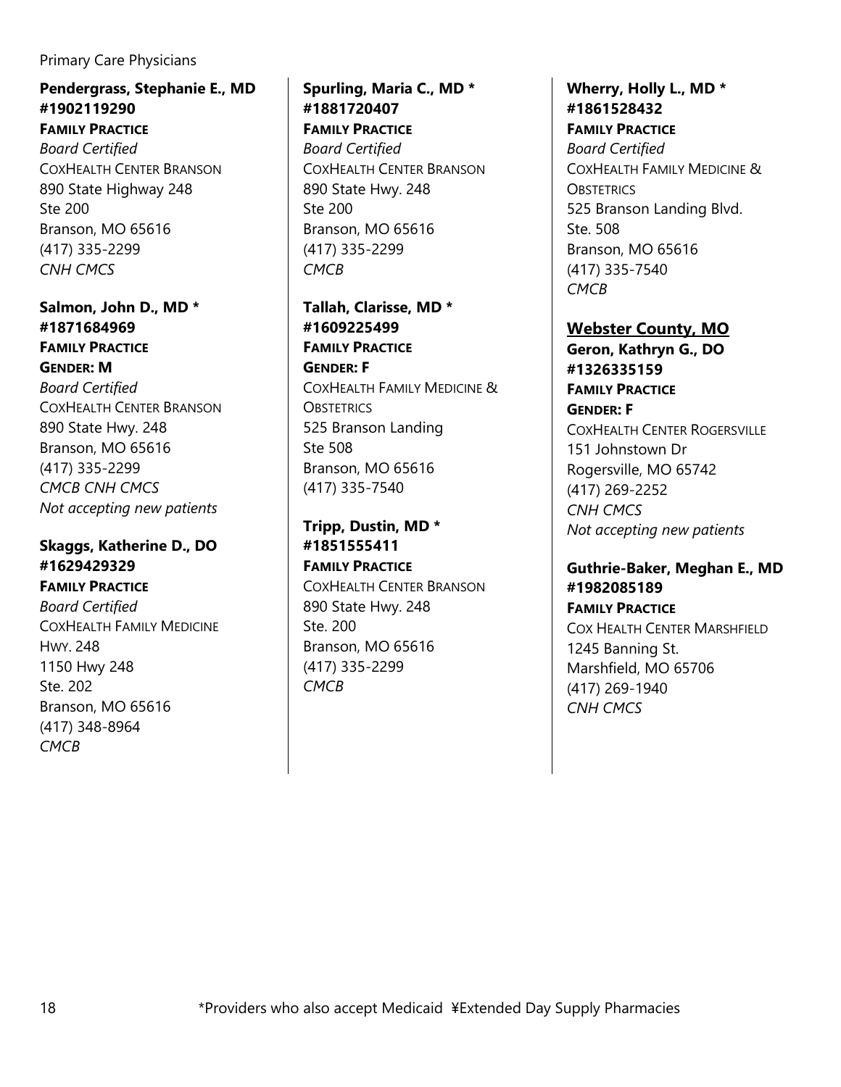**Pendergrass, Stephanie E., MD #1902119290 FAMILY PRACTICE**

*Board Certified* COXHEALTH CENTER BRANSON 890 State Highway 248 Ste 200 Branson, MO 65616 (417) 335-2299 *CNH CMCS*

#### **Salmon, John D., MD \* #1871684969**

#### **FAMILY PRACTICE GENDER: M**

*Board Certified* COXHEALTH CENTER BRANSON 890 State Hwy. 248 Branson, MO 65616 (417) 335-2299 *CMCB CNH CMCS Not accepting new patients*

#### **Skaggs, Katherine D., DO #1629429329**

**FAMILY PRACTICE** *Board Certified*

COXHEALTH FAMILY MEDICINE HWY. 248 1150 Hwy 248 Ste. 202 Branson, MO 65616 (417) 348-8964 *CMCB*

**Spurling, Maria C., MD \* #1881720407 FAMILY PRACTICE** *Board Certified* COXHEALTH CENTER BRANSON 890 State Hwy. 248 Ste 200 Branson, MO 65616 (417) 335-2299 *CMCB*

**Tallah, Clarisse, MD \* #1609225499 FAMILY PRACTICE GENDER: F**  COXHEALTH FAMILY MEDICINE & **OBSTETRICS** 525 Branson Landing Ste 508 Branson, MO 65616 (417) 335-7540

**Tripp, Dustin, MD \* #1851555411 FAMILY PRACTICE** COXHEALTH CENTER BRANSON 890 State Hwy. 248

Ste. 200 Branson, MO 65616 (417) 335-2299 *CMCB*

#### **Wherry, Holly L., MD \* #1861528432 FAMILY PRACTICE**

*Board Certified* COXHEALTH FAMILY MEDICINE & **OBSTETRICS** 525 Branson Landing Blvd. Ste. 508 Branson, MO 65616 (417) 335-7540 *CMCB*

**Webster County, MO Geron, Kathryn G., DO #1326335159 FAMILY PRACTICE GENDER: F**  COXHEALTH CENTER ROGERSVILLE 151 Johnstown Dr Rogersville, MO 65742 (417) 269-2252 *CNH CMCS Not accepting new patients*

**Guthrie-Baker, Meghan E., MD #1982085189 FAMILY PRACTICE** COX HEALTH CENTER MARSHFIELD 1245 Banning St. Marshfield, MO 65706 (417) 269-1940 *CNH CMCS*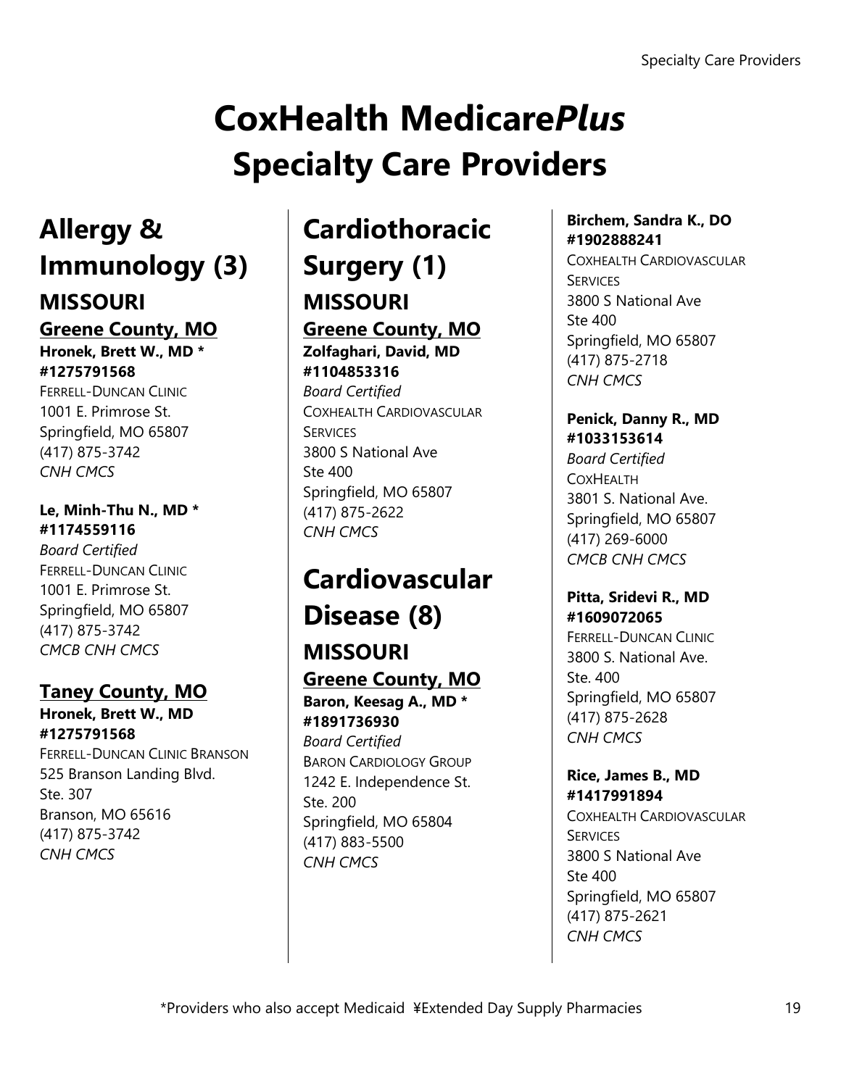# **CoxHealth Medicare***Plus* **Specialty Care Providers**

# **Allergy & Immunology (3)**

## **MISSOURI Greene County, MO**

#### **Hronek, Brett W., MD \* #1275791568**

FERRELL-DUNCAN CLINIC 1001 E. Primrose St. Springfield, MO 65807 (417) 875-3742 *CNH CMCS*

#### **Le, Minh-Thu N., MD \* #1174559116**

*Board Certified* FERRELL-DUNCAN CLINIC 1001 E. Primrose St. Springfield, MO 65807 (417) 875-3742 *CMCB CNH CMCS*

# **Taney County, MO**

#### **Hronek, Brett W., MD #1275791568**

FERRELL-DUNCAN CLINIC BRANSON 525 Branson Landing Blvd. Ste. 307 Branson, MO 65616 (417) 875-3742 *CNH CMCS*

# **Cardiothoracic Surgery (1) MISSOURI Greene County, MO**

### **Zolfaghari, David, MD #1104853316**

*Board Certified* COXHEALTH CARDIOVASCULAR **SERVICES** 3800 S National Ave Ste 400 Springfield, MO 65807 (417) 875-2622 *CNH CMCS*

# **Cardiovascular**

# **Disease (8)**

# **MISSOURI**

# **Greene County, MO**

**Baron, Keesag A., MD \* #1891736930** *Board Certified* BARON CARDIOLOGY GROUP 1242 E. Independence St. Ste. 200 Springfield, MO 65804 (417) 883-5500 *CNH CMCS*

#### **Birchem, Sandra K., DO #1902888241**

COXHEALTH CARDIOVASCULAR **SERVICES** 3800 S National Ave Ste 400 Springfield, MO 65807 (417) 875-2718 *CNH CMCS*

#### **Penick, Danny R., MD #1033153614**

*Board Certified* **COXHEALTH** 3801 S. National Ave. Springfield, MO 65807 (417) 269-6000 *CMCB CNH CMCS*

#### **Pitta, Sridevi R., MD #1609072065**

FERRELL-DUNCAN CLINIC 3800 S. National Ave. Ste. 400 Springfield, MO 65807 (417) 875-2628 *CNH CMCS*

#### **Rice, James B., MD #1417991894**

COXHEALTH CARDIOVASCULAR **SERVICES** 3800 S National Ave Ste 400 Springfield, MO 65807 (417) 875-2621 *CNH CMCS*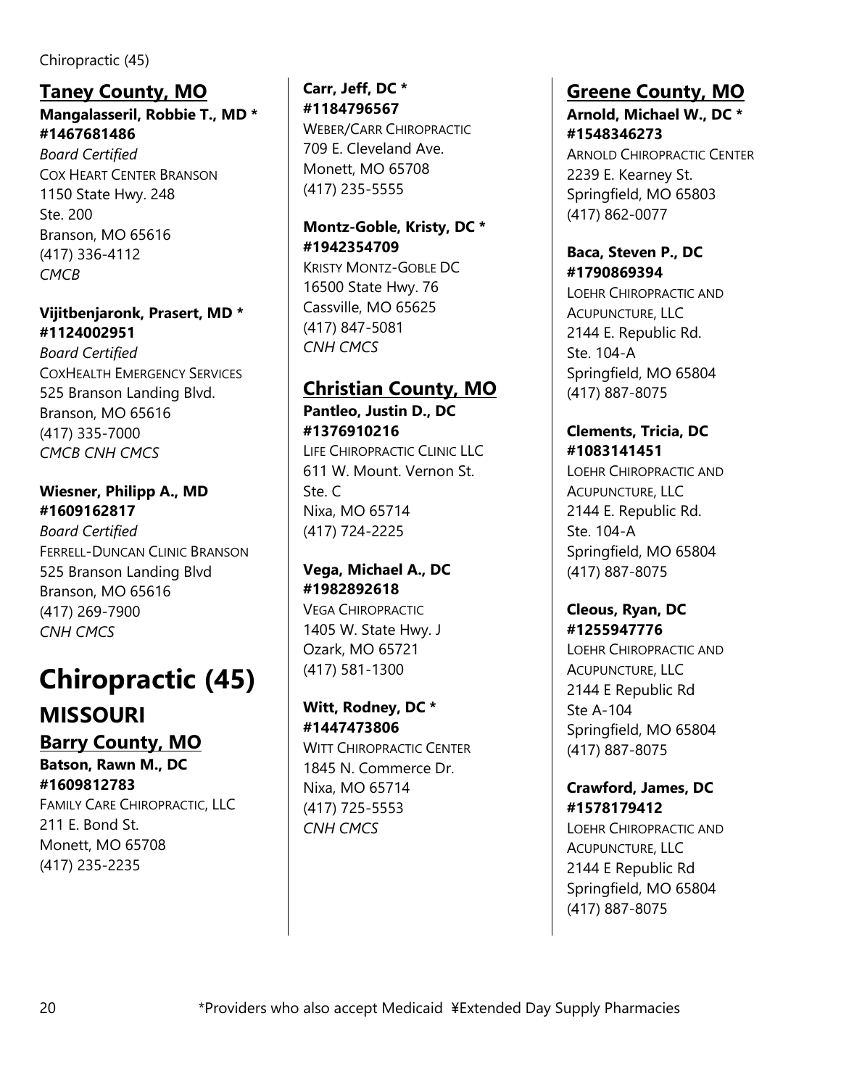#### Chiropractic (45)

#### **Taney County, MO**

**Mangalasseril, Robbie T., MD \* #1467681486** *Board Certified* COX HEART CENTER BRANSON 1150 State Hwy. 248 Ste. 200

Branson, MO 65616 (417) 336-4112 *CMCB*

#### **Vijitbenjaronk, Prasert, MD \* #1124002951**

*Board Certified* COXHEALTH EMERGENCY SERVICES 525 Branson Landing Blvd. Branson, MO 65616 (417) 335-7000 *CMCB CNH CMCS*

#### **Wiesner, Philipp A., MD #1609162817**

*Board Certified* FERRELL-DUNCAN CLINIC BRANSON 525 Branson Landing Blvd Branson, MO 65616 (417) 269-7900 *CNH CMCS*

# **Chiropractic (45) MISSOURI**

### **Barry County, MO**

**Batson, Rawn M., DC #1609812783** FAMILY CARE CHIROPRACTIC, LLC 211 E. Bond St. Monett, MO 65708 (417) 235-2235

#### **Carr, Jeff, DC \* #1184796567** WEBER/CARR CHIROPRACTIC

709 E. Cleveland Ave. Monett, MO 65708 (417) 235-5555

#### **Montz-Goble, Kristy, DC \* #1942354709**

KRISTY MONTZ-GOBLE DC 16500 State Hwy. 76 Cassville, MO 65625 (417) 847-5081 *CNH CMCS*

#### **Christian County, MO Pantleo, Justin D., DC**

**#1376910216** LIFE CHIROPRACTIC CLINIC LLC 611 W. Mount. Vernon St. Ste. C

Nixa, MO 65714 (417) 724-2225

#### **Vega, Michael A., DC #1982892618**

VEGA CHIROPRACTIC 1405 W. State Hwy. J Ozark, MO 65721 (417) 581-1300

#### **Witt, Rodney, DC \* #1447473806**

WITT CHIROPRACTIC CENTER 1845 N. Commerce Dr. Nixa, MO 65714 (417) 725-5553 *CNH CMCS*

## **Greene County, MO**

**Arnold, Michael W., DC \* #1548346273**

ARNOLD CHIROPRACTIC CENTER 2239 E. Kearney St. Springfield, MO 65803 (417) 862-0077

#### **Baca, Steven P., DC #1790869394**

LOEHR CHIROPRACTIC AND ACUPUNCTURE, LLC 2144 E. Republic Rd. Ste. 104-A Springfield, MO 65804 (417) 887-8075

#### **Clements, Tricia, DC #1083141451**

LOEHR CHIROPRACTIC AND ACUPUNCTURE, LLC 2144 E. Republic Rd. Ste. 104-A Springfield, MO 65804 (417) 887-8075

#### **Cleous, Ryan, DC #1255947776**

LOEHR CHIROPRACTIC AND ACUPUNCTURE, LLC 2144 E Republic Rd Ste A-104 Springfield, MO 65804 (417) 887-8075

#### **Crawford, James, DC #1578179412**

LOEHR CHIROPRACTIC AND ACUPUNCTURE, LLC 2144 E Republic Rd Springfield, MO 65804 (417) 887-8075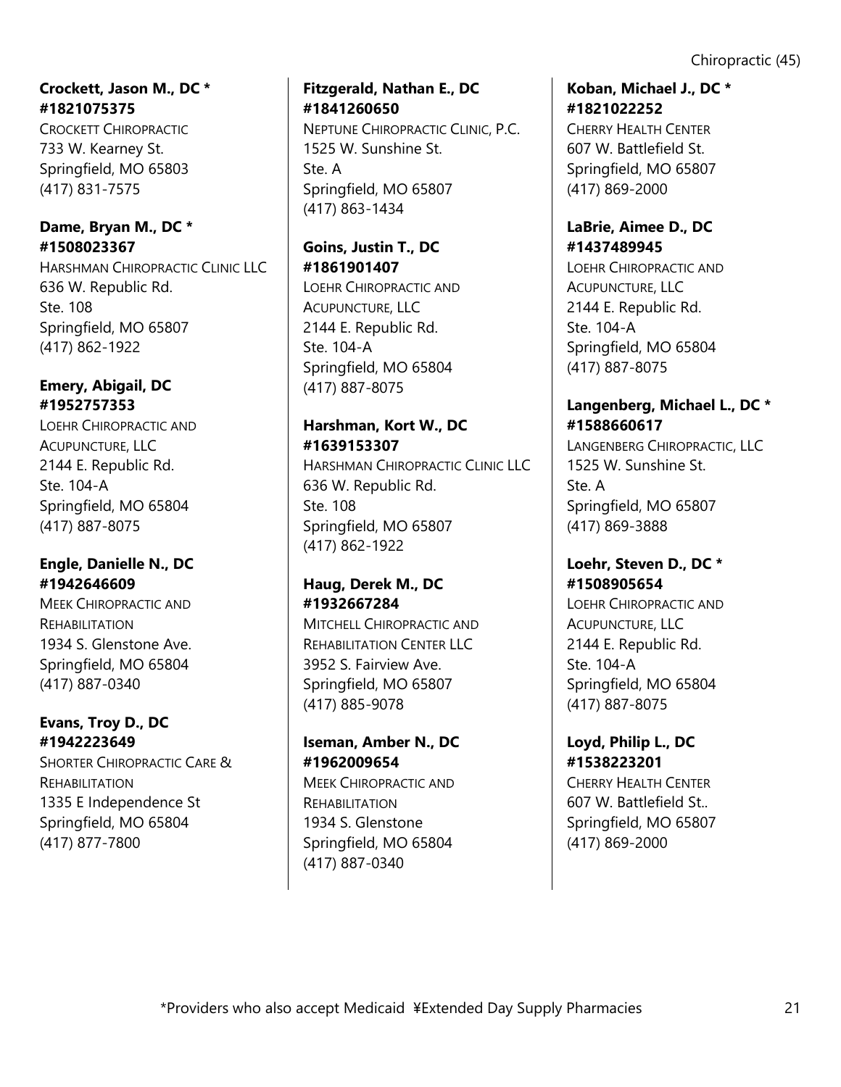Chiropractic (45)

#### **Crockett, Jason M., DC \* #1821075375**

CROCKETT CHIROPRACTIC 733 W. Kearney St. Springfield, MO 65803 (417) 831-7575

#### **Dame, Bryan M., DC \* #1508023367**

HARSHMAN CHIROPRACTIC CLINIC LLC 636 W. Republic Rd. Ste. 108 Springfield, MO 65807 (417) 862-1922

#### **Emery, Abigail, DC #1952757353**

LOEHR CHIROPRACTIC AND ACUPUNCTURE, LLC 2144 E. Republic Rd. Ste. 104-A Springfield, MO 65804 (417) 887-8075

#### **Engle, Danielle N., DC #1942646609**

MEEK CHIROPRACTIC AND **REHABILITATION** 1934 S. Glenstone Ave. Springfield, MO 65804 (417) 887-0340

#### **Evans, Troy D., DC #1942223649**

SHORTER CHIROPRACTIC CARE & **REHABILITATION** 1335 E Independence St Springfield, MO 65804 (417) 877-7800

#### **Fitzgerald, Nathan E., DC #1841260650**

NEPTUNE CHIROPRACTIC CLINIC, P.C. 1525 W. Sunshine St. Ste. A Springfield, MO 65807 (417) 863-1434

# **Goins, Justin T., DC #1861901407**

LOEHR CHIROPRACTIC AND ACUPUNCTURE, LLC 2144 E. Republic Rd. Ste. 104-A Springfield, MO 65804 (417) 887-8075

#### **Harshman, Kort W., DC #1639153307**

HARSHMAN CHIROPRACTIC CLINIC LLC 636 W. Republic Rd. Ste. 108 Springfield, MO 65807 (417) 862-1922

#### **Haug, Derek M., DC #1932667284**

MITCHELL CHIROPRACTIC AND REHABILITATION CENTER LLC 3952 S. Fairview Ave. Springfield, MO 65807 (417) 885-9078

#### **Iseman, Amber N., DC #1962009654**

MEEK CHIROPRACTIC AND REHABILITATION 1934 S. Glenstone Springfield, MO 65804 (417) 887-0340

#### **Koban, Michael J., DC \* #1821022252**

CHERRY HEALTH CENTER 607 W. Battlefield St. Springfield, MO 65807 (417) 869-2000

#### **LaBrie, Aimee D., DC #1437489945**

LOEHR CHIROPRACTIC AND ACUPUNCTURE, LLC 2144 E. Republic Rd. Ste. 104-A Springfield, MO 65804 (417) 887-8075

#### **Langenberg, Michael L., DC \* #1588660617**

LANGENBERG CHIROPRACTIC, LLC 1525 W. Sunshine St. Ste. A Springfield, MO 65807 (417) 869-3888

#### **Loehr, Steven D., DC \* #1508905654**

LOEHR CHIROPRACTIC AND ACUPUNCTURE, LLC 2144 E. Republic Rd. Ste. 104-A Springfield, MO 65804 (417) 887-8075

#### **Loyd, Philip L., DC #1538223201**

CHERRY HEALTH CENTER 607 W. Battlefield St.. Springfield, MO 65807 (417) 869-2000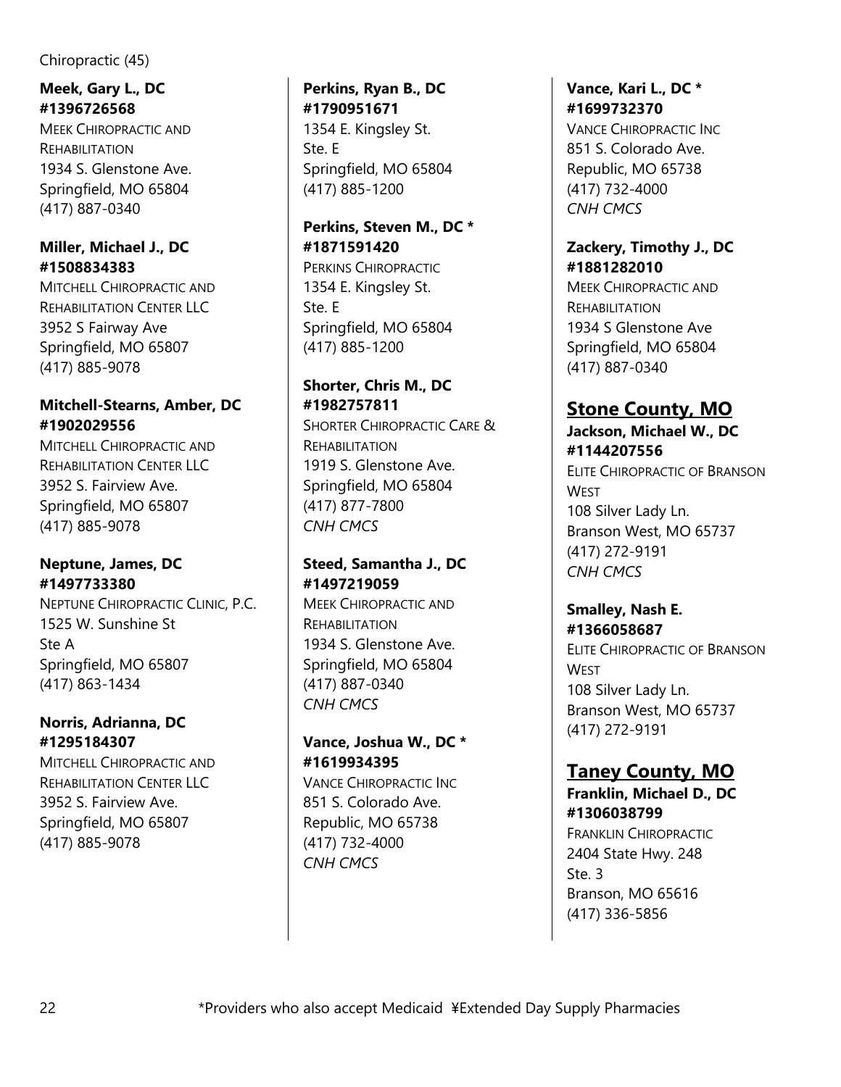#### Chiropractic (45)

**Meek, Gary L., DC #1396726568** MEEK CHIROPRACTIC AND REHABILITATION 1934 S. Glenstone Ave. Springfield, MO 65804 (417) 887-0340

#### **Miller, Michael J., DC #1508834383**

MITCHELL CHIROPRACTIC AND REHABILITATION CENTER LLC 3952 S Fairway Ave Springfield, MO 65807 (417) 885-9078

#### **Mitchell-Stearns, Amber, DC #1902029556**

MITCHELL CHIROPRACTIC AND REHABILITATION CENTER LLC 3952 S. Fairview Ave. Springfield, MO 65807 (417) 885-9078

#### **Neptune, James, DC #1497733380**

NEPTUNE CHIROPRACTIC CLINIC, P.C. 1525 W. Sunshine St Ste A Springfield, MO 65807 (417) 863-1434

#### **Norris, Adrianna, DC #1295184307**

MITCHELL CHIROPRACTIC AND REHABILITATION CENTER LLC 3952 S. Fairview Ave. Springfield, MO 65807 (417) 885-9078

### **Perkins, Ryan B., DC #1790951671**

1354 E. Kingsley St. Ste. E Springfield, MO 65804 (417) 885-1200

#### **Perkins, Steven M., DC \* #1871591420**

PERKINS CHIROPRACTIC 1354 E. Kingsley St. Ste. E Springfield, MO 65804 (417) 885-1200

#### **Shorter, Chris M., DC #1982757811**

SHORTER CHIROPRACTIC CARE & REHABILITATION 1919 S. Glenstone Ave. Springfield, MO 65804 (417) 877-7800 *CNH CMCS*

#### **Steed, Samantha J., DC #1497219059**

MEEK CHIROPRACTIC AND **REHABILITATION** 1934 S. Glenstone Ave. Springfield, MO 65804 (417) 887-0340 *CNH CMCS*

### **Vance, Joshua W., DC \* #1619934395**

VANCE CHIROPRACTIC INC 851 S. Colorado Ave. Republic, MO 65738 (417) 732-4000 *CNH CMCS*

#### **Vance, Kari L., DC \* #1699732370**

VANCE CHIROPRACTIC INC 851 S. Colorado Ave. Republic, MO 65738 (417) 732-4000 *CNH CMCS*

#### **Zackery, Timothy J., DC #1881282010**

MEEK CHIROPRACTIC AND **REHABILITATION** 1934 S Glenstone Ave Springfield, MO 65804 (417) 887-0340

# **Stone County, MO**

**Jackson, Michael W., DC #1144207556** ELITE CHIROPRACTIC OF BRANSON

**WEST** 108 Silver Lady Ln. Branson West, MO 65737 (417) 272-9191 *CNH CMCS*

#### **Smalley, Nash E. #1366058687**

ELITE CHIROPRACTIC OF BRANSON **WEST** 108 Silver Lady Ln. Branson West, MO 65737 (417) 272-9191

### **Taney County, MO**

**Franklin, Michael D., DC #1306038799**

FRANKLIN CHIROPRACTIC 2404 State Hwy. 248 Ste. 3 Branson, MO 65616 (417) 336-5856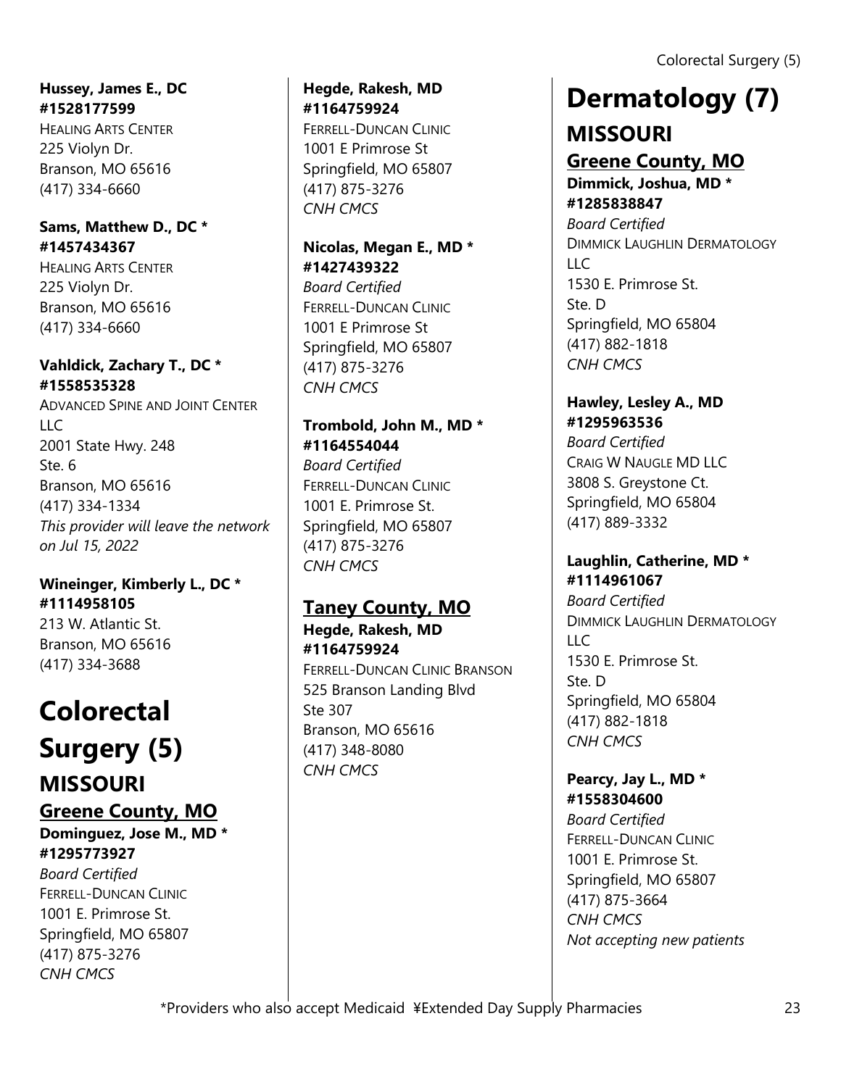**Hussey, James E., DC #1528177599** HEALING ARTS CENTER

225 Violyn Dr. Branson, MO 65616 (417) 334-6660

#### **Sams, Matthew D., DC \* #1457434367**

HEALING ARTS CENTER 225 Violyn Dr. Branson, MO 65616 (417) 334-6660

### **Vahldick, Zachary T., DC \* #1558535328**

ADVANCED SPINE AND JOINT CENTER LLC 2001 State Hwy. 248 Ste. 6 Branson, MO 65616 (417) 334-1334 *This provider will leave the network on Jul 15, 2022*

#### **Wineinger, Kimberly L., DC \* #1114958105**

213 W. Atlantic St. Branson, MO 65616 (417) 334-3688

# **Colorectal Surgery (5) MISSOURI**

# **Greene County, MO**

**Dominguez, Jose M., MD \* #1295773927** *Board Certified* FERRELL-DUNCAN CLINIC 1001 E. Primrose St. Springfield, MO 65807 (417) 875-3276 *CNH CMCS*

### **Hegde, Rakesh, MD #1164759924**

FERRELL-DUNCAN CLINIC 1001 E Primrose St Springfield, MO 65807 (417) 875-3276 *CNH CMCS*

#### **Nicolas, Megan E., MD \* #1427439322** *Board Certified*

FERRELL-DUNCAN CLINIC 1001 E Primrose St Springfield, MO 65807 (417) 875-3276 *CNH CMCS*

### **Trombold, John M., MD \* #1164554044**

*Board Certified* FERRELL-DUNCAN CLINIC 1001 E. Primrose St. Springfield, MO 65807 (417) 875-3276 *CNH CMCS*

# **Taney County, MO**

**Hegde, Rakesh, MD #1164759924** FERRELL-DUNCAN CLINIC BRANSON 525 Branson Landing Blvd Ste 307 Branson, MO 65616 (417) 348-8080 *CNH CMCS*

# **Dermatology (7)**

# **MISSOURI**

### **Greene County, MO**

**Dimmick, Joshua, MD \* #1285838847**

*Board Certified* DIMMICK LAUGHLIN DERMATOLOGY LLC 1530 E. Primrose St. Ste. D Springfield, MO 65804 (417) 882-1818 *CNH CMCS*

#### **Hawley, Lesley A., MD #1295963536**

*Board Certified* CRAIG W NAUGLE MD LLC 3808 S. Greystone Ct. Springfield, MO 65804 (417) 889-3332

#### **Laughlin, Catherine, MD \* #1114961067**

*Board Certified* DIMMICK LAUGHLIN DERMATOLOGY LLC 1530 E. Primrose St. Ste. D Springfield, MO 65804 (417) 882-1818 *CNH CMCS*

#### **Pearcy, Jay L., MD \* #1558304600**

*Board Certified* FERRELL-DUNCAN CLINIC 1001 E. Primrose St. Springfield, MO 65807 (417) 875-3664 *CNH CMCS Not accepting new patients*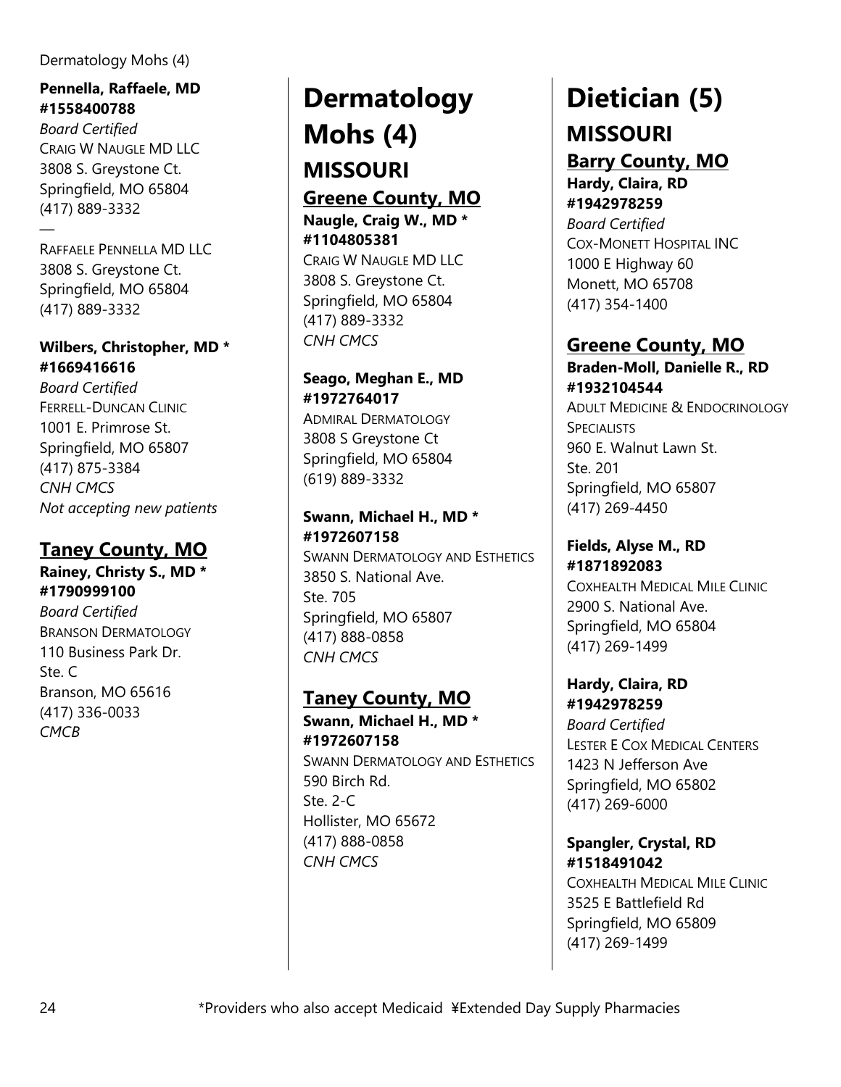#### Dermatology Mohs (4)

#### **Pennella, Raffaele, MD #1558400788** *Board Certified* CRAIG W NAUGLE MD LLC 3808 S. Greystone Ct.

Springfield, MO 65804 (417) 889-3332 ––

RAFFAELE PENNELLA MD LLC 3808 S. Greystone Ct. Springfield, MO 65804 (417) 889-3332

#### **Wilbers, Christopher, MD \* #1669416616**

*Board Certified* FERRELL-DUNCAN CLINIC 1001 E. Primrose St. Springfield, MO 65807 (417) 875-3384 *CNH CMCS Not accepting new patients*

### **Taney County, MO**

**Rainey, Christy S., MD \* #1790999100**

*Board Certified* BRANSON DERMATOLOGY 110 Business Park Dr. Ste. C Branson, MO 65616 (417) 336-0033 *CMCB*

# **Dermatology Mohs (4) MISSOURI**

**Greene County, MO Naugle, Craig W., MD \* #1104805381** CRAIG W NAUGLE MD LLC

3808 S. Greystone Ct. Springfield, MO 65804 (417) 889-3332 *CNH CMCS*

#### **Seago, Meghan E., MD #1972764017**

ADMIRAL DERMATOLOGY 3808 S Greystone Ct Springfield, MO 65804 (619) 889-3332

#### **Swann, Michael H., MD \* #1972607158**

SWANN DERMATOLOGY AND ESTHETICS 3850 S. National Ave. Ste. 705 Springfield, MO 65807 (417) 888-0858 *CNH CMCS*

#### **Taney County, MO**

**Swann, Michael H., MD \* #1972607158** SWANN DERMATOLOGY AND ESTHETICS 590 Birch Rd. Ste. 2-C Hollister, MO 65672 (417) 888-0858 *CNH CMCS*

# **Dietician (5)**

#### **MISSOURI Barry County, MO**

**Hardy, Claira, RD #1942978259**

*Board Certified* COX-MONETT HOSPITAL INC 1000 E Highway 60 Monett, MO 65708 (417) 354-1400

### **Greene County, MO**

#### **Braden-Moll, Danielle R., RD #1932104544**

ADULT MEDICINE & ENDOCRINOLOGY **SPECIALISTS** 960 E. Walnut Lawn St. Ste. 201 Springfield, MO 65807 (417) 269-4450

#### **Fields, Alyse M., RD #1871892083**

COXHEALTH MEDICAL MILE CLINIC 2900 S. National Ave. Springfield, MO 65804 (417) 269-1499

#### **Hardy, Claira, RD #1942978259**

*Board Certified* LESTER E COX MEDICAL CENTERS 1423 N Jefferson Ave Springfield, MO 65802 (417) 269-6000

#### **Spangler, Crystal, RD #1518491042**

COXHEALTH MEDICAL MILE CLINIC 3525 E Battlefield Rd Springfield, MO 65809 (417) 269-1499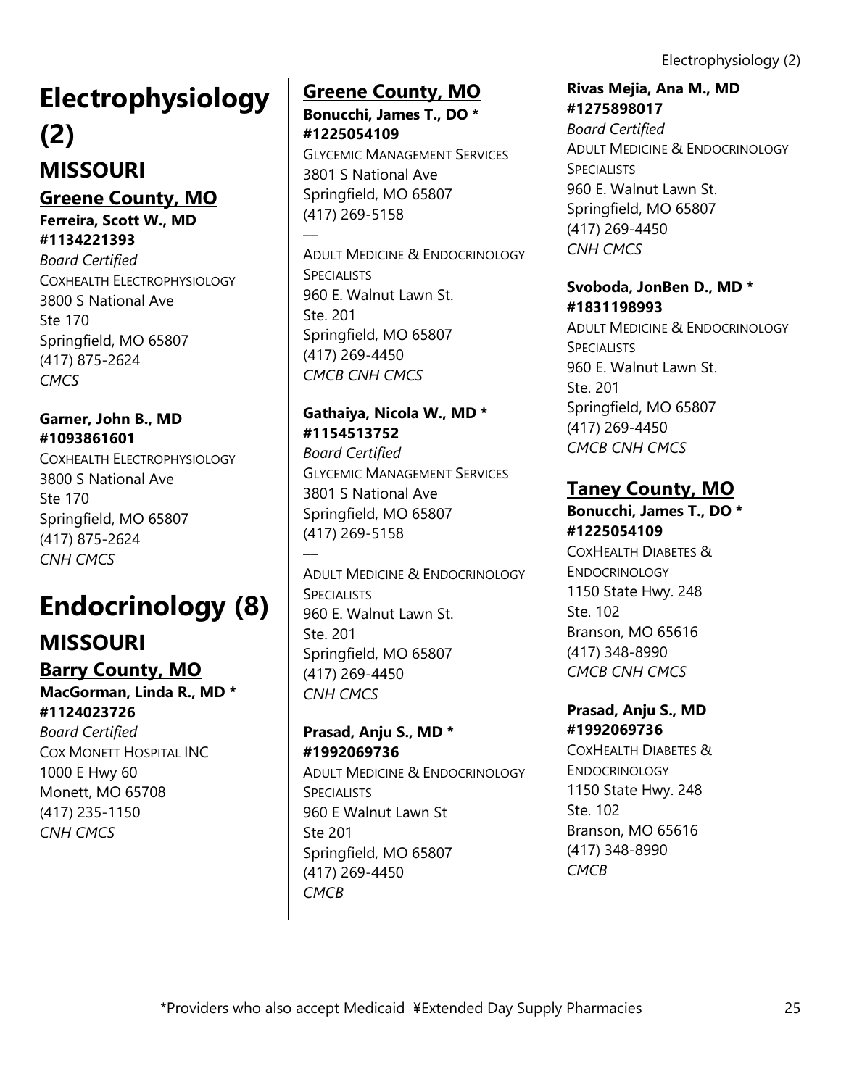#### Electrophysiology (2)

# **Electrophysiology (2)**

### **MISSOURI Greene County, MO**

#### **Ferreira, Scott W., MD #1134221393**

*Board Certified* COXHEALTH ELECTROPHYSIOLOGY 3800 S National Ave Ste 170 Springfield, MO 65807 (417) 875-2624 *CMCS*

#### **Garner, John B., MD #1093861601**

COXHEALTH ELECTROPHYSIOLOGY 3800 S National Ave Ste 170 Springfield, MO 65807 (417) 875-2624 *CNH CMCS*

# **Endocrinology (8)**

# **MISSOURI**

# **Barry County, MO**

#### **MacGorman, Linda R., MD \* #1124023726**

*Board Certified* COX MONETT HOSPITAL INC 1000 E Hwy 60 Monett, MO 65708 (417) 235-1150 *CNH CMCS*

#### **Greene County, MO Bonucchi, James T., DO \* #1225054109**

GLYCEMIC MANAGEMENT SERVICES 3801 S National Ave Springfield, MO 65807 (417) 269-5158

–– ADULT MEDICINE & ENDOCRINOLOGY SPECIALISTS 960 E. Walnut Lawn St. Ste. 201 Springfield, MO 65807 (417) 269-4450 *CMCB CNH CMCS*

#### **Gathaiya, Nicola W., MD \* #1154513752**

*Board Certified* GLYCEMIC MANAGEMENT SERVICES 3801 S National Ave Springfield, MO 65807 (417) 269-5158 ––

ADULT MEDICINE & ENDOCRINOLOGY SPECIALISTS 960 E. Walnut Lawn St. Ste. 201 Springfield, MO 65807 (417) 269-4450 *CNH CMCS*

#### **Prasad, Anju S., MD \* #1992069736**

ADULT MEDICINE & ENDOCRINOLOGY **SPECIALISTS** 960 E Walnut Lawn St Ste 201 Springfield, MO 65807 (417) 269-4450 *CMCB*

#### **Rivas Mejia, Ana M., MD #1275898017**

*Board Certified* ADULT MEDICINE & ENDOCRINOLOGY **SPECIALISTS** 960 E. Walnut Lawn St. Springfield, MO 65807 (417) 269-4450 *CNH CMCS*

#### **Svoboda, JonBen D., MD \* #1831198993**

ADULT MEDICINE & ENDOCRINOLOGY **SPECIALISTS** 960 E. Walnut Lawn St. Ste. 201 Springfield, MO 65807 (417) 269-4450 *CMCB CNH CMCS*

## **Taney County, MO**

#### **Bonucchi, James T., DO \* #1225054109**

COXHEALTH DIABETES & **ENDOCRINOLOGY** 1150 State Hwy. 248 Ste. 102 Branson, MO 65616 (417) 348-8990 *CMCB CNH CMCS*

#### **Prasad, Anju S., MD #1992069736**

COXHEALTH DIABETES & **ENDOCRINOLOGY** 1150 State Hwy. 248 Ste. 102 Branson, MO 65616 (417) 348-8990 *CMCB*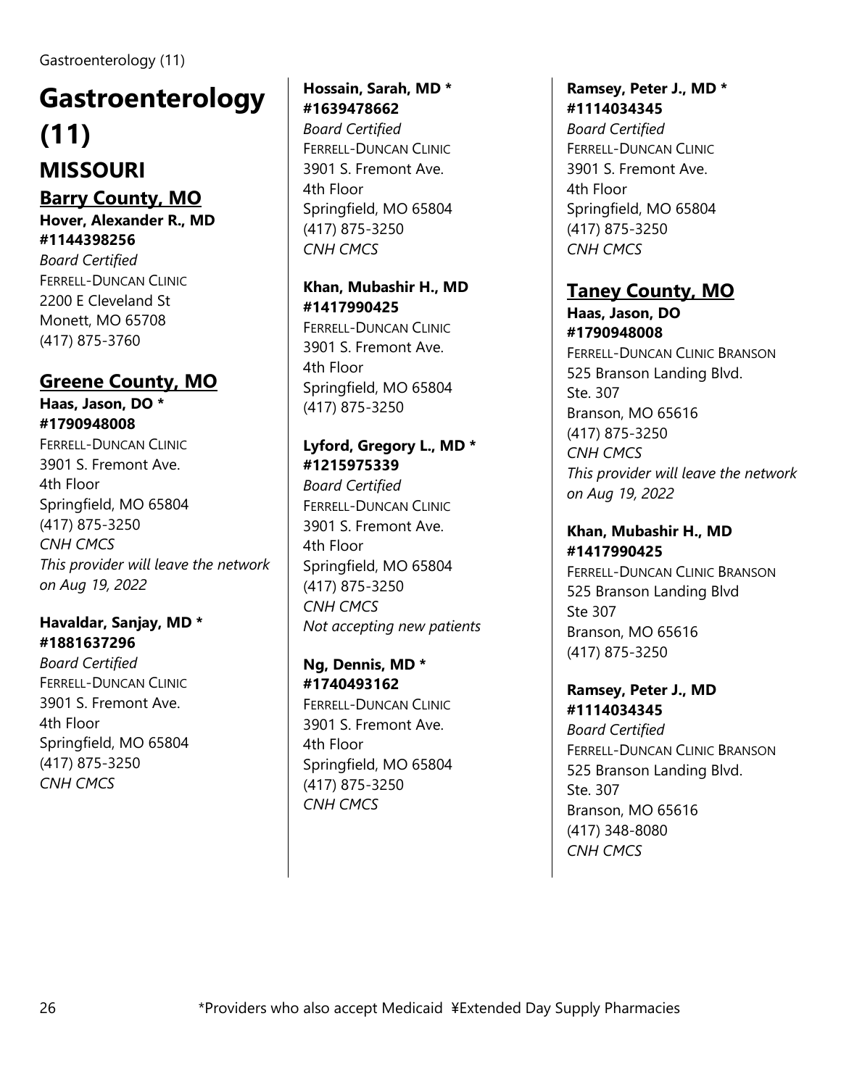#### Gastroenterology (11)

# **Gastroenterology (11) MISSOURI Barry County, MO**

**Hover, Alexander R., MD #1144398256** *Board Certified*

FERRELL-DUNCAN CLINIC 2200 E Cleveland St Monett, MO 65708 (417) 875-3760

### **Greene County, MO**

**Haas, Jason, DO \* #1790948008** FERRELL-DUNCAN CLINIC 3901 S. Fremont Ave. 4th Floor Springfield, MO 65804 (417) 875-3250 *CNH CMCS This provider will leave the network on Aug 19, 2022*

#### **Havaldar, Sanjay, MD \* #1881637296**

*Board Certified* FERRELL-DUNCAN CLINIC 3901 S. Fremont Ave. 4th Floor Springfield, MO 65804 (417) 875-3250 *CNH CMCS*

### **Hossain, Sarah, MD \* #1639478662**

*Board Certified* FERRELL-DUNCAN CLINIC 3901 S. Fremont Ave. 4th Floor Springfield, MO 65804 (417) 875-3250 *CNH CMCS*

#### **Khan, Mubashir H., MD #1417990425**

FERRELL-DUNCAN CLINIC 3901 S. Fremont Ave. 4th Floor Springfield, MO 65804 (417) 875-3250

#### **Lyford, Gregory L., MD \* #1215975339**

*Board Certified* FERRELL-DUNCAN CLINIC 3901 S. Fremont Ave. 4th Floor Springfield, MO 65804 (417) 875-3250 *CNH CMCS Not accepting new patients*

#### **Ng, Dennis, MD \* #1740493162**

FERRELL-DUNCAN CLINIC 3901 S. Fremont Ave. 4th Floor Springfield, MO 65804 (417) 875-3250 *CNH CMCS*

#### **Ramsey, Peter J., MD \* #1114034345**

*Board Certified* FERRELL-DUNCAN CLINIC 3901 S. Fremont Ave. 4th Floor Springfield, MO 65804 (417) 875-3250 *CNH CMCS*

# **Taney County, MO**

**Haas, Jason, DO #1790948008**

FERRELL-DUNCAN CLINIC BRANSON 525 Branson Landing Blvd. Ste. 307 Branson, MO 65616 (417) 875-3250 *CNH CMCS This provider will leave the network on Aug 19, 2022*

#### **Khan, Mubashir H., MD #1417990425**

FERRELL-DUNCAN CLINIC BRANSON 525 Branson Landing Blvd Ste 307 Branson, MO 65616 (417) 875-3250

#### **Ramsey, Peter J., MD #1114034345**

*Board Certified* FERRELL-DUNCAN CLINIC BRANSON 525 Branson Landing Blvd. Ste. 307 Branson, MO 65616 (417) 348-8080 *CNH CMCS*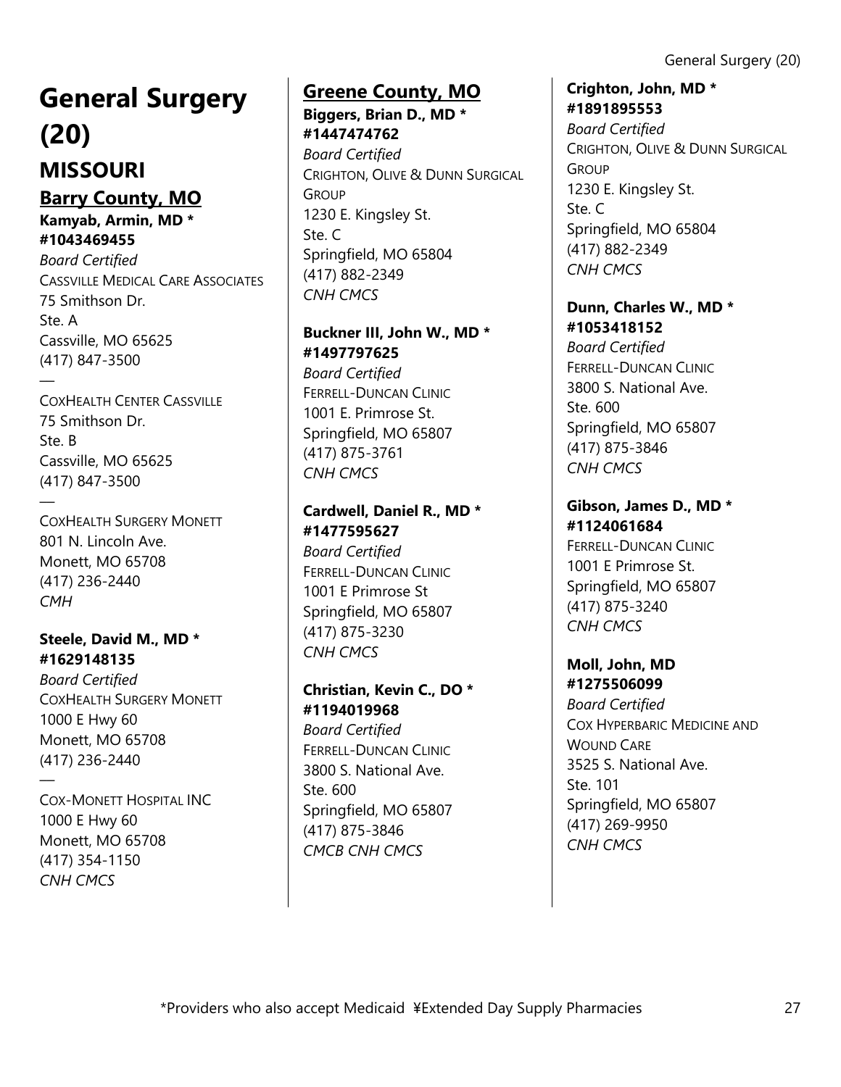#### General Surgery (20)

# **General Surgery (20)**

### **MISSOURI Barry County, MO**

### **Kamyab, Armin, MD \* #1043469455**

*Board Certified* CASSVILLE MEDICAL CARE ASSOCIATES 75 Smithson Dr. Ste. A Cassville, MO 65625 (417) 847-3500

#### COXHEALTH CENTER CASSVILLE 75 Smithson Dr. Ste. B Cassville, MO 65625 (417) 847-3500 ––

––

COXHEALTH SURGERY MONETT 801 N. Lincoln Ave. Monett, MO 65708 (417) 236-2440 *CMH*

#### **Steele, David M., MD \* #1629148135**

*Board Certified* COXHEALTH SURGERY MONETT 1000 E Hwy 60 Monett, MO 65708 (417) 236-2440

```
–– 
COX-MONETT HOSPITAL INC
1000 E Hwy 60
Monett, MO 65708
(417) 354-1150
CNH CMCS
```
# **Greene County, MO**

#### **Biggers, Brian D., MD \* #1447474762**

*Board Certified* CRIGHTON, OLIVE & DUNN SURGICAL **GROUP** 1230 E. Kingsley St. Ste. C Springfield, MO 65804 (417) 882-2349 *CNH CMCS*

#### **Buckner III, John W., MD \* #1497797625**

*Board Certified* FERRELL-DUNCAN CLINIC 1001 E. Primrose St. Springfield, MO 65807 (417) 875-3761 *CNH CMCS*

#### **Cardwell, Daniel R., MD \* #1477595627**

*Board Certified* FERRELL-DUNCAN CLINIC 1001 E Primrose St Springfield, MO 65807 (417) 875-3230 *CNH CMCS*

#### **Christian, Kevin C., DO \* #1194019968** *Board Certified*

FERRELL-DUNCAN CLINIC 3800 S. National Ave. Ste. 600 Springfield, MO 65807 (417) 875-3846 *CMCB CNH CMCS*

#### **Crighton, John, MD \* #1891895553**

*Board Certified* CRIGHTON, OLIVE & DUNN SURGICAL **GROUP** 1230 E. Kingsley St. Ste. C Springfield, MO 65804 (417) 882-2349 *CNH CMCS*

#### **Dunn, Charles W., MD \* #1053418152**

*Board Certified* FERRELL-DUNCAN CLINIC 3800 S. National Ave. Ste. 600 Springfield, MO 65807 (417) 875-3846 *CNH CMCS*

#### **Gibson, James D., MD \* #1124061684**

FERRELL-DUNCAN CLINIC 1001 E Primrose St. Springfield, MO 65807 (417) 875-3240 *CNH CMCS*

#### **Moll, John, MD #1275506099**

*Board Certified* COX HYPERBARIC MEDICINE AND WOUND CARE 3525 S. National Ave. Ste. 101 Springfield, MO 65807 (417) 269-9950 *CNH CMCS*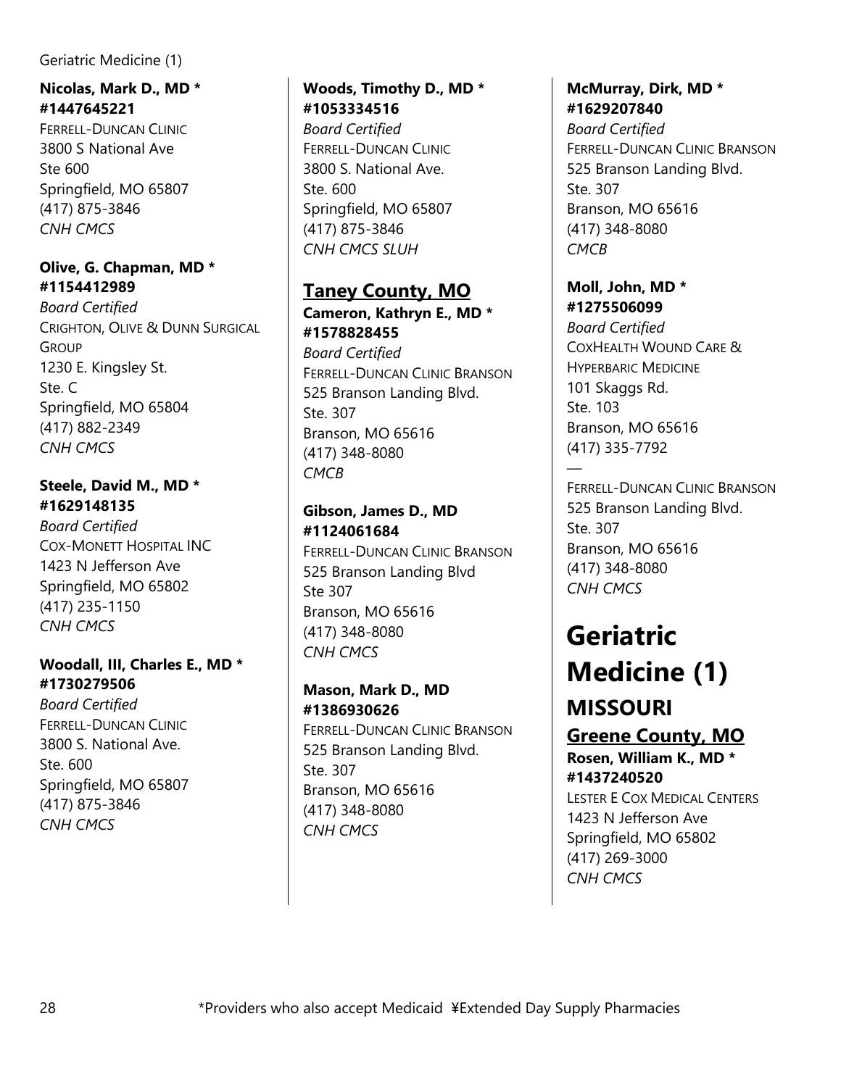#### Geriatric Medicine (1)

**Nicolas, Mark D., MD \* #1447645221** FERRELL-DUNCAN CLINIC 3800 S National Ave Ste 600 Springfield, MO 65807 (417) 875-3846 *CNH CMCS*

#### **Olive, G. Chapman, MD \* #1154412989**

*Board Certified* CRIGHTON, OLIVE & DUNN SURGICAL **GROUP** 1230 E. Kingsley St. Ste. C Springfield, MO 65804 (417) 882-2349 *CNH CMCS*

#### **Steele, David M., MD \* #1629148135**

*Board Certified* COX-MONETT HOSPITAL INC 1423 N Jefferson Ave Springfield, MO 65802 (417) 235-1150 *CNH CMCS*

#### **Woodall, III, Charles E., MD \* #1730279506**

*Board Certified* FERRELL-DUNCAN CLINIC 3800 S. National Ave. Ste. 600 Springfield, MO 65807 (417) 875-3846 *CNH CMCS*

#### **Woods, Timothy D., MD \* #1053334516** *Board Certified*

FERRELL-DUNCAN CLINIC 3800 S. National Ave. Ste. 600 Springfield, MO 65807 (417) 875-3846 *CNH CMCS SLUH*

### **Taney County, MO**

**Cameron, Kathryn E., MD \* #1578828455** *Board Certified* FERRELL-DUNCAN CLINIC BRANSON 525 Branson Landing Blvd.

Ste. 307 Branson, MO 65616 (417) 348-8080 *CMCB*

#### **Gibson, James D., MD #1124061684**

FERRELL-DUNCAN CLINIC BRANSON 525 Branson Landing Blvd Ste 307 Branson, MO 65616 (417) 348-8080 *CNH CMCS*

#### **Mason, Mark D., MD #1386930626**

FERRELL-DUNCAN CLINIC BRANSON 525 Branson Landing Blvd. Ste. 307 Branson, MO 65616 (417) 348-8080 *CNH CMCS*

#### **McMurray, Dirk, MD \* #1629207840**

*Board Certified* FERRELL-DUNCAN CLINIC BRANSON 525 Branson Landing Blvd. Ste. 307 Branson, MO 65616 (417) 348-8080 *CMCB*

#### **Moll, John, MD \* #1275506099**

*Board Certified* COXHEALTH WOUND CARE & HYPERBARIC MEDICINE 101 Skaggs Rd. Ste. 103 Branson, MO 65616 (417) 335-7792

–– FERRELL-DUNCAN CLINIC BRANSON 525 Branson Landing Blvd. Ste. 307 Branson, MO 65616 (417) 348-8080 *CNH CMCS*

# **Geriatric Medicine (1) MISSOURI**

**Greene County, MO Rosen, William K., MD \* #1437240520**

LESTER E COX MEDICAL CENTERS 1423 N Jefferson Ave Springfield, MO 65802 (417) 269-3000 *CNH CMCS*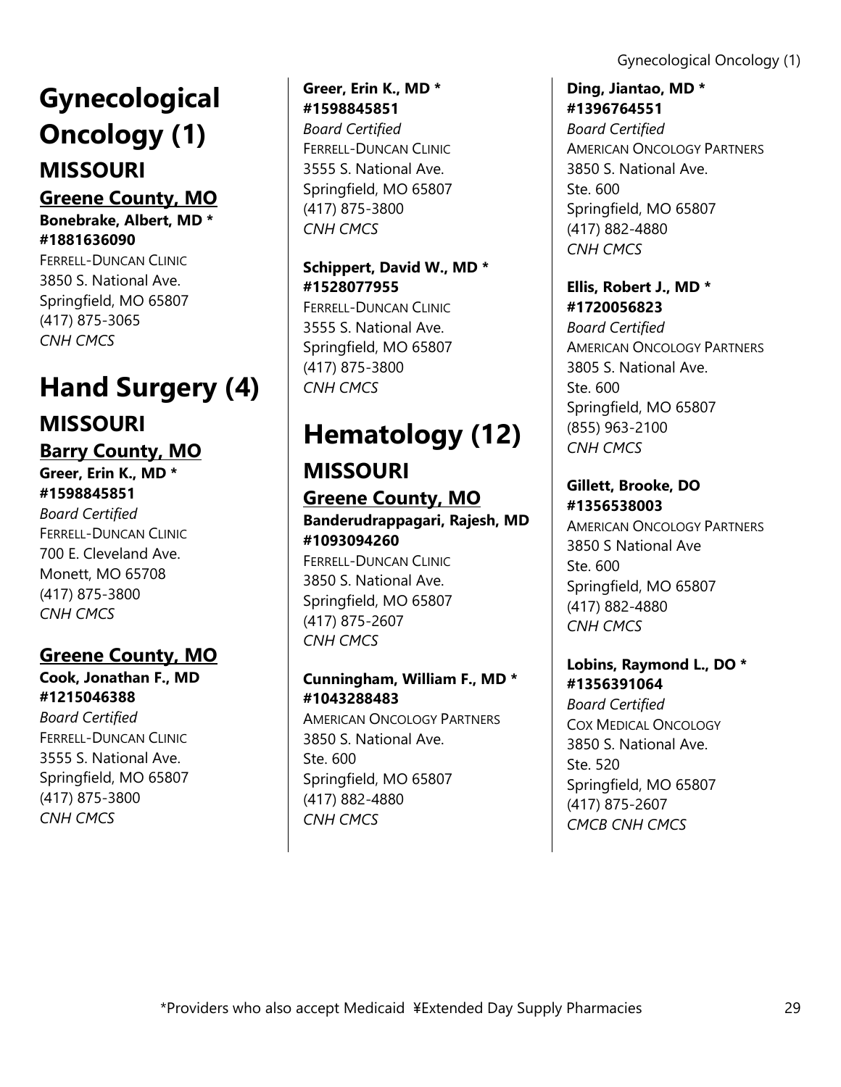Gynecological Oncology (1)

# **Gynecological Oncology (1) MISSOURI**

# **Greene County, MO**

**Bonebrake, Albert, MD \* #1881636090**

FERRELL-DUNCAN CLINIC 3850 S. National Ave. Springfield, MO 65807 (417) 875-3065 *CNH CMCS*

# **Hand Surgery (4) MISSOURI**

# **Barry County, MO**

**Greer, Erin K., MD \* #1598845851** *Board Certified* FERRELL-DUNCAN CLINIC 700 E. Cleveland Ave. Monett, MO 65708 (417) 875-3800 *CNH CMCS*

# **Greene County, MO**

**Cook, Jonathan F., MD #1215046388** *Board Certified* FERRELL-DUNCAN CLINIC 3555 S. National Ave. Springfield, MO 65807 (417) 875-3800 *CNH CMCS*

# **Greer, Erin K., MD \* #1598845851**

*Board Certified* FERRELL-DUNCAN CLINIC 3555 S. National Ave. Springfield, MO 65807 (417) 875-3800 *CNH CMCS*

#### **Schippert, David W., MD \* #1528077955**

FERRELL-DUNCAN CLINIC 3555 S. National Ave. Springfield, MO 65807 (417) 875-3800 *CNH CMCS*

# **Hematology (12)**

# **MISSOURI**

# **Greene County, MO**

#### **Banderudrappagari, Rajesh, MD #1093094260**

FERRELL-DUNCAN CLINIC 3850 S. National Ave. Springfield, MO 65807 (417) 875-2607 *CNH CMCS*

#### **Cunningham, William F., MD \* #1043288483**

AMERICAN ONCOLOGY PARTNERS 3850 S. National Ave. Ste. 600 Springfield, MO 65807 (417) 882-4880 *CNH CMCS*

#### **Ding, Jiantao, MD \* #1396764551**

*Board Certified* AMERICAN ONCOLOGY PARTNERS 3850 S. National Ave. Ste. 600 Springfield, MO 65807 (417) 882-4880 *CNH CMCS*

#### **Ellis, Robert J., MD \* #1720056823**

*Board Certified* AMERICAN ONCOLOGY PARTNERS 3805 S. National Ave. Ste. 600 Springfield, MO 65807 (855) 963-2100 *CNH CMCS*

#### **Gillett, Brooke, DO #1356538003**

AMERICAN ONCOLOGY PARTNERS 3850 S National Ave Ste. 600 Springfield, MO 65807 (417) 882-4880 *CNH CMCS*

#### **Lobins, Raymond L., DO \* #1356391064**

*Board Certified* COX MEDICAL ONCOLOGY 3850 S. National Ave. Ste. 520 Springfield, MO 65807 (417) 875-2607 *CMCB CNH CMCS*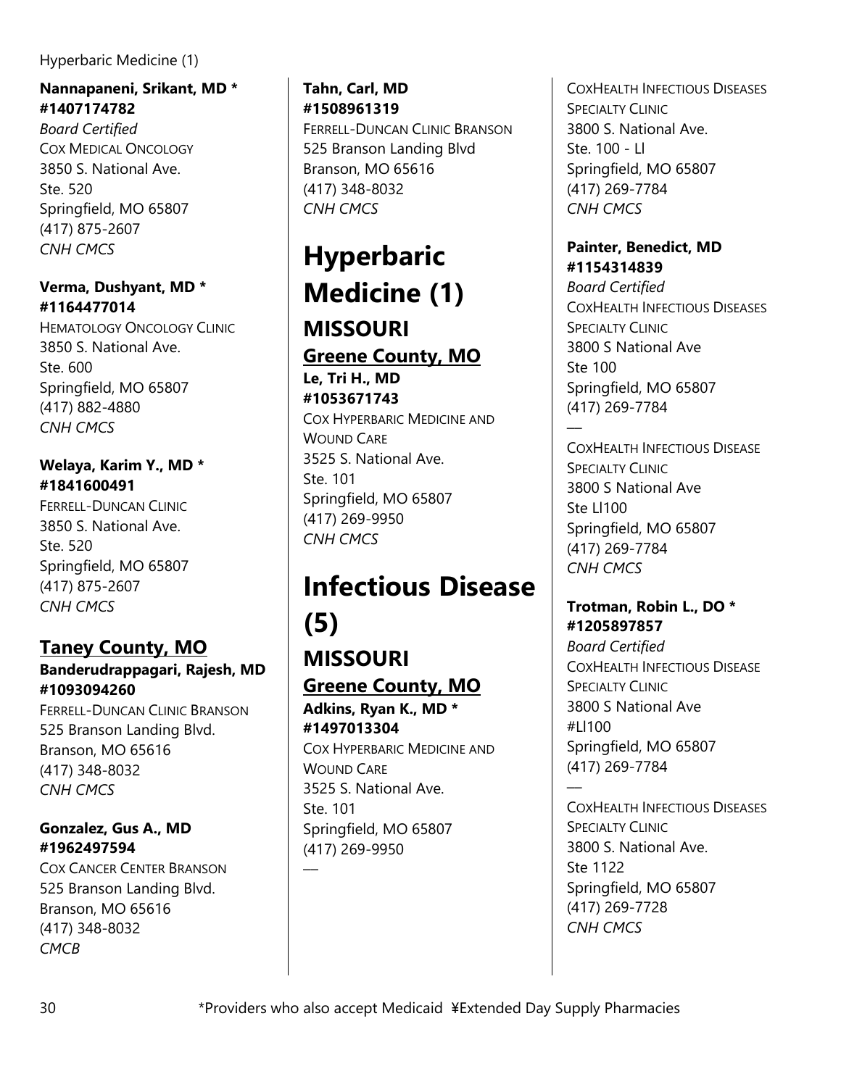#### Hyperbaric Medicine (1)

#### **Nannapaneni, Srikant, MD \* #1407174782**

*Board Certified* COX MEDICAL ONCOLOGY 3850 S. National Ave. Ste. 520 Springfield, MO 65807 (417) 875-2607 *CNH CMCS*

#### **Verma, Dushyant, MD \* #1164477014**

HEMATOLOGY ONCOLOGY CLINIC 3850 S. National Ave. Ste. 600 Springfield, MO 65807 (417) 882-4880 *CNH CMCS*

#### **Welaya, Karim Y., MD \* #1841600491**

FERRELL-DUNCAN CLINIC 3850 S. National Ave. Ste. 520 Springfield, MO 65807 (417) 875-2607 *CNH CMCS*

# **Taney County, MO**

#### **Banderudrappagari, Rajesh, MD #1093094260**

FERRELL-DUNCAN CLINIC BRANSON 525 Branson Landing Blvd. Branson, MO 65616 (417) 348-8032 *CNH CMCS*

#### **Gonzalez, Gus A., MD #1962497594**

COX CANCER CENTER BRANSON 525 Branson Landing Blvd. Branson, MO 65616 (417) 348-8032 *CMCB*

### **Tahn, Carl, MD #1508961319**

FERRELL-DUNCAN CLINIC BRANSON 525 Branson Landing Blvd Branson, MO 65616 (417) 348-8032 *CNH CMCS*

# **Hyperbaric Medicine (1) MISSOURI Greene County, MO**

#### **Le, Tri H., MD #1053671743**

COX HYPERBARIC MEDICINE AND WOUND CARE 3525 S. National Ave. Ste. 101 Springfield, MO 65807 (417) 269-9950 *CNH CMCS*

# **Infectious Disease (5)**

### **MISSOURI Greene County, MO**

**Adkins, Ryan K., MD \* #1497013304** COX HYPERBARIC MEDICINE AND WOUND CARE 3525 S. National Ave. Ste. 101 Springfield, MO 65807 (417) 269-9950

––

COXHEALTH INFECTIOUS DISEASES SPECIALTY CLINIC 3800 S. National Ave. Ste. 100 - Ll Springfield, MO 65807 (417) 269-7784 *CNH CMCS*

#### **Painter, Benedict, MD #1154314839**

*Board Certified* COXHEALTH INFECTIOUS DISEASES SPECIALTY CLINIC 3800 S National Ave Ste 100 Springfield, MO 65807 (417) 269-7784

COXHEALTH INFECTIOUS DISEASE SPECIALTY CLINIC 3800 S National Ave Ste Ll100 Springfield, MO 65807 (417) 269-7784 *CNH CMCS*

––

#### **Trotman, Robin L., DO \* #1205897857**

*Board Certified* COXHEALTH INFECTIOUS DISEASE SPECIALTY CLINIC 3800 S National Ave #Ll100 Springfield, MO 65807 (417) 269-7784

–– COXHEALTH INFECTIOUS DISEASES SPECIALTY CLINIC 3800 S. National Ave. Ste 1122 Springfield, MO 65807 (417) 269-7728 *CNH CMCS*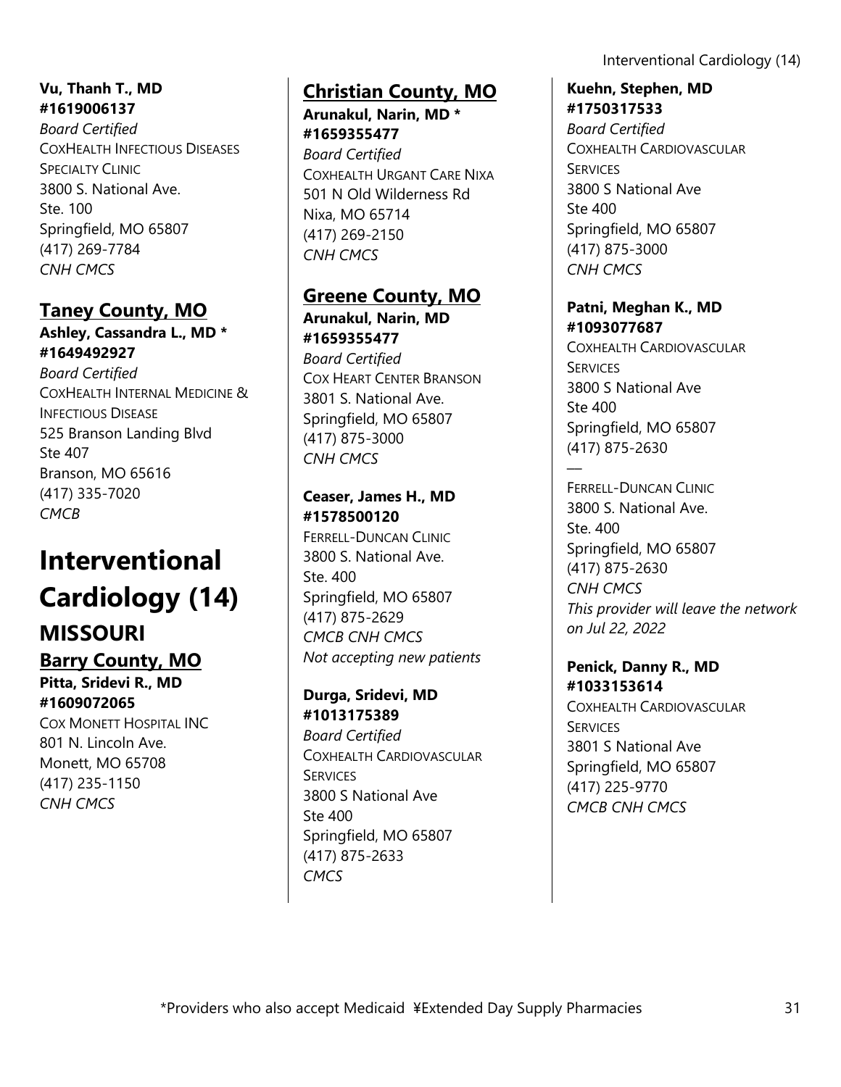#### Interventional Cardiology (14)

## **Vu, Thanh T., MD #1619006137**

*Board Certified* COXHEALTH INFECTIOUS DISEASES SPECIALTY CLINIC 3800 S. National Ave. Ste. 100 Springfield, MO 65807 (417) 269-7784 *CNH CMCS*

# **Taney County, MO**

#### **Ashley, Cassandra L., MD \* #1649492927**

*Board Certified* COXHEALTH INTERNAL MEDICINE & INFECTIOUS DISEASE 525 Branson Landing Blvd Ste 407 Branson, MO 65616 (417) 335-7020 *CMCB*

# **Interventional Cardiology (14)**

# **MISSOURI**

### **Barry County, MO**

**Pitta, Sridevi R., MD #1609072065** COX MONETT HOSPITAL INC 801 N. Lincoln Ave. Monett, MO 65708 (417) 235-1150

*CNH CMCS*

#### **Christian County, MO Arunakul, Narin, MD \* #1659355477**

*Board Certified* COXHEALTH URGANT CARE NIXA 501 N Old Wilderness Rd Nixa, MO 65714 (417) 269-2150 *CNH CMCS*

## **Greene County, MO Arunakul, Narin, MD**

**#1659355477** *Board Certified* COX HEART CENTER BRANSON 3801 S. National Ave. Springfield, MO 65807 (417) 875-3000 *CNH CMCS*

#### **Ceaser, James H., MD #1578500120**

FERRELL-DUNCAN CLINIC 3800 S. National Ave. Ste. 400 Springfield, MO 65807 (417) 875-2629 *CMCB CNH CMCS Not accepting new patients*

#### **Durga, Sridevi, MD #1013175389** *Board Certified* COXHEALTH CARDIOVASCULAR **SERVICES** 3800 S National Ave Ste 400 Springfield, MO 65807 (417) 875-2633 *CMCS*

#### **Kuehn, Stephen, MD #1750317533**

*Board Certified* COXHEALTH CARDIOVASCULAR **SERVICES** 3800 S National Ave Ste 400 Springfield, MO 65807 (417) 875-3000 *CNH CMCS*

#### **Patni, Meghan K., MD #1093077687**

COXHEALTH CARDIOVASCULAR SERVICES 3800 S National Ave Ste 400 Springfield, MO 65807 (417) 875-2630 ––

FERRELL-DUNCAN CLINIC 3800 S. National Ave. Ste. 400 Springfield, MO 65807 (417) 875-2630 *CNH CMCS This provider will leave the network on Jul 22, 2022*

#### **Penick, Danny R., MD #1033153614**

COXHEALTH CARDIOVASCULAR **SERVICES** 3801 S National Ave Springfield, MO 65807 (417) 225-9770 *CMCB CNH CMCS*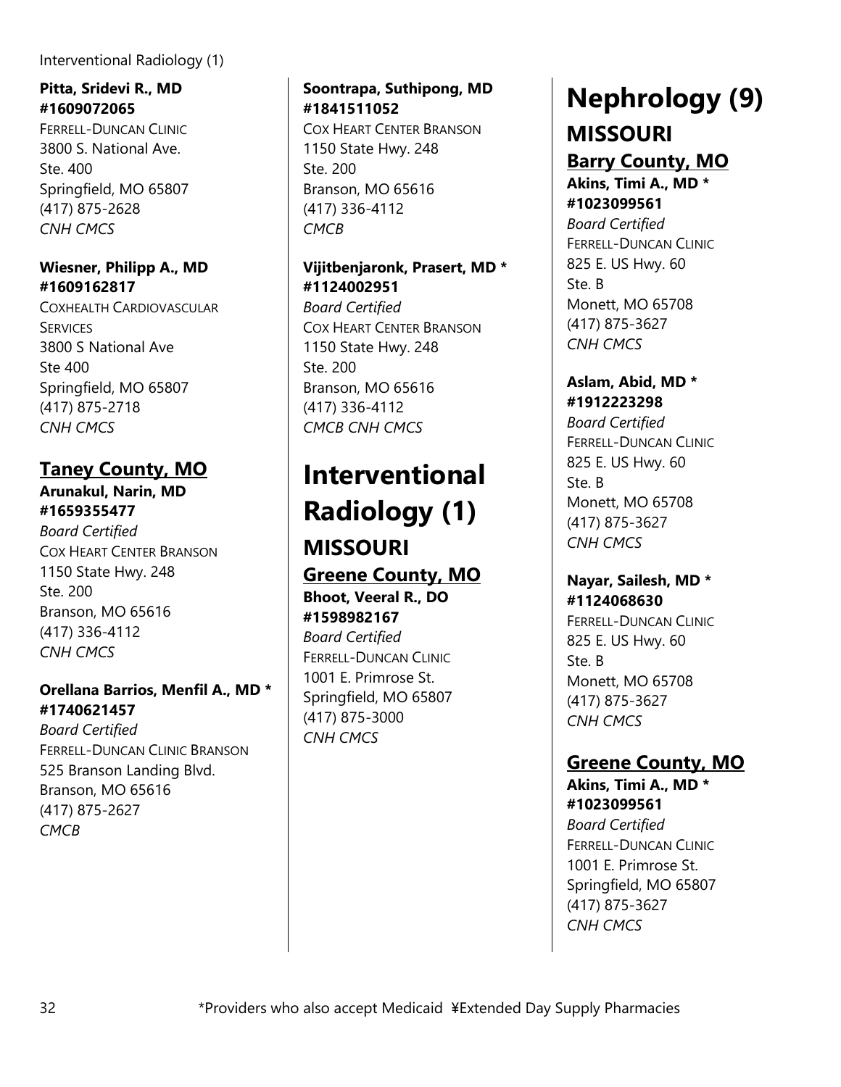#### Interventional Radiology (1)

**Pitta, Sridevi R., MD #1609072065** FERRELL-DUNCAN CLINIC 3800 S. National Ave. Ste. 400 Springfield, MO 65807 (417) 875-2628 *CNH CMCS*

#### **Wiesner, Philipp A., MD #1609162817**

COXHEALTH CARDIOVASCULAR **SERVICES** 3800 S National Ave Ste 400 Springfield, MO 65807 (417) 875-2718 *CNH CMCS*

# **Taney County, MO**

#### **Arunakul, Narin, MD #1659355477**

*Board Certified* COX HEART CENTER BRANSON 1150 State Hwy. 248 Ste. 200 Branson, MO 65616 (417) 336-4112 *CNH CMCS*

#### **Orellana Barrios, Menfil A., MD \* #1740621457**

*Board Certified* FERRELL-DUNCAN CLINIC BRANSON 525 Branson Landing Blvd. Branson, MO 65616 (417) 875-2627 *CMCB*

#### **Soontrapa, Suthipong, MD #1841511052**

COX HEART CENTER BRANSON 1150 State Hwy. 248 Ste. 200 Branson, MO 65616 (417) 336-4112 *CMCB*

#### **Vijitbenjaronk, Prasert, MD \* #1124002951**

*Board Certified* COX HEART CENTER BRANSON 1150 State Hwy. 248 Ste. 200 Branson, MO 65616 (417) 336-4112 *CMCB CNH CMCS*

# **Interventional Radiology (1) MISSOURI**

#### **Greene County, MO Bhoot, Veeral R., DO #1598982167**

*Board Certified* FERRELL-DUNCAN CLINIC 1001 E. Primrose St. Springfield, MO 65807 (417) 875-3000 *CNH CMCS*

# **Nephrology (9) MISSOURI Barry County, MO**

**Akins, Timi A., MD \* #1023099561**

*Board Certified* FERRELL-DUNCAN CLINIC 825 E. US Hwy. 60 Ste. B Monett, MO 65708 (417) 875-3627 *CNH CMCS*

#### **Aslam, Abid, MD \* #1912223298**

*Board Certified* FERRELL-DUNCAN CLINIC 825 E. US Hwy. 60 Ste. B Monett, MO 65708 (417) 875-3627 *CNH CMCS*

#### **Nayar, Sailesh, MD \* #1124068630**

FERRELL-DUNCAN CLINIC 825 E. US Hwy. 60 Ste. B Monett, MO 65708 (417) 875-3627 *CNH CMCS*

### **Greene County, MO**

**Akins, Timi A., MD \* #1023099561** *Board Certified* FERRELL-DUNCAN CLINIC 1001 E. Primrose St. Springfield, MO 65807 (417) 875-3627 *CNH CMCS*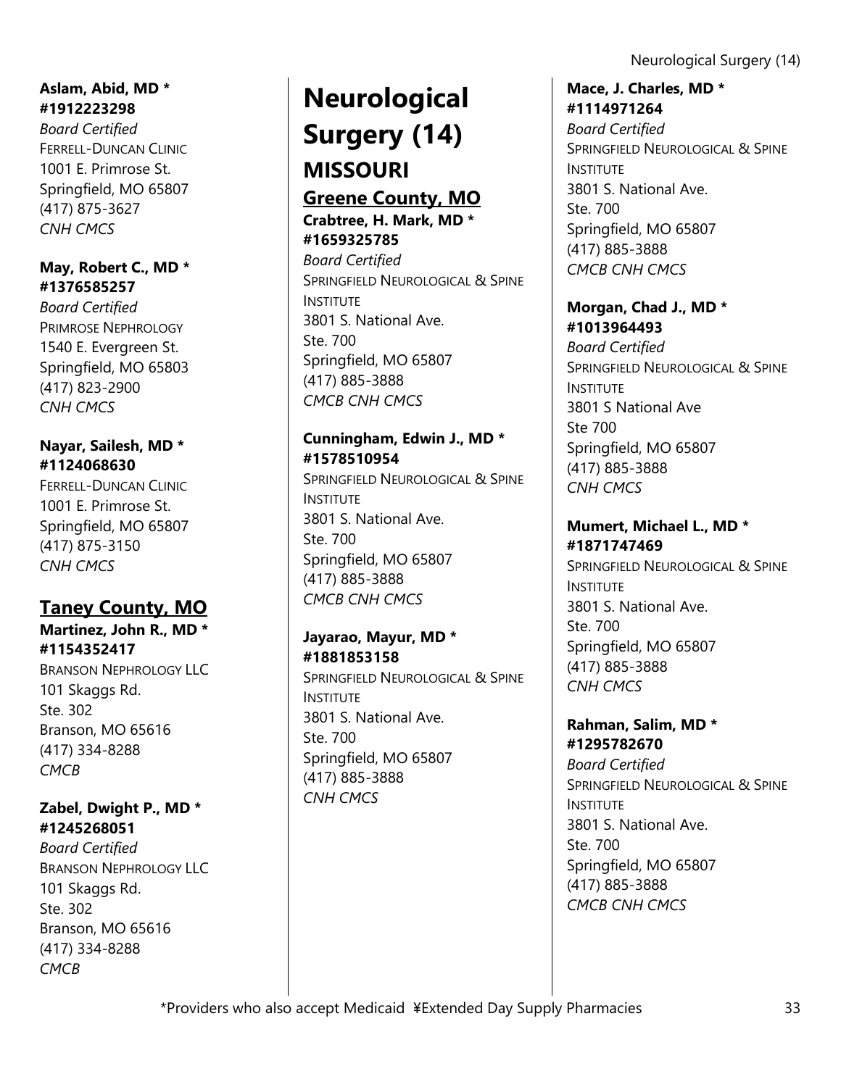Neurological Surgery (14)

#### **Aslam, Abid, MD \* #1912223298**

*Board Certified* FERRELL-DUNCAN CLINIC 1001 E. Primrose St. Springfield, MO 65807 (417) 875-3627 *CNH CMCS*

#### **May, Robert C., MD \* #1376585257**

*Board Certified* PRIMROSE NEPHROLOGY 1540 E. Evergreen St. Springfield, MO 65803 (417) 823-2900 *CNH CMCS*

#### **Nayar, Sailesh, MD \* #1124068630**

FERRELL-DUNCAN CLINIC 1001 E. Primrose St. Springfield, MO 65807 (417) 875-3150 *CNH CMCS*

### **Taney County, MO**

#### **Martinez, John R., MD \* #1154352417**

BRANSON NEPHROLOGY LLC 101 Skaggs Rd. Ste. 302 Branson, MO 65616 (417) 334-8288 *CMCB*

#### **Zabel, Dwight P., MD \* #1245268051**

*Board Certified* BRANSON NEPHROLOGY LLC 101 Skaggs Rd. Ste. 302 Branson, MO 65616 (417) 334-8288 *CMCB*

# **Neurological Surgery (14) MISSOURI**

**Greene County, MO Crabtree, H. Mark, MD \* #1659325785**

*Board Certified* SPRINGFIELD NEUROLOGICAL & SPINE **INSTITUTE** 3801 S. National Ave. Ste. 700 Springfield, MO 65807 (417) 885-3888 *CMCB CNH CMCS*

#### **Cunningham, Edwin J., MD \* #1578510954**

SPRINGFIELD NEUROLOGICAL & SPINE **INSTITUTE** 3801 S. National Ave. Ste. 700 Springfield, MO 65807 (417) 885-3888 *CMCB CNH CMCS*

#### **Jayarao, Mayur, MD \* #1881853158** SPRINGFIELD NEUROLOGICAL & SPINE INSTITUTE 3801 S. National Ave.

Ste. 700 Springfield, MO 65807 (417) 885-3888 *CNH CMCS*

#### **Mace, J. Charles, MD \* #1114971264** *Board Certified* SPRINGFIELD NEUROLOGICAL & SPINE INSTITUTE 3801 S. National Ave. Ste. 700 Springfield, MO 65807 (417) 885-3888 *CMCB CNH CMCS*

#### **Morgan, Chad J., MD \* #1013964493**

*Board Certified* SPRINGFIELD NEUROLOGICAL & SPINE INSTITUTE 3801 S National Ave Ste 700 Springfield, MO 65807 (417) 885-3888 *CNH CMCS*

#### **Mumert, Michael L., MD \* #1871747469**

SPRINGFIELD NEUROLOGICAL & SPINE **INSTITUTE** 3801 S. National Ave. Ste. 700 Springfield, MO 65807 (417) 885-3888 *CNH CMCS*

#### **Rahman, Salim, MD \* #1295782670** *Board Certified*

SPRINGFIELD NEUROLOGICAL & SPINE INSTITUTE 3801 S. National Ave. Ste. 700 Springfield, MO 65807 (417) 885-3888 *CMCB CNH CMCS*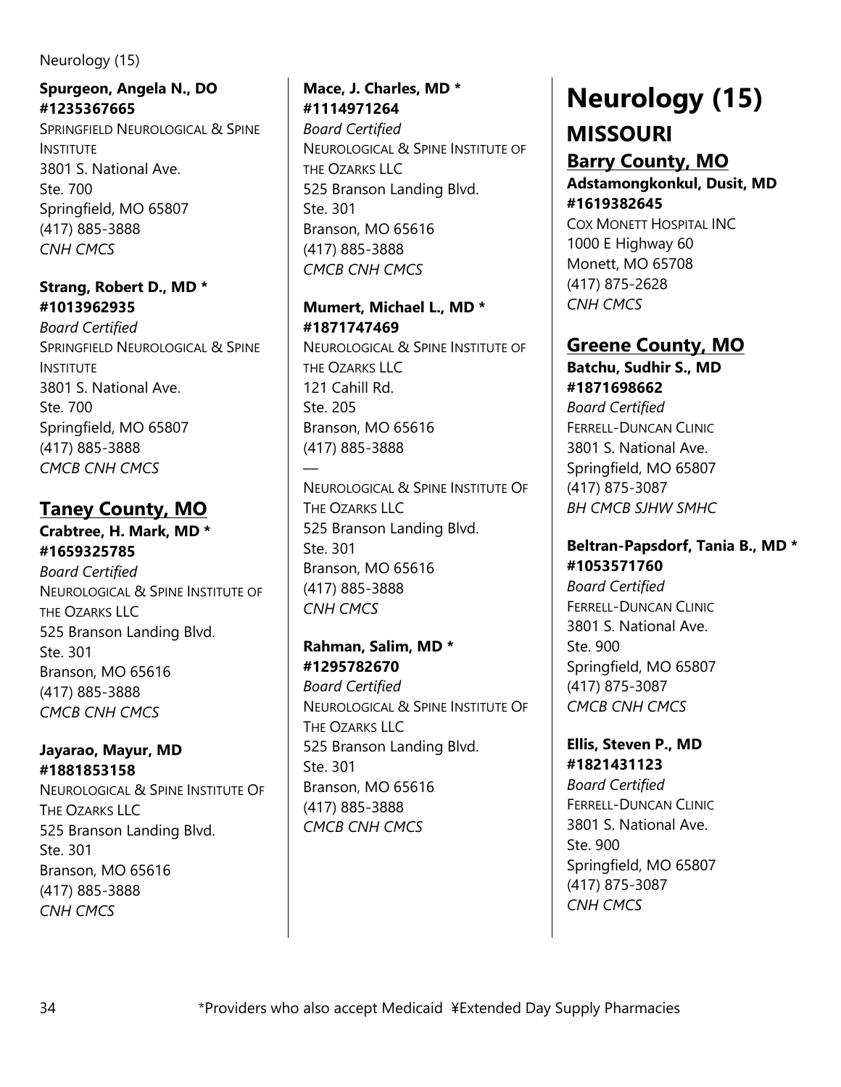Neurology (15)

#### **Spurgeon, Angela N., DO #1235367665**

SPRINGFIELD NEUROLOGICAL & SPINE **INSTITUTE** 3801 S. National Ave. Ste. 700 Springfield, MO 65807 (417) 885-3888 *CNH CMCS*

#### **Strang, Robert D., MD \* #1013962935**

*Board Certified* SPRINGFIELD NEUROLOGICAL & SPINE INSTITUTE 3801 S. National Ave. Ste. 700 Springfield, MO 65807 (417) 885-3888 *CMCB CNH CMCS*

# **Taney County, MO**

#### **Crabtree, H. Mark, MD \* #1659325785**

*Board Certified* NEUROLOGICAL & SPINE INSTITUTE OF THE OZARKS LLC 525 Branson Landing Blvd. Ste. 301 Branson, MO 65616 (417) 885-3888 *CMCB CNH CMCS*

#### **Jayarao, Mayur, MD #1881853158**

NEUROLOGICAL & SPINE INSTITUTE OF THE OZARKS LLC 525 Branson Landing Blvd. Ste. 301 Branson, MO 65616 (417) 885-3888 *CNH CMCS*

### **Mace, J. Charles, MD \* #1114971264**

*Board Certified* NEUROLOGICAL & SPINE INSTITUTE OF THE OZARKS LLC 525 Branson Landing Blvd. Ste. 301 Branson, MO 65616 (417) 885-3888 *CMCB CNH CMCS*

#### **Mumert, Michael L., MD \* #1871747469**

NEUROLOGICAL & SPINE INSTITUTE OF THE OZARKS LLC 121 Cahill Rd. Ste. 205 Branson, MO 65616 (417) 885-3888 ––

NEUROLOGICAL & SPINE INSTITUTE OF THE OZARKS LLC 525 Branson Landing Blvd. Ste. 301 Branson, MO 65616 (417) 885-3888 *CNH CMCS*

#### **Rahman, Salim, MD \* #1295782670** *Board Certified* NEUROLOGICAL & SPINE INSTITUTE OF THE OZARKS LLC 525 Branson Landing Blvd. Ste. 301 Branson, MO 65616 (417) 885-3888 *CMCB CNH CMCS*

# **Neurology (15)**

# **MISSOURI**

# **Barry County, MO**

**Adstamongkonkul, Dusit, MD #1619382645**

COX MONETT HOSPITAL INC 1000 E Highway 60 Monett, MO 65708 (417) 875-2628 *CNH CMCS*

# **Greene County, MO**

**Batchu, Sudhir S., MD #1871698662** *Board Certified* FERRELL-DUNCAN CLINIC 3801 S. National Ave. Springfield, MO 65807 (417) 875-3087 *BH CMCB SJHW SMHC*

#### **Beltran-Papsdorf, Tania B., MD \* #1053571760**

*Board Certified* FERRELL-DUNCAN CLINIC 3801 S. National Ave. Ste. 900 Springfield, MO 65807 (417) 875-3087 *CMCB CNH CMCS* 

#### **Ellis, Steven P., MD #1821431123**

*Board Certified* FERRELL-DUNCAN CLINIC 3801 S. National Ave. Ste. 900 Springfield, MO 65807 (417) 875-3087 *CNH CMCS*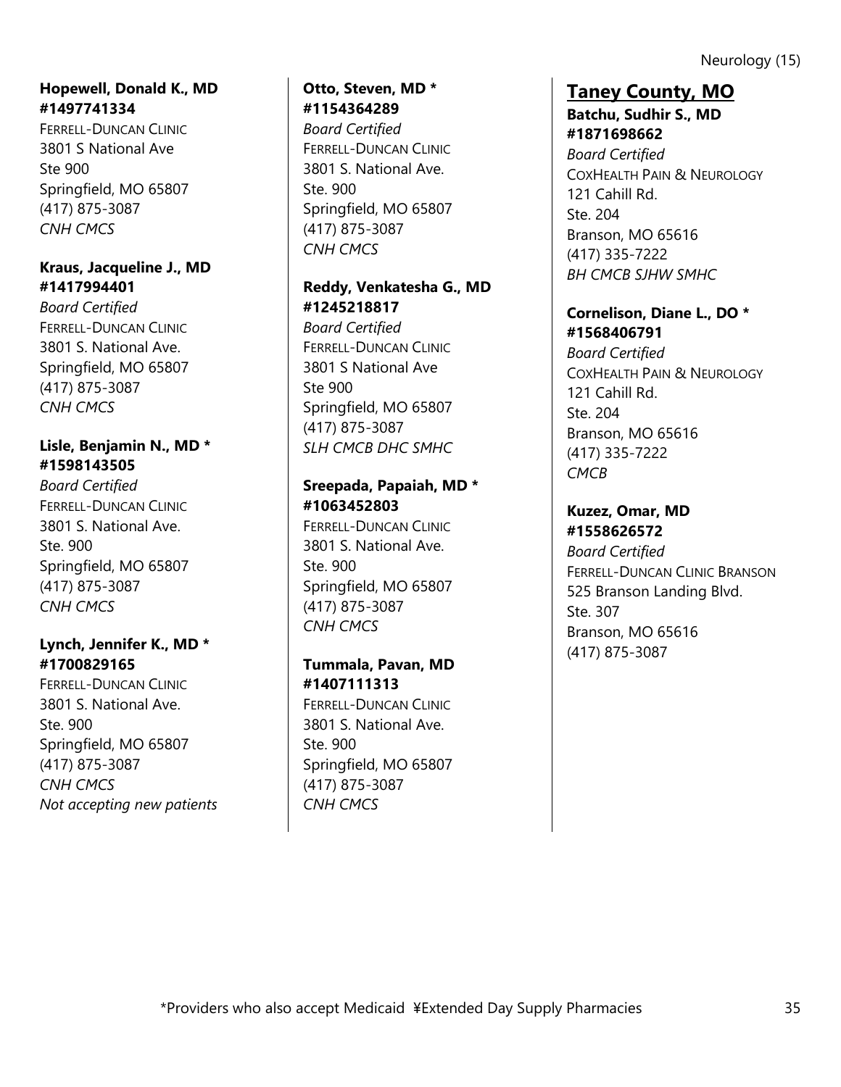#### Neurology (15)

#### **Hopewell, Donald K., MD #1497741334**

FERRELL-DUNCAN CLINIC 3801 S National Ave Ste 900 Springfield, MO 65807 (417) 875-3087 *CNH CMCS*

#### **Kraus, Jacqueline J., MD #1417994401**

*Board Certified* FERRELL-DUNCAN CLINIC 3801 S. National Ave. Springfield, MO 65807 (417) 875-3087 *CNH CMCS*

#### **Lisle, Benjamin N., MD \* #1598143505**

*Board Certified* FERRELL-DUNCAN CLINIC 3801 S. National Ave. Ste. 900 Springfield, MO 65807 (417) 875-3087 *CNH CMCS*

#### **Lynch, Jennifer K., MD \* #1700829165**

FERRELL-DUNCAN CLINIC 3801 S. National Ave. Ste. 900 Springfield, MO 65807 (417) 875-3087 *CNH CMCS Not accepting new patients*

### **Otto, Steven, MD \* #1154364289**

*Board Certified* FERRELL-DUNCAN CLINIC 3801 S. National Ave. Ste. 900 Springfield, MO 65807 (417) 875-3087 *CNH CMCS*

#### **Reddy, Venkatesha G., MD #1245218817**

*Board Certified* FERRELL-DUNCAN CLINIC 3801 S National Ave Ste 900 Springfield, MO 65807 (417) 875-3087 *SLH CMCB DHC SMHC*

#### **Sreepada, Papaiah, MD \* #1063452803**

FERRELL-DUNCAN CLINIC 3801 S. National Ave. Ste. 900 Springfield, MO 65807 (417) 875-3087 *CNH CMCS*

#### **Tummala, Pavan, MD #1407111313**

FERRELL-DUNCAN CLINIC 3801 S. National Ave. Ste. 900 Springfield, MO 65807 (417) 875-3087 *CNH CMCS*

### **Taney County, MO**

**Batchu, Sudhir S., MD #1871698662** *Board Certified* COXHEALTH PAIN & NEUROLOGY 121 Cahill Rd. Ste. 204 Branson, MO 65616 (417) 335-7222 *BH CMCB SJHW SMHC*

#### **Cornelison, Diane L., DO \* #1568406791**

*Board Certified* COXHEALTH PAIN & NEUROLOGY 121 Cahill Rd. Ste. 204 Branson, MO 65616 (417) 335-7222 *CMCB*

#### **Kuzez, Omar, MD #1558626572**

*Board Certified* FERRELL-DUNCAN CLINIC BRANSON 525 Branson Landing Blvd. Ste. 307 Branson, MO 65616 (417) 875-3087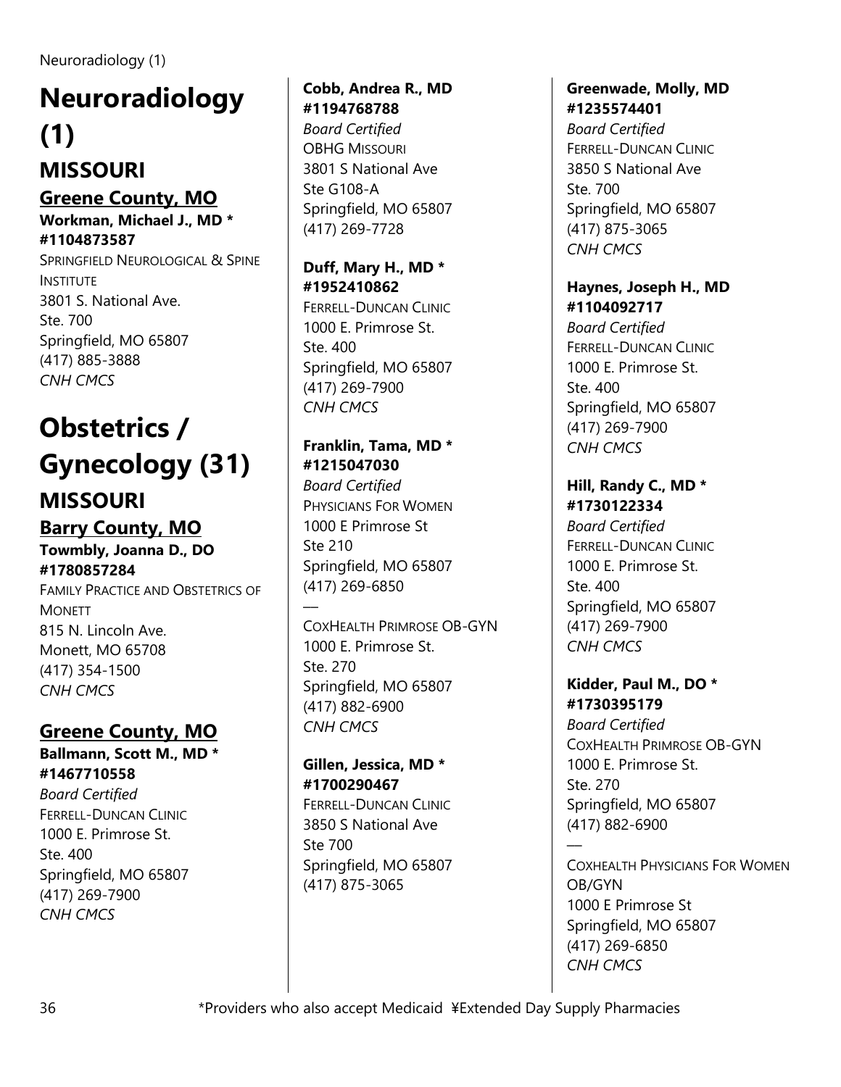#### Neuroradiology (1)

## **Neuroradiology (1) MISSOURI Greene County, MO**

**Workman, Michael J., MD \* #1104873587** SPRINGFIELD NEUROLOGICAL & SPINE **INSTITUTE** 3801 S. National Ave. Ste. 700 Springfield, MO 65807 (417) 885-3888 *CNH CMCS*

# **Obstetrics / Gynecology (31)**

## **MISSOURI**

## **Barry County, MO**

**Towmbly, Joanna D., DO #1780857284**

FAMILY PRACTICE AND OBSTETRICS OF **MONETT** 815 N. Lincoln Ave. Monett, MO 65708 (417) 354-1500 *CNH CMCS*

## **Greene County, MO**

#### **Ballmann, Scott M., MD \* #1467710558**

*Board Certified* FERRELL-DUNCAN CLINIC 1000 E. Primrose St. Ste. 400 Springfield, MO 65807 (417) 269-7900 *CNH CMCS*

#### **Cobb, Andrea R., MD #1194768788**

*Board Certified* **OBHG MISSOURI** 3801 S National Ave Ste G108-A Springfield, MO 65807 (417) 269-7728

#### **Duff, Mary H., MD \* #1952410862**

FERRELL-DUNCAN CLINIC 1000 E. Primrose St. Ste. 400 Springfield, MO 65807 (417) 269-7900 *CNH CMCS*

#### **Franklin, Tama, MD \* #1215047030**

*Board Certified* PHYSICIANS FOR WOMEN 1000 E Primrose St Ste 210 Springfield, MO 65807 (417) 269-6850

––

COXHEALTH PRIMROSE OB-GYN 1000 E. Primrose St. Ste. 270 Springfield, MO 65807 (417) 882-6900 *CNH CMCS*

#### **Gillen, Jessica, MD \* #1700290467**

FERRELL-DUNCAN CLINIC 3850 S National Ave Ste 700 Springfield, MO 65807 (417) 875-3065

#### **Greenwade, Molly, MD #1235574401**

*Board Certified* FERRELL-DUNCAN CLINIC 3850 S National Ave Ste. 700 Springfield, MO 65807 (417) 875-3065 *CNH CMCS*

#### **Haynes, Joseph H., MD #1104092717**

*Board Certified* FERRELL-DUNCAN CLINIC 1000 E. Primrose St. Ste. 400 Springfield, MO 65807 (417) 269-7900 *CNH CMCS*

#### **Hill, Randy C., MD \* #1730122334**

*Board Certified* FERRELL-DUNCAN CLINIC 1000 E. Primrose St. Ste. 400 Springfield, MO 65807 (417) 269-7900 *CNH CMCS*

#### **Kidder, Paul M., DO \* #1730395179**

*Board Certified* COXHEALTH PRIMROSE OB-GYN 1000 E. Primrose St. Ste. 270 Springfield, MO 65807 (417) 882-6900

–– COXHEALTH PHYSICIANS FOR WOMEN OB/GYN 1000 E Primrose St Springfield, MO 65807 (417) 269-6850 *CNH CMCS*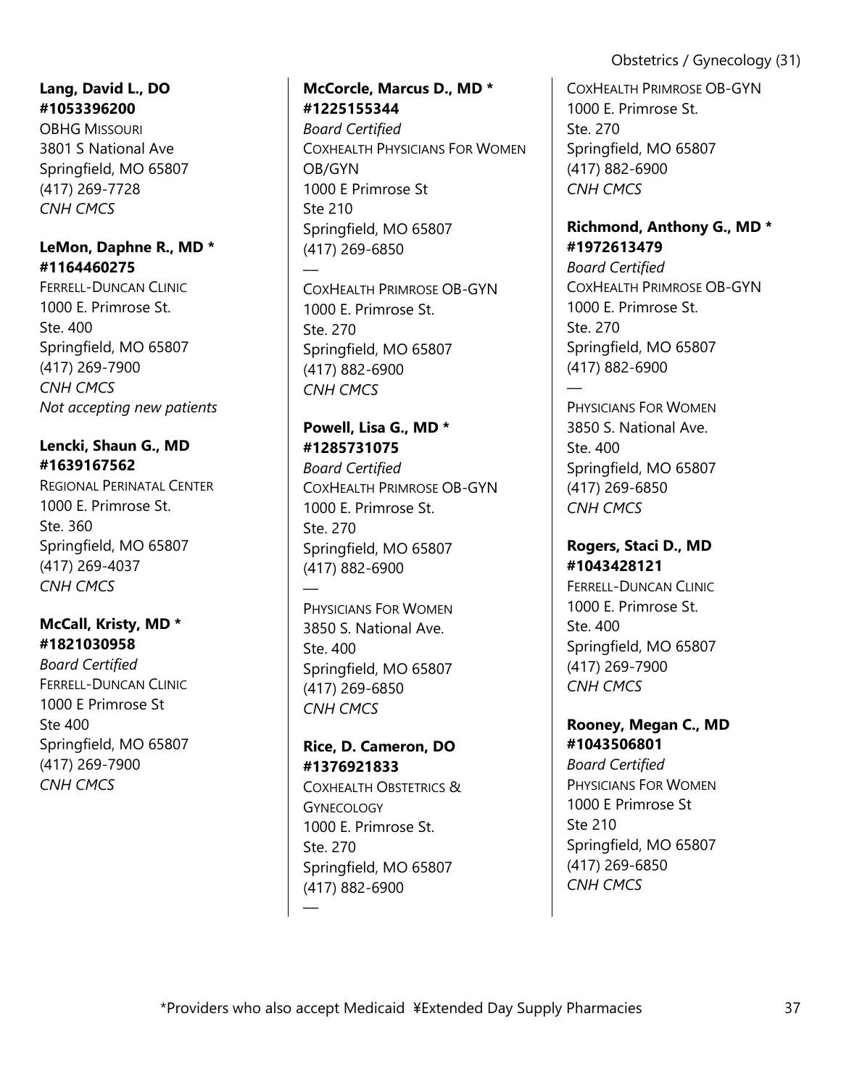#### Obstetrics / Gynecology (31)

**Lang, David L., DO #1053396200 OBHG MISSOURI** 

3801 S National Ave Springfield, MO 65807 (417) 269-7728 *CNH CMCS*

#### **LeMon, Daphne R., MD \* #1164460275**

FERRELL-DUNCAN CLINIC 1000 E. Primrose St. Ste. 400 Springfield, MO 65807 (417) 269-7900 *CNH CMCS Not accepting new patients*

#### **Lencki, Shaun G., MD #1639167562**

REGIONAL PERINATAL CENTER 1000 E. Primrose St. Ste. 360 Springfield, MO 65807 (417) 269-4037 *CNH CMCS*

#### **McCall, Kristy, MD \* #1821030958**

*Board Certified* FERRELL-DUNCAN CLINIC 1000 E Primrose St Ste 400 Springfield, MO 65807 (417) 269-7900 *CNH CMCS*

## **McCorcle, Marcus D., MD \* #1225155344**

*Board Certified* COXHEALTH PHYSICIANS FOR WOMEN OB/GYN 1000 E Primrose St Ste 210 Springfield, MO 65807 (417) 269-6850

COXHEALTH PRIMROSE OB-GYN 1000 E. Primrose St. Ste. 270 Springfield, MO 65807 (417) 882-6900 *CNH CMCS*

## **Powell, Lisa G., MD \* #1285731075**

––

––

*Board Certified* COXHEALTH PRIMROSE OB-GYN 1000 E. Primrose St. Ste. 270 Springfield, MO 65807 (417) 882-6900

PHYSICIANS FOR WOMEN 3850 S. National Ave. Ste. 400 Springfield, MO 65807 (417) 269-6850 *CNH CMCS*

#### **Rice, D. Cameron, DO #1376921833**

COXHEALTH OBSTETRICS & **GYNECOLOGY** 1000 E. Primrose St. Ste. 270 Springfield, MO 65807 (417) 882-6900

––

COXHEALTH PRIMROSE OB-GYN 1000 E. Primrose St. Ste. 270 Springfield, MO 65807 (417) 882-6900 *CNH CMCS*

#### **Richmond, Anthony G., MD \* #1972613479**

*Board Certified* COXHEALTH PRIMROSE OB-GYN 1000 E. Primrose St. Ste. 270 Springfield, MO 65807 (417) 882-6900

–– PHYSICIANS FOR WOMEN 3850 S. National Ave. Ste. 400 Springfield, MO 65807 (417) 269-6850 *CNH CMCS*

#### **Rogers, Staci D., MD #1043428121**

FERRELL-DUNCAN CLINIC 1000 E. Primrose St. Ste. 400 Springfield, MO 65807 (417) 269-7900 *CNH CMCS*

#### **Rooney, Megan C., MD #1043506801**

*Board Certified* PHYSICIANS FOR WOMEN 1000 E Primrose St Ste 210 Springfield, MO 65807 (417) 269-6850 *CNH CMCS*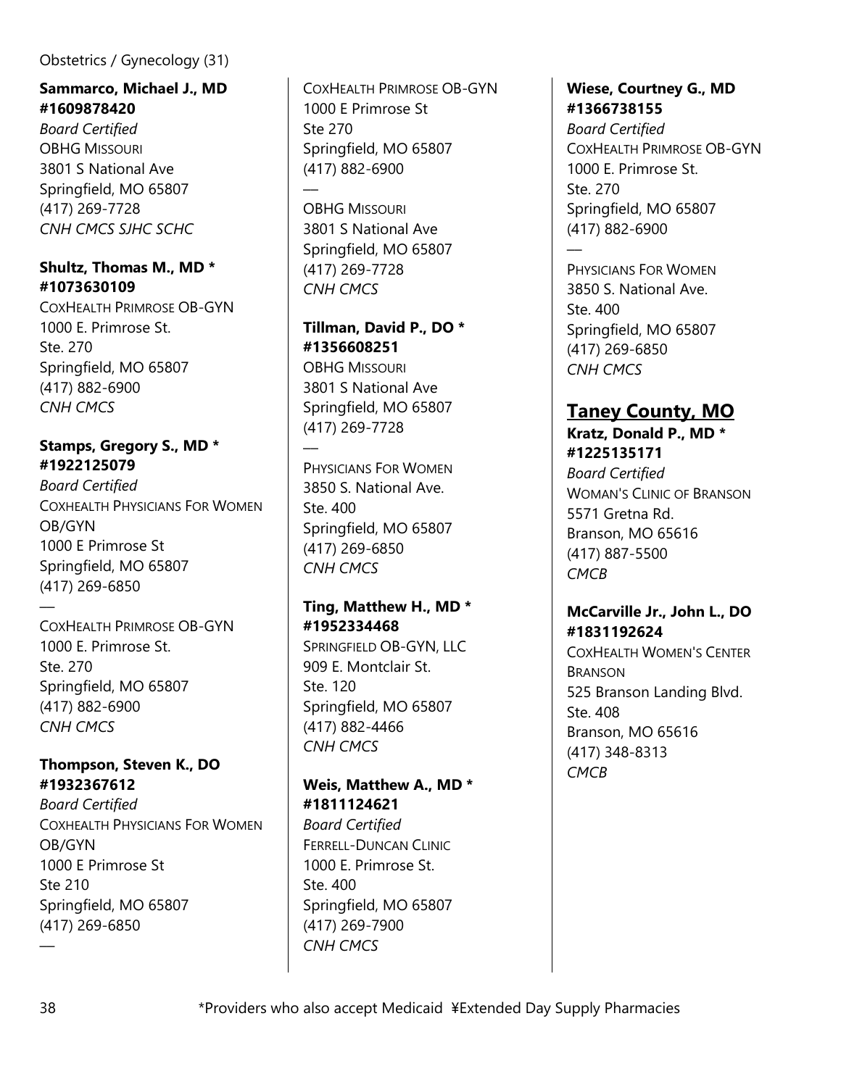#### Obstetrics / Gynecology (31)

#### **Sammarco, Michael J., MD #1609878420**

*Board Certified* **OBHG MISSOURI** 3801 S National Ave Springfield, MO 65807 (417) 269-7728 *CNH CMCS SJHC SCHC*

#### **Shultz, Thomas M., MD \* #1073630109**

COXHEALTH PRIMROSE OB-GYN 1000 E. Primrose St. Ste. 270 Springfield, MO 65807 (417) 882-6900 *CNH CMCS*

#### **Stamps, Gregory S., MD \* #1922125079**

*Board Certified* COXHEALTH PHYSICIANS FOR WOMEN OB/GYN 1000 E Primrose St Springfield, MO 65807 (417) 269-6850 ––

COXHEALTH PRIMROSE OB-GYN 1000 E. Primrose St. Ste. 270 Springfield, MO 65807 (417) 882-6900 *CNH CMCS*

#### **Thompson, Steven K., DO #1932367612**

*Board Certified* COXHEALTH PHYSICIANS FOR WOMEN OB/GYN 1000 E Primrose St Ste 210 Springfield, MO 65807 (417) 269-6850 ––

COXHEALTH PRIMROSE OB-GYN 1000 E Primrose St Ste 270 Springfield, MO 65807 (417) 882-6900 ––

**OBHG MISSOURI** 3801 S National Ave Springfield, MO 65807 (417) 269-7728 *CNH CMCS*

### **Tillman, David P., DO \* #1356608251**

**OBHG MISSOURI** 3801 S National Ave Springfield, MO 65807 (417) 269-7728

#### ––

PHYSICIANS FOR WOMEN 3850 S. National Ave. Ste. 400 Springfield, MO 65807 (417) 269-6850 *CNH CMCS*

### **Ting, Matthew H., MD \* #1952334468**

SPRINGFIELD OB-GYN, LLC 909 E. Montclair St. Ste. 120 Springfield, MO 65807 (417) 882-4466 *CNH CMCS*

#### **Weis, Matthew A., MD \* #1811124621**

*Board Certified* FERRELL-DUNCAN CLINIC 1000 E. Primrose St. Ste. 400 Springfield, MO 65807 (417) 269-7900 *CNH CMCS*

#### **Wiese, Courtney G., MD #1366738155**

*Board Certified* COXHEALTH PRIMROSE OB-GYN 1000 E. Primrose St. Ste. 270 Springfield, MO 65807 (417) 882-6900

PHYSICIANS FOR WOMEN 3850 S. National Ave. Ste. 400 Springfield, MO 65807 (417) 269-6850 *CNH CMCS*

––

### **Taney County, MO**

**Kratz, Donald P., MD \* #1225135171** *Board Certified*

WOMAN'S CLINIC OF BRANSON 5571 Gretna Rd. Branson, MO 65616 (417) 887-5500 *CMCB*

#### **McCarville Jr., John L., DO #1831192624**

COXHEALTH WOMEN'S CENTER BRANSON 525 Branson Landing Blvd. Ste. 408 Branson, MO 65616 (417) 348-8313 *CMCB*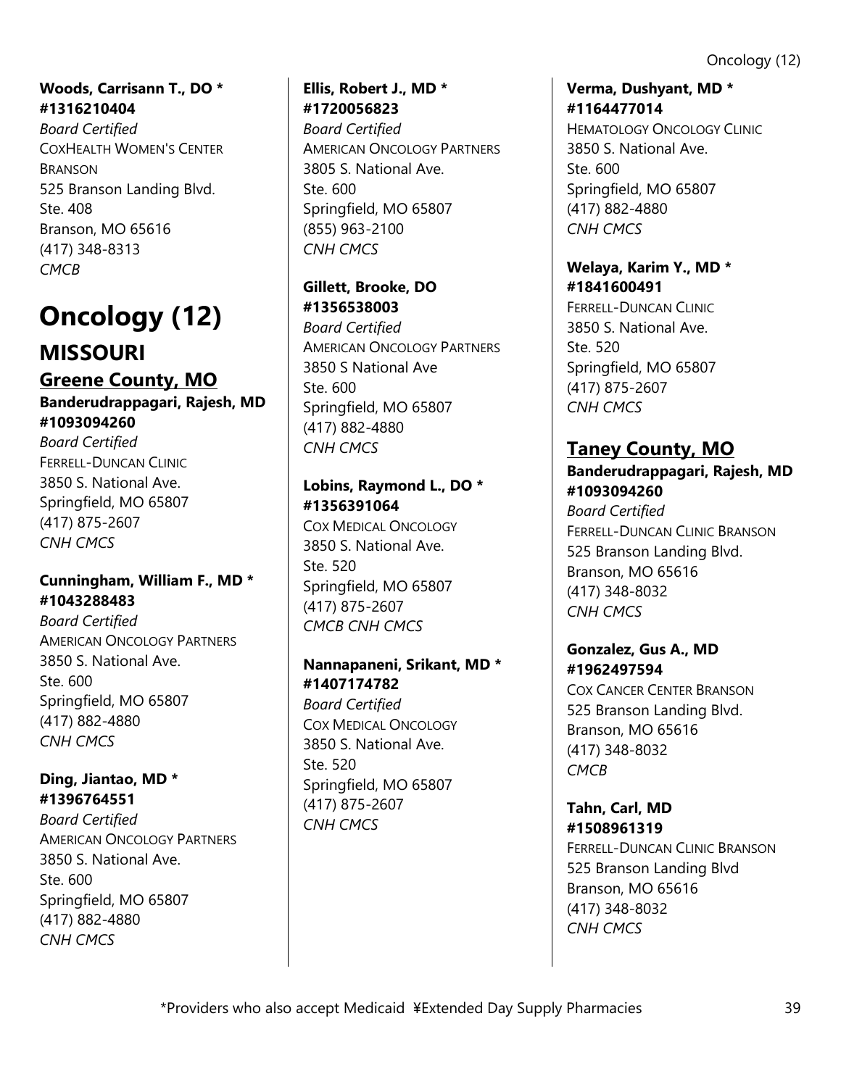Oncology (12)

## **Woods, Carrisann T., DO \* #1316210404** *Board Certified*

COXHEALTH WOMEN'S CENTER **BRANSON** 525 Branson Landing Blvd. Ste. 408 Branson, MO 65616 (417) 348-8313 *CMCB*

## **Oncology (12) MISSOURI Greene County, MO**

## **Banderudrappagari, Rajesh, MD #1093094260**

*Board Certified* FERRELL-DUNCAN CLINIC 3850 S. National Ave. Springfield, MO 65807 (417) 875-2607 *CNH CMCS*

#### **Cunningham, William F., MD \* #1043288483**

*Board Certified* AMERICAN ONCOLOGY PARTNERS 3850 S. National Ave. Ste. 600 Springfield, MO 65807 (417) 882-4880 *CNH CMCS*

#### **Ding, Jiantao, MD \* #1396764551**

*Board Certified* AMERICAN ONCOLOGY PARTNERS 3850 S. National Ave. Ste. 600 Springfield, MO 65807 (417) 882-4880 *CNH CMCS*

## **Ellis, Robert J., MD \* #1720056823**

*Board Certified* AMERICAN ONCOLOGY PARTNERS 3805 S. National Ave. Ste. 600 Springfield, MO 65807 (855) 963-2100 *CNH CMCS*

### **Gillett, Brooke, DO #1356538003**

*Board Certified* AMERICAN ONCOLOGY PARTNERS 3850 S National Ave Ste. 600 Springfield, MO 65807 (417) 882-4880 *CNH CMCS*

#### **Lobins, Raymond L., DO \* #1356391064**

COX MEDICAL ONCOLOGY 3850 S. National Ave. Ste. 520 Springfield, MO 65807 (417) 875-2607 *CMCB CNH CMCS*

#### **Nannapaneni, Srikant, MD \* #1407174782**

*Board Certified* COX MEDICAL ONCOLOGY 3850 S. National Ave. Ste. 520 Springfield, MO 65807 (417) 875-2607 *CNH CMCS*

#### **Verma, Dushyant, MD \* #1164477014**

HEMATOLOGY ONCOLOGY CLINIC 3850 S. National Ave. Ste. 600 Springfield, MO 65807 (417) 882-4880 *CNH CMCS*

#### **Welaya, Karim Y., MD \* #1841600491**

FERRELL-DUNCAN CLINIC 3850 S. National Ave. Ste. 520 Springfield, MO 65807 (417) 875-2607 *CNH CMCS*

## **Taney County, MO**

#### **Banderudrappagari, Rajesh, MD #1093094260**

*Board Certified* FERRELL-DUNCAN CLINIC BRANSON 525 Branson Landing Blvd. Branson, MO 65616 (417) 348-8032 *CNH CMCS*

#### **Gonzalez, Gus A., MD #1962497594**

COX CANCER CENTER BRANSON 525 Branson Landing Blvd. Branson, MO 65616 (417) 348-8032 *CMCB*

#### **Tahn, Carl, MD #1508961319**

FERRELL-DUNCAN CLINIC BRANSON 525 Branson Landing Blvd Branson, MO 65616 (417) 348-8032 *CNH CMCS*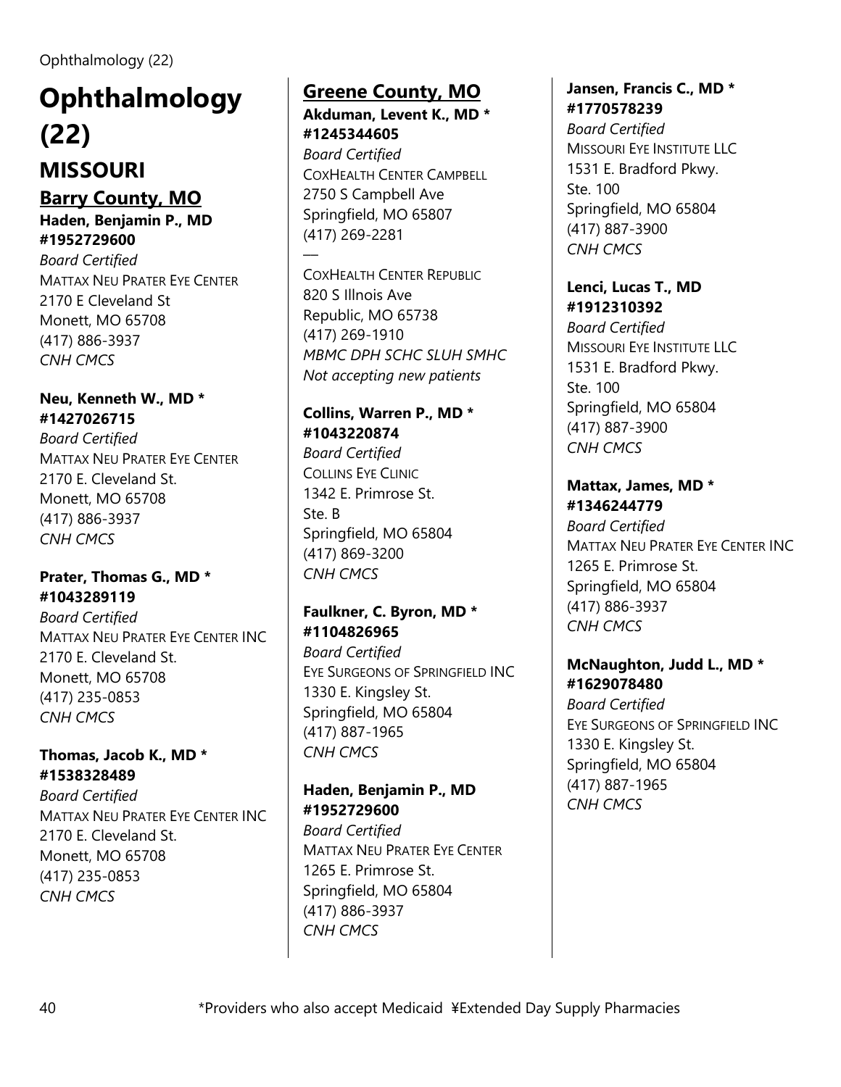#### Ophthalmology (22)

## **Ophthalmology (22) MISSOURI**

## **Barry County, MO**

**Haden, Benjamin P., MD #1952729600**

*Board Certified* MATTAX NEU PRATER EYE CENTER 2170 E Cleveland St Monett, MO 65708 (417) 886-3937 *CNH CMCS*

#### **Neu, Kenneth W., MD \* #1427026715**

*Board Certified* MATTAX NEU PRATER EYE CENTER 2170 F. Cleveland St. Monett, MO 65708 (417) 886-3937 *CNH CMCS*

#### **Prater, Thomas G., MD \* #1043289119**

*Board Certified* MATTAX NEU PRATER EYE CENTER INC 2170 E. Cleveland St. Monett, MO 65708 (417) 235-0853 *CNH CMCS*

#### **Thomas, Jacob K., MD \* #1538328489**

*Board Certified* MATTAX NEU PRATER EYE CENTER INC 2170 E. Cleveland St. Monett, MO 65708 (417) 235-0853 *CNH CMCS*

#### **Greene County, MO Akduman, Levent K., MD \* #1245344605** *Board Certified* COXHEALTH CENTER CAMPBELL 2750 S Campbell Ave Springfield, MO 65807

(417) 269-2281

–– COXHEALTH CENTER REPUBLIC 820 S Illnois Ave Republic, MO 65738 (417) 269-1910 *MBMC DPH SCHC SLUH SMHC Not accepting new patients*

#### **Collins, Warren P., MD \* #1043220874**

*Board Certified* COLLINS EYE CLINIC 1342 E. Primrose St. Ste. B Springfield, MO 65804 (417) 869-3200 *CNH CMCS*

#### **Faulkner, C. Byron, MD \* #1104826965**

*Board Certified* EYE SURGEONS OF SPRINGFIELD INC 1330 E. Kingsley St. Springfield, MO 65804 (417) 887-1965 *CNH CMCS*

### **Haden, Benjamin P., MD #1952729600**

*Board Certified* MATTAX NEU PRATER EYE CENTER 1265 E. Primrose St. Springfield, MO 65804 (417) 886-3937 *CNH CMCS*

#### **Jansen, Francis C., MD \* #1770578239**

*Board Certified* MISSOURI EYE INSTITUTE LLC 1531 E. Bradford Pkwy. Ste. 100 Springfield, MO 65804 (417) 887-3900 *CNH CMCS*

#### **Lenci, Lucas T., MD #1912310392**

*Board Certified* MISSOURI EYE INSTITUTE LLC 1531 E. Bradford Pkwy. Ste. 100 Springfield, MO 65804 (417) 887-3900 *CNH CMCS*

#### **Mattax, James, MD \* #1346244779**

*Board Certified* MATTAX NEU PRATER EYE CENTER INC 1265 E. Primrose St. Springfield, MO 65804 (417) 886-3937 *CNH CMCS*

#### **McNaughton, Judd L., MD \* #1629078480**

*Board Certified* EYE SURGEONS OF SPRINGFIELD INC 1330 E. Kingsley St. Springfield, MO 65804 (417) 887-1965 *CNH CMCS*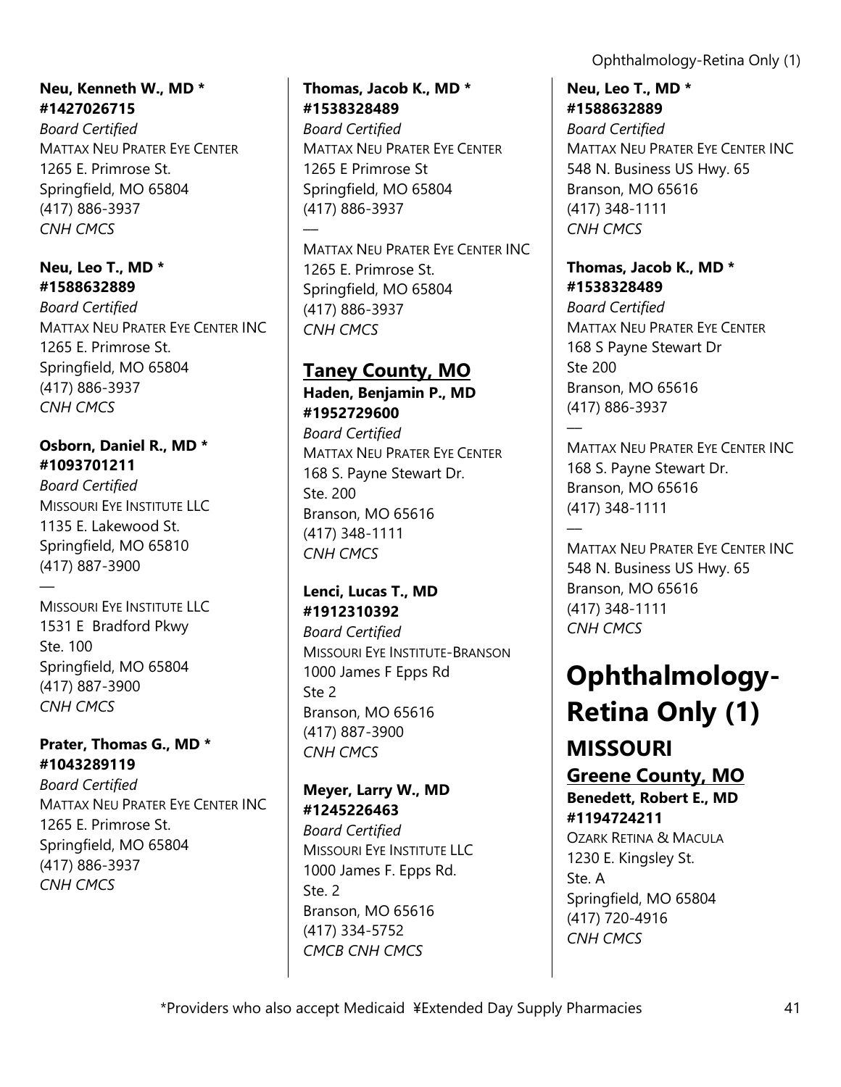#### **Neu, Kenneth W., MD \* #1427026715**

*Board Certified* MATTAX NEU PRATER EYE CENTER 1265 E. Primrose St. Springfield, MO 65804 (417) 886-3937 *CNH CMCS*

#### **Neu, Leo T., MD \* #1588632889**

*Board Certified* MATTAX NEU PRATER EYE CENTER INC 1265 E. Primrose St. Springfield, MO 65804 (417) 886-3937 *CNH CMCS*

#### **Osborn, Daniel R., MD \* #1093701211**

*Board Certified* MISSOURI EYE INSTITUTE LLC 1135 E. Lakewood St. Springfield, MO 65810 (417) 887-3900

#### MISSOURI EYE INSTITUTE LLC 1531 E Bradford Pkwy Ste. 100

Springfield, MO 65804 (417) 887-3900 *CNH CMCS*

––

#### **Prater, Thomas G., MD \* #1043289119**

*Board Certified* MATTAX NEU PRATER EYE CENTER INC 1265 E. Primrose St. Springfield, MO 65804 (417) 886-3937 *CNH CMCS*

## **Thomas, Jacob K., MD \* #1538328489**

*Board Certified* MATTAX NEU PRATER EYE CENTER 1265 E Primrose St Springfield, MO 65804 (417) 886-3937 ––

MATTAX NEU PRATER EYE CENTER INC 1265 E. Primrose St. Springfield, MO 65804 (417) 886-3937 *CNH CMCS*

## **Taney County, MO**

**Haden, Benjamin P., MD #1952729600** *Board Certified* MATTAX NEU PRATER EYE CENTER 168 S. Payne Stewart Dr. Ste. 200 Branson, MO 65616 (417) 348-1111 *CNH CMCS*

#### **Lenci, Lucas T., MD #1912310392**

*Board Certified* MISSOURI EYE INSTITUTE-BRANSON 1000 James F Epps Rd Ste 2 Branson, MO 65616 (417) 887-3900 *CNH CMCS*

### **Meyer, Larry W., MD #1245226463**

*Board Certified* MISSOURI EYE INSTITUTE LLC 1000 James F. Epps Rd. Ste. 2 Branson, MO 65616 (417) 334-5752 *CMCB CNH CMCS*

Ophthalmology-Retina Only (1)

#### **Neu, Leo T., MD \* #1588632889**

*Board Certified* MATTAX NEU PRATER EYE CENTER INC 548 N. Business US Hwy. 65 Branson, MO 65616 (417) 348-1111 *CNH CMCS*

#### **Thomas, Jacob K., MD \* #1538328489**

*Board Certified* MATTAX NEU PRATER EYE CENTER 168 S Payne Stewart Dr Ste 200 Branson, MO 65616 (417) 886-3937

––

MATTAX NEU PRATER EYE CENTER INC 168 S. Payne Stewart Dr. Branson, MO 65616 (417) 348-1111

–– MATTAX NEU PRATER EYE CENTER INC 548 N. Business US Hwy. 65 Branson, MO 65616 (417) 348-1111 *CNH CMCS*

## **Ophthalmology-Retina Only (1) MISSOURI**

## **Greene County, MO**

**Benedett, Robert E., MD #1194724211**

OZARK RETINA & MACULA 1230 E. Kingsley St. Ste. A Springfield, MO 65804 (417) 720-4916 *CNH CMCS*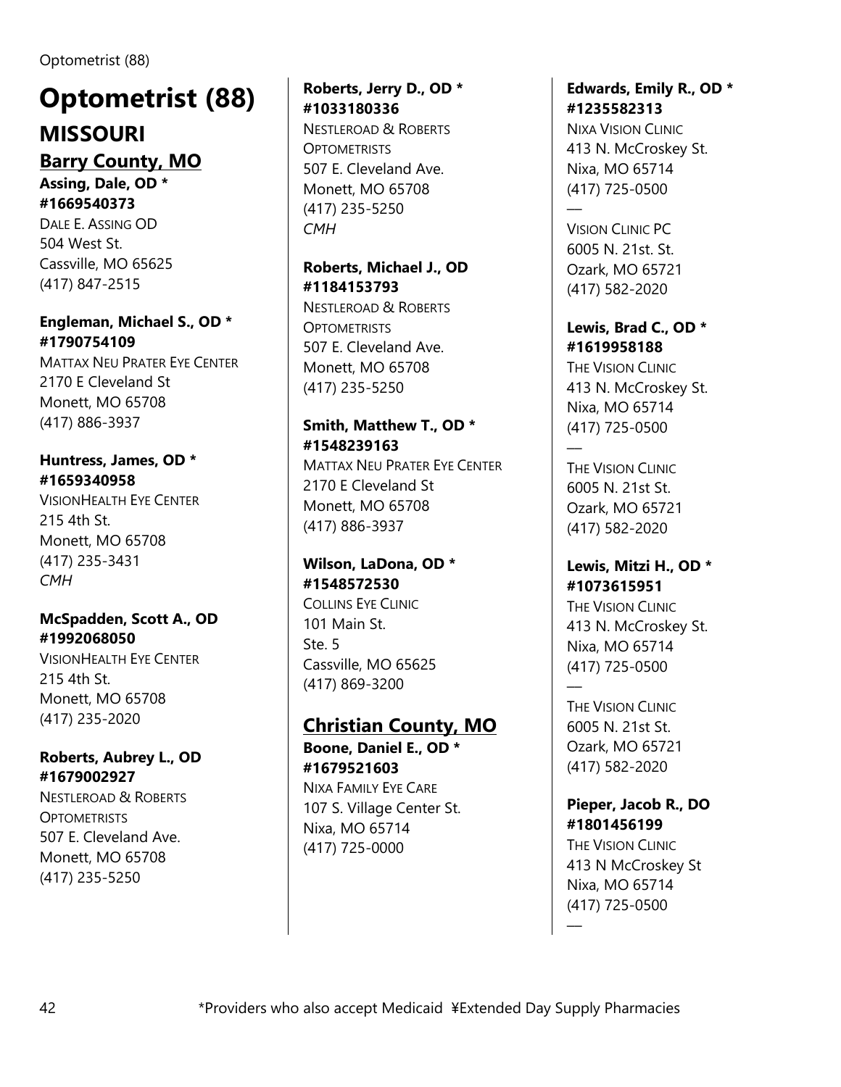## **MISSOURI Barry County, MO**

**Assing, Dale, OD \* #1669540373**

DALE E. ASSING OD 504 West St. Cassville, MO 65625 (417) 847-2515

#### **Engleman, Michael S., OD \* #1790754109**

MATTAX NEU PRATER EYE CENTER 2170 E Cleveland St Monett, MO 65708 (417) 886-3937

#### **Huntress, James, OD \* #1659340958**

VISIONHEALTH EYE CENTER 215 4th St. Monett, MO 65708 (417) 235-3431 *CMH*

### **McSpadden, Scott A., OD #1992068050**

VISIONHEALTH EYE CENTER 215 4th St. Monett, MO 65708 (417) 235-2020

#### **Roberts, Aubrey L., OD #1679002927**

NESTLEROAD & ROBERTS **OPTOMETRISTS** 507 E. Cleveland Ave. Monett, MO 65708 (417) 235-5250

## **Roberts, Jerry D., OD \* #1033180336**

NESTLEROAD & ROBERTS **OPTOMETRISTS** 507 E. Cleveland Ave. Monett, MO 65708 (417) 235-5250 *CMH*

#### **Roberts, Michael J., OD #1184153793**

NESTLEROAD & ROBERTS **OPTOMETRISTS** 507 E. Cleveland Ave. Monett, MO 65708 (417) 235-5250

#### **Smith, Matthew T., OD \* #1548239163**

MATTAX NEU PRATER EYE CENTER 2170 E Cleveland St Monett, MO 65708 (417) 886-3937

#### **Wilson, LaDona, OD \* #1548572530** COLLINS EYE CLINIC

101 Main St. Ste. 5 Cassville, MO 65625 (417) 869-3200

## **Christian County, MO**

**Boone, Daniel E., OD \* #1679521603** NIXA FAMILY EYE CARE

107 S. Village Center St. Nixa, MO 65714 (417) 725-0000

#### **Edwards, Emily R., OD \* #1235582313**

NIXA VISION CLINIC 413 N. McCroskey St. Nixa, MO 65714 (417) 725-0500

–– VISION CLINIC PC 6005 N. 21st. St. Ozark, MO 65721 (417) 582-2020

**Lewis, Brad C., OD \* #1619958188** THE VISION CLINIC

413 N. McCroskey St. Nixa, MO 65714 (417) 725-0500

THE VISION CLINIC 6005 N. 21st St. Ozark, MO 65721 (417) 582-2020

––

––

#### **Lewis, Mitzi H., OD \* #1073615951**

THE VISION CLINIC 413 N. McCroskey St. Nixa, MO 65714 (417) 725-0500

THE VISION CLINIC 6005 N. 21st St. Ozark, MO 65721 (417) 582-2020

#### **Pieper, Jacob R., DO #1801456199**

THE VISION CLINIC 413 N McCroskey St Nixa, MO 65714 (417) 725-0500 ––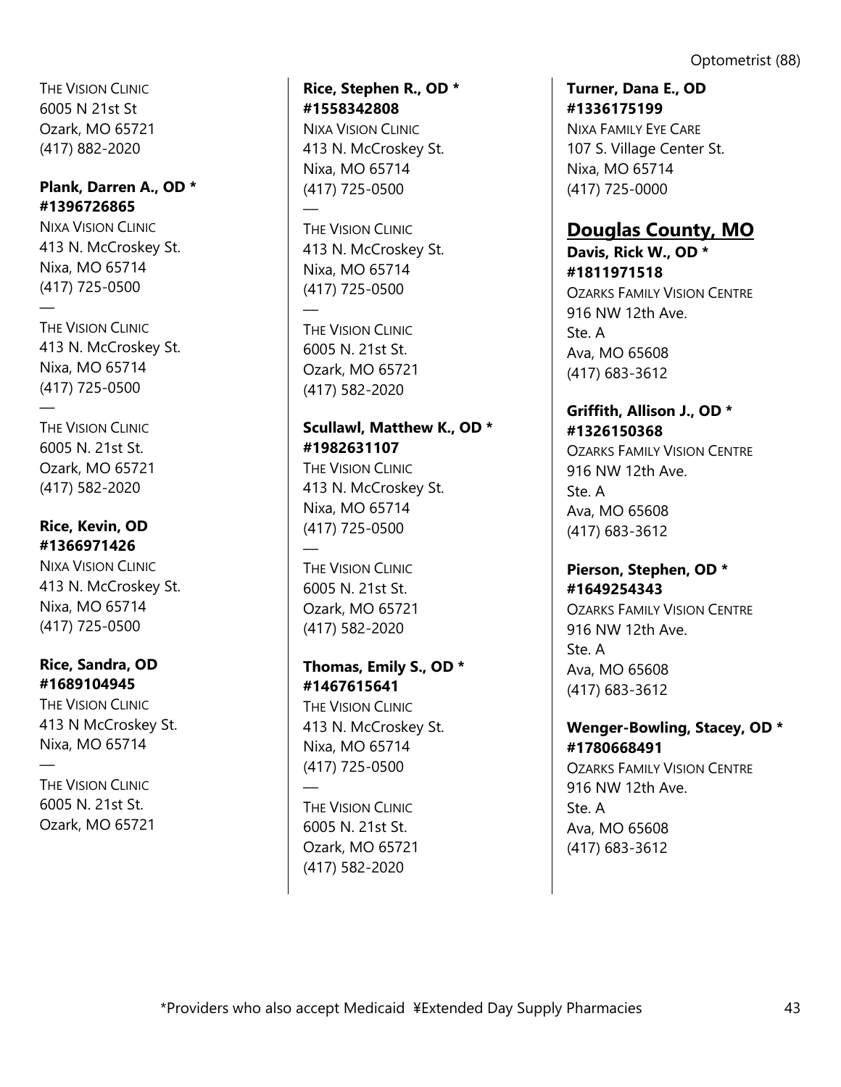THE VISION CLINIC 6005 N 21st St Ozark, MO 65721 (417) 882-2020

#### **Plank, Darren A., OD \* #1396726865**

NIXA VISION CLINIC 413 N. McCroskey St. Nixa, MO 65714 (417) 725-0500 ––

THE VISION CLINIC 413 N. McCroskey St. Nixa, MO 65714 (417) 725-0500

THE VISION CLINIC 6005 N. 21st St. Ozark, MO 65721 (417) 582-2020

––

#### **Rice, Kevin, OD #1366971426** NIXA VISION CLINIC 413 N. McCroskey St.

Nixa, MO 65714 (417) 725-0500

#### **Rice, Sandra, OD #1689104945**

THE VISION CLINIC 413 N McCroskey St. Nixa, MO 65714

THE VISION CLINIC 6005 N. 21st St. Ozark, MO 65721

––

### **Rice, Stephen R., OD \* #1558342808**

NIXA VISION CLINIC 413 N. McCroskey St. Nixa, MO 65714 (417) 725-0500

––

THE VISION CLINIC 413 N. McCroskey St. Nixa, MO 65714 (417) 725-0500 ––

THE VISION CLINIC 6005 N. 21st St. Ozark, MO 65721 (417) 582-2020

### **Scullawl, Matthew K., OD \* #1982631107**

THE VISION CLINIC 413 N. McCroskey St. Nixa, MO 65714 (417) 725-0500

–– THE VISION CLINIC 6005 N. 21st St. Ozark, MO 65721 (417) 582-2020

#### **Thomas, Emily S., OD \* #1467615641**

THE VISION CLINIC 413 N. McCroskey St. Nixa, MO 65714 (417) 725-0500 –– THE VISION CLINIC 6005 N. 21st St. Ozark, MO 65721

(417) 582-2020

#### **Turner, Dana E., OD #1336175199**

NIXA FAMILY EYE CARE 107 S. Village Center St. Nixa, MO 65714 (417) 725-0000

## **Douglas County, MO**

**Davis, Rick W., OD \* #1811971518**

OZARKS FAMILY VISION CENTRE 916 NW 12th Ave. Ste. A Ava, MO 65608 (417) 683-3612

#### **Griffith, Allison J., OD \* #1326150368**

OZARKS FAMILY VISION CENTRE 916 NW 12th Ave. Ste. A Ava, MO 65608 (417) 683-3612

#### **Pierson, Stephen, OD \* #1649254343**

OZARKS FAMILY VISION CENTRE 916 NW 12th Ave. Ste. A Ava, MO 65608 (417) 683-3612

#### **Wenger-Bowling, Stacey, OD \* #1780668491** OZARKS FAMILY VISION CENTRE

916 NW 12th Ave. Ste. A Ava, MO 65608 (417) 683-3612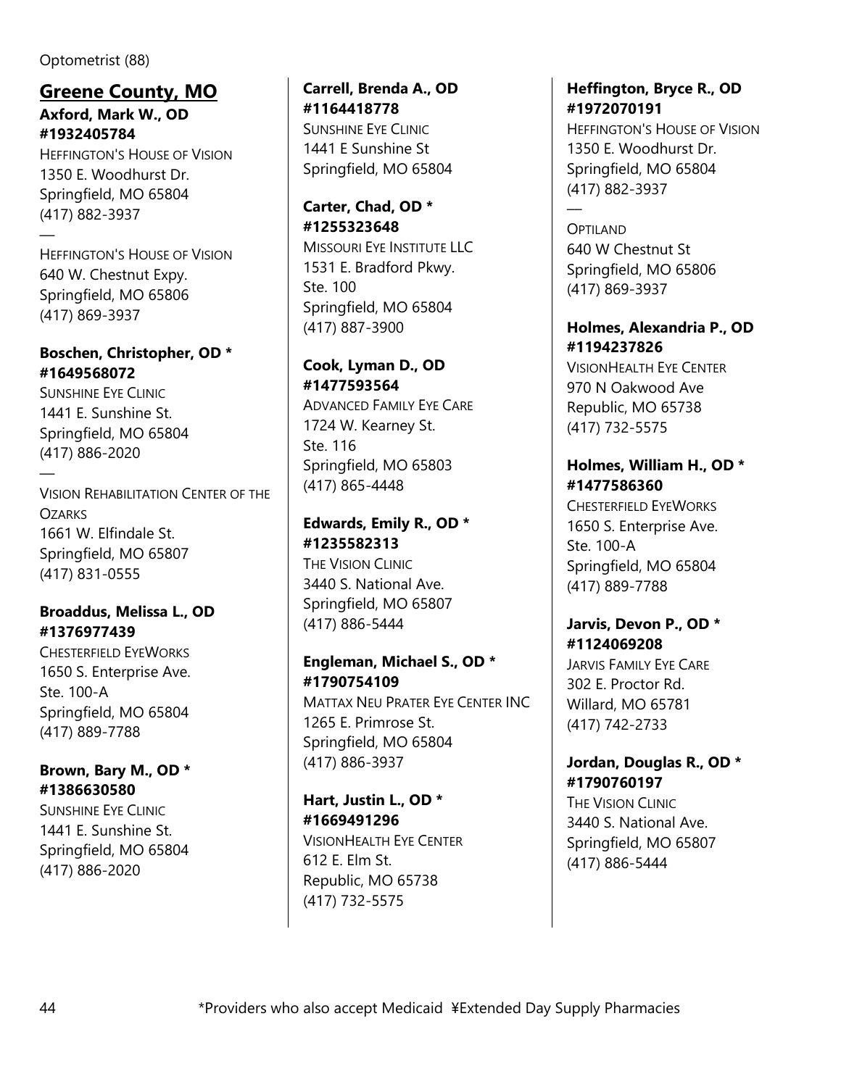**Greene County, MO Axford, Mark W., OD #1932405784** HEFFINGTON'S HOUSE OF VISION 1350 E. Woodhurst Dr. Springfield, MO 65804 (417) 882-3937

–– HEFFINGTON'S HOUSE OF VISION 640 W. Chestnut Expy. Springfield, MO 65806 (417) 869-3937

#### **Boschen, Christopher, OD \* #1649568072**

SUNSHINE EYE CLINIC 1441 E. Sunshine St. Springfield, MO 65804 (417) 886-2020

––

VISION REHABILITATION CENTER OF THE **OZARKS** 1661 W. Elfindale St. Springfield, MO 65807 (417) 831-0555

#### **Broaddus, Melissa L., OD #1376977439**

CHESTERFIELD EYEWORKS 1650 S. Enterprise Ave. Ste. 100-A Springfield, MO 65804 (417) 889-7788

#### **Brown, Bary M., OD \* #1386630580**

SUNSHINE EYE CLINIC 1441 E. Sunshine St. Springfield, MO 65804 (417) 886-2020

**Carrell, Brenda A., OD #1164418778** SUNSHINE EYE CLINIC 1441 E Sunshine St Springfield, MO 65804

#### **Carter, Chad, OD \* #1255323648**

MISSOURI EYE INSTITUTE LLC 1531 E. Bradford Pkwy. Ste. 100 Springfield, MO 65804 (417) 887-3900

## **Cook, Lyman D., OD #1477593564**

ADVANCED FAMILY EYE CARE 1724 W. Kearney St. Ste. 116 Springfield, MO 65803 (417) 865-4448

#### **Edwards, Emily R., OD \* #1235582313**

THE VISION CLINIC 3440 S. National Ave. Springfield, MO 65807 (417) 886-5444

#### **Engleman, Michael S., OD \* #1790754109**

MATTAX NEU PRATER EYE CENTER INC 1265 E. Primrose St. Springfield, MO 65804 (417) 886-3937

#### **Hart, Justin L., OD \* #1669491296** VISIONHEALTH EYE CENTER

612 E. Elm St. Republic, MO 65738 (417) 732-5575

#### **Heffington, Bryce R., OD #1972070191**

HEFFINGTON'S HOUSE OF VISION 1350 E. Woodhurst Dr. Springfield, MO 65804 (417) 882-3937

–– OPTILAND 640 W Chestnut St Springfield, MO 65806 (417) 869-3937

#### **Holmes, Alexandria P., OD #1194237826**

VISIONHEALTH EYE CENTER 970 N Oakwood Ave Republic, MO 65738 (417) 732-5575

#### **Holmes, William H., OD \* #1477586360**

CHESTERFIELD EYEWORKS 1650 S. Enterprise Ave. Ste. 100-A Springfield, MO 65804 (417) 889-7788

#### **Jarvis, Devon P., OD \* #1124069208**

JARVIS FAMILY EYE CARE 302 E. Proctor Rd. Willard, MO 65781 (417) 742-2733

#### **Jordan, Douglas R., OD \* #1790760197**

THE VISION CLINIC 3440 S. National Ave. Springfield, MO 65807 (417) 886-5444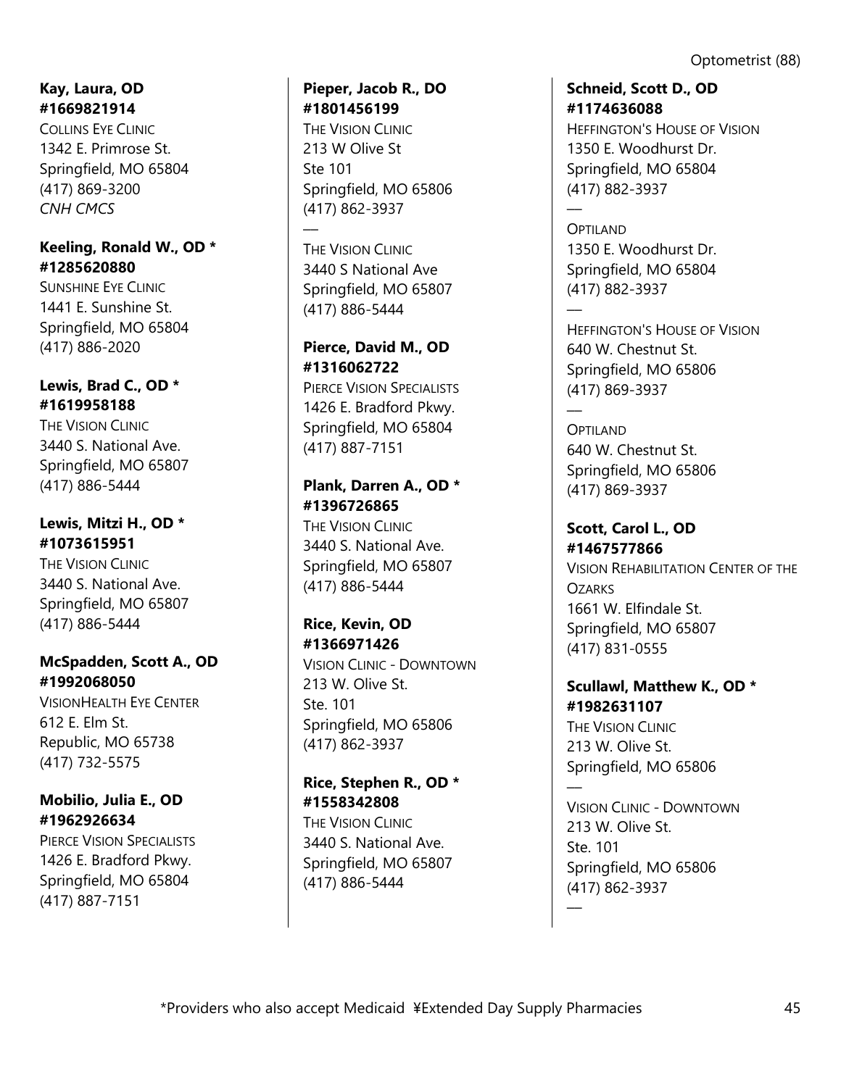#### **Kay, Laura, OD #1669821914**

COLLINS EYE CLINIC 1342 E. Primrose St. Springfield, MO 65804 (417) 869-3200 *CNH CMCS*

### **Keeling, Ronald W., OD \* #1285620880**

SUNSHINE EYE CLINIC 1441 E. Sunshine St. Springfield, MO 65804 (417) 886-2020

#### **Lewis, Brad C., OD \* #1619958188**

THE VISION CLINIC 3440 S. National Ave. Springfield, MO 65807 (417) 886-5444

#### **Lewis, Mitzi H., OD \* #1073615951**

THE VISION CLINIC 3440 S. National Ave. Springfield, MO 65807 (417) 886-5444

#### **McSpadden, Scott A., OD #1992068050**

VISIONHEALTH EYE CENTER 612 E. Elm St. Republic, MO 65738 (417) 732-5575

#### **Mobilio, Julia E., OD #1962926634**

PIERCE VISION SPECIALISTS 1426 E. Bradford Pkwy. Springfield, MO 65804 (417) 887-7151

### **Pieper, Jacob R., DO #1801456199**

THE VISION CLINIC 213 W Olive St Ste 101 Springfield, MO 65806 (417) 862-3937

–– THE VISION CLINIC 3440 S National Ave Springfield, MO 65807 (417) 886-5444

#### **Pierce, David M., OD #1316062722**

PIERCE VISION SPECIALISTS 1426 E. Bradford Pkwy. Springfield, MO 65804 (417) 887-7151

#### **Plank, Darren A., OD \* #1396726865**

THE VISION CLINIC 3440 S. National Ave. Springfield, MO 65807 (417) 886-5444

#### **Rice, Kevin, OD #1366971426**

VISION CLINIC - DOWNTOWN 213 W. Olive St. Ste. 101 Springfield, MO 65806 (417) 862-3937

## **Rice, Stephen R., OD \* #1558342808**

THE VISION CLINIC 3440 S. National Ave. Springfield, MO 65807 (417) 886-5444

#### **Schneid, Scott D., OD #1174636088**

HEFFINGTON'S HOUSE OF VISION 1350 E. Woodhurst Dr. Springfield, MO 65804 (417) 882-3937

–– OPTILAND 1350 E. Woodhurst Dr. Springfield, MO 65804 (417) 882-3937

–– HEFFINGTON'S HOUSE OF VISION 640 W. Chestnut St. Springfield, MO 65806 (417) 869-3937

–– OPTILAND 640 W. Chestnut St. Springfield, MO 65806 (417) 869-3937

#### **Scott, Carol L., OD #1467577866** VISION REHABILITATION CENTER OF THE **OZARKS** 1661 W. Elfindale St. Springfield, MO 65807 (417) 831-0555

## **Scullawl, Matthew K., OD \* #1982631107**

THE VISION CLINIC 213 W. Olive St. Springfield, MO 65806

–– VISION CLINIC - DOWNTOWN 213 W. Olive St. Ste. 101 Springfield, MO 65806 (417) 862-3937

––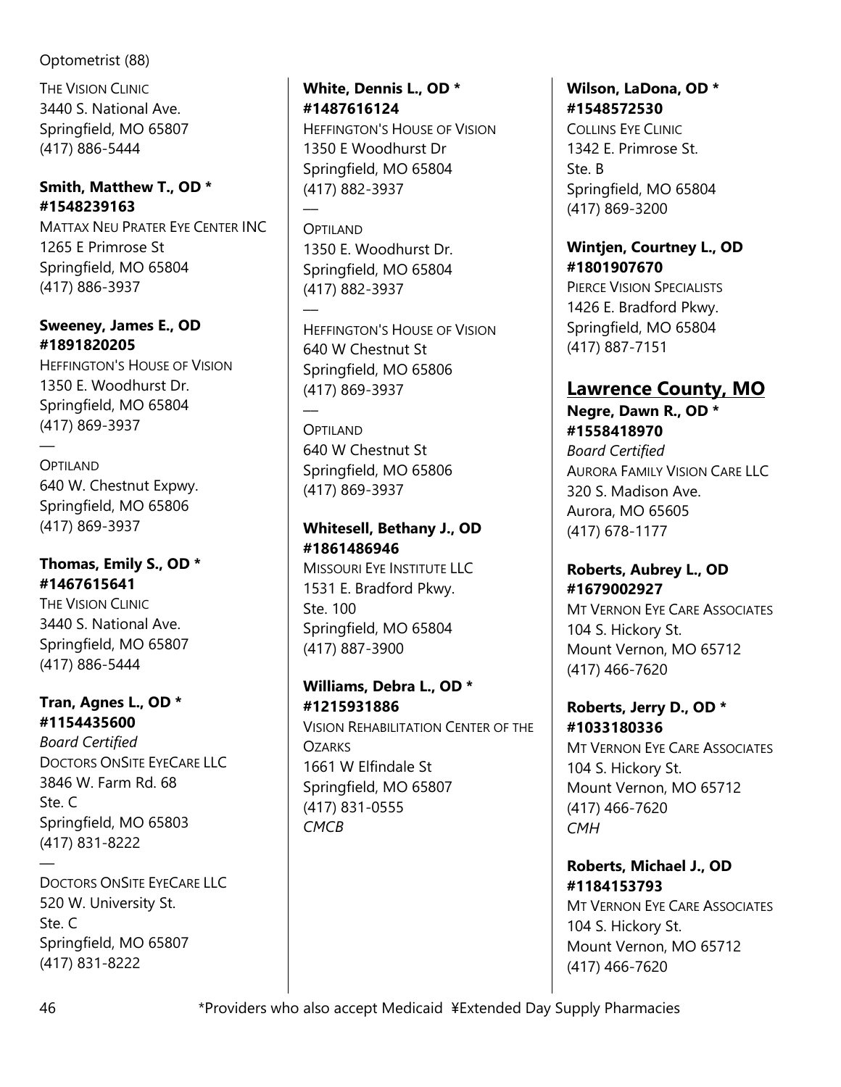THE VISION CLINIC 3440 S. National Ave. Springfield, MO 65807 (417) 886-5444

#### **Smith, Matthew T., OD \* #1548239163**

MATTAX NEU PRATER EYE CENTER INC 1265 E Primrose St Springfield, MO 65804 (417) 886-3937

#### **Sweeney, James E., OD #1891820205**

HEFFINGTON'S HOUSE OF VISION 1350 E. Woodhurst Dr. Springfield, MO 65804 (417) 869-3937

–– **OPTILAND** 640 W. Chestnut Expwy. Springfield, MO 65806 (417) 869-3937

### **Thomas, Emily S., OD \* #1467615641**

THE VISION CLINIC 3440 S. National Ave. Springfield, MO 65807 (417) 886-5444

#### **Tran, Agnes L., OD \* #1154435600**

*Board Certified* DOCTORS ONSITE EYECARE LLC 3846 W. Farm Rd. 68 Ste. C Springfield, MO 65803 (417) 831-8222

DOCTORS ONSITE EYECARE LLC 520 W. University St. Ste. C Springfield, MO 65807 (417) 831-8222

#### **White, Dennis L., OD \* #1487616124**

HEFFINGTON'S HOUSE OF VISION 1350 E Woodhurst Dr Springfield, MO 65804 (417) 882-3937

–– OPTILAND 1350 E. Woodhurst Dr. Springfield, MO 65804 (417) 882-3937

–– HEFFINGTON'S HOUSE OF VISION 640 W Chestnut St Springfield, MO 65806 (417) 869-3937

–– **OPTILAND** 640 W Chestnut St Springfield, MO 65806 (417) 869-3937

#### **Whitesell, Bethany J., OD #1861486946**

MISSOURI EYE INSTITUTE LLC 1531 E. Bradford Pkwy. Ste. 100 Springfield, MO 65804 (417) 887-3900

#### **Williams, Debra L., OD \* #1215931886**

VISION REHABILITATION CENTER OF THE **OZARKS** 1661 W Elfindale St Springfield, MO 65807 (417) 831-0555 *CMCB*

#### **Wilson, LaDona, OD \* #1548572530**

COLLINS EYE CLINIC 1342 E. Primrose St. Ste. B Springfield, MO 65804 (417) 869-3200

#### **Wintjen, Courtney L., OD #1801907670**

PIERCE VISION SPECIALISTS 1426 E. Bradford Pkwy. Springfield, MO 65804 (417) 887-7151

## **Lawrence County, MO**

**Negre, Dawn R., OD \* #1558418970** *Board Certified* AURORA FAMILY VISION CARE LLC 320 S. Madison Ave. Aurora, MO 65605 (417) 678-1177

#### **Roberts, Aubrey L., OD #1679002927**

MT VERNON EYE CARE ASSOCIATES 104 S. Hickory St. Mount Vernon, MO 65712 (417) 466-7620

#### **Roberts, Jerry D., OD \* #1033180336**

MT VERNON EYE CARE ASSOCIATES 104 S. Hickory St. Mount Vernon, MO 65712 (417) 466-7620 *CMH*

#### **Roberts, Michael J., OD #1184153793**

MT VERNON EYE CARE ASSOCIATES 104 S. Hickory St. Mount Vernon, MO 65712 (417) 466-7620

––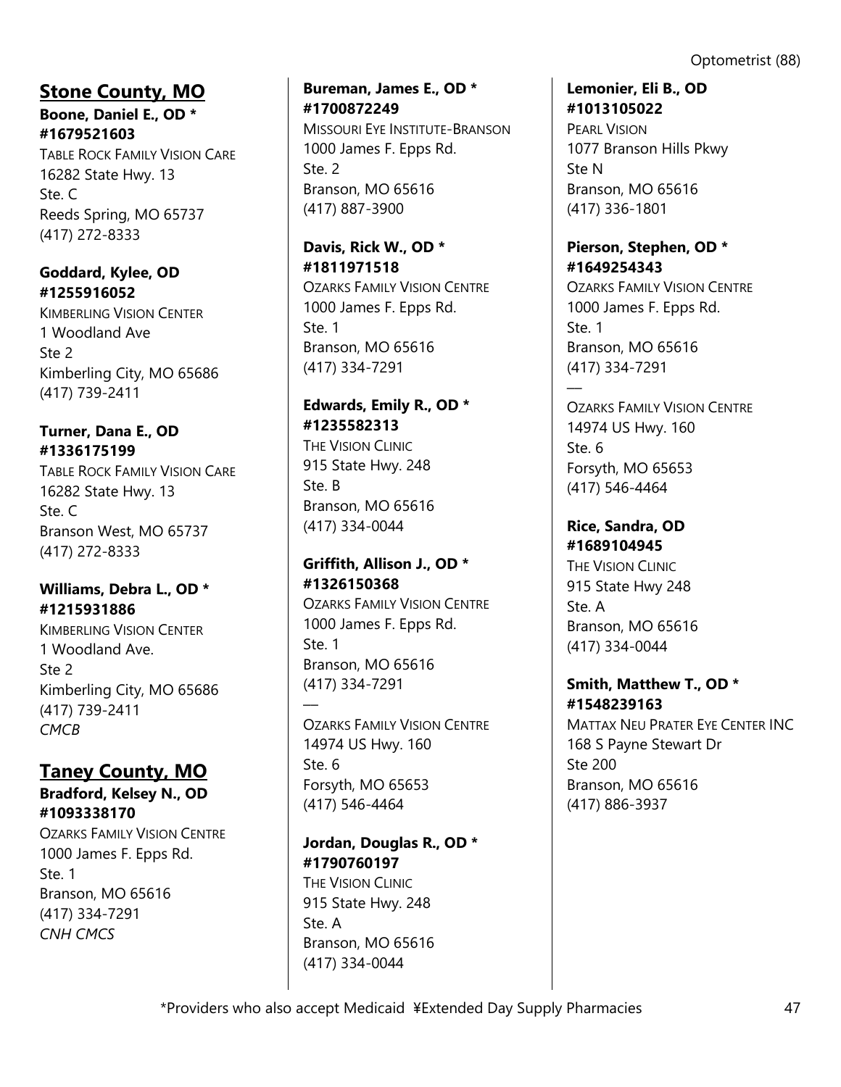## **Stone County, MO**

**Boone, Daniel E., OD \* #1679521603** TABLE ROCK FAMILY VISION CARE 16282 State Hwy. 13 Ste. C Reeds Spring, MO 65737 (417) 272-8333

#### **Goddard, Kylee, OD #1255916052**

KIMBERLING VISION CENTER 1 Woodland Ave Ste 2 Kimberling City, MO 65686 (417) 739-2411

## **Turner, Dana E., OD**

**#1336175199** TABLE ROCK FAMILY VISION CARE 16282 State Hwy. 13 Ste. C Branson West, MO 65737 (417) 272-8333

#### **Williams, Debra L., OD \* #1215931886**

KIMBERLING VISION CENTER 1 Woodland Ave. Ste 2 Kimberling City, MO 65686 (417) 739-2411 *CMCB*

## **Taney County, MO**

#### **Bradford, Kelsey N., OD #1093338170**

OZARKS FAMILY VISION CENTRE 1000 James F. Epps Rd. Ste. 1 Branson, MO 65616 (417) 334-7291 *CNH CMCS*

## **Bureman, James E., OD \* #1700872249**

MISSOURI EYE INSTITUTE-BRANSON 1000 James F. Epps Rd. Ste. 2 Branson, MO 65616 (417) 887-3900

#### **Davis, Rick W., OD \* #1811971518** OZARKS FAMILY VISION CENTRE

1000 James F. Epps Rd. Ste. 1 Branson, MO 65616 (417) 334-7291

#### **Edwards, Emily R., OD \* #1235582313** THE VISION CLINIC 915 State Hwy. 248 Ste. B Branson, MO 65616 (417) 334-0044

### **Griffith, Allison J., OD \* #1326150368**

OZARKS FAMILY VISION CENTRE 1000 James F. Epps Rd. Ste. 1 Branson, MO 65616 (417) 334-7291

–– OZARKS FAMILY VISION CENTRE 14974 US Hwy. 160 Ste. 6 Forsyth, MO 65653 (417) 546-4464

## **Jordan, Douglas R., OD \* #1790760197**

THE VISION CLINIC 915 State Hwy. 248 Ste. A Branson, MO 65616 (417) 334-0044

## **Lemonier, Eli B., OD #1013105022**

PEARL VISION 1077 Branson Hills Pkwy Ste N Branson, MO 65616 (417) 336-1801

#### **Pierson, Stephen, OD \* #1649254343**

OZARKS FAMILY VISION CENTRE 1000 James F. Epps Rd. Ste. 1 Branson, MO 65616 (417) 334-7291

–– OZARKS FAMILY VISION CENTRE 14974 US Hwy. 160 Ste. 6 Forsyth, MO 65653 (417) 546-4464

## **Rice, Sandra, OD**

**#1689104945** THE VISION CLINIC 915 State Hwy 248 Ste. A Branson, MO 65616 (417) 334-0044

#### **Smith, Matthew T., OD \* #1548239163**

MATTAX NEU PRATER EYE CENTER INC 168 S Payne Stewart Dr Ste 200 Branson, MO 65616 (417) 886-3937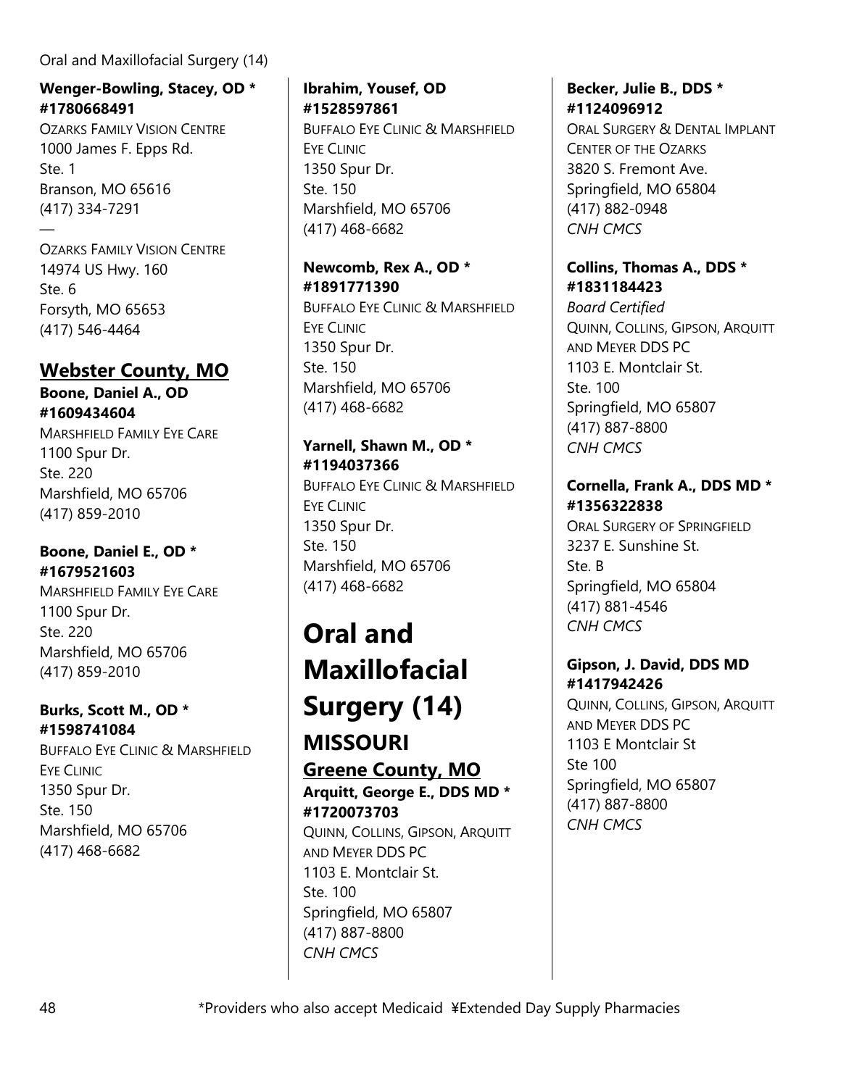#### Oral and Maxillofacial Surgery (14)

#### **Wenger-Bowling, Stacey, OD \* #1780668491**

OZARKS FAMILY VISION CENTRE 1000 James F. Epps Rd. Ste. 1 Branson, MO 65616 (417) 334-7291

–– OZARKS FAMILY VISION CENTRE 14974 US Hwy. 160 Ste. 6 Forsyth, MO 65653 (417) 546-4464

#### **Webster County, MO**

**Boone, Daniel A., OD #1609434604** MARSHFIELD FAMILY EYE CARE 1100 Spur Dr. Ste. 220 Marshfield, MO 65706 (417) 859-2010

#### **Boone, Daniel E., OD \* #1679521603**

MARSHFIELD FAMILY EYE CARE 1100 Spur Dr. Ste. 220 Marshfield, MO 65706 (417) 859-2010

#### **Burks, Scott M., OD \* #1598741084**

BUFFALO EYE CLINIC & MARSHFIELD EYE CLINIC 1350 Spur Dr. Ste. 150 Marshfield, MO 65706 (417) 468-6682

### **Ibrahim, Yousef, OD #1528597861**

BUFFALO EYE CLINIC & MARSHFIELD EYE CLINIC 1350 Spur Dr. Ste. 150 Marshfield, MO 65706 (417) 468-6682

## **Newcomb, Rex A., OD \* #1891771390**

BUFFALO EYE CLINIC & MARSHFIELD EYE CLINIC 1350 Spur Dr. Ste. 150 Marshfield, MO 65706 (417) 468-6682

#### **Yarnell, Shawn M., OD \* #1194037366**

BUFFALO EYE CLINIC & MARSHFIELD EYE CLINIC 1350 Spur Dr. Ste. 150 Marshfield, MO 65706 (417) 468-6682

## **Oral and Maxillofacial Surgery (14) MISSOURI**

### **Greene County, MO**

**Arquitt, George E., DDS MD \* #1720073703**

QUINN, COLLINS, GIPSON, ARQUITT AND MEYER DDS PC 1103 E. Montclair St. Ste. 100 Springfield, MO 65807 (417) 887-8800 *CNH CMCS*

#### **Becker, Julie B., DDS \* #1124096912**

ORAL SURGERY & DENTAL IMPLANT CENTER OF THE OZARKS 3820 S. Fremont Ave. Springfield, MO 65804 (417) 882-0948 *CNH CMCS*

#### **Collins, Thomas A., DDS \* #1831184423**

*Board Certified* QUINN, COLLINS, GIPSON, ARQUITT AND MEYER DDS PC 1103 E. Montclair St. Ste. 100 Springfield, MO 65807 (417) 887-8800 *CNH CMCS*

#### **Cornella, Frank A., DDS MD \* #1356322838**

ORAL SURGERY OF SPRINGFIELD 3237 E. Sunshine St. Ste. B Springfield, MO 65804 (417) 881-4546 *CNH CMCS*

#### **Gipson, J. David, DDS MD #1417942426**

QUINN, COLLINS, GIPSON, ARQUITT AND MEYER DDS PC 1103 E Montclair St Ste 100 Springfield, MO 65807 (417) 887-8800 *CNH CMCS*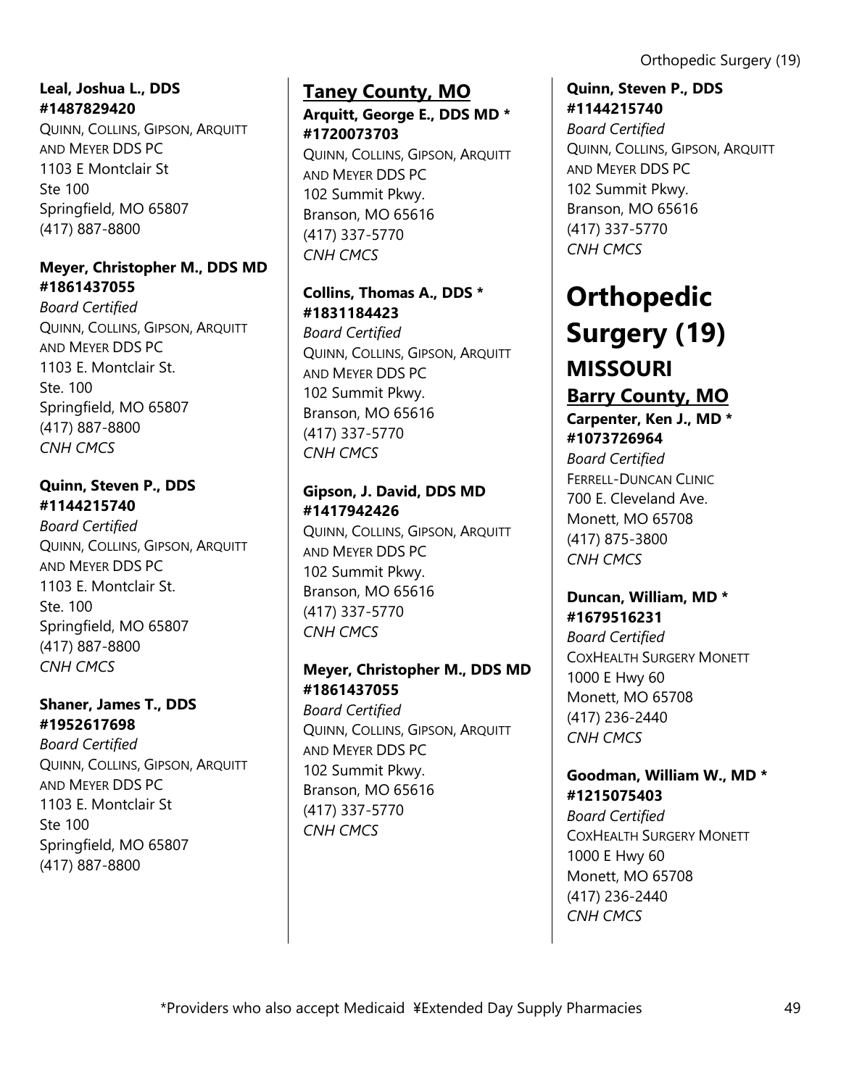Orthopedic Surgery (19)

**Leal, Joshua L., DDS #1487829420**

QUINN, COLLINS, GIPSON, ARQUITT AND MEYER DDS PC 1103 E Montclair St Ste 100 Springfield, MO 65807 (417) 887-8800

#### **Meyer, Christopher M., DDS MD #1861437055**

*Board Certified* QUINN, COLLINS, GIPSON, ARQUITT AND MEYER DDS PC 1103 E. Montclair St. Ste. 100 Springfield, MO 65807 (417) 887-8800 *CNH CMCS*

#### **Quinn, Steven P., DDS #1144215740**

*Board Certified* QUINN, COLLINS, GIPSON, ARQUITT AND MEYER DDS PC 1103 E. Montclair St. Ste. 100 Springfield, MO 65807 (417) 887-8800 *CNH CMCS*

#### **Shaner, James T., DDS #1952617698**

*Board Certified* QUINN, COLLINS, GIPSON, ARQUITT AND MEYER DDS PC 1103 E. Montclair St Ste 100 Springfield, MO 65807 (417) 887-8800

## **Taney County, MO Arquitt, George E., DDS MD \* #1720073703**

QUINN, COLLINS, GIPSON, ARQUITT AND MEYER DDS PC 102 Summit Pkwy. Branson, MO 65616 (417) 337-5770 *CNH CMCS*

### **Collins, Thomas A., DDS \* #1831184423**

*Board Certified* QUINN, COLLINS, GIPSON, ARQUITT AND MEYER DDS PC 102 Summit Pkwy. Branson, MO 65616 (417) 337-5770 *CNH CMCS*

#### **Gipson, J. David, DDS MD #1417942426**

QUINN, COLLINS, GIPSON, ARQUITT AND MEYER DDS PC 102 Summit Pkwy. Branson, MO 65616 (417) 337-5770 *CNH CMCS*

#### **Meyer, Christopher M., DDS MD #1861437055**

*Board Certified* QUINN, COLLINS, GIPSON, ARQUITT AND MEYER DDS PC 102 Summit Pkwy. Branson, MO 65616 (417) 337-5770 *CNH CMCS*

#### **Quinn, Steven P., DDS #1144215740**

*Board Certified* QUINN, COLLINS, GIPSON, ARQUITT AND MEYER DDS PC 102 Summit Pkwy. Branson, MO 65616 (417) 337-5770 *CNH CMCS*

# **Orthopedic Surgery (19) MISSOURI**

#### **Barry County, MO Carpenter, Ken J., MD \***

**#1073726964**

*Board Certified* FERRELL-DUNCAN CLINIC 700 E. Cleveland Ave. Monett, MO 65708 (417) 875-3800 *CNH CMCS*

#### **Duncan, William, MD \* #1679516231**

*Board Certified* COXHEALTH SURGERY MONETT 1000 E Hwy 60 Monett, MO 65708 (417) 236-2440 *CNH CMCS*

#### **Goodman, William W., MD \* #1215075403**

*Board Certified* COXHEALTH SURGERY MONETT 1000 E Hwy 60 Monett, MO 65708 (417) 236-2440 *CNH CMCS*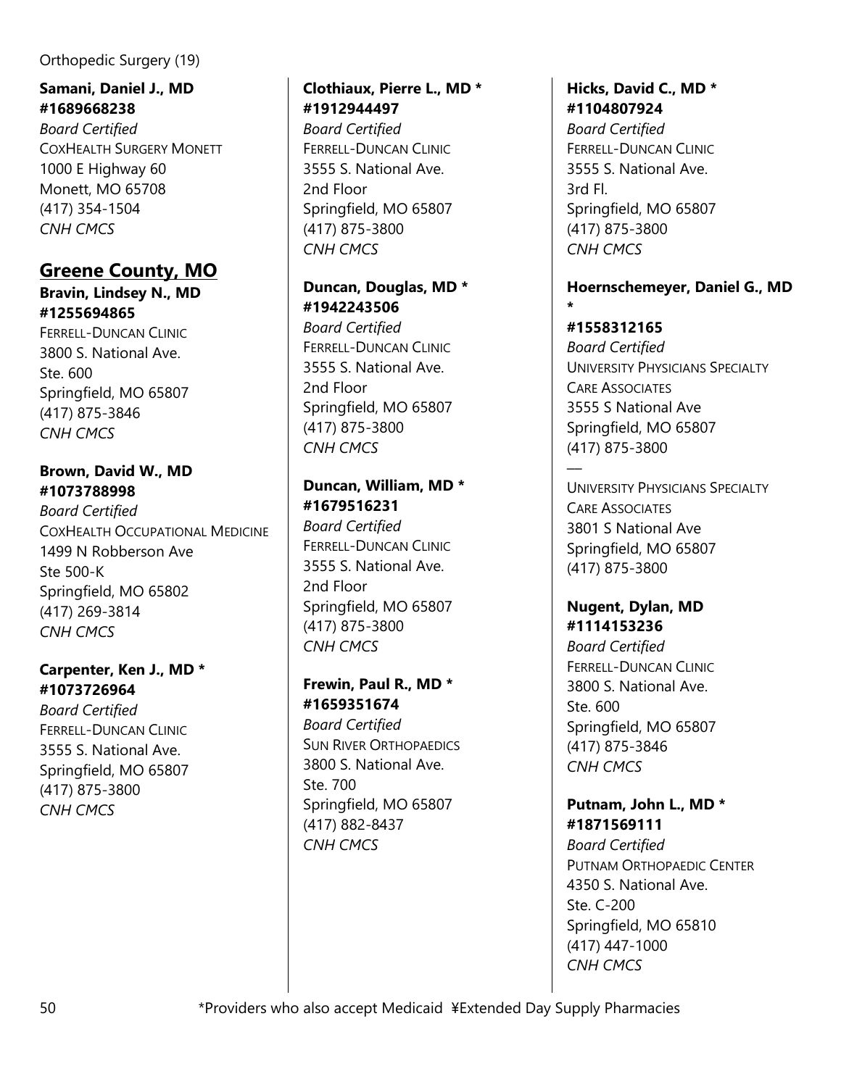#### Orthopedic Surgery (19)

**Samani, Daniel J., MD #1689668238** *Board Certified* COXHEALTH SURGERY MONETT 1000 E Highway 60 Monett, MO 65708 (417) 354-1504 *CNH CMCS*

### **Greene County, MO**

#### **Bravin, Lindsey N., MD #1255694865**

FERRELL-DUNCAN CLINIC 3800 S. National Ave. Ste. 600 Springfield, MO 65807 (417) 875-3846 *CNH CMCS*

#### **Brown, David W., MD #1073788998**

*Board Certified* COXHEALTH OCCUPATIONAL MEDICINE 1499 N Robberson Ave Ste 500-K Springfield, MO 65802 (417) 269-3814 *CNH CMCS*

#### **Carpenter, Ken J., MD \* #1073726964**

*Board Certified* FERRELL-DUNCAN CLINIC 3555 S. National Ave. Springfield, MO 65807 (417) 875-3800 *CNH CMCS*

## **Clothiaux, Pierre L., MD \* #1912944497**

*Board Certified* FERRELL-DUNCAN CLINIC 3555 S. National Ave. 2nd Floor Springfield, MO 65807 (417) 875-3800 *CNH CMCS*

#### **Duncan, Douglas, MD \* #1942243506**

*Board Certified* FERRELL-DUNCAN CLINIC 3555 S. National Ave. 2nd Floor Springfield, MO 65807 (417) 875-3800 *CNH CMCS*

#### **Duncan, William, MD \* #1679516231**

*Board Certified* FERRELL-DUNCAN CLINIC 3555 S. National Ave. 2nd Floor Springfield, MO 65807 (417) 875-3800 *CNH CMCS*

#### **Frewin, Paul R., MD \* #1659351674**

*Board Certified* SUN RIVER ORTHOPAEDICS 3800 S. National Ave. Ste. 700 Springfield, MO 65807 (417) 882-8437 *CNH CMCS*

#### **Hicks, David C., MD \* #1104807924**

*Board Certified* FERRELL-DUNCAN CLINIC 3555 S. National Ave. 3rd Fl. Springfield, MO 65807 (417) 875-3800 *CNH CMCS*

**Hoernschemeyer, Daniel G., MD** 

#### **#1558312165**

**\*** 

*Board Certified* UNIVERSITY PHYSICIANS SPECIALTY CARE ASSOCIATES 3555 S National Ave Springfield, MO 65807 (417) 875-3800

–– UNIVERSITY PHYSICIANS SPECIALTY CARE ASSOCIATES 3801 S National Ave Springfield, MO 65807 (417) 875-3800

#### **Nugent, Dylan, MD #1114153236**

*Board Certified* FERRELL-DUNCAN CLINIC 3800 S. National Ave. Ste. 600 Springfield, MO 65807 (417) 875-3846 *CNH CMCS*

#### **Putnam, John L., MD \* #1871569111**

*Board Certified* PUTNAM ORTHOPAEDIC CENTER 4350 S. National Ave. Ste. C-200 Springfield, MO 65810 (417) 447-1000 *CNH CMCS*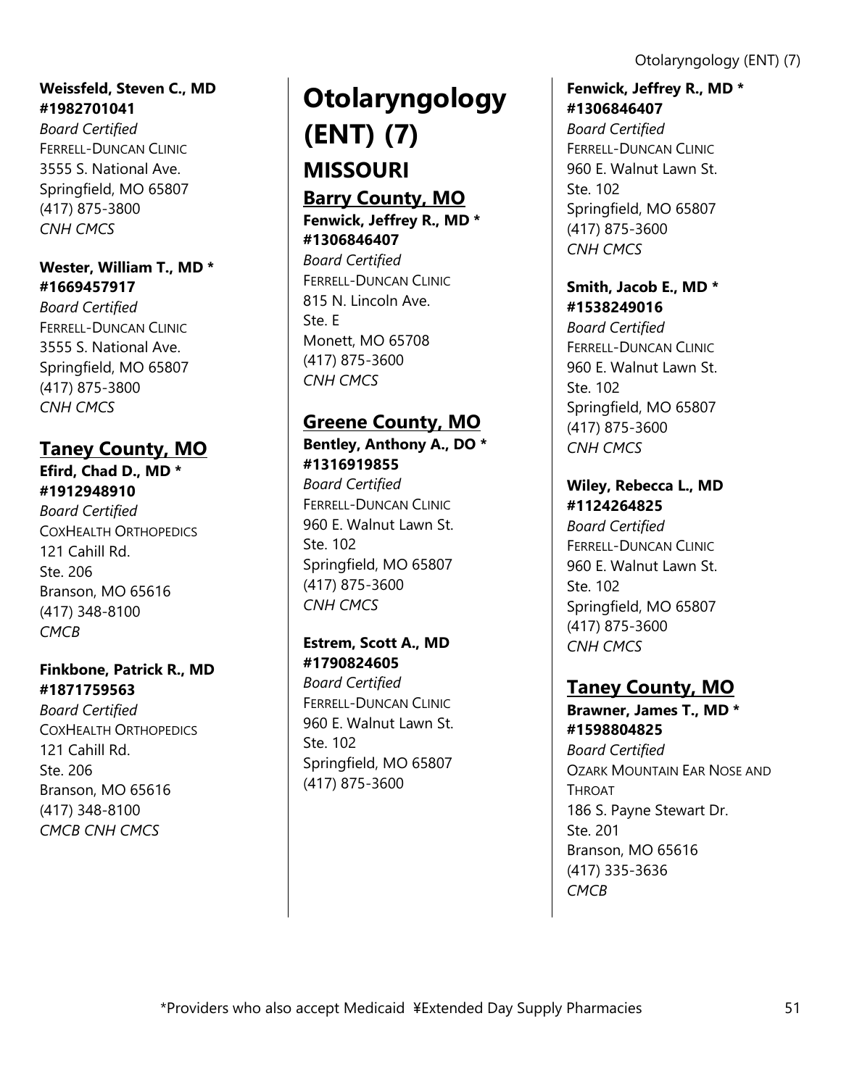Otolaryngology (ENT) (7)

## **Weissfeld, Steven C., MD #1982701041**

*Board Certified* FERRELL-DUNCAN CLINIC 3555 S. National Ave. Springfield, MO 65807 (417) 875-3800 *CNH CMCS*

#### **Wester, William T., MD \* #1669457917**

*Board Certified* FERRELL-DUNCAN CLINIC 3555 S. National Ave. Springfield, MO 65807 (417) 875-3800 *CNH CMCS*

## **Taney County, MO**

**Efird, Chad D., MD \* #1912948910** *Board Certified* COXHEALTH ORTHOPEDICS 121 Cahill Rd. Ste. 206 Branson, MO 65616 (417) 348-8100

#### **Finkbone, Patrick R., MD #1871759563**

*CMCB*

*Board Certified* COXHEALTH ORTHOPEDICS 121 Cahill Rd. Ste. 206 Branson, MO 65616 (417) 348-8100 *CMCB CNH CMCS*

## **Otolaryngology (ENT) (7) MISSOURI**

**Barry County, MO Fenwick, Jeffrey R., MD \* #1306846407** *Board Certified* FERRELL-DUNCAN CLINIC 815 N. Lincoln Ave. Ste. E Monett, MO 65708 (417) 875-3600 *CNH CMCS*

## **Greene County, MO**

**Bentley, Anthony A., DO \* #1316919855** *Board Certified* FERRELL-DUNCAN CLINIC 960 E. Walnut Lawn St. Ste. 102 Springfield, MO 65807 (417) 875-3600 *CNH CMCS*

#### **Estrem, Scott A., MD #1790824605**

*Board Certified* FERRELL-DUNCAN CLINIC 960 E. Walnut Lawn St. Ste. 102 Springfield, MO 65807 (417) 875-3600

### **Fenwick, Jeffrey R., MD \* #1306846407**

*Board Certified* FERRELL-DUNCAN CLINIC 960 E. Walnut Lawn St. Ste. 102 Springfield, MO 65807 (417) 875-3600 *CNH CMCS*

#### **Smith, Jacob E., MD \* #1538249016**

*Board Certified* FERRELL-DUNCAN CLINIC 960 E. Walnut Lawn St. Ste. 102 Springfield, MO 65807 (417) 875-3600 *CNH CMCS*

#### **Wiley, Rebecca L., MD #1124264825**

*Board Certified* FERRELL-DUNCAN CLINIC 960 E. Walnut Lawn St. Ste. 102 Springfield, MO 65807 (417) 875-3600 *CNH CMCS*

## **Taney County, MO**

**Brawner, James T., MD \* #1598804825** *Board Certified* OZARK MOUNTAIN EAR NOSE AND **THROAT** 186 S. Payne Stewart Dr. Ste. 201

Branson, MO 65616 (417) 335-3636 *CMCB*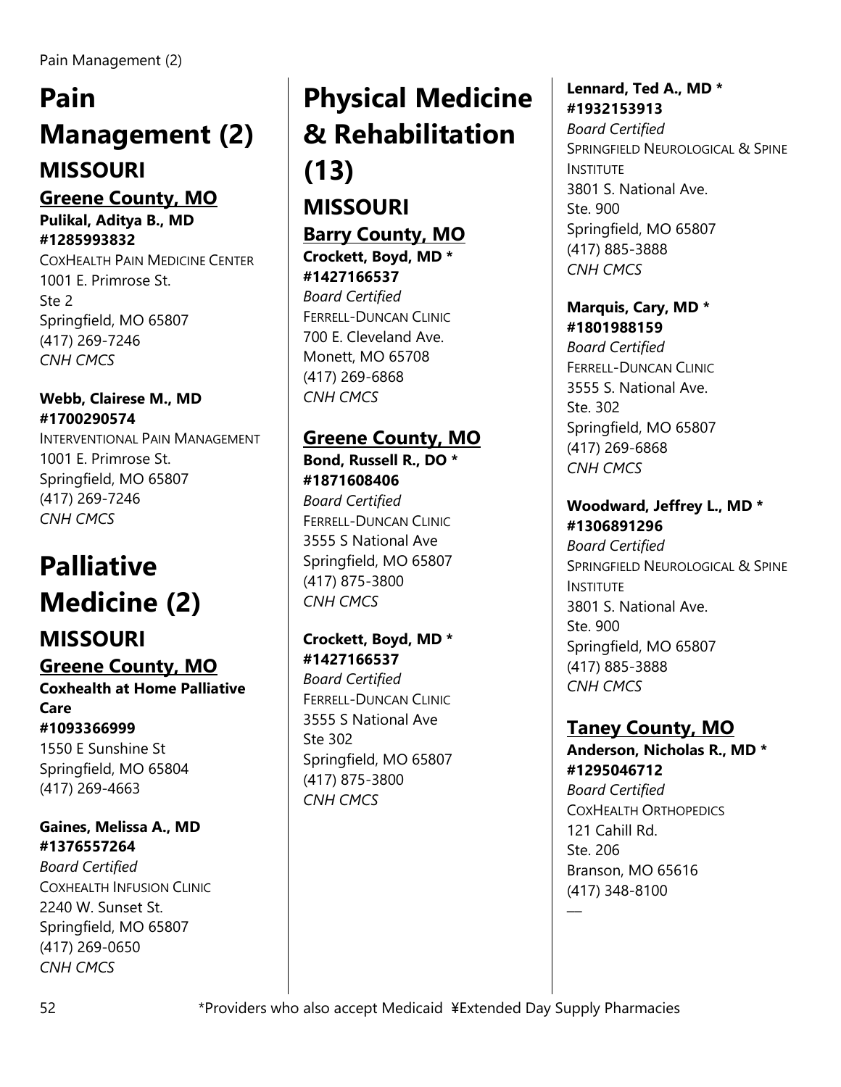## **Pain Management (2) MISSOURI**

#### **Greene County, MO Pulikal, Aditya B., MD**

**#1285993832** COXHEALTH PAIN MEDICINE CENTER 1001 E. Primrose St. Ste 2 Springfield, MO 65807 (417) 269-7246 *CNH CMCS*

#### **Webb, Clairese M., MD #1700290574**

INTERVENTIONAL PAIN MANAGEMENT 1001 E. Primrose St. Springfield, MO 65807 (417) 269-7246 *CNH CMCS*

## **Palliative Medicine (2)**

## **MISSOURI Greene County, MO**

**Coxhealth at Home Palliative Care #1093366999** 1550 E Sunshine St Springfield, MO 65804 (417) 269-4663

#### **Gaines, Melissa A., MD #1376557264**

*Board Certified* COXHEALTH INFUSION CLINIC 2240 W. Sunset St. Springfield, MO 65807 (417) 269-0650 *CNH CMCS*

## **Physical Medicine & Rehabilitation (13) MISSOURI Barry County, MO**

**Crockett, Boyd, MD \* #1427166537** *Board Certified* FERRELL-DUNCAN CLINIC 700 E. Cleveland Ave. Monett, MO 65708 (417) 269-6868 *CNH CMCS*

## **Greene County, MO**

**Bond, Russell R., DO \* #1871608406**

*Board Certified* FERRELL-DUNCAN CLINIC 3555 S National Ave Springfield, MO 65807 (417) 875-3800 *CNH CMCS*

### **Crockett, Boyd, MD \* #1427166537**

*Board Certified* FERRELL-DUNCAN CLINIC 3555 S National Ave Ste 302 Springfield, MO 65807 (417) 875-3800 *CNH CMCS*

### **Lennard, Ted A., MD \* #1932153913**

*Board Certified* SPRINGFIELD NEUROLOGICAL & SPINE INSTITUTE 3801 S. National Ave. Ste. 900 Springfield, MO 65807 (417) 885-3888 *CNH CMCS*

#### **Marquis, Cary, MD \* #1801988159**

*Board Certified* FERRELL-DUNCAN CLINIC 3555 S. National Ave. Ste. 302 Springfield, MO 65807 (417) 269-6868 *CNH CMCS*

#### **Woodward, Jeffrey L., MD \* #1306891296**

*Board Certified* SPRINGFIELD NEUROLOGICAL & SPINE **INSTITUTE** 3801 S. National Ave. Ste. 900 Springfield, MO 65807 (417) 885-3888 *CNH CMCS*

## **Taney County, MO**

### **Anderson, Nicholas R., MD \* #1295046712**

*Board Certified* COXHEALTH ORTHOPEDICS 121 Cahill Rd. Ste. 206 Branson, MO 65616 (417) 348-8100 ––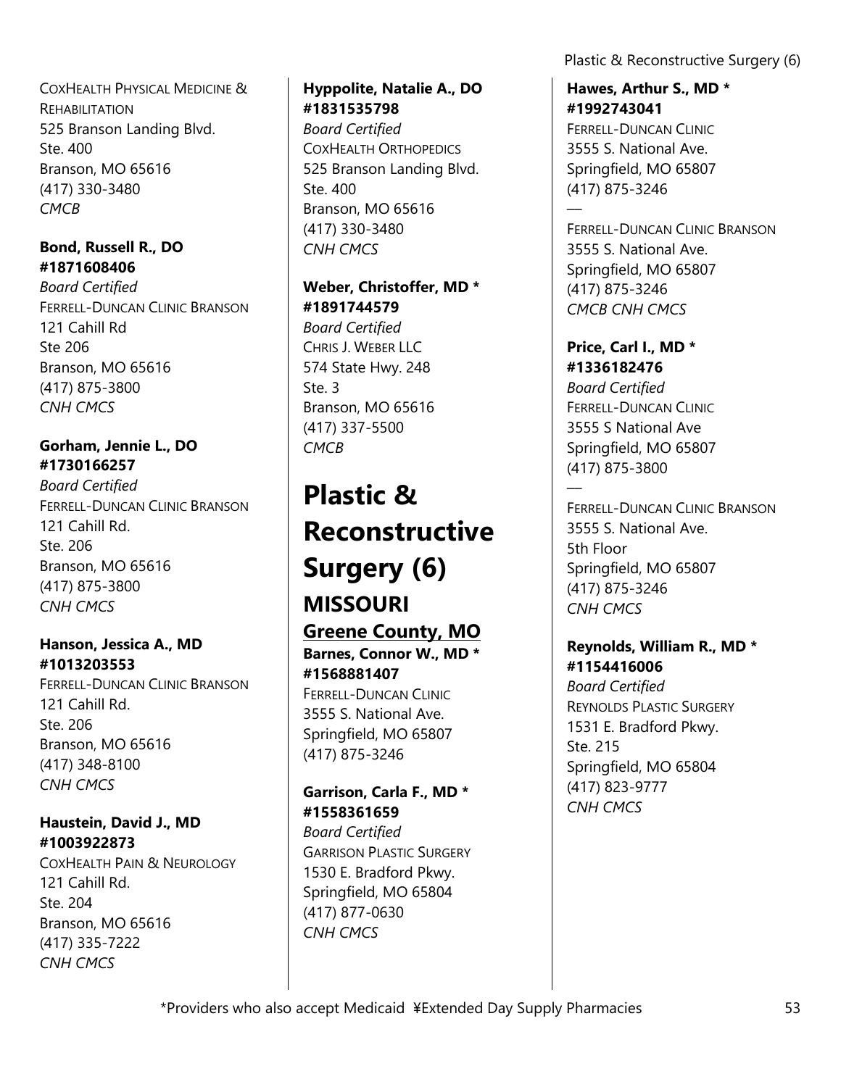COXHEALTH PHYSICAL MEDICINE & REHABILITATION 525 Branson Landing Blvd. Ste. 400 Branson, MO 65616 (417) 330-3480 *CMCB*

**Bond, Russell R., DO #1871608406** *Board Certified* FERRELL-DUNCAN CLINIC BRANSON 121 Cahill Rd Ste 206 Branson, MO 65616 (417) 875-3800 *CNH CMCS*

#### **Gorham, Jennie L., DO #1730166257**

*Board Certified* FERRELL-DUNCAN CLINIC BRANSON 121 Cahill Rd. Ste. 206 Branson, MO 65616 (417) 875-3800 *CNH CMCS*

#### **Hanson, Jessica A., MD #1013203553**

FERRELL-DUNCAN CLINIC BRANSON 121 Cahill Rd. Ste. 206 Branson, MO 65616 (417) 348-8100 *CNH CMCS*

#### **Haustein, David J., MD #1003922873**

COXHEALTH PAIN & NEUROLOGY 121 Cahill Rd. Ste. 204 Branson, MO 65616 (417) 335-7222 *CNH CMCS*

## **Hyppolite, Natalie A., DO #1831535798**

*Board Certified* COXHEALTH ORTHOPEDICS 525 Branson Landing Blvd. Ste. 400 Branson, MO 65616 (417) 330-3480 *CNH CMCS*

## **Weber, Christoffer, MD \* #1891744579**

*Board Certified* CHRIS J. WEBER LLC 574 State Hwy. 248 Ste. 3 Branson, MO 65616 (417) 337-5500 *CMCB*

## **Plastic & Reconstructive Surgery (6) MISSOURI Greene County, MO**

**Barnes, Connor W., MD \* #1568881407** FERRELL-DUNCAN CLINIC 3555 S. National Ave. Springfield, MO 65807

### **Garrison, Carla F., MD \* #1558361659**

(417) 875-3246

*Board Certified* GARRISON PLASTIC SURGERY 1530 E. Bradford Pkwy. Springfield, MO 65804 (417) 877-0630 *CNH CMCS*

Plastic & Reconstructive Surgery (6)

**Hawes, Arthur S., MD \* #1992743041** FERRELL-DUNCAN CLINIC 3555 S. National Ave. Springfield, MO 65807

(417) 875-3246 ––

FERRELL-DUNCAN CLINIC BRANSON 3555 S. National Ave. Springfield, MO 65807 (417) 875-3246 *CMCB CNH CMCS*

#### **Price, Carl I., MD \* #1336182476**

*Board Certified* FERRELL-DUNCAN CLINIC 3555 S National Ave Springfield, MO 65807 (417) 875-3800 ––

FERRELL-DUNCAN CLINIC BRANSON 3555 S. National Ave. 5th Floor Springfield, MO 65807 (417) 875-3246 *CNH CMCS*

#### **Reynolds, William R., MD \* #1154416006**

*Board Certified* REYNOLDS PLASTIC SURGERY 1531 E. Bradford Pkwy. Ste. 215 Springfield, MO 65804 (417) 823-9777 *CNH CMCS*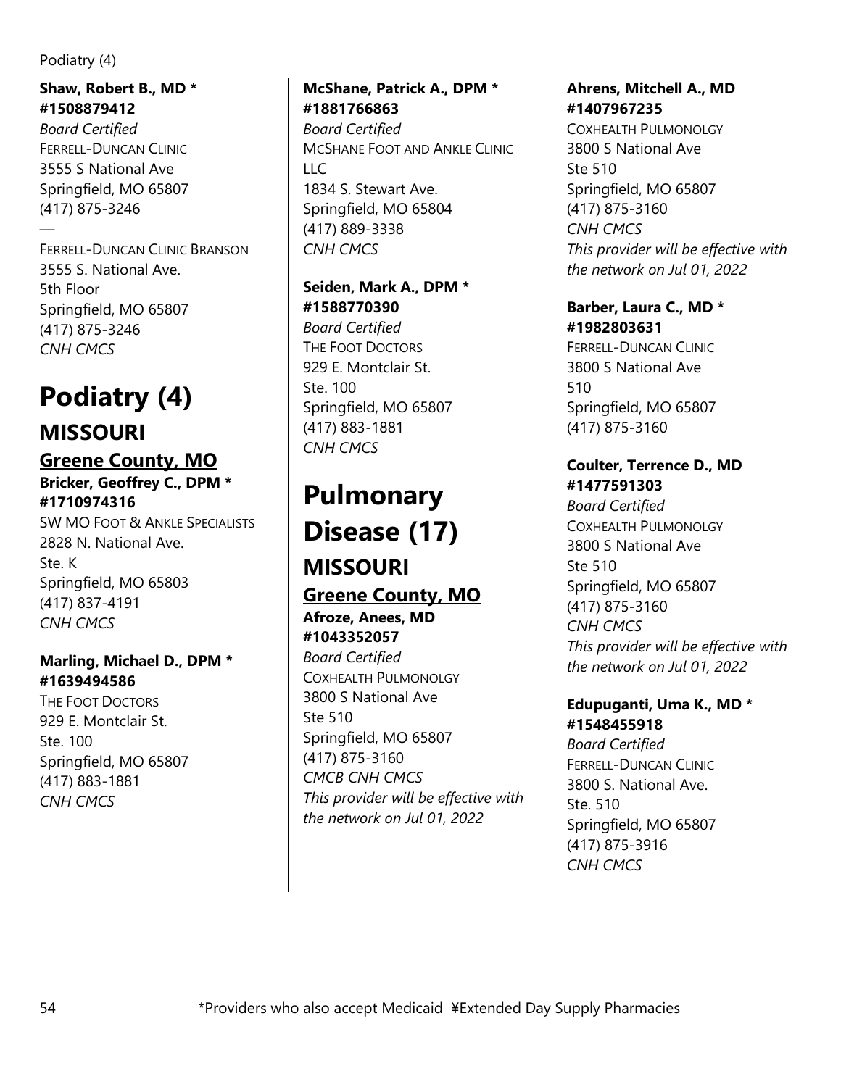#### Podiatry (4)

**Shaw, Robert B., MD \* #1508879412** *Board Certified* FERRELL-DUNCAN CLINIC 3555 S National Ave Springfield, MO 65807 (417) 875-3246

–– FERRELL-DUNCAN CLINIC BRANSON 3555 S. National Ave. 5th Floor Springfield, MO 65807 (417) 875-3246 *CNH CMCS*

## **Podiatry (4)**

## **MISSOURI Greene County, MO**

**Bricker, Geoffrey C., DPM \* #1710974316** SW MO FOOT & ANKLE SPECIALISTS 2828 N. National Ave. Ste. K Springfield, MO 65803 (417) 837-4191 *CNH CMCS*

#### **Marling, Michael D., DPM \* #1639494586**

THE FOOT DOCTORS 929 E. Montclair St. Ste. 100 Springfield, MO 65807 (417) 883-1881 *CNH CMCS*

#### **McShane, Patrick A., DPM \* #1881766863** *Board Certified* MCSHANE FOOT AND ANKLE CLINIC  $\overline{L}$

1834 S. Stewart Ave. Springfield, MO 65804 (417) 889-3338 *CNH CMCS*

#### **Seiden, Mark A., DPM \* #1588770390** *Board Certified* THE FOOT DOCTORS 929 E. Montclair St. Ste. 100 Springfield, MO 65807 (417) 883-1881 *CNH CMCS*

## **Pulmonary Disease (17) MISSOURI Greene County, MO Afroze, Anees, MD #1043352057**

*Board Certified* COXHEALTH PULMONOLGY 3800 S National Ave Ste 510 Springfield, MO 65807 (417) 875-3160 *CMCB CNH CMCS This provider will be effective with the network on Jul 01, 2022*

#### **Ahrens, Mitchell A., MD #1407967235**

COXHEALTH PULMONOLGY 3800 S National Ave Ste 510 Springfield, MO 65807 (417) 875-3160 *CNH CMCS This provider will be effective with the network on Jul 01, 2022*

#### **Barber, Laura C., MD \* #1982803631**

FERRELL-DUNCAN CLINIC 3800 S National Ave 510 Springfield, MO 65807 (417) 875-3160

#### **Coulter, Terrence D., MD #1477591303**

*Board Certified* COXHEALTH PULMONOLGY 3800 S National Ave Ste 510 Springfield, MO 65807 (417) 875-3160 *CNH CMCS This provider will be effective with the network on Jul 01, 2022*

#### **Edupuganti, Uma K., MD \* #1548455918**

*Board Certified* FERRELL-DUNCAN CLINIC 3800 S. National Ave. Ste. 510 Springfield, MO 65807 (417) 875-3916 *CNH CMCS*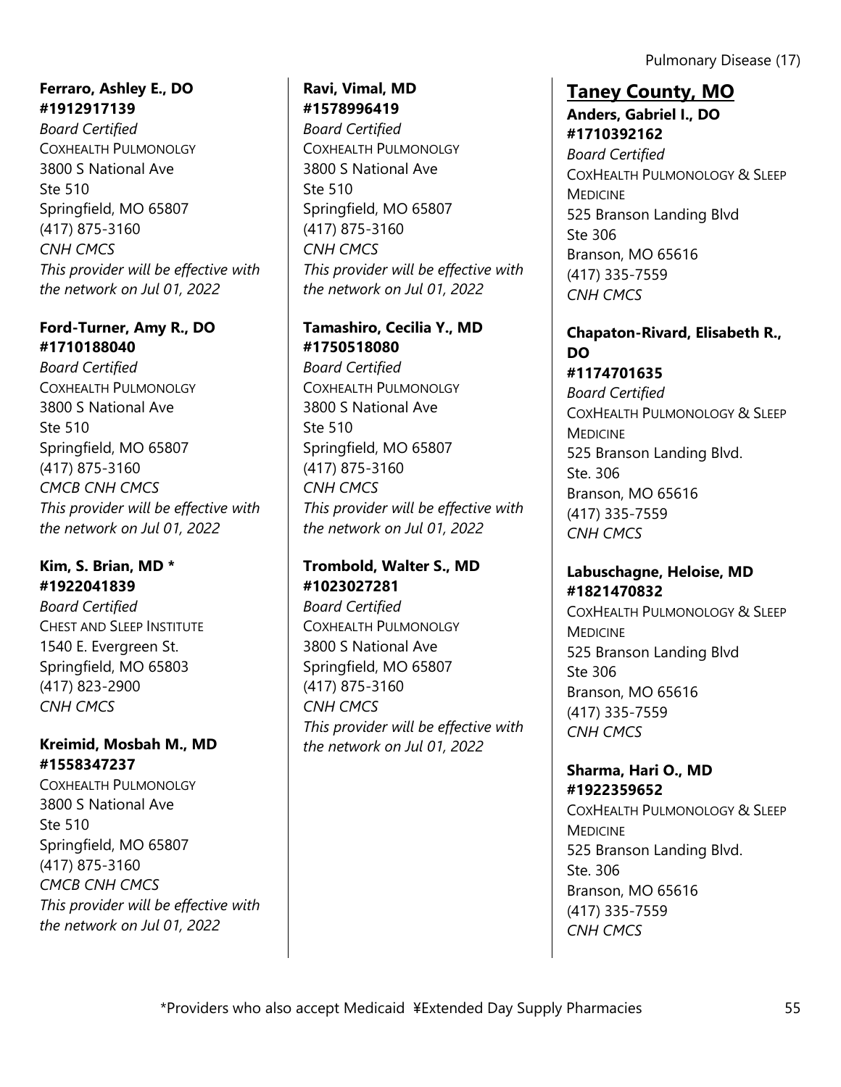Pulmonary Disease (17)

## **Ferraro, Ashley E., DO #1912917139**

*Board Certified* COXHEALTH PULMONOLGY 3800 S National Ave Ste 510 Springfield, MO 65807 (417) 875-3160 *CNH CMCS This provider will be effective with the network on Jul 01, 2022*

#### **Ford-Turner, Amy R., DO #1710188040**

*Board Certified* COXHEALTH PULMONOLGY 3800 S National Ave Ste 510 Springfield, MO 65807 (417) 875-3160 *CMCB CNH CMCS This provider will be effective with the network on Jul 01, 2022*

#### **Kim, S. Brian, MD \* #1922041839**

*Board Certified* CHEST AND SLEEP INSTITUTE 1540 E. Evergreen St. Springfield, MO 65803 (417) 823-2900 *CNH CMCS*

#### **Kreimid, Mosbah M., MD #1558347237**

COXHEALTH PULMONOLGY 3800 S National Ave Ste 510 Springfield, MO 65807 (417) 875-3160 *CMCB CNH CMCS This provider will be effective with the network on Jul 01, 2022*

## **Ravi, Vimal, MD #1578996419**

*Board Certified* COXHEALTH PULMONOLGY 3800 S National Ave Ste 510 Springfield, MO 65807 (417) 875-3160 *CNH CMCS This provider will be effective with the network on Jul 01, 2022*

#### **Tamashiro, Cecilia Y., MD #1750518080**

*Board Certified* COXHEALTH PULMONOLGY 3800 S National Ave Ste 510 Springfield, MO 65807 (417) 875-3160 *CNH CMCS This provider will be effective with the network on Jul 01, 2022*

#### **Trombold, Walter S., MD #1023027281**

*Board Certified* COXHEALTH PULMONOLGY 3800 S National Ave Springfield, MO 65807 (417) 875-3160 *CNH CMCS This provider will be effective with the network on Jul 01, 2022*

## **Taney County, MO**

**Anders, Gabriel I., DO #1710392162** *Board Certified* COXHEALTH PULMONOLOGY & SLEEP **MEDICINE** 525 Branson Landing Blvd Ste 306 Branson, MO 65616 (417) 335-7559 *CNH CMCS*

#### **Chapaton-Rivard, Elisabeth R., DO**

#### **#1174701635** *Board Certified* COXHEALTH PULMONOLOGY & SLEEP MEDICINE 525 Branson Landing Blvd. Ste. 306 Branson, MO 65616 (417) 335-7559 *CNH CMCS*

#### **Labuschagne, Heloise, MD #1821470832**

COXHEALTH PULMONOLOGY & SLEEP **MEDICINE** 525 Branson Landing Blvd Ste 306 Branson, MO 65616 (417) 335-7559 *CNH CMCS*

#### **Sharma, Hari O., MD #1922359652**

COXHEALTH PULMONOLOGY & SLEEP MEDICINE 525 Branson Landing Blvd. Ste. 306 Branson, MO 65616 (417) 335-7559 *CNH CMCS*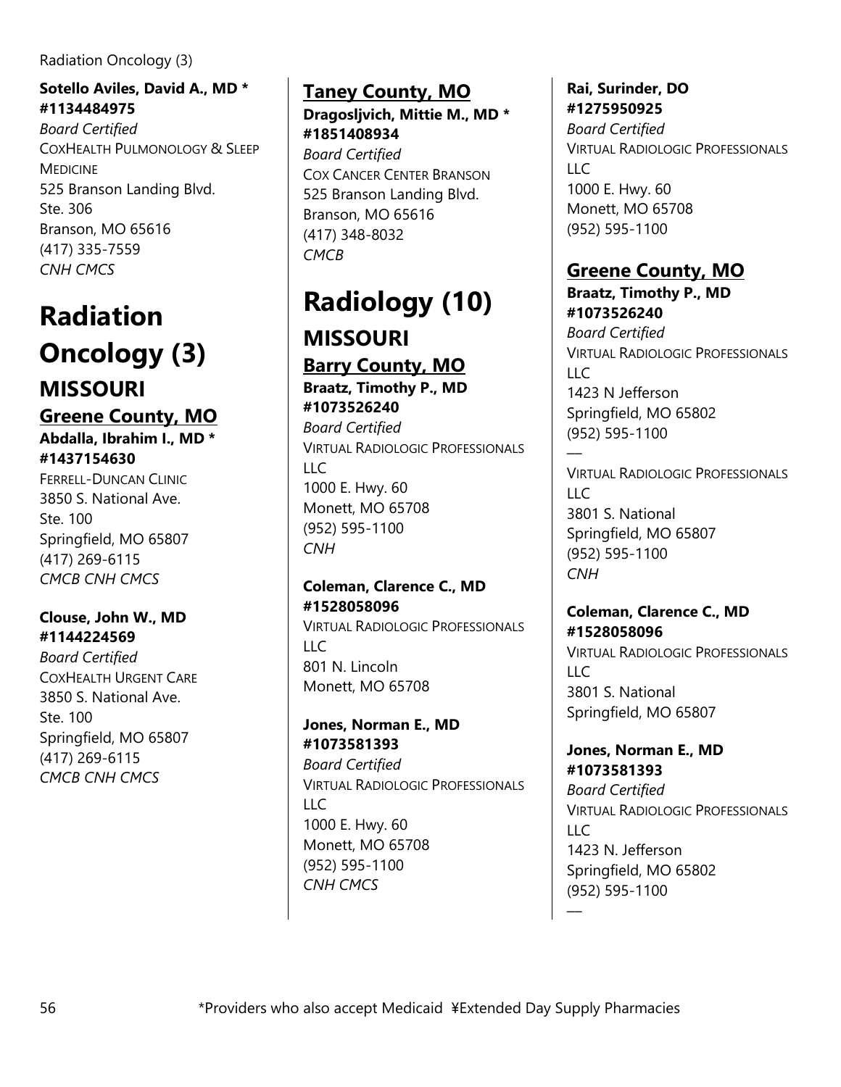#### Radiation Oncology (3)

#### **Sotello Aviles, David A., MD \* #1134484975** *Board Certified* COXHEALTH PULMONOLOGY & SLEEP MEDICINE 525 Branson Landing Blvd. Ste. 306 Branson, MO 65616 (417) 335-7559

## **Radiation Oncology (3) MISSOURI Greene County, MO**

*CNH CMCS*

**Abdalla, Ibrahim I., MD \* #1437154630**

FERRELL-DUNCAN CLINIC 3850 S. National Ave. Ste. 100 Springfield, MO 65807 (417) 269-6115 *CMCB CNH CMCS*

#### **Clouse, John W., MD #1144224569**

*Board Certified* COXHEALTH URGENT CARE 3850 S. National Ave. Ste. 100 Springfield, MO 65807 (417) 269-6115 *CMCB CNH CMCS*

#### **Taney County, MO Dragosljvich, Mittie M., MD \* #1851408934** *Board Certified*

COX CANCER CENTER BRANSON 525 Branson Landing Blvd. Branson, MO 65616 (417) 348-8032 *CMCB*

## **Radiology (10) MISSOURI Barry County, MO**

**Braatz, Timothy P., MD #1073526240**

*Board Certified* VIRTUAL RADIOLOGIC PROFESSIONALS LLC 1000 E. Hwy. 60 Monett, MO 65708 (952) 595-1100 *CNH*

#### **Coleman, Clarence C., MD #1528058096**

VIRTUAL RADIOLOGIC PROFESSIONALS  $\overline{L}$ 801 N. Lincoln Monett, MO 65708

#### **Jones, Norman E., MD #1073581393** *Board Certified* VIRTUAL RADIOLOGIC PROFESSIONALS LLC 1000 E. Hwy. 60 Monett, MO 65708 (952) 595-1100 *CNH CMCS*

#### **Rai, Surinder, DO #1275950925**

*Board Certified* VIRTUAL RADIOLOGIC PROFESSIONALS  $\sqcup$ 1000 E. Hwy. 60 Monett, MO 65708 (952) 595-1100

## **Greene County, MO**

**Braatz, Timothy P., MD #1073526240** *Board Certified* VIRTUAL RADIOLOGIC PROFESSIONALS  $\sqcup\subset$ 1423 N Jefferson Springfield, MO 65802 (952) 595-1100 ––

VIRTUAL RADIOLOGIC PROFESSIONALS LLC 3801 S. National Springfield, MO 65807 (952) 595-1100 *CNH*

## **Coleman, Clarence C., MD #1528058096**

VIRTUAL RADIOLOGIC PROFESSIONALS LLC 3801 S. National Springfield, MO 65807

#### **Jones, Norman E., MD #1073581393**

––

*Board Certified* VIRTUAL RADIOLOGIC PROFESSIONALS  $\overline{L}$ 1423 N. Jefferson Springfield, MO 65802 (952) 595-1100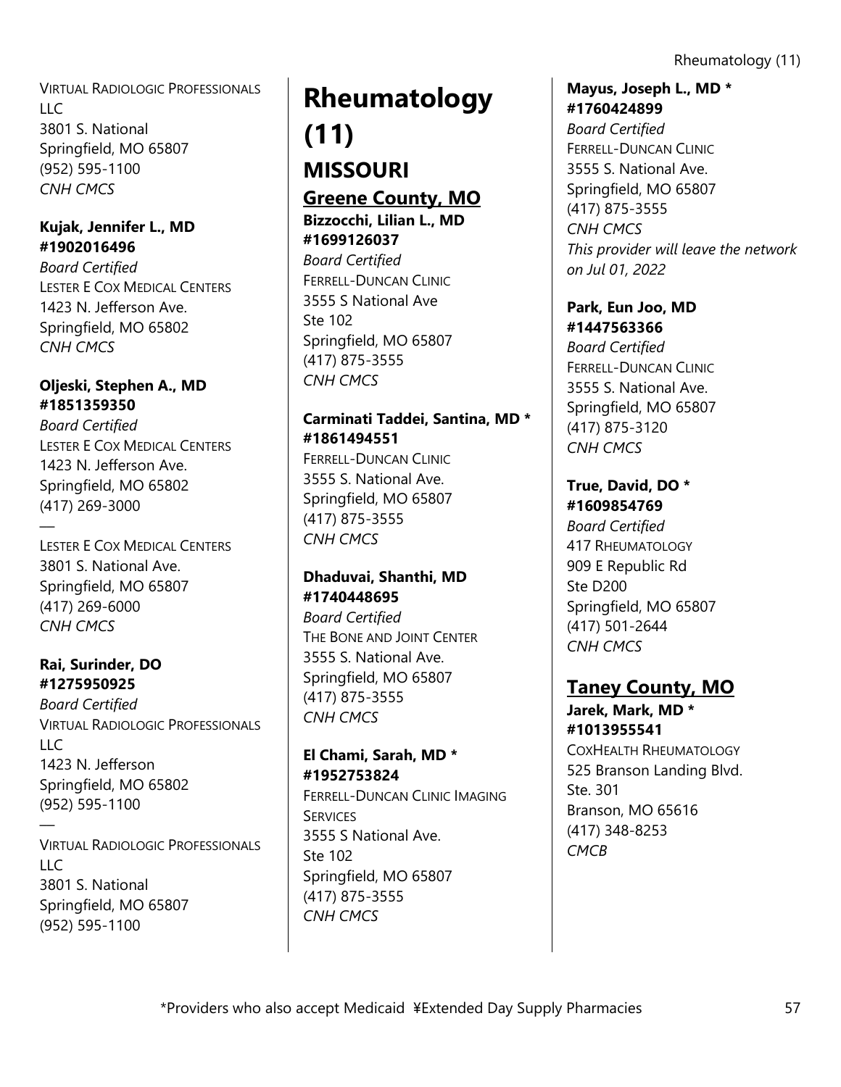Rheumatology (11)

VIRTUAL RADIOLOGIC PROFESSIONALS LLC 3801 S. National Springfield, MO 65807 (952) 595-1100 *CNH CMCS*

#### **Kujak, Jennifer L., MD #1902016496**

*Board Certified* LESTER E COX MEDICAL CENTERS 1423 N. Jefferson Ave. Springfield, MO 65802 *CNH CMCS*

#### **Oljeski, Stephen A., MD #1851359350**

*Board Certified* LESTER E COX MEDICAL CENTERS 1423 N. Jefferson Ave. Springfield, MO 65802 (417) 269-3000

–– LESTER E COX MEDICAL CENTERS 3801 S. National Ave. Springfield, MO 65807 (417) 269-6000 *CNH CMCS*

#### **Rai, Surinder, DO #1275950925**

*Board Certified* VIRTUAL RADIOLOGIC PROFESSIONALS  $\sqcup$ C 1423 N. Jefferson Springfield, MO 65802 (952) 595-1100 ––

VIRTUAL RADIOLOGIC PROFESSIONALS LLC 3801 S. National Springfield, MO 65807 (952) 595-1100

## **Rheumatology (11) MISSOURI Greene County, MO**

**Bizzocchi, Lilian L., MD #1699126037** *Board Certified* FERRELL-DUNCAN CLINIC 3555 S National Ave Ste 102 Springfield, MO 65807 (417) 875-3555 *CNH CMCS*

#### **Carminati Taddei, Santina, MD \* #1861494551**

FERRELL-DUNCAN CLINIC 3555 S. National Ave. Springfield, MO 65807 (417) 875-3555 *CNH CMCS*

#### **Dhaduvai, Shanthi, MD #1740448695**

*Board Certified* THE BONE AND JOINT CENTER 3555 S. National Ave. Springfield, MO 65807 (417) 875-3555 *CNH CMCS*

#### **El Chami, Sarah, MD \* #1952753824**

FERRELL-DUNCAN CLINIC IMAGING **SERVICES** 3555 S National Ave. Ste 102 Springfield, MO 65807 (417) 875-3555 *CNH CMCS*

#### **Mayus, Joseph L., MD \* #1760424899**

*Board Certified* FERRELL-DUNCAN CLINIC 3555 S. National Ave. Springfield, MO 65807 (417) 875-3555 *CNH CMCS This provider will leave the network on Jul 01, 2022*

#### **Park, Eun Joo, MD #1447563366**

*Board Certified* FERRELL-DUNCAN CLINIC 3555 S. National Ave. Springfield, MO 65807 (417) 875-3120 *CNH CMCS*

## **True, David, DO \***

**#1609854769** *Board Certified* 417 RHEUMATOLOGY 909 E Republic Rd Ste D200 Springfield, MO 65807 (417) 501-2644 *CNH CMCS*

## **Taney County, MO**

#### **Jarek, Mark, MD \* #1013955541**

COXHEALTH RHEUMATOLOGY 525 Branson Landing Blvd. Ste. 301 Branson, MO 65616 (417) 348-8253 *CMCB*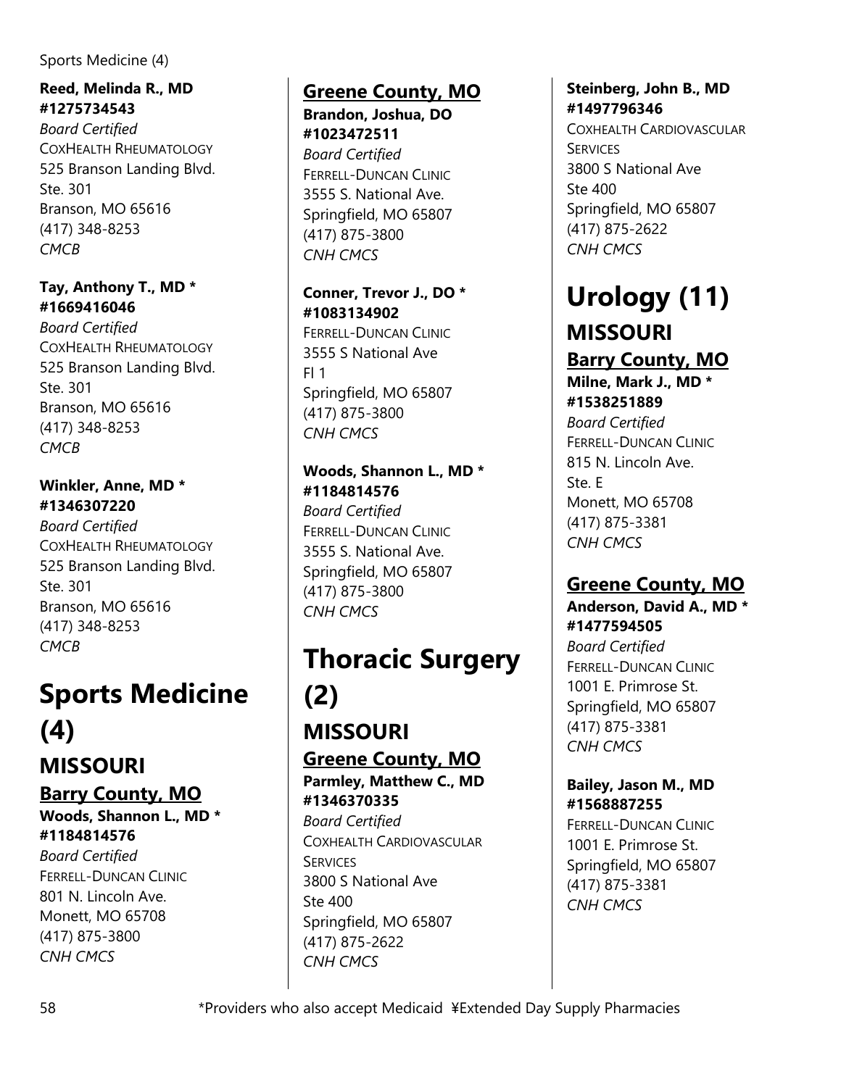#### Sports Medicine (4)

#### **Reed, Melinda R., MD #1275734543** *Board Certified* COXHEALTH RHEUMATOLOGY 525 Branson Landing Blvd. Ste. 301 Branson, MO 65616 (417) 348-8253 *CMCB*

#### **Tay, Anthony T., MD \* #1669416046**

*Board Certified* COXHEALTH RHEUMATOLOGY 525 Branson Landing Blvd. Ste. 301 Branson, MO 65616 (417) 348-8253 *CMCB*

#### **Winkler, Anne, MD \* #1346307220**

*Board Certified* COXHEALTH RHEUMATOLOGY 525 Branson Landing Blvd. Ste. 301 Branson, MO 65616 (417) 348-8253 *CMCB*

# **Sports Medicine (4)**

## **MISSOURI**

### **Barry County, MO Woods, Shannon L., MD \***

**#1184814576** *Board Certified* FERRELL-DUNCAN CLINIC 801 N. Lincoln Ave. Monett, MO 65708 (417) 875-3800 *CNH CMCS*

#### **Greene County, MO Brandon, Joshua, DO #1023472511**

*Board Certified* FERRELL-DUNCAN CLINIC 3555 S. National Ave. Springfield, MO 65807 (417) 875-3800 *CNH CMCS*

#### **Conner, Trevor J., DO \* #1083134902**

FERRELL-DUNCAN CLINIC 3555 S National Ave Fl 1 Springfield, MO 65807 (417) 875-3800 *CNH CMCS*

#### **Woods, Shannon L., MD \* #1184814576**

*Board Certified* FERRELL-DUNCAN CLINIC 3555 S. National Ave. Springfield, MO 65807 (417) 875-3800 *CNH CMCS*

# **Thoracic Surgery (2) MISSOURI**

**Greene County, MO Parmley, Matthew C., MD #1346370335** *Board Certified*

COXHEALTH CARDIOVASCULAR **SERVICES** 3800 S National Ave Ste 400 Springfield, MO 65807 (417) 875-2622 *CNH CMCS*

#### **Steinberg, John B., MD #1497796346**

COXHEALTH CARDIOVASCULAR **SERVICES** 3800 S National Ave Ste 400 Springfield, MO 65807 (417) 875-2622 *CNH CMCS*

## **Urology (11) MISSOURI**

## **Barry County, MO**

#### **Milne, Mark J., MD \* #1538251889**

*Board Certified* FERRELL-DUNCAN CLINIC 815 N. Lincoln Ave. Ste. E Monett, MO 65708 (417) 875-3381 *CNH CMCS*

## **Greene County, MO**

**Anderson, David A., MD \* #1477594505** *Board Certified* FERRELL-DUNCAN CLINIC 1001 E. Primrose St. Springfield, MO 65807 (417) 875-3381 *CNH CMCS*

#### **Bailey, Jason M., MD #1568887255**

FERRELL-DUNCAN CLINIC 1001 E. Primrose St. Springfield, MO 65807 (417) 875-3381 *CNH CMCS*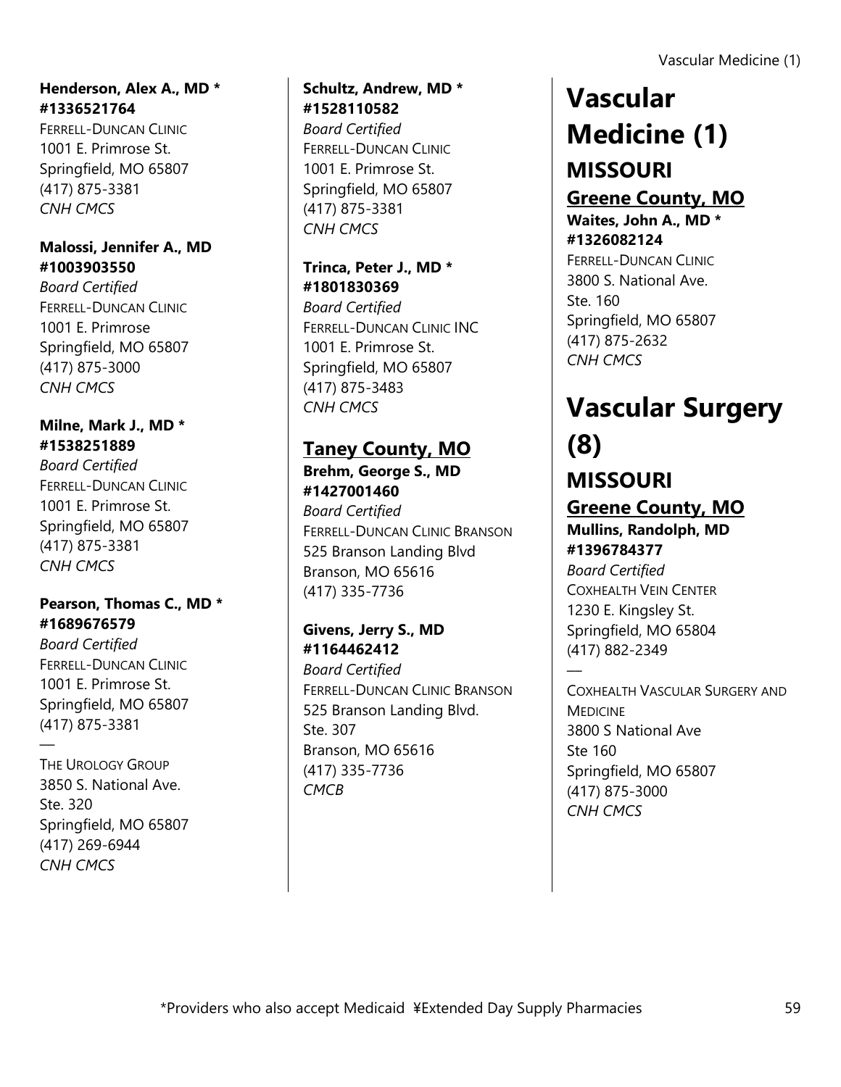### **Henderson, Alex A., MD \* #1336521764**

FERRELL-DUNCAN CLINIC 1001 E. Primrose St. Springfield, MO 65807 (417) 875-3381 *CNH CMCS*

## **Malossi, Jennifer A., MD #1003903550**

*Board Certified* FERRELL-DUNCAN CLINIC 1001 E. Primrose Springfield, MO 65807 (417) 875-3000 *CNH CMCS*

#### **Milne, Mark J., MD \* #1538251889**

*Board Certified* FERRELL-DUNCAN CLINIC 1001 E. Primrose St. Springfield, MO 65807 (417) 875-3381 *CNH CMCS*

### **Pearson, Thomas C., MD \* #1689676579**

*Board Certified* FERRELL-DUNCAN CLINIC 1001 E. Primrose St. Springfield, MO 65807 (417) 875-3381

–– THE UROLOGY GROUP 3850 S. National Ave. Ste. 320 Springfield, MO 65807 (417) 269-6944 *CNH CMCS*

## **Schultz, Andrew, MD \* #1528110582**

*Board Certified* FERRELL-DUNCAN CLINIC 1001 E. Primrose St. Springfield, MO 65807 (417) 875-3381 *CNH CMCS*

#### **Trinca, Peter J., MD \* #1801830369**

*Board Certified* FERRELL-DUNCAN CLINIC INC 1001 E. Primrose St. Springfield, MO 65807 (417) 875-3483 *CNH CMCS*

## **Taney County, MO**

## **Brehm, George S., MD #1427001460**

*Board Certified* FERRELL-DUNCAN CLINIC BRANSON 525 Branson Landing Blvd Branson, MO 65616 (417) 335-7736

#### **Givens, Jerry S., MD #1164462412**

*Board Certified* FERRELL-DUNCAN CLINIC BRANSON 525 Branson Landing Blvd. Ste. 307 Branson, MO 65616 (417) 335-7736 *CMCB*

# **Vascular Medicine (1) MISSOURI**

#### **Greene County, MO Waites, John A., MD \***

**#1326082124**

FERRELL-DUNCAN CLINIC 3800 S. National Ave. Ste. 160 Springfield, MO 65807 (417) 875-2632 *CNH CMCS*

# **Vascular Surgery (8)**

## **MISSOURI**

**Greene County, MO**

**Mullins, Randolph, MD #1396784377** *Board Certified* COXHEALTH VEIN CENTER 1230 E. Kingsley St.

Springfield, MO 65804 (417) 882-2349

–– COXHEALTH VASCULAR SURGERY AND **MEDICINE** 3800 S National Ave Ste 160 Springfield, MO 65807 (417) 875-3000 *CNH CMCS*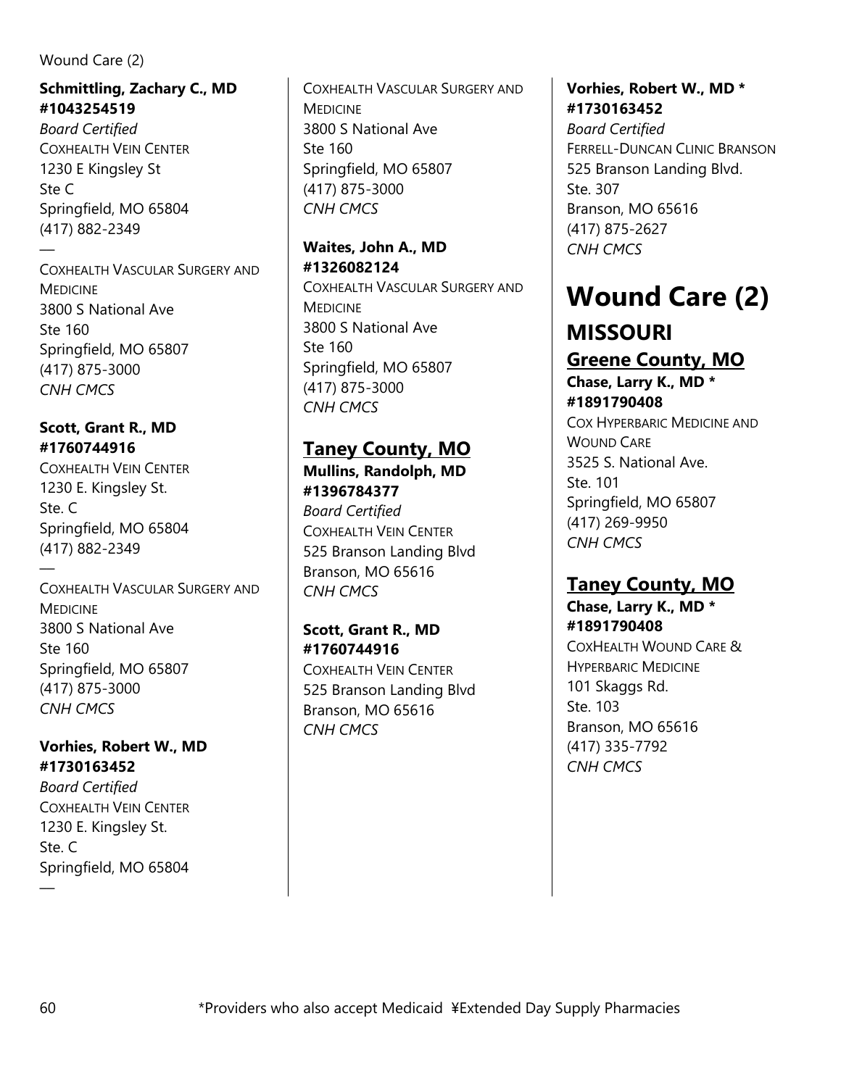#### Wound Care (2)

## **Schmittling, Zachary C., MD #1043254519**

*Board Certified* COXHEALTH VEIN CENTER 1230 E Kingsley St Ste C Springfield, MO 65804 (417) 882-2349

–– COXHEALTH VASCULAR SURGERY AND **MEDICINE** 3800 S National Ave Ste 160 Springfield, MO 65807 (417) 875-3000 *CNH CMCS*

#### **Scott, Grant R., MD #1760744916**

COXHEALTH VEIN CENTER 1230 E. Kingsley St. Ste. C Springfield, MO 65804 (417) 882-2349

–– COXHEALTH VASCULAR SURGERY AND **MEDICINE** 3800 S National Ave Ste 160 Springfield, MO 65807 (417) 875-3000 *CNH CMCS*

#### **Vorhies, Robert W., MD #1730163452**

*Board Certified* COXHEALTH VEIN CENTER 1230 E. Kingsley St. Ste. C Springfield, MO 65804

COXHEALTH VASCULAR SURGERY AND **MEDICINE** 3800 S National Ave Ste 160 Springfield, MO 65807 (417) 875-3000 *CNH CMCS*

#### **Waites, John A., MD #1326082124**

COXHEALTH VASCULAR SURGERY AND **MEDICINE** 3800 S National Ave Ste 160 Springfield, MO 65807 (417) 875-3000 *CNH CMCS*

## **Taney County, MO**

**Mullins, Randolph, MD #1396784377** *Board Certified*

COXHEALTH VEIN CENTER 525 Branson Landing Blvd Branson, MO 65616 *CNH CMCS*

#### **Scott, Grant R., MD #1760744916**

COXHEALTH VEIN CENTER 525 Branson Landing Blvd Branson, MO 65616 *CNH CMCS*

#### **Vorhies, Robert W., MD \* #1730163452**

*Board Certified* FERRELL-DUNCAN CLINIC BRANSON 525 Branson Landing Blvd. Ste. 307 Branson, MO 65616 (417) 875-2627 *CNH CMCS*

## **Wound Care (2) MISSOURI**

## **Greene County, MO**

**Chase, Larry K., MD \* #1891790408**

COX HYPERBARIC MEDICINE AND WOUND CARE 3525 S. National Ave. Ste. 101 Springfield, MO 65807 (417) 269-9950 *CNH CMCS*

## **Taney County, MO**

**Chase, Larry K., MD \* #1891790408** COXHEALTH WOUND CARE & HYPERBARIC MEDICINE 101 Skaggs Rd. Ste. 103 Branson, MO 65616 (417) 335-7792 *CNH CMCS*

––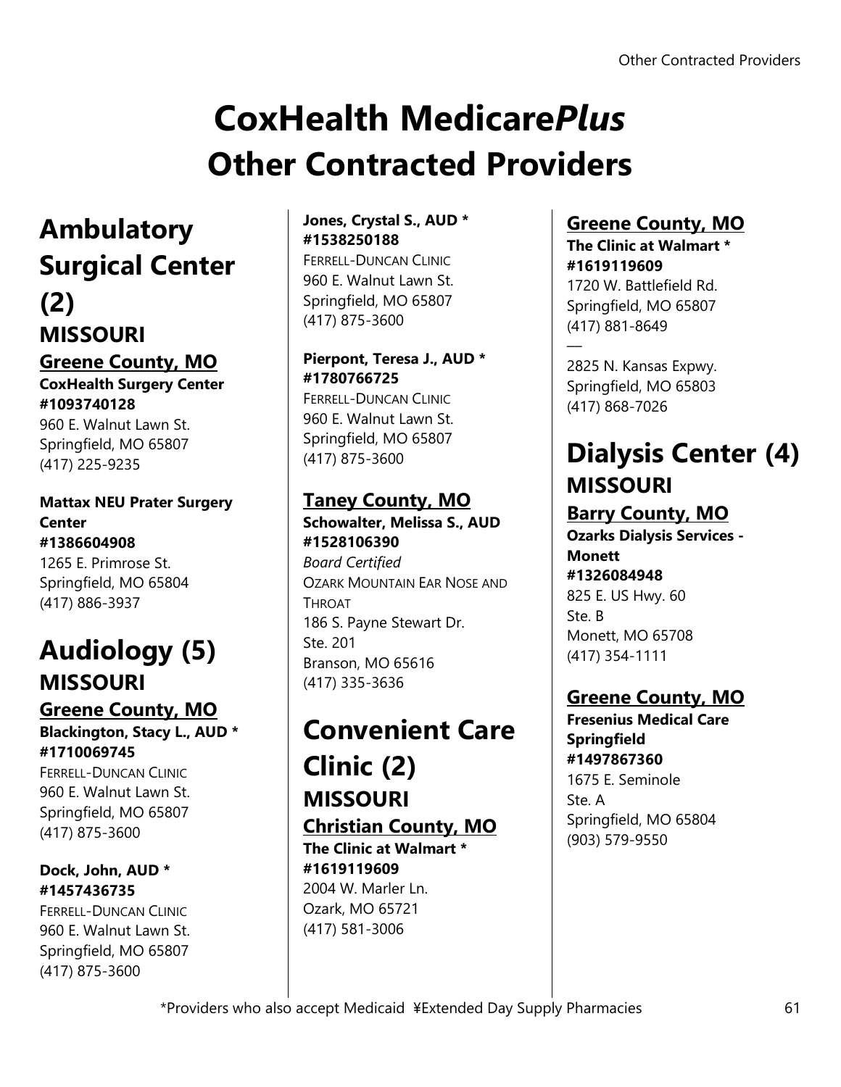# **CoxHealth Medicare***Plus* **Other Contracted Providers**

## **Ambulatory Surgical Center (2) MISSOURI**

## **Greene County, MO**

**CoxHealth Surgery Center #1093740128** 960 E. Walnut Lawn St.

Springfield, MO 65807 (417) 225-9235

#### **Mattax NEU Prater Surgery Center #1386604908** 1265 E. Primrose St.

Springfield, MO 65804 (417) 886-3937

## **Audiology (5) MISSOURI**

#### **Greene County, MO Blackington, Stacy L., AUD \* #1710069745**

FERRELL-DUNCAN CLINIC 960 E. Walnut Lawn St. Springfield, MO 65807 (417) 875-3600

#### **Dock, John, AUD \* #1457436735**

FERRELL-DUNCAN CLINIC 960 E. Walnut Lawn St. Springfield, MO 65807 (417) 875-3600

**Jones, Crystal S., AUD \* #1538250188** FERRELL-DUNCAN CLINIC 960 E. Walnut Lawn St.

Springfield, MO 65807 (417) 875-3600

#### **Pierpont, Teresa J., AUD \* #1780766725** FERRELL-DUNCAN CLINIC 960 E. Walnut Lawn St. Springfield, MO 65807

(417) 875-3600

## **Taney County, MO**

#### **Schowalter, Melissa S., AUD #1528106390**

*Board Certified* OZARK MOUNTAIN EAR NOSE AND **THROAT** 186 S. Payne Stewart Dr. Ste. 201 Branson, MO 65616 (417) 335-3636

## **Convenient Care Clinic (2) MISSOURI Christian County, MO**

**The Clinic at Walmart \* #1619119609** 2004 W. Marler Ln. Ozark, MO 65721 (417) 581-3006

## **Greene County, MO**

#### **The Clinic at Walmart \* #1619119609** 1720 W. Battlefield Rd.

Springfield, MO 65807 (417) 881-8649

–– 2825 N. Kansas Expwy. Springfield, MO 65803 (417) 868-7026

## **Dialysis Center (4) MISSOURI**

## **Barry County, MO**

**Ozarks Dialysis Services - Monett #1326084948** 825 E. US Hwy. 60 Ste. B Monett, MO 65708 (417) 354-1111

## **Greene County, MO**

**Fresenius Medical Care Springfield #1497867360**

1675 E. Seminole Ste. A Springfield, MO 65804 (903) 579-9550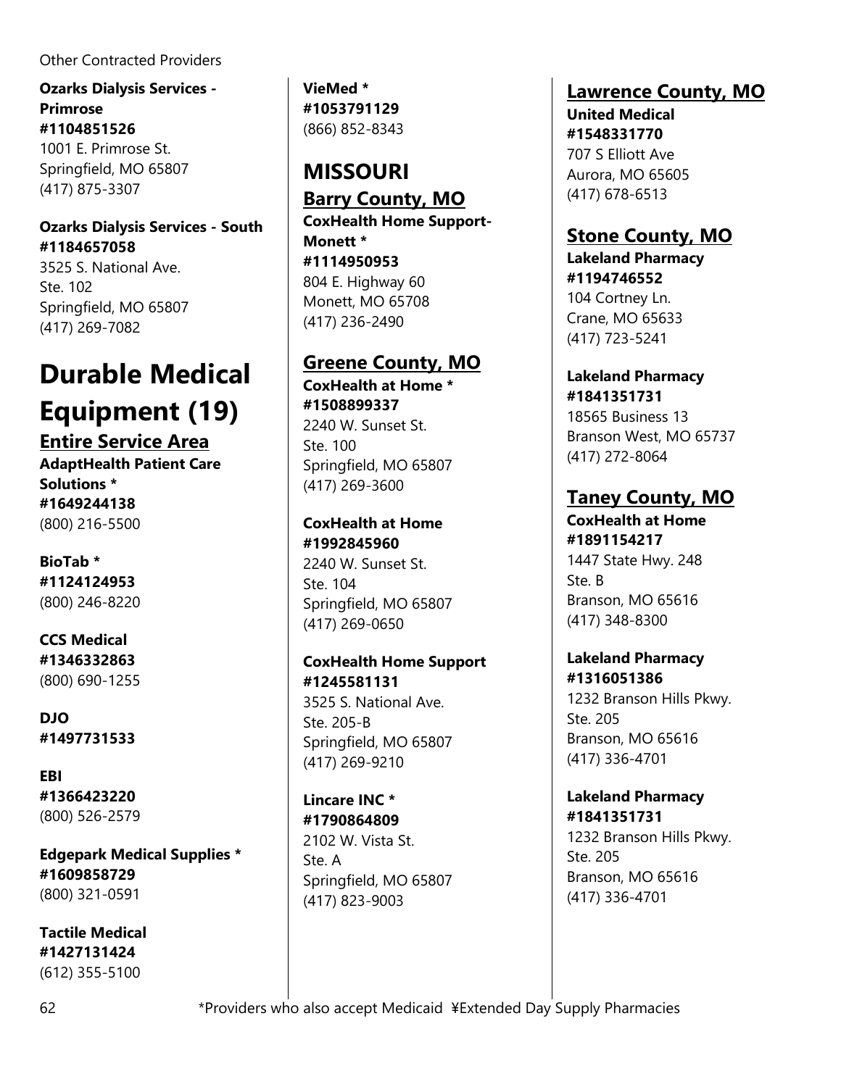**Ozarks Dialysis Services - Primrose #1104851526** 1001 E. Primrose St.

Springfield, MO 65807 (417) 875-3307

#### **Ozarks Dialysis Services - South #1184657058**

3525 S. National Ave. Ste. 102 Springfield, MO 65807 (417) 269-7082

## **Durable Medical Equipment (19)**

**Entire Service Area AdaptHealth Patient Care Solutions \* #1649244138** (800) 216-5500

#### **BioTab \* #1124124953** (800) 246-8220

**CCS Medical #1346332863** (800) 690-1255

**DJO #1497731533**

**EBI #1366423220** (800) 526-2579

**Edgepark Medical Supplies \* #1609858729** (800) 321-0591

**Tactile Medical #1427131424** (612) 355-5100

**VieMed \* #1053791129** (866) 852-8343

## **MISSOURI Barry County, MO**

**CoxHealth Home Support-Monett \* #1114950953** 804 E. Highway 60 Monett, MO 65708 (417) 236-2490

### **Greene County, MO**

**CoxHealth at Home \* #1508899337** 2240 W. Sunset St. Ste. 100 Springfield, MO 65807 (417) 269-3600

#### **CoxHealth at Home #1992845960**

2240 W. Sunset St. Ste. 104 Springfield, MO 65807 (417) 269-0650

## **CoxHealth Home Support #1245581131** 3525 S. National Ave.

Ste. 205-B Springfield, MO 65807 (417) 269-9210

**Lincare INC \* #1790864809** 2102 W. Vista St. Ste. A Springfield, MO 65807 (417) 823-9003

## **Lawrence County, MO United Medical**

**#1548331770** 707 S Elliott Ave Aurora, MO 65605 (417) 678-6513

## **Stone County, MO**

**Lakeland Pharmacy #1194746552** 104 Cortney Ln. Crane, MO 65633 (417) 723-5241

**Lakeland Pharmacy #1841351731** 18565 Business 13 Branson West, MO 65737 (417) 272-8064

### **Taney County, MO**

**CoxHealth at Home #1891154217** 1447 State Hwy. 248 Ste. B Branson, MO 65616 (417) 348-8300

**Lakeland Pharmacy #1316051386** 1232 Branson Hills Pkwy. Ste. 205 Branson, MO 65616 (417) 336-4701

**Lakeland Pharmacy #1841351731** 1232 Branson Hills Pkwy. Ste. 205 Branson, MO 65616 (417) 336-4701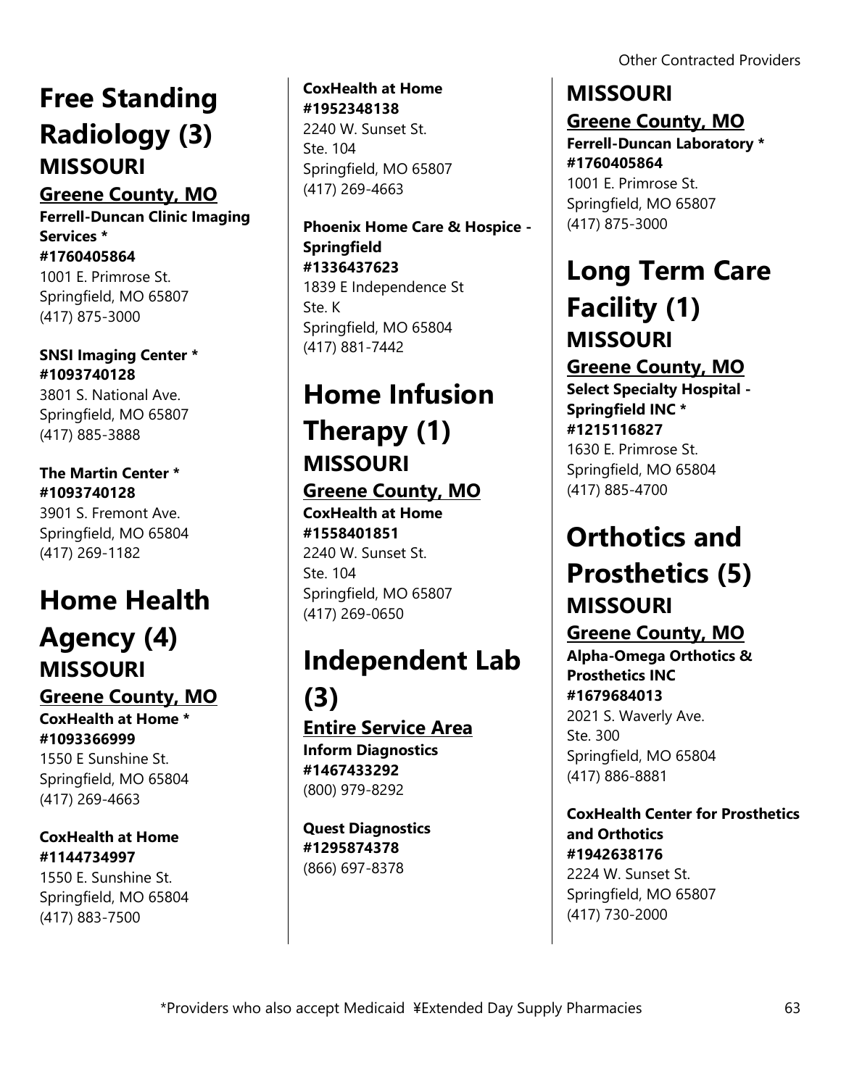## **Free Standing Radiology (3) MISSOURI**

## **Greene County, MO**

**Ferrell-Duncan Clinic Imaging Services \* #1760405864** 1001 E. Primrose St. Springfield, MO 65807 (417) 875-3000

#### **SNSI Imaging Center \* #1093740128**

3801 S. National Ave. Springfield, MO 65807 (417) 885-3888

## **The Martin Center \* #1093740128**

3901 S. Fremont Ave. Springfield, MO 65804 (417) 269-1182

## **Home Health**

## **Agency (4) MISSOURI Greene County, MO**

#### **CoxHealth at Home \* #1093366999**

1550 E Sunshine St. Springfield, MO 65804 (417) 269-4663

#### **CoxHealth at Home #1144734997**

1550 E. Sunshine St. Springfield, MO 65804 (417) 883-7500

#### **CoxHealth at Home #1952348138** 2240 W. Sunset St. Ste. 104

Springfield, MO 65807 (417) 269-4663

#### **Phoenix Home Care & Hospice - Springfield #1336437623** 1839 E Independence St Ste. K Springfield, MO 65804 (417) 881-7442

## **Home Infusion Therapy (1) MISSOURI**

## **Greene County, MO**

**CoxHealth at Home #1558401851** 2240 W. Sunset St. Ste. 104 Springfield, MO 65807 (417) 269-0650

# **Independent Lab (3)**

**Entire Service Area Inform Diagnostics #1467433292** (800) 979-8292

**Quest Diagnostics #1295874378** (866) 697-8378

## **MISSOURI**

## **Greene County, MO**

**Ferrell-Duncan Laboratory \* #1760405864** 1001 E. Primrose St. Springfield, MO 65807 (417) 875-3000

## **Long Term Care Facility (1) MISSOURI**

## **Greene County, MO**

**Select Specialty Hospital - Springfield INC \* #1215116827** 1630 E. Primrose St. Springfield, MO 65804 (417) 885-4700

## **Orthotics and Prosthetics (5) MISSOURI**

## **Greene County, MO**

**Alpha-Omega Orthotics & Prosthetics INC #1679684013** 2021 S. Waverly Ave. Ste. 300 Springfield, MO 65804 (417) 886-8881

**CoxHealth Center for Prosthetics and Orthotics #1942638176** 2224 W. Sunset St. Springfield, MO 65807 (417) 730-2000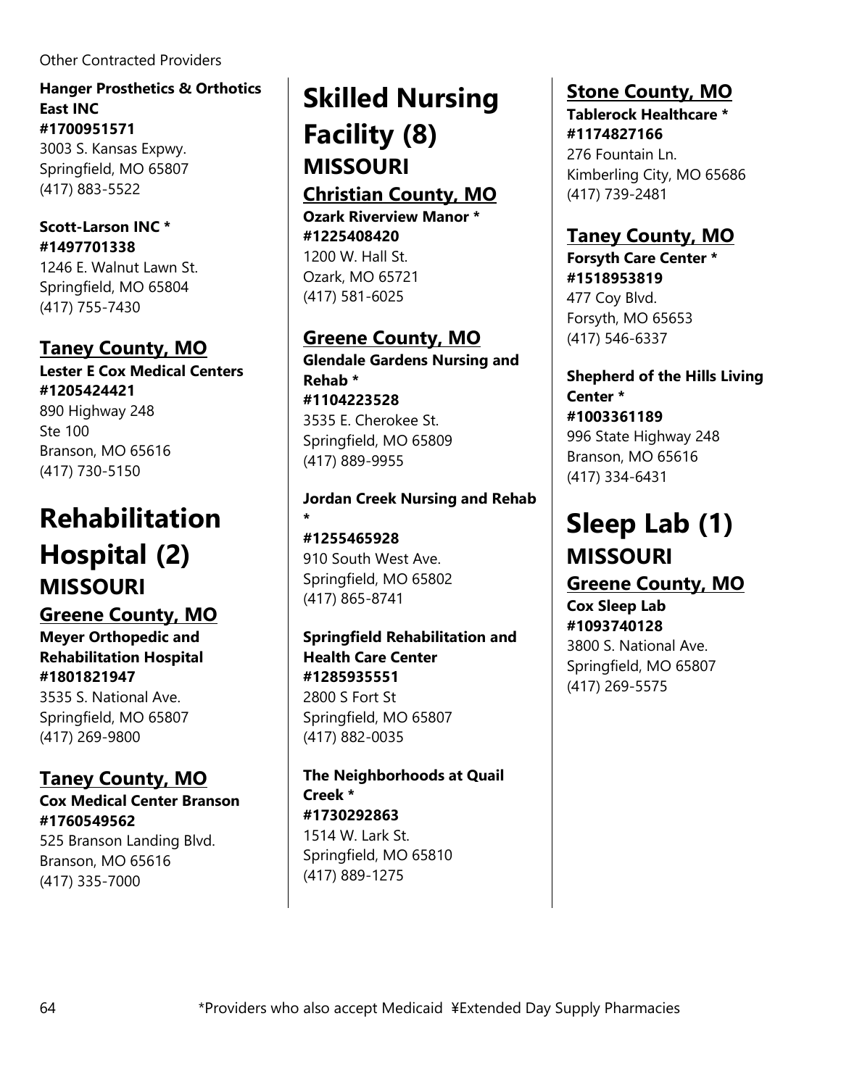### **Hanger Prosthetics & Orthotics East INC #1700951571**

3003 S. Kansas Expwy. Springfield, MO 65807 (417) 883-5522

### **Scott-Larson INC \* #1497701338**

1246 E. Walnut Lawn St. Springfield, MO 65804 (417) 755-7430

### **Taney County, MO**

**Lester E Cox Medical Centers #1205424421** 890 Highway 248 Ste 100 Branson, MO 65616 (417) 730-5150

## **Rehabilitation Hospital (2) MISSOURI**

**Greene County, MO Meyer Orthopedic and Rehabilitation Hospital #1801821947** 3535 S. National Ave. Springfield, MO 65807 (417) 269-9800

### **Taney County, MO**

**Cox Medical Center Branson #1760549562** 525 Branson Landing Blvd. Branson, MO 65616 (417) 335-7000

## **Skilled Nursing Facility (8) MISSOURI Christian County, MO**

**Ozark Riverview Manor \* #1225408420** 1200 W. Hall St. Ozark, MO 65721 (417) 581-6025

### **Greene County, MO**

**Glendale Gardens Nursing and Rehab \* #1104223528** 3535 E. Cherokee St. Springfield, MO 65809 (417) 889-9955

#### **Jordan Creek Nursing and Rehab \***

**#1255465928** 910 South West Ave. Springfield, MO 65802 (417) 865-8741

**Springfield Rehabilitation and Health Care Center #1285935551** 2800 S Fort St Springfield, MO 65807 (417) 882-0035

**The Neighborhoods at Quail Creek \* #1730292863** 1514 W. Lark St. Springfield, MO 65810 (417) 889-1275

## **Stone County, MO**

**Tablerock Healthcare \* #1174827166** 276 Fountain Ln. Kimberling City, MO 65686 (417) 739-2481

#### **Taney County, MO**

**Forsyth Care Center \* #1518953819** 477 Coy Blvd. Forsyth, MO 65653 (417) 546-6337

**Shepherd of the Hills Living Center \* #1003361189** 996 State Highway 248 Branson, MO 65616 (417) 334-6431

## **Sleep Lab (1) MISSOURI**

**Greene County, MO Cox Sleep Lab #1093740128** 3800 S. National Ave. Springfield, MO 65807 (417) 269-5575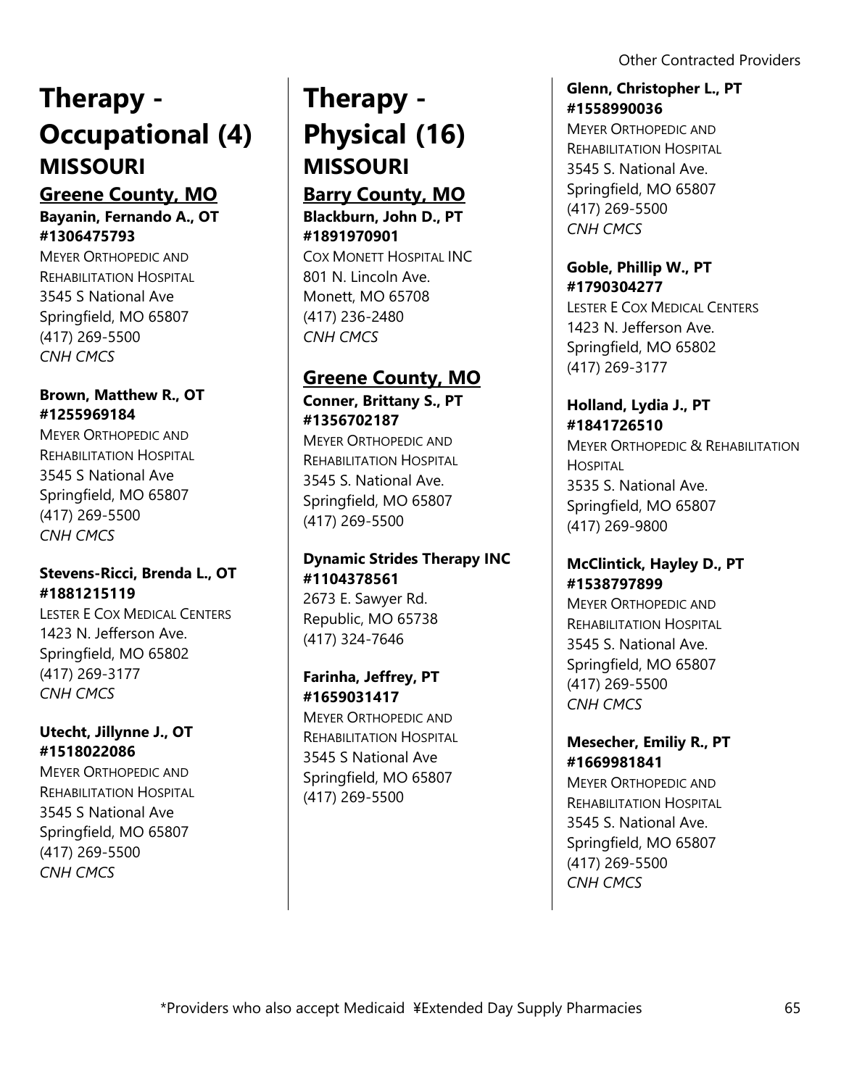## **Therapy - Occupational (4) MISSOURI**

## **Greene County, MO**

#### **Bayanin, Fernando A., OT #1306475793**

MEYER ORTHOPEDIC AND REHABILITATION HOSPITAL 3545 S National Ave Springfield, MO 65807 (417) 269-5500 *CNH CMCS*

#### **Brown, Matthew R., OT #1255969184**

MEYER ORTHOPEDIC AND REHABILITATION HOSPITAL 3545 S National Ave Springfield, MO 65807 (417) 269-5500 *CNH CMCS*

#### **Stevens-Ricci, Brenda L., OT #1881215119**

LESTER E COX MEDICAL CENTERS 1423 N. Jefferson Ave. Springfield, MO 65802 (417) 269-3177 *CNH CMCS*

#### **Utecht, Jillynne J., OT #1518022086**

MEYER ORTHOPEDIC AND REHABILITATION HOSPITAL 3545 S National Ave Springfield, MO 65807 (417) 269-5500 *CNH CMCS*

## **Therapy - Physical (16) MISSOURI**

**Barry County, MO Blackburn, John D., PT #1891970901**

COX MONETT HOSPITAL INC 801 N. Lincoln Ave. Monett, MO 65708 (417) 236-2480 *CNH CMCS*

## **Greene County, MO**

**Conner, Brittany S., PT #1356702187**

MEYER ORTHOPEDIC AND REHABILITATION HOSPITAL 3545 S. National Ave. Springfield, MO 65807 (417) 269-5500

### **Dynamic Strides Therapy INC #1104378561**

2673 E. Sawyer Rd. Republic, MO 65738 (417) 324-7646

#### **Farinha, Jeffrey, PT #1659031417**

MEYER ORTHOPEDIC AND REHABILITATION HOSPITAL 3545 S National Ave Springfield, MO 65807 (417) 269-5500

#### **Glenn, Christopher L., PT #1558990036**

MEYER ORTHOPEDIC AND REHABILITATION HOSPITAL 3545 S. National Ave. Springfield, MO 65807 (417) 269-5500 *CNH CMCS*

#### **Goble, Phillip W., PT #1790304277**

LESTER E COX MEDICAL CENTERS 1423 N. Jefferson Ave. Springfield, MO 65802 (417) 269-3177

#### **Holland, Lydia J., PT #1841726510**

MEYER ORTHOPEDIC & REHABILITATION **HOSPITAL** 3535 S. National Ave. Springfield, MO 65807 (417) 269-9800

#### **McClintick, Hayley D., PT #1538797899**

MEYER ORTHOPEDIC AND REHABILITATION HOSPITAL 3545 S. National Ave. Springfield, MO 65807 (417) 269-5500 *CNH CMCS*

#### **Mesecher, Emiliy R., PT #1669981841**

MEYER ORTHOPEDIC AND REHABILITATION HOSPITAL 3545 S. National Ave. Springfield, MO 65807 (417) 269-5500 *CNH CMCS*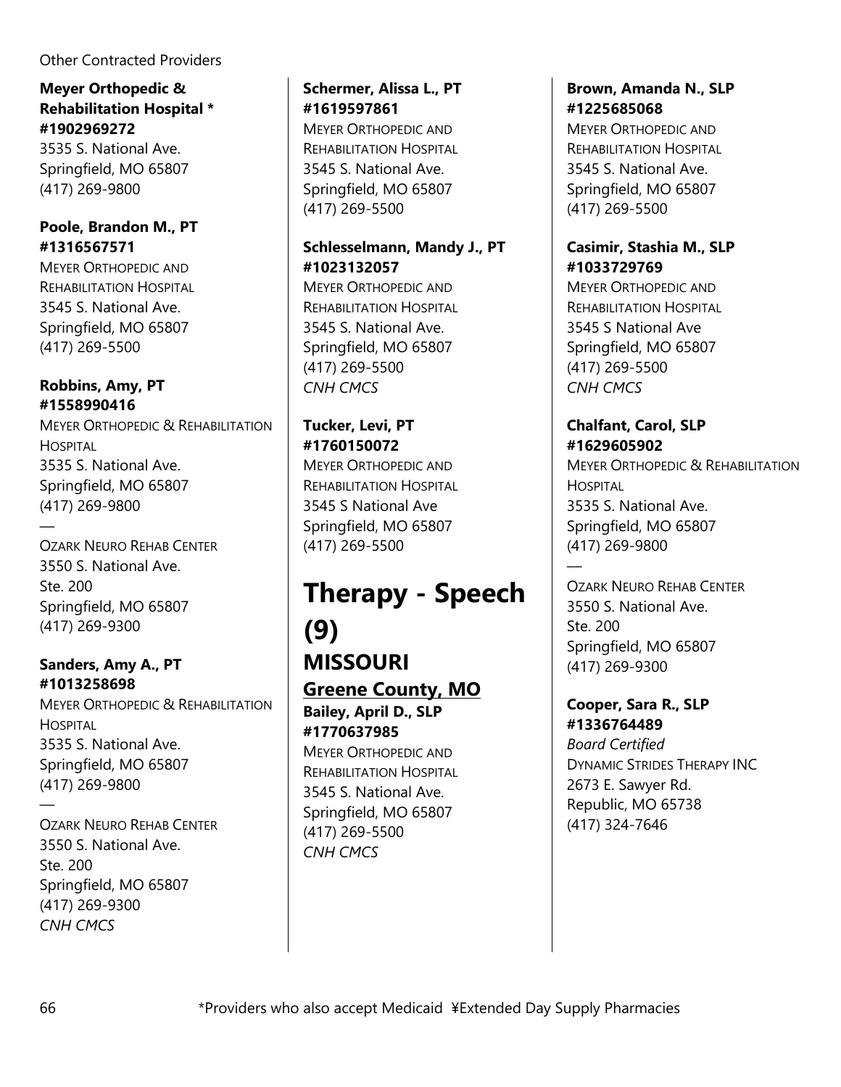**Meyer Orthopedic & Rehabilitation Hospital \* #1902969272**

3535 S. National Ave. Springfield, MO 65807 (417) 269-9800

#### **Poole, Brandon M., PT #1316567571**

MEYER ORTHOPEDIC AND REHABILITATION HOSPITAL 3545 S. National Ave. Springfield, MO 65807 (417) 269-5500

#### **Robbins, Amy, PT #1558990416**

MEYER ORTHOPEDIC & REHABILITATION HOSPITAL 3535 S. National Ave. Springfield, MO 65807 (417) 269-9800

–– OZARK NEURO REHAB CENTER 3550 S. National Ave. Ste. 200 Springfield, MO 65807 (417) 269-9300

#### **Sanders, Amy A., PT #1013258698**

MEYER ORTHOPEDIC & REHABILITATION HOSPITAL 3535 S. National Ave. Springfield, MO 65807 (417) 269-9800 ––

OZARK NEURO REHAB CENTER 3550 S. National Ave. Ste. 200 Springfield, MO 65807 (417) 269-9300 *CNH CMCS*

## **Schermer, Alissa L., PT #1619597861**

MEYER ORTHOPEDIC AND REHABILITATION HOSPITAL 3545 S. National Ave. Springfield, MO 65807 (417) 269-5500

#### **Schlesselmann, Mandy J., PT #1023132057**

MEYER ORTHOPEDIC AND REHABILITATION HOSPITAL 3545 S. National Ave. Springfield, MO 65807 (417) 269-5500 *CNH CMCS*

#### **Tucker, Levi, PT #1760150072**

MEYER ORTHOPEDIC AND REHABILITATION HOSPITAL 3545 S National Ave Springfield, MO 65807 (417) 269-5500

# **Therapy - Speech (9)**

#### **MISSOURI Greene County, MO Bailey, April D., SLP**

**#1770637985**

MEYER ORTHOPEDIC AND REHABILITATION HOSPITAL 3545 S. National Ave. Springfield, MO 65807 (417) 269-5500 *CNH CMCS*

#### **Brown, Amanda N., SLP #1225685068**

MEYER ORTHOPEDIC AND REHABILITATION HOSPITAL 3545 S. National Ave. Springfield, MO 65807 (417) 269-5500

#### **Casimir, Stashia M., SLP #1033729769**

MEYER ORTHOPEDIC AND REHABILITATION HOSPITAL 3545 S National Ave Springfield, MO 65807 (417) 269-5500 *CNH CMCS*

#### **Chalfant, Carol, SLP #1629605902**

––

MEYER ORTHOPEDIC & REHABILITATION HOSPITAL 3535 S. National Ave. Springfield, MO 65807 (417) 269-9800

OZARK NEURO REHAB CENTER 3550 S. National Ave. Ste. 200 Springfield, MO 65807 (417) 269-9300

#### **Cooper, Sara R., SLP #1336764489**

*Board Certified* DYNAMIC STRIDES THERAPY INC 2673 E. Sawyer Rd. Republic, MO 65738 (417) 324-7646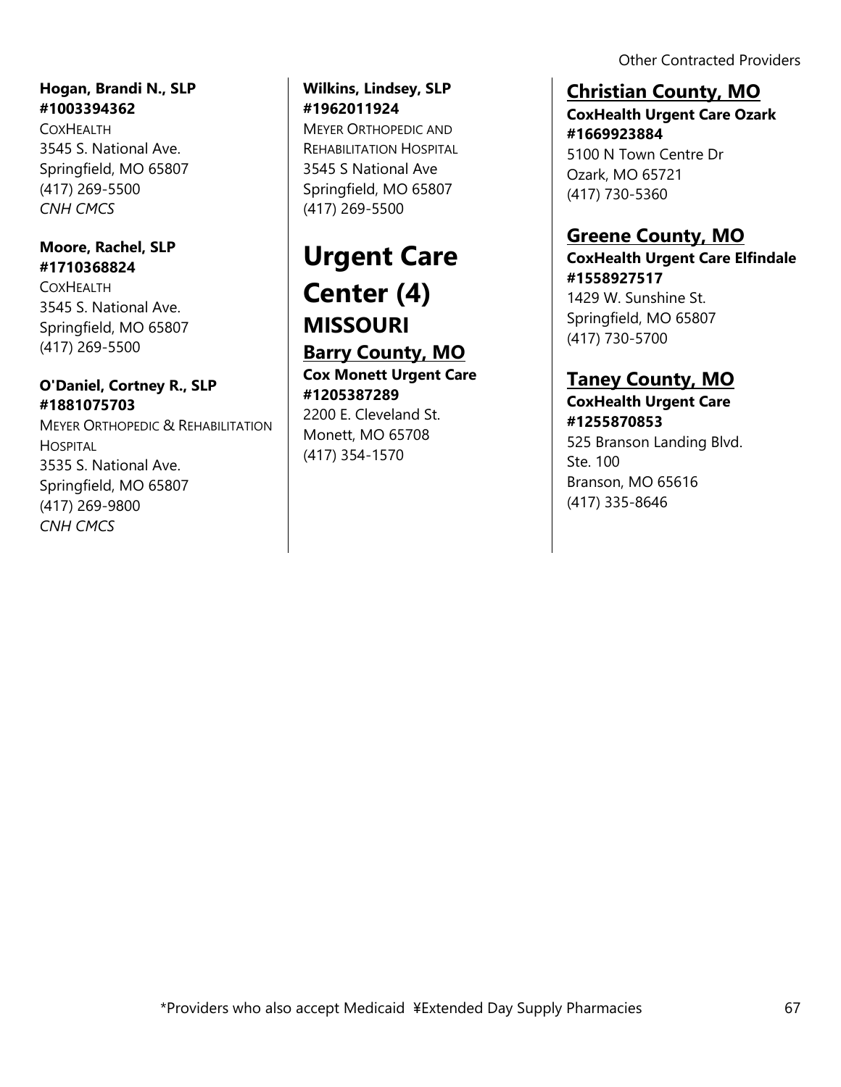#### **Hogan, Brandi N., SLP #1003394362**

**COXHEALTH** 3545 S. National Ave. Springfield, MO 65807 (417) 269-5500 *CNH CMCS*

#### **Moore, Rachel, SLP #1710368824**

**COXHEALTH** 3545 S. National Ave. Springfield, MO 65807 (417) 269-5500

#### **O'Daniel, Cortney R., SLP #1881075703**

MEYER ORTHOPEDIC & REHABILITATION HOSPITAL 3535 S. National Ave. Springfield, MO 65807 (417) 269-9800 *CNH CMCS*

## **Wilkins, Lindsey, SLP #1962011924**

MEYER ORTHOPEDIC AND REHABILITATION HOSPITAL 3545 S National Ave Springfield, MO 65807 (417) 269-5500

## **Urgent Care Center (4) MISSOURI**

**Barry County, MO Cox Monett Urgent Care #1205387289** 2200 E. Cleveland St.

Monett, MO 65708 (417) 354-1570

#### Other Contracted Providers

#### **Christian County, MO**

#### **CoxHealth Urgent Care Ozark #1669923884**

5100 N Town Centre Dr Ozark, MO 65721 (417) 730-5360

## **Greene County, MO**

**CoxHealth Urgent Care Elfindale #1558927517**

1429 W. Sunshine St. Springfield, MO 65807 (417) 730-5700

## **Taney County, MO**

**CoxHealth Urgent Care #1255870853**

525 Branson Landing Blvd. Ste. 100 Branson, MO 65616 (417) 335-8646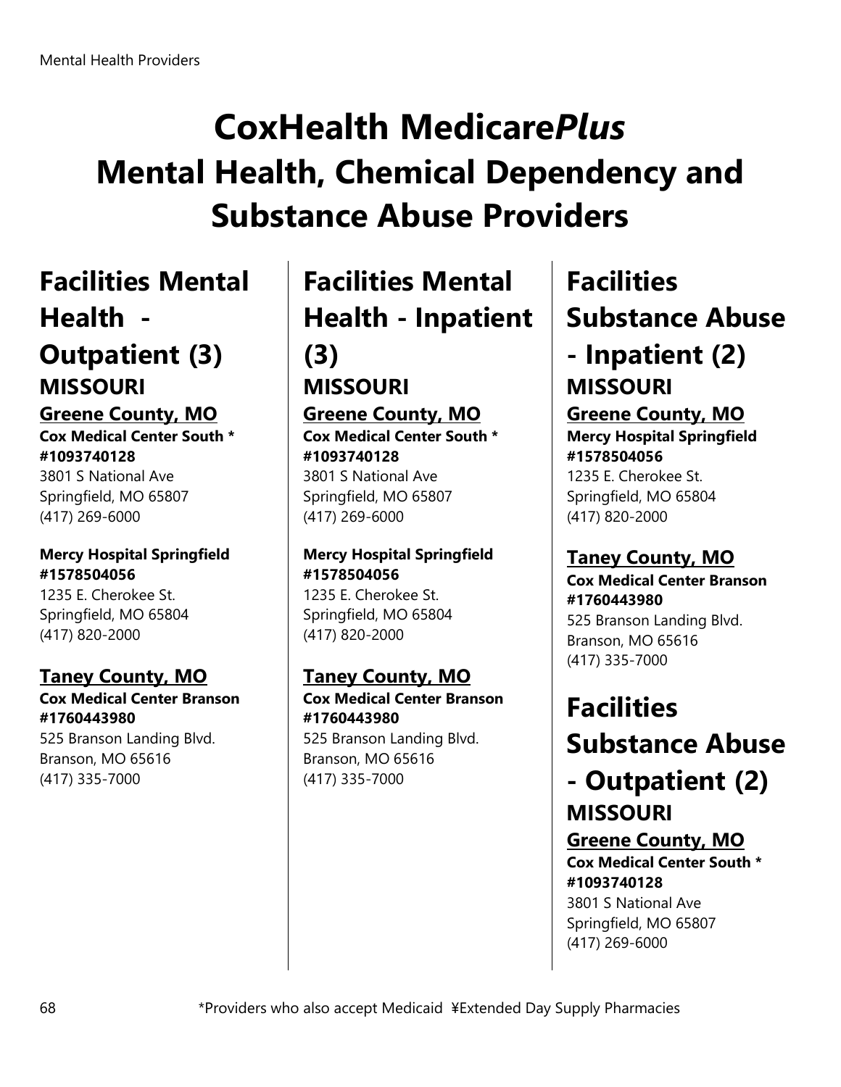# **CoxHealth Medicare***Plus*  **Mental Health, Chemical Dependency and Substance Abuse Providers**

## **Facilities Mental Health - Outpatient (3) MISSOURI**

#### **Greene County, MO Cox Medical Center South \***

**#1093740128** 3801 S National Ave Springfield, MO 65807 (417) 269-6000

#### **Mercy Hospital Springfield #1578504056**

1235 E. Cherokee St. Springfield, MO 65804 (417) 820-2000

## **Taney County, MO**

**Cox Medical Center Branson #1760443980**

525 Branson Landing Blvd. Branson, MO 65616 (417) 335-7000

## **Facilities Mental Health - Inpatient (3) MISSOURI**

## **Greene County, MO**

**Cox Medical Center South \* #1093740128** 3801 S National Ave Springfield, MO 65807 (417) 269-6000

## **Mercy Hospital Springfield #1578504056** 1235 E. Cherokee St.

Springfield, MO 65804 (417) 820-2000

## **Taney County, MO**

**Cox Medical Center Branson #1760443980**

525 Branson Landing Blvd. Branson, MO 65616 (417) 335-7000

## **Facilities Substance Abuse - Inpatient (2) MISSOURI**

## **Greene County, MO**

**Mercy Hospital Springfield #1578504056** 1235 E. Cherokee St. Springfield, MO 65804 (417) 820-2000

## **Taney County, MO**

**Cox Medical Center Branson #1760443980** 525 Branson Landing Blvd. Branson, MO 65616 (417) 335-7000

## **Facilities Substance Abuse - Outpatient (2)**

# **MISSOURI**

#### **Greene County, MO Cox Medical Center South \* #1093740128** 3801 S National Ave Springfield, MO 65807 (417) 269-6000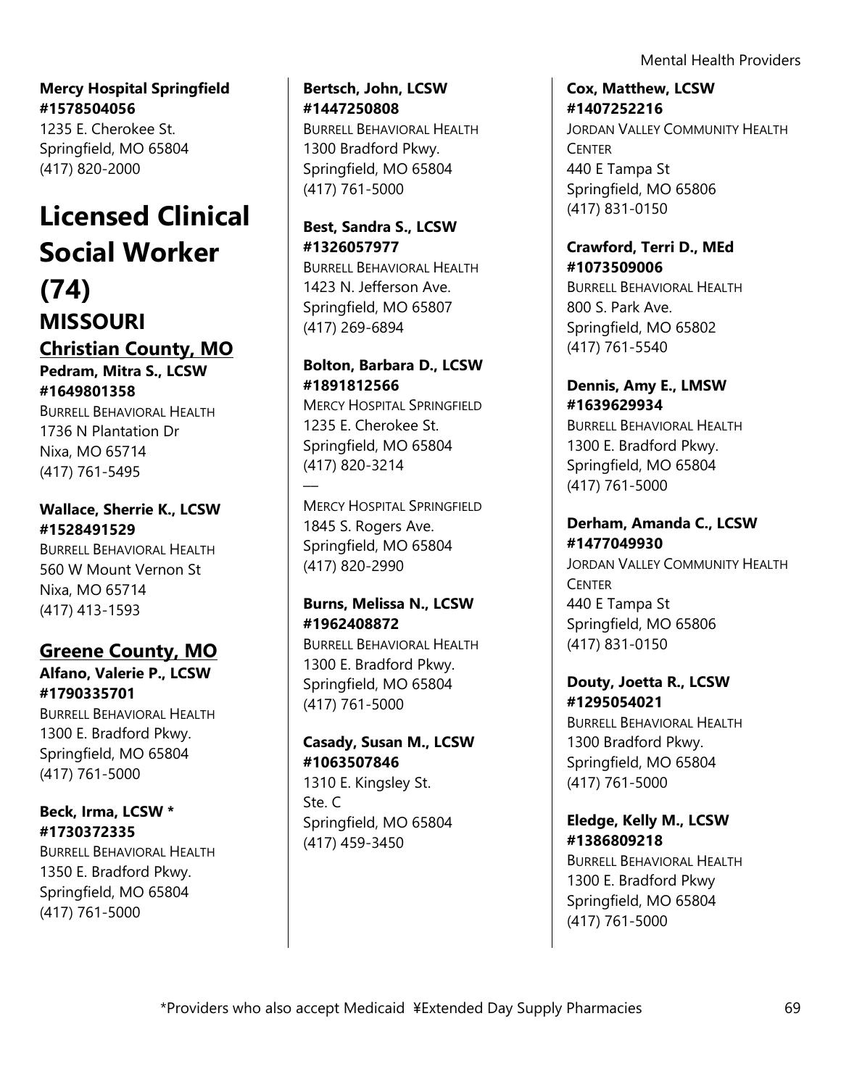#### Mental Health Providers

#### **Mercy Hospital Springfield #1578504056**

1235 E. Cherokee St. Springfield, MO 65804 (417) 820-2000

## **Licensed Clinical Social Worker (74) MISSOURI Christian County, MO Pedram, Mitra S., LCSW**

**#1649801358**

BURRELL BEHAVIORAL HEALTH 1736 N Plantation Dr Nixa, MO 65714 (417) 761-5495

#### **Wallace, Sherrie K., LCSW #1528491529**

BURRELL BEHAVIORAL HEALTH 560 W Mount Vernon St Nixa, MO 65714 (417) 413-1593

## **Greene County, MO**

#### **Alfano, Valerie P., LCSW #1790335701**

BURRELL BEHAVIORAL HEALTH 1300 E. Bradford Pkwy. Springfield, MO 65804 (417) 761-5000

#### **Beck, Irma, LCSW \* #1730372335**

BURRELL BEHAVIORAL HEALTH 1350 E. Bradford Pkwy. Springfield, MO 65804 (417) 761-5000

### **Bertsch, John, LCSW #1447250808**

BURRELL BEHAVIORAL HEALTH 1300 Bradford Pkwy. Springfield, MO 65804 (417) 761-5000

#### **Best, Sandra S., LCSW #1326057977**

BURRELL BEHAVIORAL HEALTH 1423 N. Jefferson Ave. Springfield, MO 65807 (417) 269-6894

#### **Bolton, Barbara D., LCSW #1891812566**

MERCY HOSPITAL SPRINGFIELD 1235 E. Cherokee St. Springfield, MO 65804 (417) 820-3214 ––

MERCY HOSPITAL SPRINGFIELD 1845 S. Rogers Ave. Springfield, MO 65804 (417) 820-2990

#### **Burns, Melissa N., LCSW #1962408872**

BURRELL BEHAVIORAL HEALTH 1300 E. Bradford Pkwy. Springfield, MO 65804 (417) 761-5000

## **Casady, Susan M., LCSW #1063507846**

1310 E. Kingsley St. Ste. C Springfield, MO 65804 (417) 459-3450

#### **Cox, Matthew, LCSW #1407252216**

JORDAN VALLEY COMMUNITY HEALTH **CENTER** 440 E Tampa St Springfield, MO 65806 (417) 831-0150

#### **Crawford, Terri D., MEd #1073509006**

BURRELL BEHAVIORAL HEALTH 800 S. Park Ave. Springfield, MO 65802 (417) 761-5540

#### **Dennis, Amy E., LMSW #1639629934**

BURRELL BEHAVIORAL HEALTH 1300 E. Bradford Pkwy. Springfield, MO 65804 (417) 761-5000

#### **Derham, Amanda C., LCSW #1477049930**

JORDAN VALLEY COMMUNITY HEALTH **CENTER** 440 E Tampa St Springfield, MO 65806 (417) 831-0150

#### **Douty, Joetta R., LCSW #1295054021**

BURRELL BEHAVIORAL HEALTH 1300 Bradford Pkwy. Springfield, MO 65804 (417) 761-5000

#### **Eledge, Kelly M., LCSW #1386809218**

BURRELL BEHAVIORAL HEALTH 1300 E. Bradford Pkwy Springfield, MO 65804 (417) 761-5000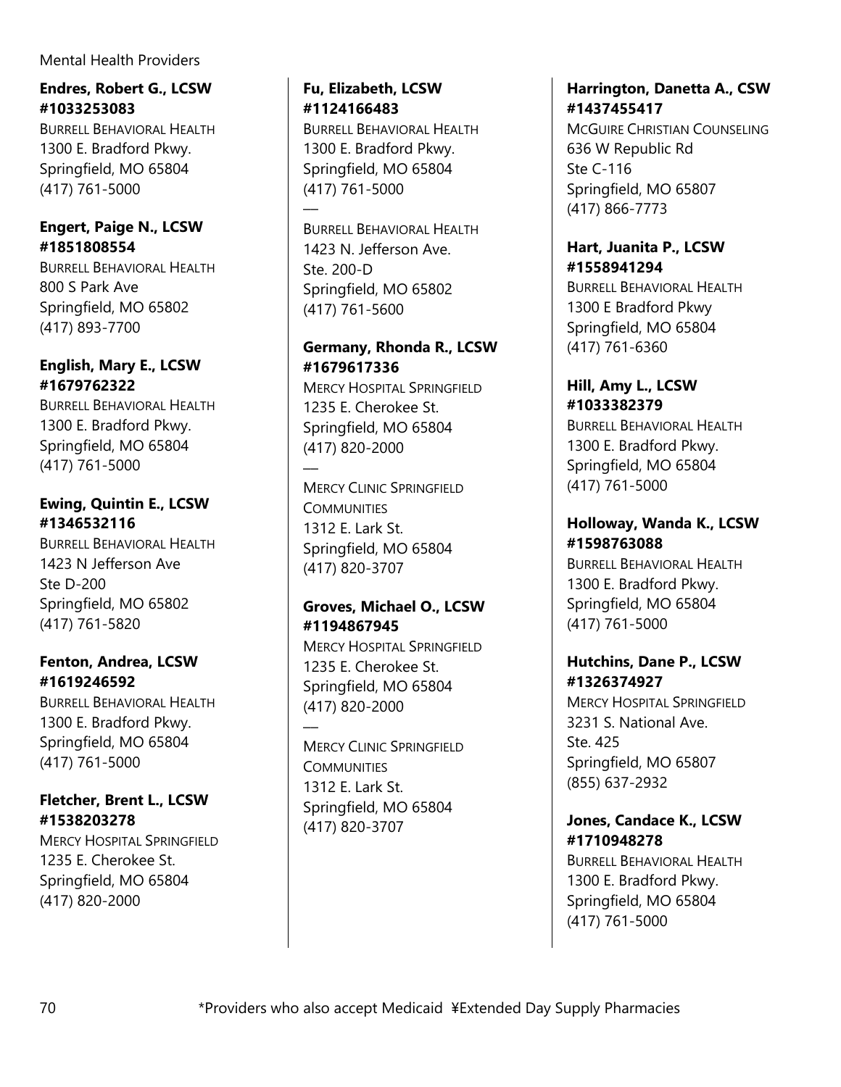#### Mental Health Providers

#### **Endres, Robert G., LCSW #1033253083**

BURRELL BEHAVIORAL HEALTH 1300 E. Bradford Pkwy. Springfield, MO 65804 (417) 761-5000

#### **Engert, Paige N., LCSW #1851808554**

BURRELL BEHAVIORAL HEALTH 800 S Park Ave Springfield, MO 65802 (417) 893-7700

#### **English, Mary E., LCSW #1679762322**

BURRELL BEHAVIORAL HEALTH 1300 E. Bradford Pkwy. Springfield, MO 65804 (417) 761-5000

#### **Ewing, Quintin E., LCSW #1346532116**

BURRELL BEHAVIORAL HEALTH 1423 N Jefferson Ave Ste D-200 Springfield, MO 65802 (417) 761-5820

#### **Fenton, Andrea, LCSW #1619246592**

BURRELL BEHAVIORAL HEALTH 1300 E. Bradford Pkwy. Springfield, MO 65804 (417) 761-5000

#### **Fletcher, Brent L., LCSW #1538203278**

MERCY HOSPITAL SPRINGFIELD 1235 E. Cherokee St. Springfield, MO 65804 (417) 820-2000

#### **Fu, Elizabeth, LCSW #1124166483**

––

BURRELL BEHAVIORAL HEALTH 1300 E. Bradford Pkwy. Springfield, MO 65804 (417) 761-5000

BURRELL BEHAVIORAL HEALTH 1423 N. Jefferson Ave. Ste. 200-D Springfield, MO 65802 (417) 761-5600

#### **Germany, Rhonda R., LCSW #1679617336**

**MERCY HOSPITAL SPRINGFIELD** 1235 E. Cherokee St. Springfield, MO 65804 (417) 820-2000 ––

MERCY CLINIC SPRINGFIELD **COMMUNITIES** 1312 E. Lark St. Springfield, MO 65804 (417) 820-3707

#### **Groves, Michael O., LCSW #1194867945**

MERCY HOSPITAL SPRINGFIELD 1235 E. Cherokee St. Springfield, MO 65804 (417) 820-2000

–– MERCY CLINIC SPRINGFIELD **COMMUNITIES** 1312 E. Lark St. Springfield, MO 65804 (417) 820-3707

#### **Harrington, Danetta A., CSW #1437455417**

MCGUIRE CHRISTIAN COUNSELING 636 W Republic Rd Ste C-116 Springfield, MO 65807 (417) 866-7773

#### **Hart, Juanita P., LCSW #1558941294**

BURRELL BEHAVIORAL HEALTH 1300 E Bradford Pkwy Springfield, MO 65804 (417) 761-6360

#### **Hill, Amy L., LCSW #1033382379**

BURRELL BEHAVIORAL HEALTH 1300 E. Bradford Pkwy. Springfield, MO 65804 (417) 761-5000

#### **Holloway, Wanda K., LCSW #1598763088**

BURRELL BEHAVIORAL HEALTH 1300 E. Bradford Pkwy. Springfield, MO 65804 (417) 761-5000

#### **Hutchins, Dane P., LCSW #1326374927**

MERCY HOSPITAL SPRINGFIELD 3231 S. National Ave. Ste. 425 Springfield, MO 65807 (855) 637-2932

#### **Jones, Candace K., LCSW #1710948278**

BURRELL BEHAVIORAL HEALTH 1300 E. Bradford Pkwy. Springfield, MO 65804 (417) 761-5000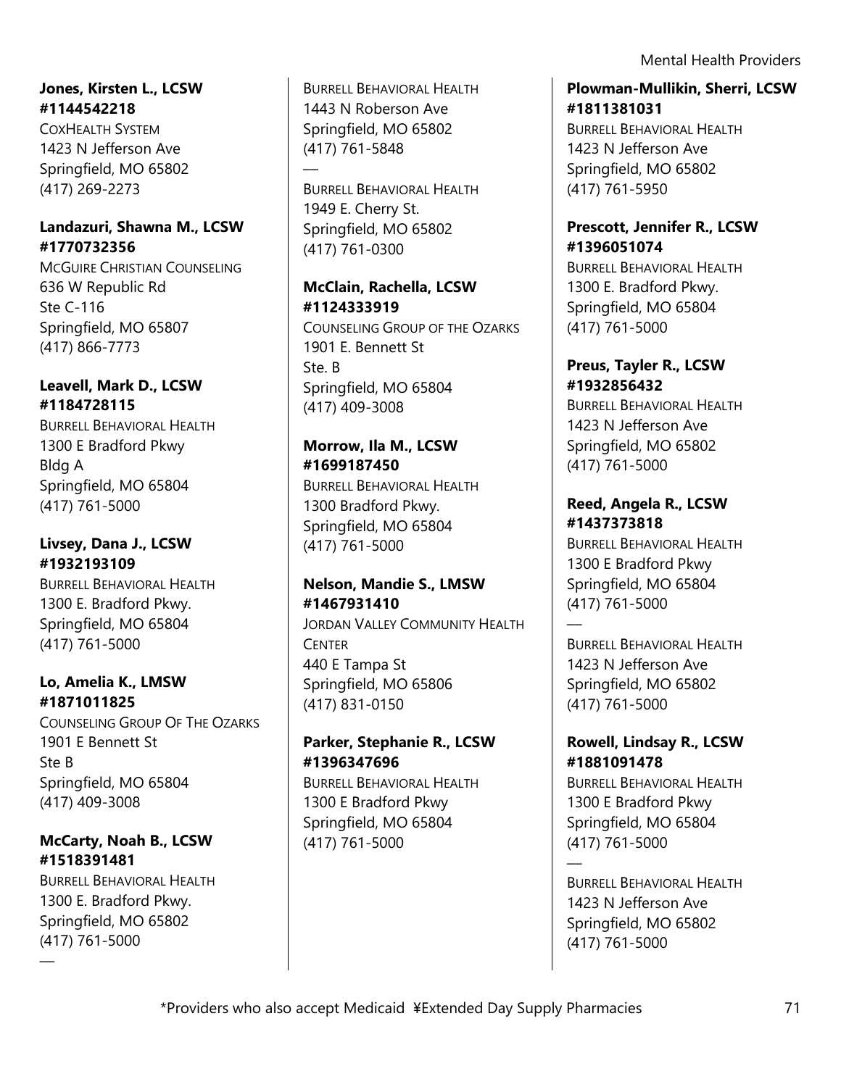Mental Health Providers

#### **Jones, Kirsten L., LCSW #1144542218**

COXHEALTH SYSTEM 1423 N Jefferson Ave Springfield, MO 65802 (417) 269-2273

#### **Landazuri, Shawna M., LCSW #1770732356**

MCGUIRE CHRISTIAN COUNSELING 636 W Republic Rd Ste C-116 Springfield, MO 65807 (417) 866-7773

#### **Leavell, Mark D., LCSW #1184728115**

BURRELL BEHAVIORAL HEALTH 1300 E Bradford Pkwy Bldg A Springfield, MO 65804 (417) 761-5000

#### **Livsey, Dana J., LCSW #1932193109**

BURRELL BEHAVIORAL HEALTH 1300 E. Bradford Pkwy. Springfield, MO 65804 (417) 761-5000

#### **Lo, Amelia K., LMSW #1871011825**

COUNSELING GROUP OF THE OZARKS 1901 E Bennett St Ste B Springfield, MO 65804 (417) 409-3008

#### **McCarty, Noah B., LCSW #1518391481**

BURRELL BEHAVIORAL HEALTH 1300 E. Bradford Pkwy. Springfield, MO 65802 (417) 761-5000

––

BURRELL BEHAVIORAL HEALTH 1443 N Roberson Ave Springfield, MO 65802 (417) 761-5848 ––

BURRELL BEHAVIORAL HEALTH 1949 E. Cherry St. Springfield, MO 65802 (417) 761-0300

#### **McClain, Rachella, LCSW #1124333919**

COUNSELING GROUP OF THE OZARKS 1901 E. Bennett St Ste. B Springfield, MO 65804 (417) 409-3008

#### **Morrow, Ila M., LCSW #1699187450**

BURRELL BEHAVIORAL HEALTH 1300 Bradford Pkwy. Springfield, MO 65804 (417) 761-5000

#### **Nelson, Mandie S., LMSW #1467931410**

JORDAN VALLEY COMMUNITY HEALTH **CENTER** 440 E Tampa St Springfield, MO 65806 (417) 831-0150

### **Parker, Stephanie R., LCSW #1396347696**

BURRELL BEHAVIORAL HEALTH 1300 E Bradford Pkwy Springfield, MO 65804 (417) 761-5000

#### **Plowman-Mullikin, Sherri, LCSW #1811381031**

BURRELL BEHAVIORAL HEAITH 1423 N Jefferson Ave Springfield, MO 65802 (417) 761-5950

#### **Prescott, Jennifer R., LCSW #1396051074**

BURRELL BEHAVIORAL HEALTH 1300 E. Bradford Pkwy. Springfield, MO 65804 (417) 761-5000

#### **Preus, Tayler R., LCSW #1932856432**

BURRELL BEHAVIORAL HEALTH 1423 N Jefferson Ave Springfield, MO 65802 (417) 761-5000

#### **Reed, Angela R., LCSW #1437373818**

BURRELL BEHAVIORAL HEALTH 1300 E Bradford Pkwy Springfield, MO 65804 (417) 761-5000

BURRELL BEHAVIORAL HEALTH 1423 N Jefferson Ave Springfield, MO 65802 (417) 761-5000

––

––

#### **Rowell, Lindsay R., LCSW #1881091478**

BURRELL BEHAVIORAL HEALTH 1300 E Bradford Pkwy Springfield, MO 65804 (417) 761-5000

BURRELL BEHAVIORAL HEALTH 1423 N Jefferson Ave Springfield, MO 65802 (417) 761-5000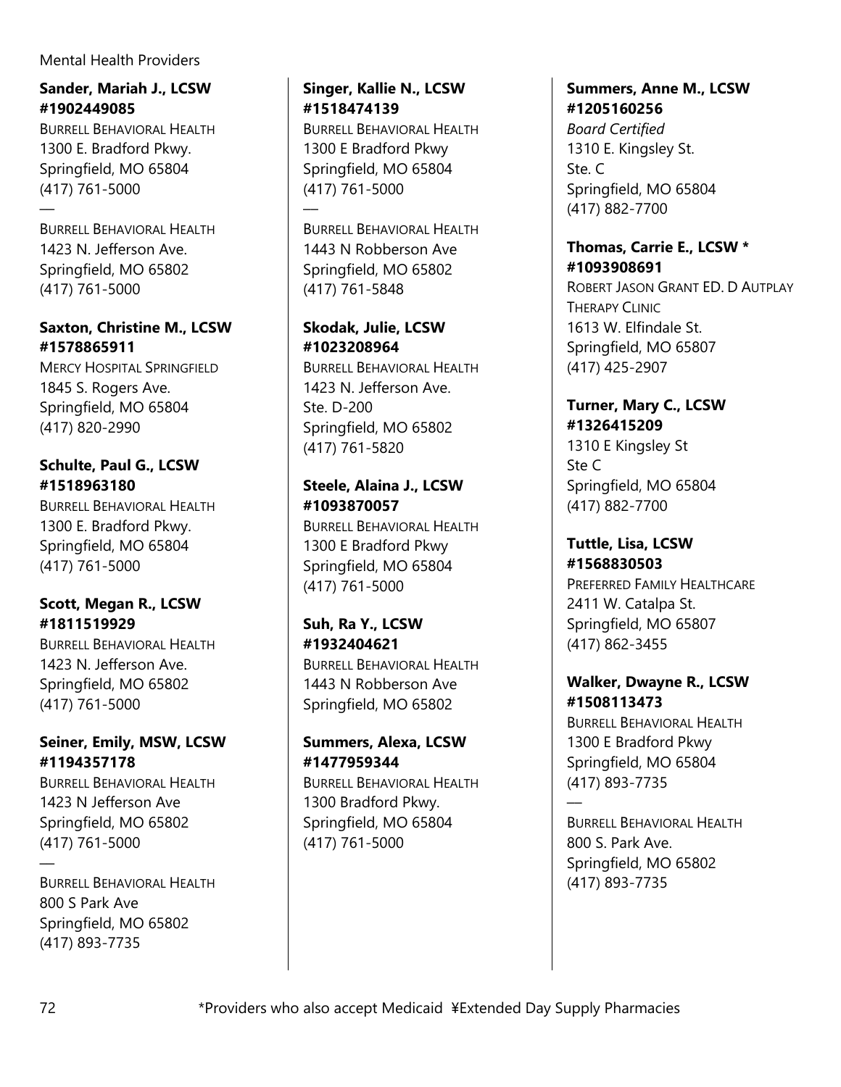#### **Sander, Mariah J., LCSW #1902449085**

BURRELL BEHAVIORAL HEALTH 1300 E. Bradford Pkwy. Springfield, MO 65804 (417) 761-5000

––

BURRELL BEHAVIORAL HEALTH 1423 N. Jefferson Ave. Springfield, MO 65802 (417) 761-5000

#### **Saxton, Christine M., LCSW #1578865911**

MERCY HOSPITAL SPRINGFIELD 1845 S. Rogers Ave. Springfield, MO 65804 (417) 820-2990

#### **Schulte, Paul G., LCSW #1518963180**

BURRELL BEHAVIORAL HEALTH 1300 E. Bradford Pkwy. Springfield, MO 65804 (417) 761-5000

#### **Scott, Megan R., LCSW #1811519929**

BURRELL BEHAVIORAL HEALTH 1423 N. Jefferson Ave. Springfield, MO 65802 (417) 761-5000

#### **Seiner, Emily, MSW, LCSW #1194357178**

BURRELL BEHAVIORAL HEALTH 1423 N Jefferson Ave Springfield, MO 65802 (417) 761-5000

BURRELL BEHAVIORAL HEALTH 800 S Park Ave Springfield, MO 65802 (417) 893-7735

#### **Singer, Kallie N., LCSW #1518474139**

BURRELL BEHAVIORAL HEALTH 1300 E Bradford Pkwy Springfield, MO 65804 (417) 761-5000

BURRELL BEHAVIORAL HEALTH 1443 N Robberson Ave Springfield, MO 65802 (417) 761-5848

––

#### **Skodak, Julie, LCSW #1023208964**

BURRELL BEHAVIORAL HEALTH 1423 N. Jefferson Ave. Ste. D-200 Springfield, MO 65802 (417) 761-5820

#### **Steele, Alaina J., LCSW #1093870057**

BURRELL BEHAVIORAL HEALTH 1300 E Bradford Pkwy Springfield, MO 65804 (417) 761-5000

#### **Suh, Ra Y., LCSW #1932404621** BURRELL BEHAVIORAL HEALTH 1443 N Robberson Ave Springfield, MO 65802

#### **Summers, Alexa, LCSW #1477959344**

BURRELL BEHAVIORAL HEALTH 1300 Bradford Pkwy. Springfield, MO 65804 (417) 761-5000

#### **Summers, Anne M., LCSW #1205160256**

*Board Certified* 1310 E. Kingsley St. Ste. C Springfield, MO 65804 (417) 882-7700

#### **Thomas, Carrie E., LCSW \* #1093908691**

ROBERT JASON GRANT ED. D AUTPLAY THERAPY CLINIC 1613 W. Elfindale St. Springfield, MO 65807 (417) 425-2907

## **Turner, Mary C., LCSW #1326415209**

1310 E Kingsley St Ste C Springfield, MO 65804 (417) 882-7700

#### **Tuttle, Lisa, LCSW #1568830503** PREFERRED FAMILY HEALTHCARE 2411 W. Catalpa St. Springfield, MO 65807 (417) 862-3455

#### **Walker, Dwayne R., LCSW #1508113473**

BURRELL BEHAVIORAL HEALTH 1300 E Bradford Pkwy Springfield, MO 65804 (417) 893-7735

–– BURRELL BEHAVIORAL HEALTH 800 S. Park Ave. Springfield, MO 65802 (417) 893-7735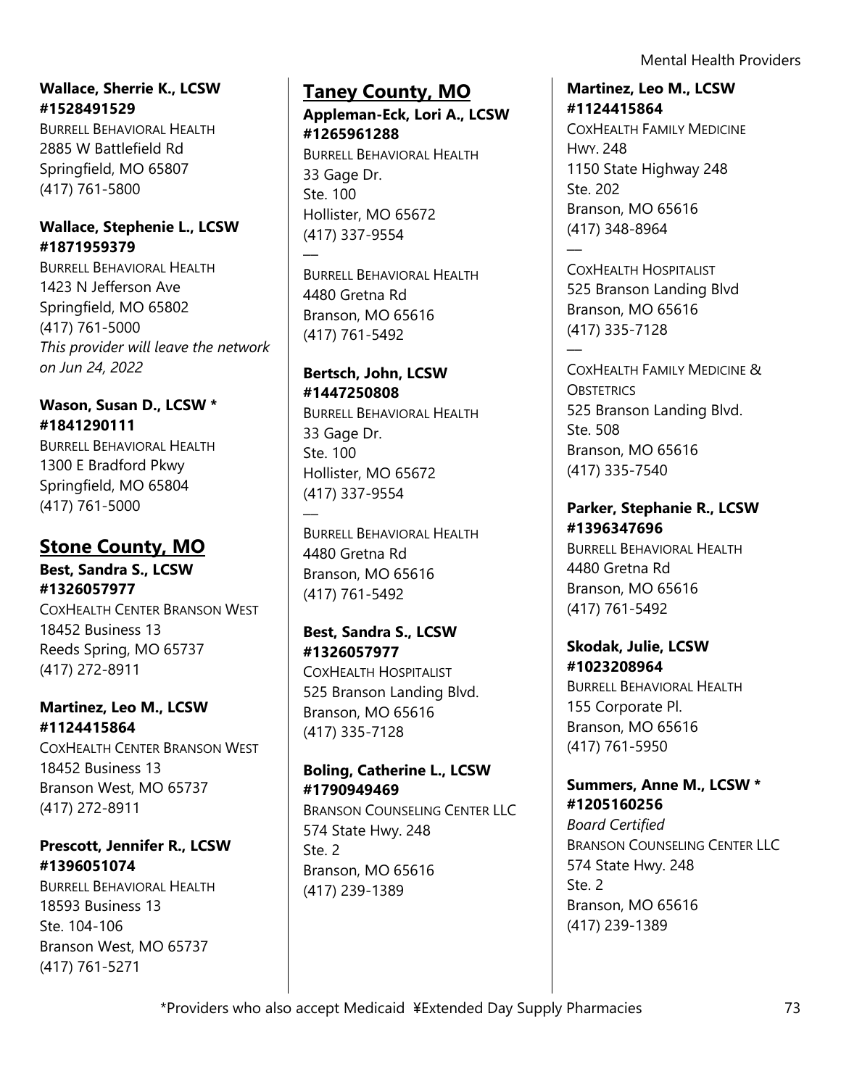#### **Wallace, Sherrie K., LCSW #1528491529**

BURRELL BEHAVIORAL HEALTH 2885 W Battlefield Rd Springfield, MO 65807 (417) 761-5800

#### **Wallace, Stephenie L., LCSW #1871959379**

BURRELL BEHAVIORAL HEALTH 1423 N Jefferson Ave Springfield, MO 65802 (417) 761-5000 *This provider will leave the network on Jun 24, 2022*

# **Wason, Susan D., LCSW \* #1841290111**

BURRELL BEHAVIORAL HEALTH 1300 E Bradford Pkwy Springfield, MO 65804 (417) 761-5000

# **Stone County, MO**

**Best, Sandra S., LCSW #1326057977** COXHEALTH CENTER BRANSON WEST 18452 Business 13 Reeds Spring, MO 65737 (417) 272-8911

#### **Martinez, Leo M., LCSW #1124415864**

COXHEALTH CENTER BRANSON WEST 18452 Business 13 Branson West, MO 65737 (417) 272-8911

#### **Prescott, Jennifer R., LCSW #1396051074**

BURRELL BEHAVIORAL HEALTH 18593 Business 13 Ste. 104-106 Branson West, MO 65737 (417) 761-5271

#### **Taney County, MO Appleman-Eck, Lori A., LCSW #1265961288**

BURRELL BEHAVIORAL HEALTH 33 Gage Dr. Ste. 100 Hollister, MO 65672 (417) 337-9554

–– BURRELL BEHAVIORAL HEALTH 4480 Gretna Rd Branson, MO 65616 (417) 761-5492

#### **Bertsch, John, LCSW #1447250808**

BURRELL BEHAVIORAL HEALTH 33 Gage Dr. Ste. 100 Hollister, MO 65672 (417) 337-9554 ––

BURRELL BEHAVIORAL HEALTH 4480 Gretna Rd Branson, MO 65616 (417) 761-5492

# **Best, Sandra S., LCSW #1326057977**

COXHEALTH HOSPITALIST 525 Branson Landing Blvd. Branson, MO 65616 (417) 335-7128

# **Boling, Catherine L., LCSW #1790949469**

BRANSON COUNSELING CENTER LLC 574 State Hwy. 248 Ste. 2 Branson, MO 65616 (417) 239-1389

#### **Martinez, Leo M., LCSW #1124415864**

COXHEALTH FAMILY MEDICINE HWY. 248 1150 State Highway 248 Ste. 202 Branson, MO 65616 (417) 348-8964

–– COXHEALTH HOSPITALIST 525 Branson Landing Blvd Branson, MO 65616 (417) 335-7128

–– COXHEALTH FAMILY MEDICINE & **OBSTETRICS** 525 Branson Landing Blvd. Ste. 508 Branson, MO 65616 (417) 335-7540

#### **Parker, Stephanie R., LCSW #1396347696**

BURRELL BEHAVIORAL HEALTH 4480 Gretna Rd Branson, MO 65616 (417) 761-5492

#### **Skodak, Julie, LCSW #1023208964**

BURRELL BEHAVIORAL HEALTH 155 Corporate Pl. Branson, MO 65616 (417) 761-5950

#### **Summers, Anne M., LCSW \* #1205160256**

*Board Certified* BRANSON COUNSELING CENTER LLC 574 State Hwy. 248 Ste. 2 Branson, MO 65616 (417) 239-1389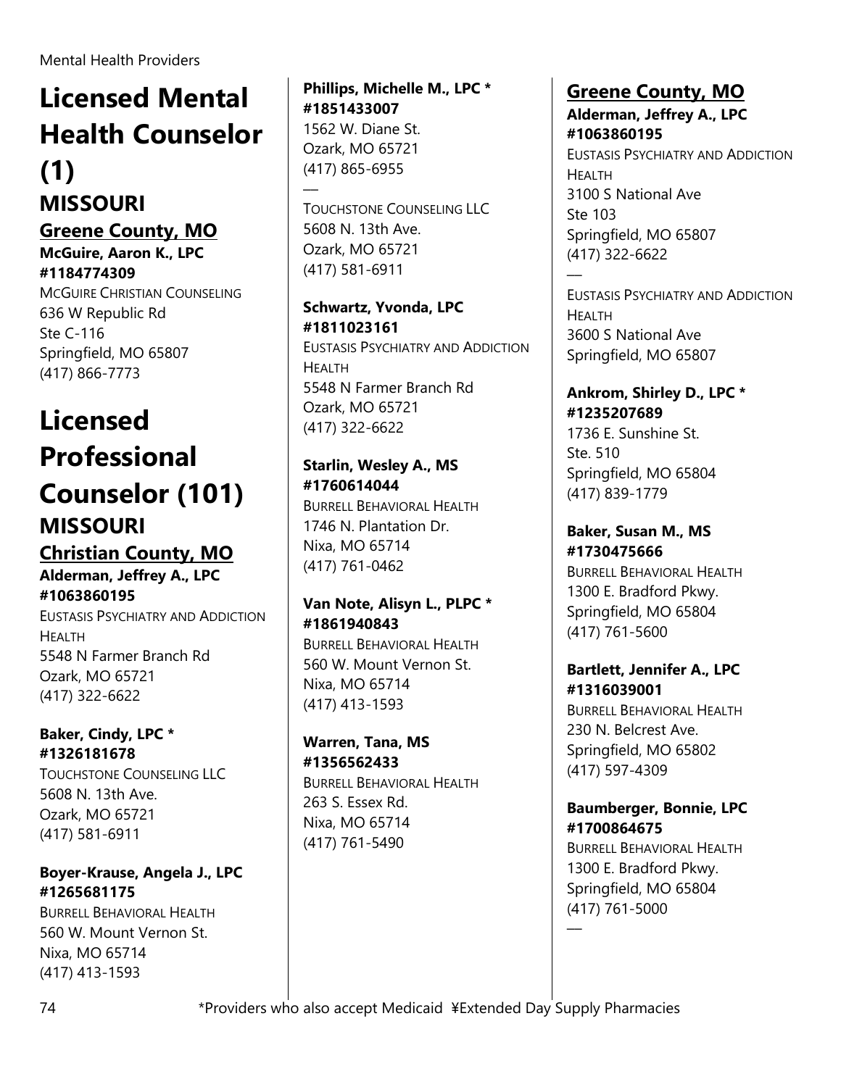# **Licensed Mental Health Counselor (1) MISSOURI**

# **Greene County, MO**

**McGuire, Aaron K., LPC #1184774309**

MCGUIRE CHRISTIAN COUNSELING 636 W Republic Rd Ste C-116 Springfield, MO 65807 (417) 866-7773

# **Licensed Professional Counselor (101) MISSOURI**

# **Christian County, MO**

#### **Alderman, Jeffrey A., LPC #1063860195**

EUSTASIS PSYCHIATRY AND ADDICTION **HEALTH** 5548 N Farmer Branch Rd Ozark, MO 65721 (417) 322-6622

#### **Baker, Cindy, LPC \* #1326181678**

TOUCHSTONE COUNSELING LLC 5608 N. 13th Ave. Ozark, MO 65721 (417) 581-6911

#### **Boyer-Krause, Angela J., LPC #1265681175**

BURRELL BEHAVIORAL HEALTH 560 W. Mount Vernon St. Nixa, MO 65714 (417) 413-1593

# **Phillips, Michelle M., LPC \* #1851433007** 1562 W. Diane St. Ozark, MO 65721

(417) 865-6955 –– TOUCHSTONE COUNSELING LLC

5608 N. 13th Ave. Ozark, MO 65721 (417) 581-6911

#### **Schwartz, Yvonda, LPC #1811023161**

EUSTASIS PSYCHIATRY AND ADDICTION **HEALTH** 5548 N Farmer Branch Rd Ozark, MO 65721 (417) 322-6622

#### **Starlin, Wesley A., MS #1760614044**

BURRELL BEHAVIORAL HEALTH 1746 N. Plantation Dr. Nixa, MO 65714 (417) 761-0462

### **Van Note, Alisyn L., PLPC \* #1861940843**

BURRELL BEHAVIORAL HEALTH 560 W. Mount Vernon St. Nixa, MO 65714 (417) 413-1593

**Warren, Tana, MS #1356562433** BURRELL BEHAVIORAL HEALTH 263 S. Essex Rd. Nixa, MO 65714

(417) 761-5490

# **Greene County, MO**

**Alderman, Jeffrey A., LPC #1063860195** EUSTASIS PSYCHIATRY AND ADDICTION **HEALTH** 3100 S National Ave Ste 103 Springfield, MO 65807 (417) 322-6622 ––

EUSTASIS PSYCHIATRY AND ADDICTION **HEALTH** 3600 S National Ave Springfield, MO 65807

# **Ankrom, Shirley D., LPC \* #1235207689**

1736 E. Sunshine St. Ste. 510 Springfield, MO 65804 (417) 839-1779

# **Baker, Susan M., MS #1730475666** BURRELL BEHAVIORAL HEALTH

1300 E. Bradford Pkwy. Springfield, MO 65804 (417) 761-5600

#### **Bartlett, Jennifer A., LPC #1316039001**

BURRELL BEHAVIORAL HEALTH 230 N. Belcrest Ave. Springfield, MO 65802 (417) 597-4309

#### **Baumberger, Bonnie, LPC #1700864675**

BURRELL BEHAVIORAL HEALTH 1300 E. Bradford Pkwy. Springfield, MO 65804 (417) 761-5000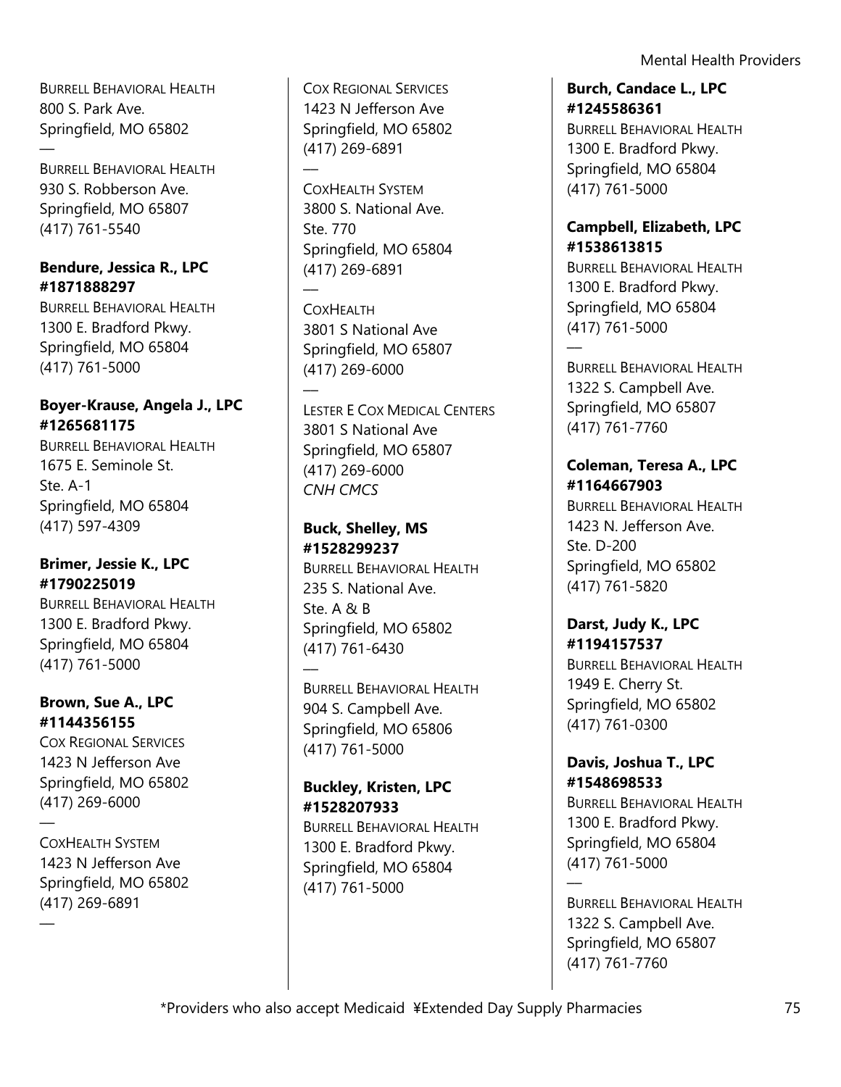BURRELL BEHAVIORAL HEALTH 800 S. Park Ave. Springfield, MO 65802

––

BURRELL BEHAVIORAL HEALTH 930 S. Robberson Ave. Springfield, MO 65807 (417) 761-5540

#### **Bendure, Jessica R., LPC #1871888297**

BURRELL BEHAVIORAL HEALTH 1300 E. Bradford Pkwy. Springfield, MO 65804 (417) 761-5000

#### **Boyer-Krause, Angela J., LPC #1265681175**

BURRELL BEHAVIORAL HEALTH 1675 E. Seminole St. Ste. A-1 Springfield, MO 65804 (417) 597-4309

#### **Brimer, Jessie K., LPC #1790225019**

BURRELL BEHAVIORAL HEALTH 1300 E. Bradford Pkwy. Springfield, MO 65804 (417) 761-5000

### **Brown, Sue A., LPC #1144356155**

COX REGIONAL SERVICES 1423 N Jefferson Ave Springfield, MO 65802 (417) 269-6000

–– COXHEALTH SYSTEM 1423 N Jefferson Ave Springfield, MO 65802 (417) 269-6891

––

COX REGIONAL SERVICES 1423 N Jefferson Ave Springfield, MO 65802 (417) 269-6891

–– COXHEALTH SYSTEM 3800 S. National Ave. Ste. 770 Springfield, MO 65804 (417) 269-6891

–– **COXHEALTH** 3801 S National Ave Springfield, MO 65807 (417) 269-6000

––

LESTER E COX MEDICAL CENTERS 3801 S National Ave Springfield, MO 65807 (417) 269-6000 *CNH CMCS*

#### **Buck, Shelley, MS #1528299237**

BURRELL BEHAVIORAL HEALTH 235 S. National Ave. Ste. A & B Springfield, MO 65802 (417) 761-6430 ––

BURRELL BEHAVIORAL HEALTH 904 S. Campbell Ave. Springfield, MO 65806 (417) 761-5000

#### **Buckley, Kristen, LPC #1528207933**

BURRELL BEHAVIORAL HEALTH 1300 E. Bradford Pkwy. Springfield, MO 65804 (417) 761-5000

**Burch, Candace L., LPC #1245586361**

BURRELL BEHAVIORAL HEALTH 1300 E. Bradford Pkwy. Springfield, MO 65804 (417) 761-5000

#### **Campbell, Elizabeth, LPC #1538613815**

BURRELL BEHAVIORAL HEALTH 1300 E. Bradford Pkwy. Springfield, MO 65804 (417) 761-5000

––

BURRELL BEHAVIORAL HEALTH 1322 S. Campbell Ave. Springfield, MO 65807 (417) 761-7760

#### **Coleman, Teresa A., LPC #1164667903**

BURRELL BEHAVIORAL HEALTH 1423 N. Jefferson Ave. Ste. D-200 Springfield, MO 65802 (417) 761-5820

#### **Darst, Judy K., LPC #1194157537**

BURRELL BEHAVIORAL HEALTH 1949 E. Cherry St. Springfield, MO 65802 (417) 761-0300

#### **Davis, Joshua T., LPC #1548698533**

––

BURRELL BEHAVIORAL HEALTH 1300 E. Bradford Pkwy. Springfield, MO 65804 (417) 761-5000

BURRELL BEHAVIORAL HEALTH 1322 S. Campbell Ave. Springfield, MO 65807 (417) 761-7760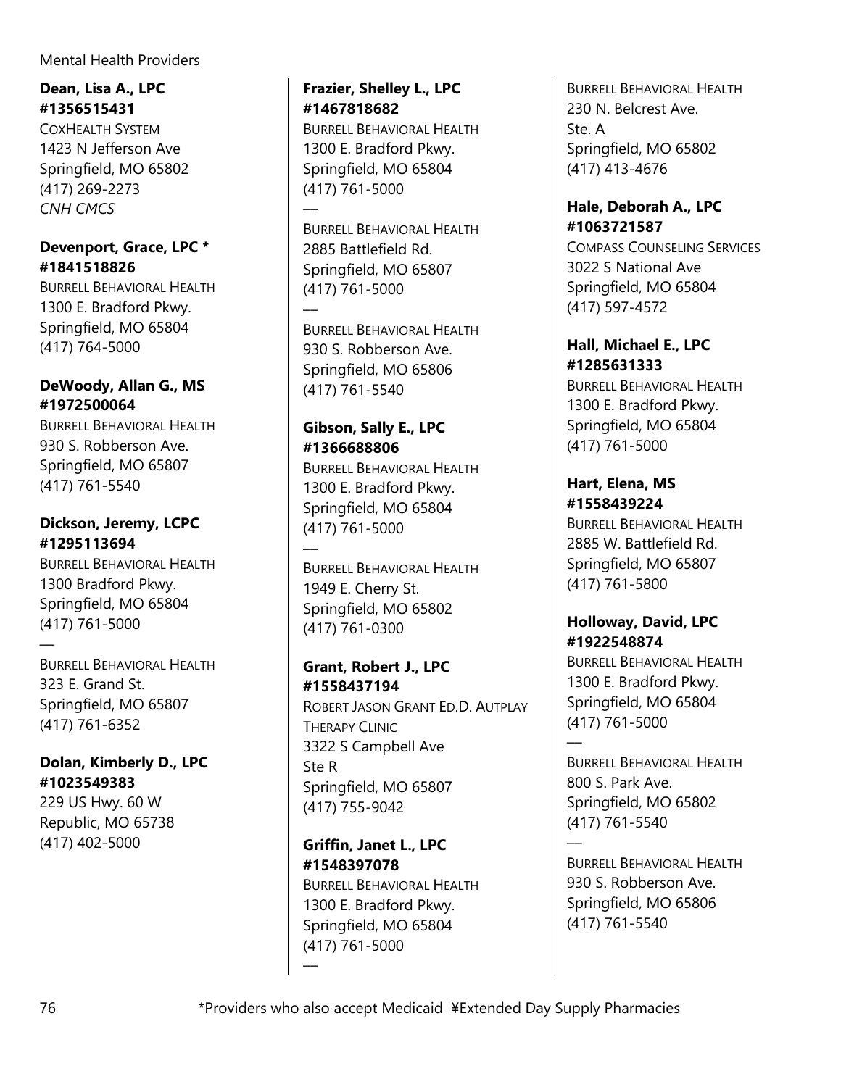**Dean, Lisa A., LPC #1356515431** COXHEALTH SYSTEM 1423 N Jefferson Ave Springfield, MO 65802 (417) 269-2273 *CNH CMCS*

#### **Devenport, Grace, LPC \* #1841518826**

BURRELL BEHAVIORAL HEALTH 1300 E. Bradford Pkwy. Springfield, MO 65804 (417) 764-5000

#### **DeWoody, Allan G., MS #1972500064**

BURRELL BEHAVIORAL HEALTH 930 S. Robberson Ave. Springfield, MO 65807 (417) 761-5540

#### **Dickson, Jeremy, LCPC #1295113694**

BURRELL BEHAVIORAL HEALTH 1300 Bradford Pkwy. Springfield, MO 65804 (417) 761-5000

BURRELL BEHAVIORAL HEALTH 323 E. Grand St. Springfield, MO 65807 (417) 761-6352

#### **Dolan, Kimberly D., LPC #1023549383**

229 US Hwy. 60 W Republic, MO 65738 (417) 402-5000

#### **Frazier, Shelley L., LPC #1467818682**

BURRELL BEHAVIORAL HEALTH 1300 E. Bradford Pkwy. Springfield, MO 65804 (417) 761-5000

BURRELL BEHAVIORAL HEALTH 2885 Battlefield Rd. Springfield, MO 65807 (417) 761-5000 ––

––

BURRELL BEHAVIORAL HEALTH 930 S. Robberson Ave. Springfield, MO 65806 (417) 761-5540

#### **Gibson, Sally E., LPC #1366688806**

BURRELL BEHAVIORAL HEALTH 1300 E. Bradford Pkwy. Springfield, MO 65804 (417) 761-5000

–– BURRELL BEHAVIORAL HEALTH 1949 E. Cherry St. Springfield, MO 65802 (417) 761-0300

#### **Grant, Robert J., LPC #1558437194**

ROBERT JASON GRANT ED.D. AUTPLAY THERAPY CLINIC 3322 S Campbell Ave Ste R Springfield, MO 65807 (417) 755-9042

#### **Griffin, Janet L., LPC #1548397078**

BURRELL BEHAVIORAL HEALTH 1300 E. Bradford Pkwy. Springfield, MO 65804 (417) 761-5000 ––

BURRELL BEHAVIORAL HEALTH 230 N. Belcrest Ave. Ste. A Springfield, MO 65802 (417) 413-4676

#### **Hale, Deborah A., LPC #1063721587**

COMPASS COUNSELING SERVICES 3022 S National Ave Springfield, MO 65804 (417) 597-4572

#### **Hall, Michael E., LPC #1285631333**

BURRELL BEHAVIORAL HEALTH 1300 E. Bradford Pkwy. Springfield, MO 65804 (417) 761-5000

#### **Hart, Elena, MS #1558439224**

BURRELL BEHAVIORAL HEALTH 2885 W. Battlefield Rd. Springfield, MO 65807 (417) 761-5800

#### **Holloway, David, LPC #1922548874**

––

BURRELL BEHAVIORAL HEALTH 1300 E. Bradford Pkwy. Springfield, MO 65804 (417) 761-5000

BURRELL BEHAVIORAL HEALTH 800 S. Park Ave. Springfield, MO 65802 (417) 761-5540

–– BURRELL BEHAVIORAL HEALTH 930 S. Robberson Ave. Springfield, MO 65806 (417) 761-5540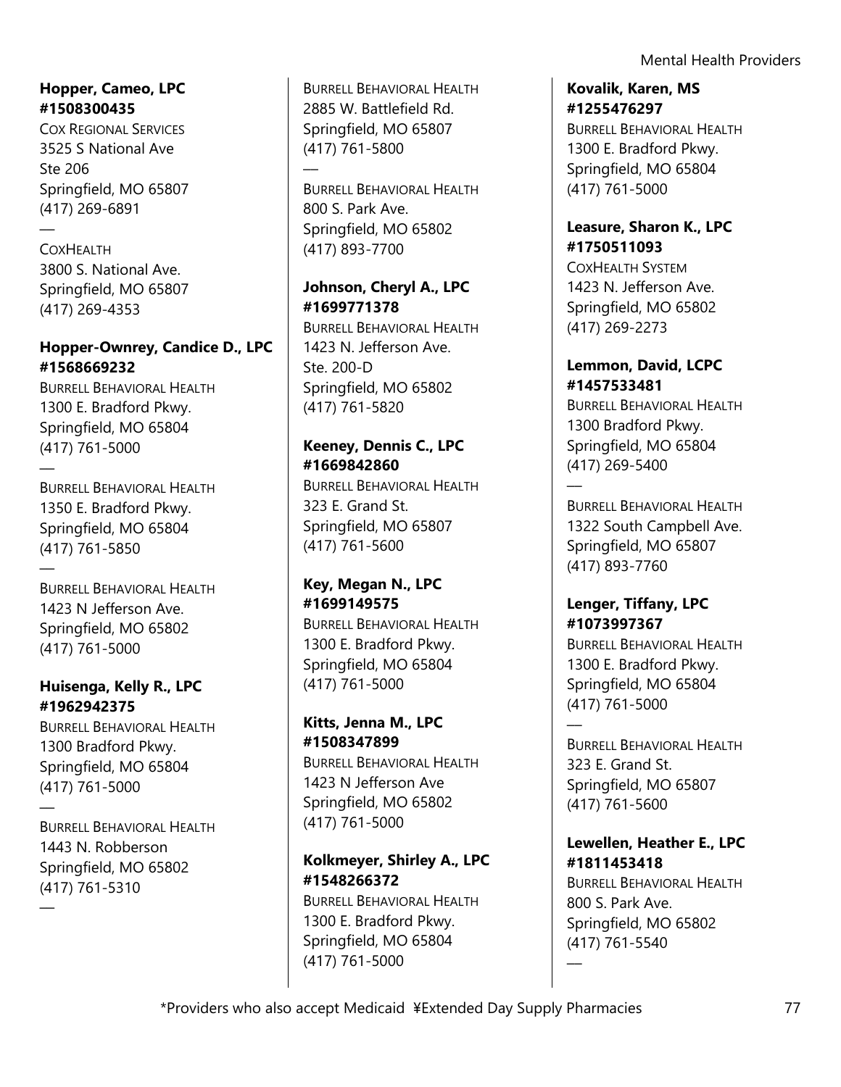## **Hopper, Cameo, LPC #1508300435**

COX REGIONAL SERVICES 3525 S National Ave Ste 206 Springfield, MO 65807 (417) 269-6891

**COXHEALTH** 3800 S. National Ave. Springfield, MO 65807 (417) 269-4353

––

#### **Hopper-Ownrey, Candice D., LPC #1568669232**

BURRELL BEHAVIORAL HEALTH 1300 E. Bradford Pkwy. Springfield, MO 65804 (417) 761-5000

–– BURRELL BEHAVIORAL HEALTH 1350 E. Bradford Pkwy. Springfield, MO 65804 (417) 761-5850

–– BURRELL BEHAVIORAL HEALTH 1423 N Jefferson Ave. Springfield, MO 65802 (417) 761-5000

#### **Huisenga, Kelly R., LPC #1962942375**

BURRELL BEHAVIORAL HEALTH 1300 Bradford Pkwy. Springfield, MO 65804 (417) 761-5000

––

––

BURRELL BEHAVIORAL HEALTH 1443 N. Robberson Springfield, MO 65802 (417) 761-5310

BURRELL BEHAVIORAL HEALTH 2885 W. Battlefield Rd. Springfield, MO 65807 (417) 761-5800 ––

BURRELL BEHAVIORAL HEALTH 800 S. Park Ave. Springfield, MO 65802 (417) 893-7700

### **Johnson, Cheryl A., LPC #1699771378**

BURRELL BEHAVIORAL HEALTH 1423 N. Jefferson Ave. Ste. 200-D Springfield, MO 65802 (417) 761-5820

#### **Keeney, Dennis C., LPC #1669842860**

BURRELL BEHAVIORAL HEALTH 323 E. Grand St. Springfield, MO 65807 (417) 761-5600

#### **Key, Megan N., LPC #1699149575**

BURRELL BEHAVIORAL HEALTH 1300 E. Bradford Pkwy. Springfield, MO 65804 (417) 761-5000

#### **Kitts, Jenna M., LPC #1508347899**

BURRELL BEHAVIORAL HEALTH 1423 N Jefferson Ave Springfield, MO 65802 (417) 761-5000

### **Kolkmeyer, Shirley A., LPC #1548266372**

BURRELL BEHAVIORAL HEALTH 1300 E. Bradford Pkwy. Springfield, MO 65804 (417) 761-5000

#### **Kovalik, Karen, MS #1255476297**

BURRELL BEHAVIORAL HEALTH 1300 E. Bradford Pkwy. Springfield, MO 65804 (417) 761-5000

#### **Leasure, Sharon K., LPC #1750511093**

COXHEALTH SYSTEM 1423 N. Jefferson Ave. Springfield, MO 65802 (417) 269-2273

#### **Lemmon, David, LCPC #1457533481**

BURRELL BEHAVIORAL HEALTH 1300 Bradford Pkwy. Springfield, MO 65804 (417) 269-5400 ––

BURRELL BEHAVIORAL HEALTH 1322 South Campbell Ave. Springfield, MO 65807 (417) 893-7760

#### **Lenger, Tiffany, LPC #1073997367**

BURRELL BEHAVIORAL HEALTH 1300 E. Bradford Pkwy. Springfield, MO 65804 (417) 761-5000

–– BURRELL BEHAVIORAL HEALTH 323 E. Grand St. Springfield, MO 65807 (417) 761-5600

#### **Lewellen, Heather E., LPC #1811453418**

BURRELL BEHAVIORAL HEALTH 800 S. Park Ave. Springfield, MO 65802 (417) 761-5540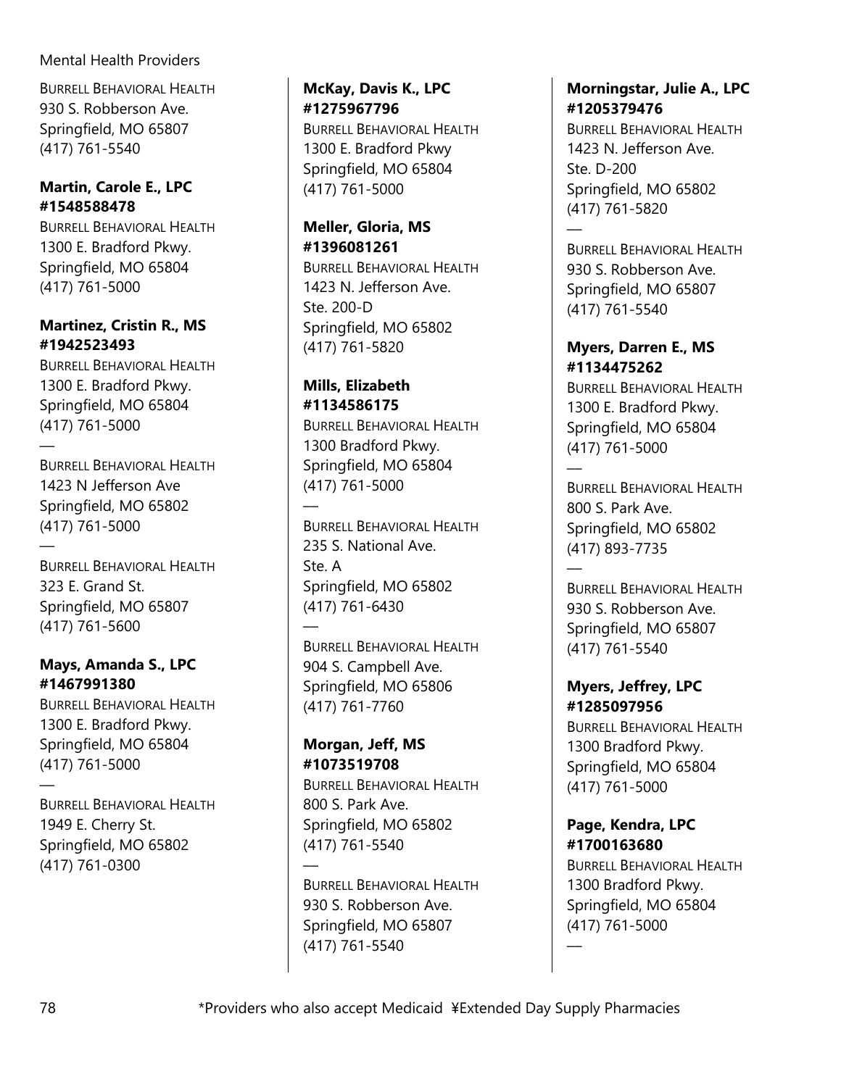BURRELL BEHAVIORAL HEALTH 930 S. Robberson Ave. Springfield, MO 65807 (417) 761-5540

#### **Martin, Carole E., LPC #1548588478**

BURRELL BEHAVIORAL HEALTH 1300 E. Bradford Pkwy. Springfield, MO 65804 (417) 761-5000

#### **Martinez, Cristin R., MS #1942523493**

BURRELL BEHAVIORAL HEALTH 1300 E. Bradford Pkwy. Springfield, MO 65804 (417) 761-5000 ––

BURRELL BEHAVIORAL HEALTH 1423 N Jefferson Ave Springfield, MO 65802 (417) 761-5000

–– BURRELL BEHAVIORAL HEALTH 323 E. Grand St. Springfield, MO 65807 (417) 761-5600

#### **Mays, Amanda S., LPC #1467991380**

BURRELL BEHAVIORAL HEALTH 1300 E. Bradford Pkwy. Springfield, MO 65804 (417) 761-5000

BURRELL BEHAVIORAL HEALTH 1949 E. Cherry St. Springfield, MO 65802 (417) 761-0300

# **McKay, Davis K., LPC #1275967796**

BURRELL BEHAVIORAL HEALTH 1300 E. Bradford Pkwy Springfield, MO 65804 (417) 761-5000

#### **Meller, Gloria, MS #1396081261**

BURRELL BEHAVIORAL HEALTH 1423 N. Jefferson Ave. Ste. 200-D Springfield, MO 65802 (417) 761-5820

#### **Mills, Elizabeth #1134586175**

BURRELL BEHAVIORAL HEALTH 1300 Bradford Pkwy. Springfield, MO 65804 (417) 761-5000

–– BURRELL BEHAVIORAL HEALTH 235 S. National Ave. Ste. A Springfield, MO 65802 (417) 761-6430 ––

BURRELL BEHAVIORAL HEALTH 904 S. Campbell Ave. Springfield, MO 65806 (417) 761-7760

#### **Morgan, Jeff, MS #1073519708**

BURRELL BEHAVIORAL HEALTH 800 S. Park Ave. Springfield, MO 65802 (417) 761-5540 ––

BURRELL BEHAVIORAL HEALTH 930 S. Robberson Ave. Springfield, MO 65807 (417) 761-5540

#### **Morningstar, Julie A., LPC #1205379476**

BURRELL BEHAVIORAL HEALTH 1423 N. Jefferson Ave. Ste. D-200 Springfield, MO 65802 (417) 761-5820

–– BURRELL BEHAVIORAL HEALTH 930 S. Robberson Ave. Springfield, MO 65807 (417) 761-5540

#### **Myers, Darren E., MS #1134475262**

BURRELL BEHAVIORAL HEALTH 1300 E. Bradford Pkwy. Springfield, MO 65804 (417) 761-5000

–– BURRELL BEHAVIORAL HEALTH 800 S. Park Ave. Springfield, MO 65802 (417) 893-7735 ––

BURRELL BEHAVIORAL HEALTH 930 S. Robberson Ave. Springfield, MO 65807 (417) 761-5540

#### **Myers, Jeffrey, LPC #1285097956**

BURRELL BEHAVIORAL HEALTH 1300 Bradford Pkwy. Springfield, MO 65804 (417) 761-5000

#### **Page, Kendra, LPC #1700163680**

––

BURRELL BEHAVIORAL HEALTH 1300 Bradford Pkwy. Springfield, MO 65804 (417) 761-5000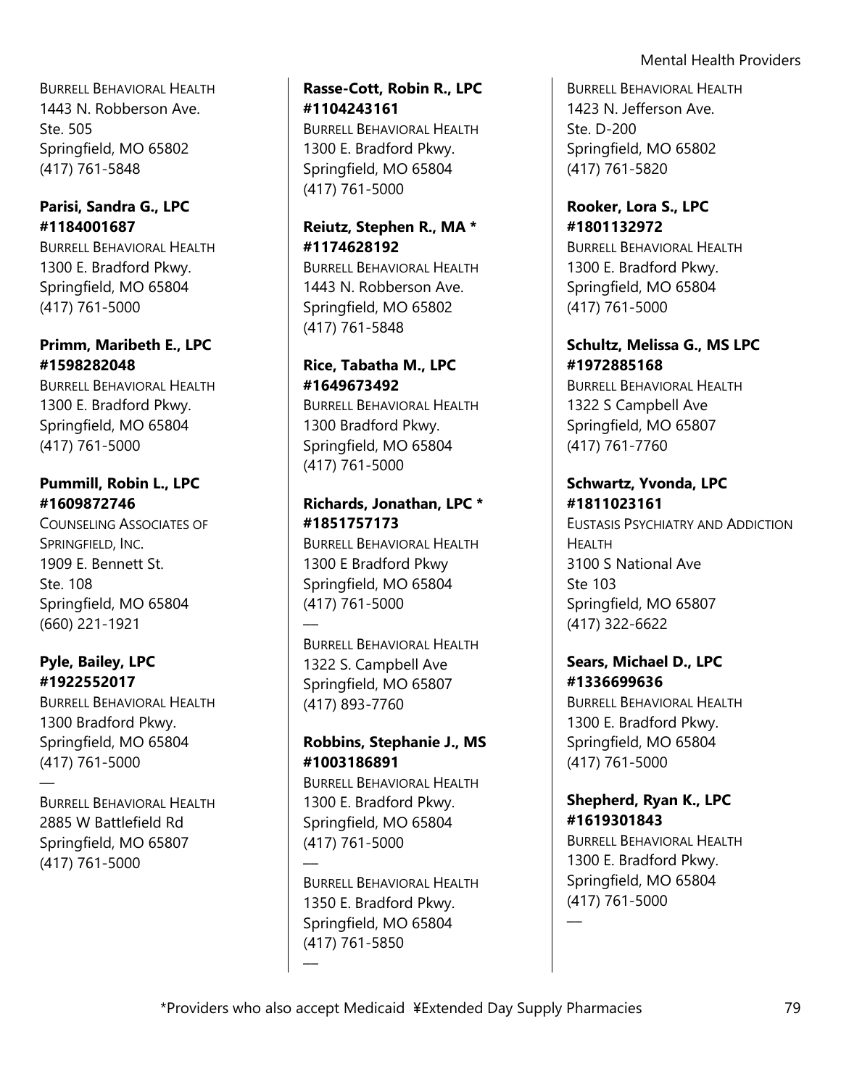BURRELL BEHAVIORAL HEALTH 1443 N. Robberson Ave. Ste. 505 Springfield, MO 65802 (417) 761-5848

#### **Parisi, Sandra G., LPC #1184001687**

BURRELL BEHAVIORAL HEALTH 1300 E. Bradford Pkwy. Springfield, MO 65804 (417) 761-5000

#### **Primm, Maribeth E., LPC #1598282048**

BURRELL BEHAVIORAL HEALTH 1300 E. Bradford Pkwy. Springfield, MO 65804 (417) 761-5000

#### **Pummill, Robin L., LPC #1609872746**

COUNSELING ASSOCIATES OF SPRINGFIELD, INC. 1909 E. Bennett St. Ste. 108 Springfield, MO 65804 (660) 221-1921

#### **Pyle, Bailey, LPC #1922552017**

––

BURRELL BEHAVIORAL HEALTH 1300 Bradford Pkwy. Springfield, MO 65804 (417) 761-5000

BURRELL BEHAVIORAL HEALTH 2885 W Battlefield Rd Springfield, MO 65807 (417) 761-5000

#### **Rasse-Cott, Robin R., LPC #1104243161**

BURRELL BEHAVIORAL HEALTH 1300 E. Bradford Pkwy. Springfield, MO 65804 (417) 761-5000

#### **Reiutz, Stephen R., MA \* #1174628192**

BURRELL BEHAVIORAL HEALTH 1443 N. Robberson Ave. Springfield, MO 65802 (417) 761-5848

#### **Rice, Tabatha M., LPC #1649673492**

BURRELL BEHAVIORAL HEALTH 1300 Bradford Pkwy. Springfield, MO 65804 (417) 761-5000

#### **Richards, Jonathan, LPC \* #1851757173**

BURRELL BEHAVIORAL HEALTH 1300 E Bradford Pkwy Springfield, MO 65804 (417) 761-5000 ––

BURRELL BEHAVIORAL HEALTH 1322 S. Campbell Ave Springfield, MO 65807 (417) 893-7760

#### **Robbins, Stephanie J., MS #1003186891**

BURRELL BEHAVIORAL HEALTH 1300 E. Bradford Pkwy. Springfield, MO 65804 (417) 761-5000

–– BURRELL BEHAVIORAL HEALTH 1350 E. Bradford Pkwy. Springfield, MO 65804 (417) 761-5850 ––

BURRELL BEHAVIORAL HEALTH 1423 N. Jefferson Ave. Ste. D-200 Springfield, MO 65802 (417) 761-5820

#### **Rooker, Lora S., LPC #1801132972**

BURRELL BEHAVIORAL HEALTH 1300 E. Bradford Pkwy. Springfield, MO 65804 (417) 761-5000

#### **Schultz, Melissa G., MS LPC #1972885168**

BURRELL BEHAVIORAL HEALTH 1322 S Campbell Ave Springfield, MO 65807 (417) 761-7760

#### **Schwartz, Yvonda, LPC #1811023161**

EUSTASIS PSYCHIATRY AND ADDICTION **HEALTH** 3100 S National Ave Ste 103 Springfield, MO 65807 (417) 322-6622

#### **Sears, Michael D., LPC #1336699636**

BURRELL BEHAVIORAL HEALTH 1300 E. Bradford Pkwy. Springfield, MO 65804 (417) 761-5000

#### **Shepherd, Ryan K., LPC #1619301843**

BURRELL BEHAVIORAL HEALTH 1300 E. Bradford Pkwy. Springfield, MO 65804 (417) 761-5000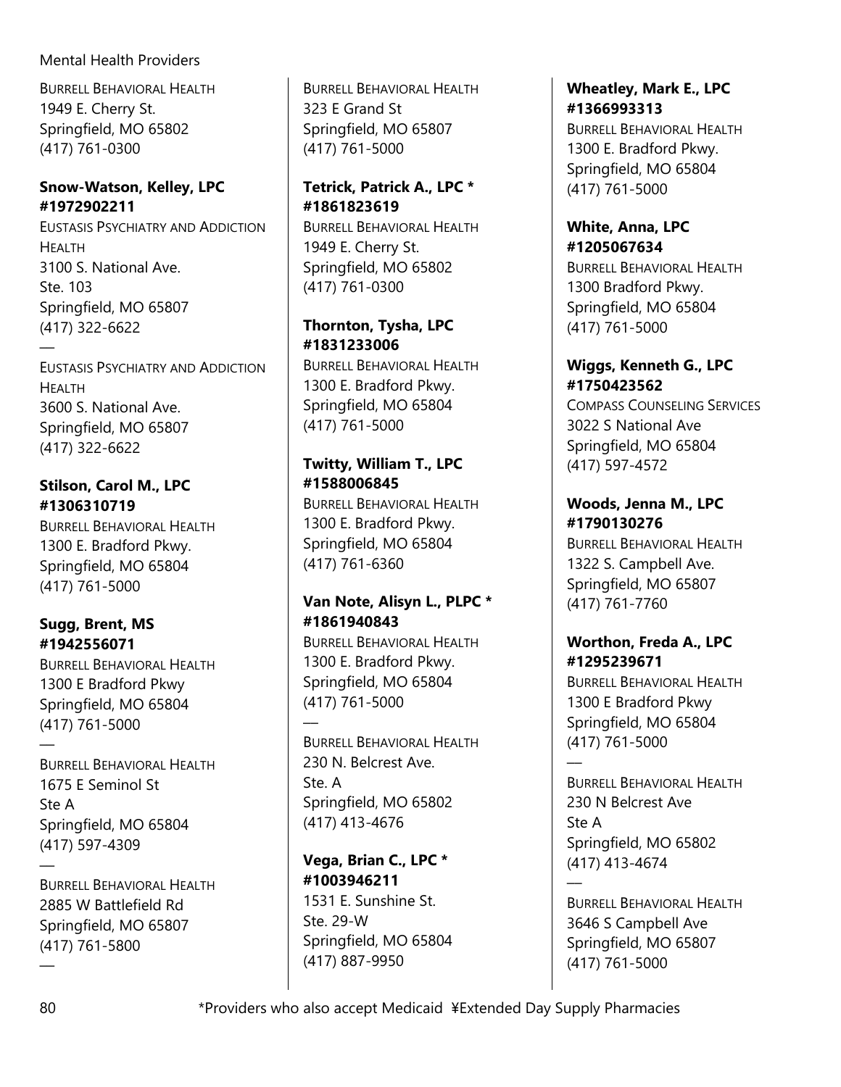BURRELL BEHAVIORAL HEALTH 1949 E. Cherry St. Springfield, MO 65802 (417) 761-0300

#### **Snow-Watson, Kelley, LPC #1972902211**

EUSTASIS PSYCHIATRY AND ADDICTION **HEALTH** 3100 S. National Ave. Ste. 103 Springfield, MO 65807 (417) 322-6622

–– EUSTASIS PSYCHIATRY AND ADDICTION **HEALTH** 3600 S. National Ave. Springfield, MO 65807 (417) 322-6622

#### **Stilson, Carol M., LPC #1306310719**

BURRELL BEHAVIORAL HEALTH 1300 E. Bradford Pkwy. Springfield, MO 65804 (417) 761-5000

#### **Sugg, Brent, MS #1942556071**

BURRELL BEHAVIORAL HEALTH 1300 E Bradford Pkwy Springfield, MO 65804 (417) 761-5000

BURRELL BEHAVIORAL HEALTH 1675 E Seminol St Ste A Springfield, MO 65804 (417) 597-4309

BURRELL BEHAVIORAL HEALTH 2885 W Battlefield Rd Springfield, MO 65807 (417) 761-5800

BURRELL BEHAVIORAL HEALTH 323 E Grand St Springfield, MO 65807 (417) 761-5000

#### **Tetrick, Patrick A., LPC \* #1861823619**

BURRELL BEHAVIORAL HEALTH 1949 E. Cherry St. Springfield, MO 65802 (417) 761-0300

#### **Thornton, Tysha, LPC #1831233006**

BURRELL BEHAVIORAL HEALTH 1300 E. Bradford Pkwy. Springfield, MO 65804 (417) 761-5000

#### **Twitty, William T., LPC #1588006845**

BURRELL BEHAVIORAL HEALTH 1300 E. Bradford Pkwy. Springfield, MO 65804 (417) 761-6360

#### **Van Note, Alisyn L., PLPC \* #1861940843**

BURRELL BEHAVIORAL HEALTH 1300 E. Bradford Pkwy. Springfield, MO 65804 (417) 761-5000

––

BURRELL BEHAVIORAL HEALTH 230 N. Belcrest Ave. Ste. A Springfield, MO 65802 (417) 413-4676

**Vega, Brian C., LPC \* #1003946211** 1531 E. Sunshine St. Ste. 29-W Springfield, MO 65804 (417) 887-9950

#### **Wheatley, Mark E., LPC #1366993313**

BURRELL BEHAVIORAL HEALTH 1300 E. Bradford Pkwy. Springfield, MO 65804 (417) 761-5000

#### **White, Anna, LPC #1205067634**

BURRELL BEHAVIORAL HEALTH 1300 Bradford Pkwy. Springfield, MO 65804 (417) 761-5000

#### **Wiggs, Kenneth G., LPC #1750423562**

COMPASS COUNSELING SERVICES 3022 S National Ave Springfield, MO 65804 (417) 597-4572

#### **Woods, Jenna M., LPC #1790130276**

BURRELL BEHAVIORAL HEALTH 1322 S. Campbell Ave. Springfield, MO 65807 (417) 761-7760

#### **Worthon, Freda A., LPC #1295239671**

BURRELL BEHAVIORAL HEALTH 1300 E Bradford Pkwy Springfield, MO 65804 (417) 761-5000

–– BURRELL BEHAVIORAL HEALTH 230 N Belcrest Ave Ste A Springfield, MO 65802 (417) 413-4674

BURRELL BEHAVIORAL HEALTH 3646 S Campbell Ave Springfield, MO 65807 (417) 761-5000

––

––

––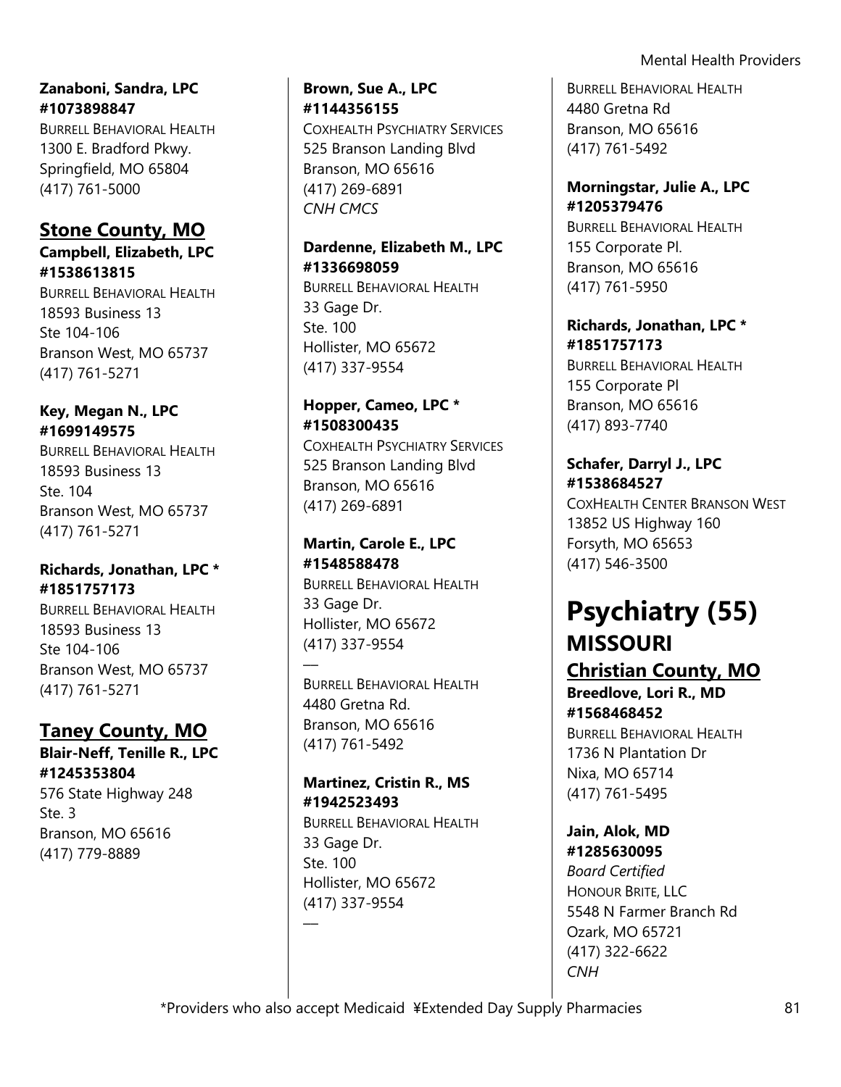#### **Zanaboni, Sandra, LPC #1073898847**

BURRELL BEHAVIORAL HEALTH 1300 E. Bradford Pkwy. Springfield, MO 65804 (417) 761-5000

# **Stone County, MO**

**Campbell, Elizabeth, LPC #1538613815**

BURRELL BEHAVIORAL HEALTH 18593 Business 13 Ste 104-106 Branson West, MO 65737 (417) 761-5271

#### **Key, Megan N., LPC #1699149575**

BURRELL BEHAVIORAL HEALTH 18593 Business 13 Ste. 104 Branson West, MO 65737 (417) 761-5271

#### **Richards, Jonathan, LPC \* #1851757173**

BURRELL BEHAVIORAL HEALTH 18593 Business 13 Ste 104-106 Branson West, MO 65737 (417) 761-5271

# **Taney County, MO**

# **Blair-Neff, Tenille R., LPC #1245353804**

576 State Highway 248 Ste. 3 Branson, MO 65616 (417) 779-8889

# **Brown, Sue A., LPC #1144356155**

COXHEALTH PSYCHIATRY SERVICES 525 Branson Landing Blvd Branson, MO 65616 (417) 269-6891 *CNH CMCS*

#### **Dardenne, Elizabeth M., LPC #1336698059**

BURRELL BEHAVIORAL HEALTH 33 Gage Dr. Ste. 100 Hollister, MO 65672 (417) 337-9554

## **Hopper, Cameo, LPC \* #1508300435**

COXHEALTH PSYCHIATRY SERVICES 525 Branson Landing Blvd Branson, MO 65616 (417) 269-6891

#### **Martin, Carole E., LPC #1548588478**

BURRELL BEHAVIORAL HEALTH 33 Gage Dr. Hollister, MO 65672 (417) 337-9554 ––

BURRELL BEHAVIORAL HEALTH 4480 Gretna Rd. Branson, MO 65616 (417) 761-5492

### **Martinez, Cristin R., MS #1942523493**

BURRELL BEHAVIORAL HEALTH 33 Gage Dr. Ste. 100 Hollister, MO 65672 (417) 337-9554 ––

BURRELL BEHAVIORAL HEALTH 4480 Gretna Rd Branson, MO 65616 (417) 761-5492

#### **Morningstar, Julie A., LPC #1205379476**

BURRELL BEHAVIORAL HEALTH 155 Corporate Pl. Branson, MO 65616 (417) 761-5950

#### **Richards, Jonathan, LPC \* #1851757173**

BURRELL BEHAVIORAL HEALTH 155 Corporate Pl Branson, MO 65616 (417) 893-7740

#### **Schafer, Darryl J., LPC #1538684527**

COXHEALTH CENTER BRANSON WEST 13852 US Highway 160 Forsyth, MO 65653 (417) 546-3500

# **Psychiatry (55) MISSOURI**

# **Christian County, MO**

### **Breedlove, Lori R., MD #1568468452**

BURRELL BEHAVIORAL HEALTH 1736 N Plantation Dr Nixa, MO 65714 (417) 761-5495

#### **Jain, Alok, MD #1285630095**

*Board Certified* HONOUR BRITE, LLC 5548 N Farmer Branch Rd Ozark, MO 65721 (417) 322-6622 *CNH*

\*Providers who also accept Medicaid ¥Extended Day Supply Pharmacies 81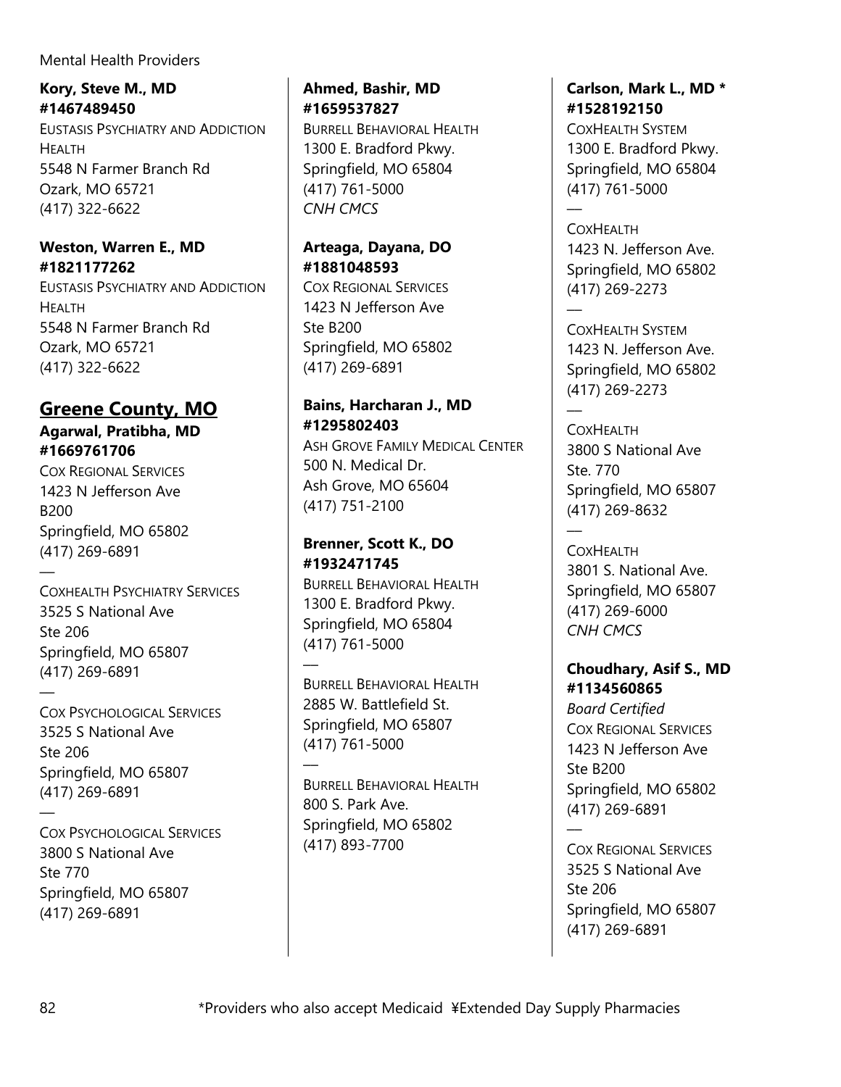**Kory, Steve M., MD #1467489450** EUSTASIS PSYCHIATRY AND ADDICTION **HEALTH** 5548 N Farmer Branch Rd Ozark, MO 65721 (417) 322-6622

#### **Weston, Warren E., MD #1821177262**

EUSTASIS PSYCHIATRY AND ADDICTION **HEALTH** 5548 N Farmer Branch Rd Ozark, MO 65721 (417) 322-6622

# **Greene County, MO**

**Agarwal, Pratibha, MD #1669761706**

COX REGIONAL SERVICES 1423 N Jefferson Ave B200 Springfield, MO 65802 (417) 269-6891

–– COXHEALTH PSYCHIATRY SERVICES 3525 S National Ave Ste 206 Springfield, MO 65807 (417) 269-6891

COX PSYCHOLOGICAL SERVICES 3525 S National Ave Ste 206 Springfield, MO 65807 (417) 269-6891

COX PSYCHOLOGICAL SERVICES 3800 S National Ave Ste 770 Springfield, MO 65807 (417) 269-6891

# **Ahmed, Bashir, MD #1659537827**

BURRELL BEHAVIORAL HEALTH 1300 E. Bradford Pkwy. Springfield, MO 65804 (417) 761-5000 *CNH CMCS*

#### **Arteaga, Dayana, DO #1881048593**

COX REGIONAL SERVICES 1423 N Jefferson Ave Ste B200 Springfield, MO 65802 (417) 269-6891

#### **Bains, Harcharan J., MD #1295802403**

ASH GROVE FAMILY MEDICAL CENTER 500 N. Medical Dr. Ash Grove, MO 65604 (417) 751-2100

#### **Brenner, Scott K., DO #1932471745**

BURRELL BEHAVIORAL HEALTH 1300 E. Bradford Pkwy. Springfield, MO 65804 (417) 761-5000 ––

BURRELL BEHAVIORAL HEALTH 2885 W. Battlefield St. Springfield, MO 65807 (417) 761-5000

–– BURRELL BEHAVIORAL HEALTH 800 S. Park Ave. Springfield, MO 65802 (417) 893-7700

#### **Carlson, Mark L., MD \* #1528192150**

COXHEALTH SYSTEM 1300 E. Bradford Pkwy. Springfield, MO 65804 (417) 761-5000

–– **COXHEALTH** 1423 N. Jefferson Ave. Springfield, MO 65802 (417) 269-2273

–– COXHEALTH SYSTEM 1423 N. Jefferson Ave. Springfield, MO 65802 (417) 269-2273

–– **COXHEALTH** 3800 S National Ave Ste. 770 Springfield, MO 65807 (417) 269-8632

–– **COXHEALTH** 3801 S. National Ave. Springfield, MO 65807 (417) 269-6000 *CNH CMCS*

#### **Choudhary, Asif S., MD #1134560865**

*Board Certified* COX REGIONAL SERVICES 1423 N Jefferson Ave Ste B200 Springfield, MO 65802 (417) 269-6891

–– COX REGIONAL SERVICES 3525 S National Ave Ste 206 Springfield, MO 65807 (417) 269-6891

––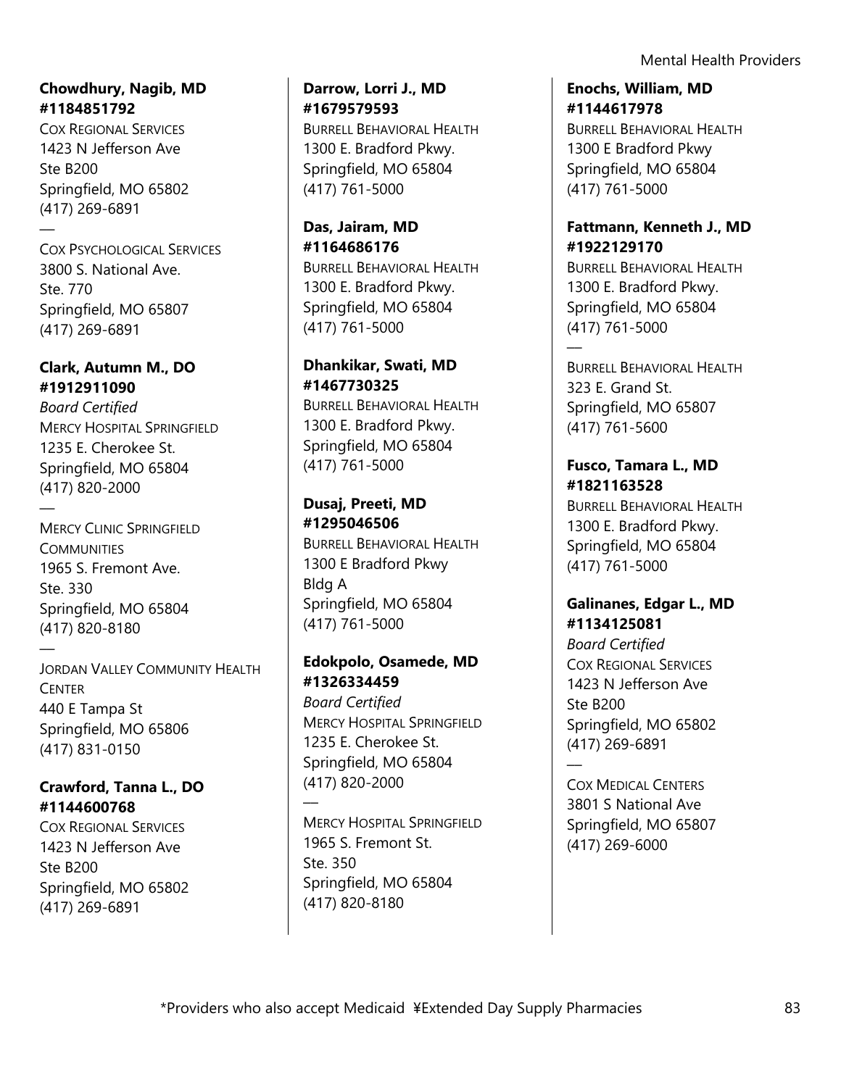#### **Chowdhury, Nagib, MD #1184851792**

COX REGIONAL SERVICES 1423 N Jefferson Ave Ste B200 Springfield, MO 65802 (417) 269-6891

–– COX PSYCHOLOGICAL SERVICES 3800 S. National Ave. Ste. 770 Springfield, MO 65807 (417) 269-6891

#### **Clark, Autumn M., DO #1912911090**

*Board Certified* MERCY HOSPITAL SPRINGFIELD 1235 E. Cherokee St. Springfield, MO 65804 (417) 820-2000

–– MERCY CLINIC SPRINGFIELD **COMMUNITIES** 1965 S. Fremont Ave. Ste. 330 Springfield, MO 65804 (417) 820-8180

––

JORDAN VALLEY COMMUNITY HEALTH **CENTER** 440 E Tampa St Springfield, MO 65806 (417) 831-0150

#### **Crawford, Tanna L., DO #1144600768**

COX REGIONAL SERVICES 1423 N Jefferson Ave Ste B200 Springfield, MO 65802 (417) 269-6891

# **Darrow, Lorri J., MD #1679579593**

BURRELL BEHAVIORAL HEALTH 1300 E. Bradford Pkwy. Springfield, MO 65804 (417) 761-5000

#### **Das, Jairam, MD #1164686176**

BURRELL BEHAVIORAL HEALTH 1300 E. Bradford Pkwy. Springfield, MO 65804 (417) 761-5000

#### **Dhankikar, Swati, MD #1467730325**

BURRELL BEHAVIORAL HEALTH 1300 E. Bradford Pkwy. Springfield, MO 65804 (417) 761-5000

#### **Dusaj, Preeti, MD #1295046506**

BURRELL BEHAVIORAL HEALTH 1300 E Bradford Pkwy Bldg A Springfield, MO 65804 (417) 761-5000

#### **Edokpolo, Osamede, MD #1326334459**

*Board Certified* MERCY HOSPITAL SPRINGFIELD 1235 E. Cherokee St. Springfield, MO 65804 (417) 820-2000

–– MERCY HOSPITAL SPRINGFIELD 1965 S. Fremont St. Ste. 350 Springfield, MO 65804 (417) 820-8180

#### **Enochs, William, MD #1144617978**

BURRELL BEHAVIORAL HEALTH 1300 E Bradford Pkwy Springfield, MO 65804 (417) 761-5000

#### **Fattmann, Kenneth J., MD #1922129170**

BURRELL BEHAVIORAL HEALTH 1300 E. Bradford Pkwy. Springfield, MO 65804 (417) 761-5000

––

BURRELL BEHAVIORAL HEALTH 323 E. Grand St. Springfield, MO 65807 (417) 761-5600

#### **Fusco, Tamara L., MD #1821163528**

BURRELL BEHAVIORAL HEALTH 1300 E. Bradford Pkwy. Springfield, MO 65804 (417) 761-5000

#### **Galinanes, Edgar L., MD #1134125081**

*Board Certified* COX REGIONAL SERVICES 1423 N Jefferson Ave Ste B200 Springfield, MO 65802 (417) 269-6891

–– COX MEDICAL CENTERS 3801 S National Ave Springfield, MO 65807 (417) 269-6000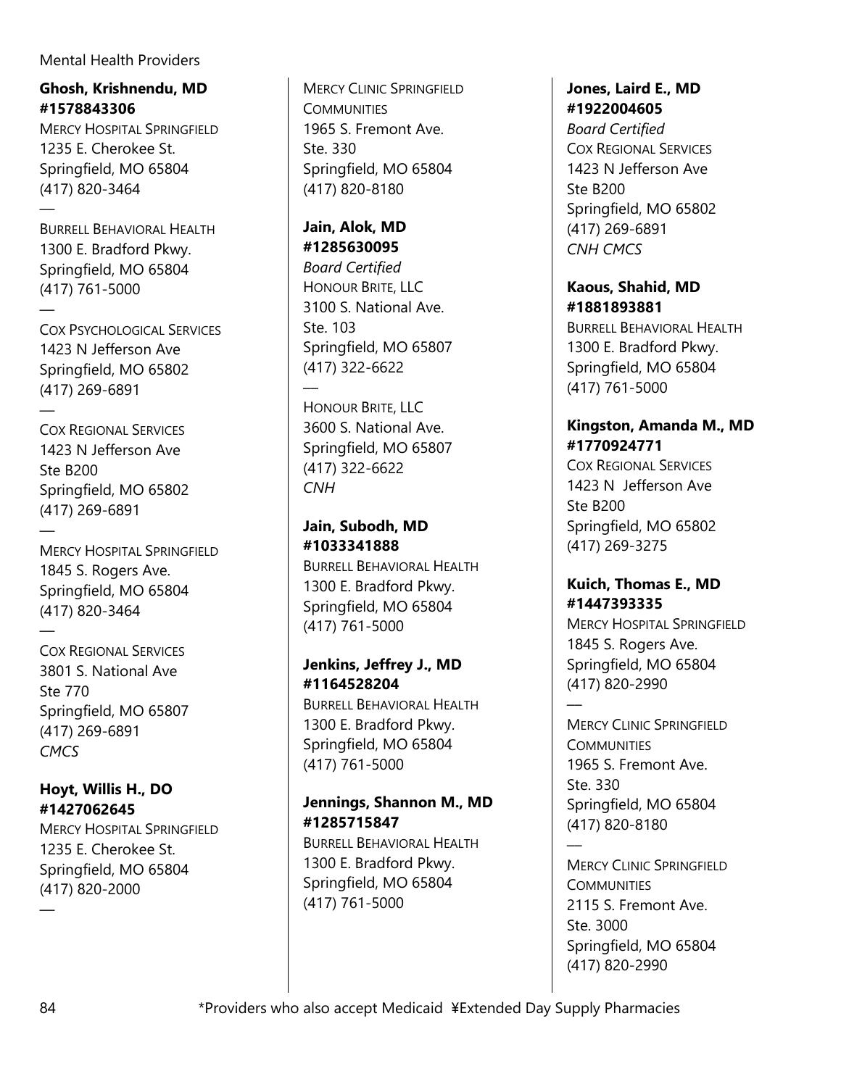**Ghosh, Krishnendu, MD #1578843306** MERCY HOSPITAL SPRINGFIELD 1235 E. Cherokee St. Springfield, MO 65804 (417) 820-3464

–– BURRELL BEHAVIORAL HEALTH 1300 E. Bradford Pkwy. Springfield, MO 65804 (417) 761-5000 ––

COX PSYCHOLOGICAL SERVICES 1423 N Jefferson Ave Springfield, MO 65802 (417) 269-6891

–– COX REGIONAL SERVICES 1423 N Jefferson Ave Ste B200 Springfield, MO 65802 (417) 269-6891

––

––

MERCY HOSPITAL SPRINGFIELD 1845 S. Rogers Ave. Springfield, MO 65804 (417) 820-3464

COX REGIONAL SERVICES 3801 S. National Ave Ste 770 Springfield, MO 65807 (417) 269-6891 *CMCS*

#### **Hoyt, Willis H., DO #1427062645**

MERCY HOSPITAL SPRINGFIELD 1235 E. Cherokee St. Springfield, MO 65804 (417) 820-2000

MERCY CLINIC SPRINGFIELD **COMMUNITIES** 1965 S. Fremont Ave. Ste. 330 Springfield, MO 65804 (417) 820-8180

#### **Jain, Alok, MD #1285630095**

*Board Certified* HONOUR BRITE, LLC 3100 S. National Ave. Ste. 103 Springfield, MO 65807 (417) 322-6622

–– HONOUR BRITE, LLC 3600 S. National Ave. Springfield, MO 65807 (417) 322-6622 *CNH*

#### **Jain, Subodh, MD #1033341888**

BURRELL BEHAVIORAL HEALTH 1300 E. Bradford Pkwy. Springfield, MO 65804 (417) 761-5000

#### **Jenkins, Jeffrey J., MD #1164528204**

BURRELL BEHAVIORAL HEALTH 1300 E. Bradford Pkwy. Springfield, MO 65804 (417) 761-5000

#### **Jennings, Shannon M., MD #1285715847**

BURRELL BEHAVIORAL HEALTH 1300 E. Bradford Pkwy. Springfield, MO 65804 (417) 761-5000

#### **Jones, Laird E., MD #1922004605**

*Board Certified* COX REGIONAL SERVICES 1423 N Jefferson Ave Ste B200 Springfield, MO 65802 (417) 269-6891 *CNH CMCS*

#### **Kaous, Shahid, MD #1881893881**

BURRELL BEHAVIORAL HEALTH 1300 E. Bradford Pkwy. Springfield, MO 65804 (417) 761-5000

#### **Kingston, Amanda M., MD #1770924771**

COX REGIONAL SERVICES 1423 N Jefferson Ave Ste B200 Springfield, MO 65802 (417) 269-3275

#### **Kuich, Thomas E., MD #1447393335**

MERCY HOSPITAL SPRINGFIELD 1845 S. Rogers Ave. Springfield, MO 65804 (417) 820-2990

–– MERCY CLINIC SPRINGFIELD **COMMUNITIES** 1965 S. Fremont Ave. Ste. 330 Springfield, MO 65804 (417) 820-8180

–– MERCY CLINIC SPRINGFIELD **COMMUNITIES** 2115 S. Fremont Ave. Ste. 3000 Springfield, MO 65804 (417) 820-2990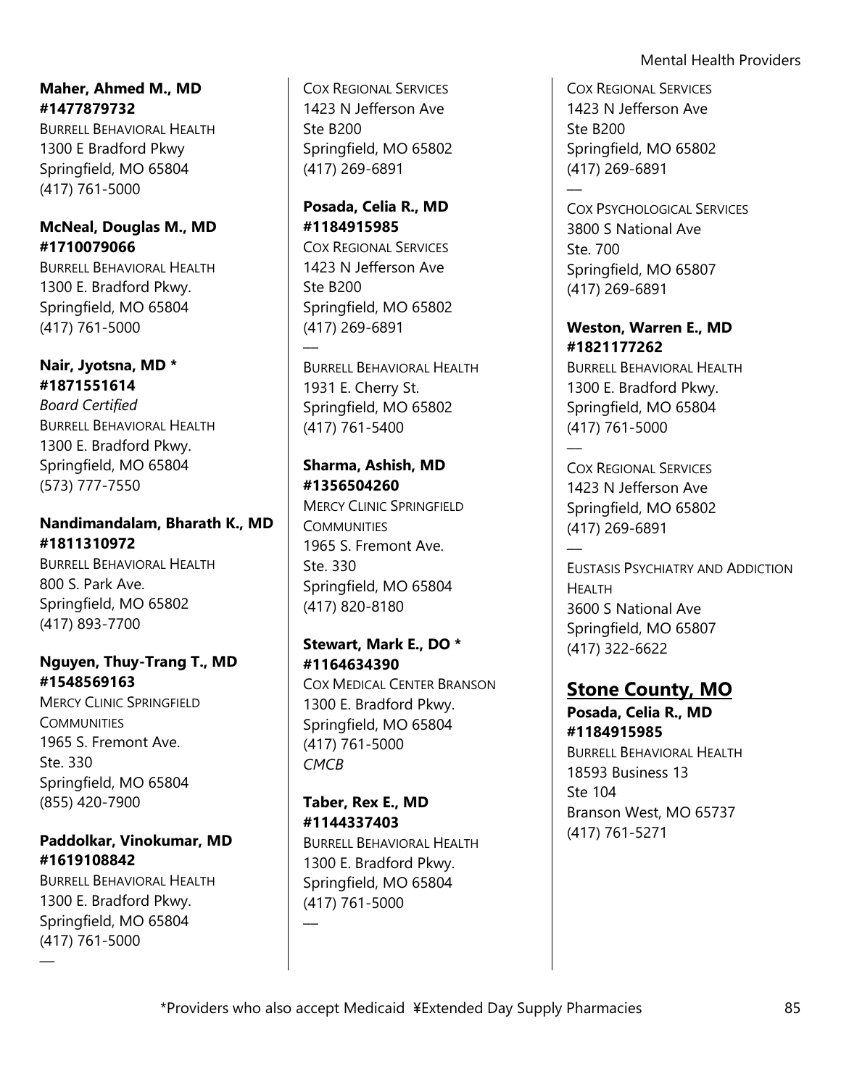#### **Maher, Ahmed M., MD #1477879732**

BURRELL BEHAVIORAL HEALTH 1300 E Bradford Pkwy Springfield, MO 65804 (417) 761-5000

#### **McNeal, Douglas M., MD #1710079066**

BURRELL BEHAVIORAL HEALTH 1300 E. Bradford Pkwy. Springfield, MO 65804 (417) 761-5000

#### **Nair, Jyotsna, MD \* #1871551614**

*Board Certified* BURRELL BEHAVIORAL HEALTH 1300 E. Bradford Pkwy. Springfield, MO 65804 (573) 777-7550

#### **Nandimandalam, Bharath K., MD #1811310972**

BURRELL BEHAVIORAL HEALTH 800 S. Park Ave. Springfield, MO 65802 (417) 893-7700

#### **Nguyen, Thuy-Trang T., MD #1548569163**

MERCY CLINIC SPRINGFIELD **COMMUNITIES** 1965 S. Fremont Ave. Ste. 330 Springfield, MO 65804 (855) 420-7900

#### **Paddolkar, Vinokumar, MD #1619108842**

BURRELL BEHAVIORAL HEALTH 1300 E. Bradford Pkwy. Springfield, MO 65804 (417) 761-5000

––

COX REGIONAL SERVICES 1423 N Jefferson Ave Ste B200 Springfield, MO 65802 (417) 269-6891

#### **Posada, Celia R., MD #1184915985**

COX REGIONAL SERVICES 1423 N Jefferson Ave Ste B200 Springfield, MO 65802 (417) 269-6891

–– BURRELL BEHAVIORAL HEALTH 1931 E. Cherry St. Springfield, MO 65802 (417) 761-5400

#### **Sharma, Ashish, MD #1356504260**

MERCY CLINIC SPRINGFIELD **COMMUNITIES** 1965 S. Fremont Ave. Ste. 330 Springfield, MO 65804 (417) 820-8180

### **Stewart, Mark E., DO \* #1164634390**

COX MEDICAL CENTER BRANSON 1300 E. Bradford Pkwy. Springfield, MO 65804 (417) 761-5000 *CMCB*

#### **Taber, Rex E., MD #1144337403**

––

BURRELL BEHAVIORAL HEALTH 1300 E. Bradford Pkwy. Springfield, MO 65804 (417) 761-5000

COX REGIONAL SERVICES 1423 N Jefferson Ave Ste B200 Springfield, MO 65802 (417) 269-6891

–– COX PSYCHOLOGICAL SERVICES 3800 S National Ave Ste. 700 Springfield, MO 65807 (417) 269-6891

#### **Weston, Warren E., MD #1821177262**

BURRELL BEHAVIORAL HEALTH 1300 E. Bradford Pkwy. Springfield, MO 65804 (417) 761-5000

COX REGIONAL SERVICES 1423 N Jefferson Ave Springfield, MO 65802 (417) 269-6891

––

–– EUSTASIS PSYCHIATRY AND ADDICTION **HEALTH** 3600 S National Ave Springfield, MO 65807 (417) 322-6622

# **Stone County, MO**

**Posada, Celia R., MD #1184915985** BURRELL BEHAVIORAL HEALTH 18593 Business 13 Ste 104 Branson West, MO 65737 (417) 761-5271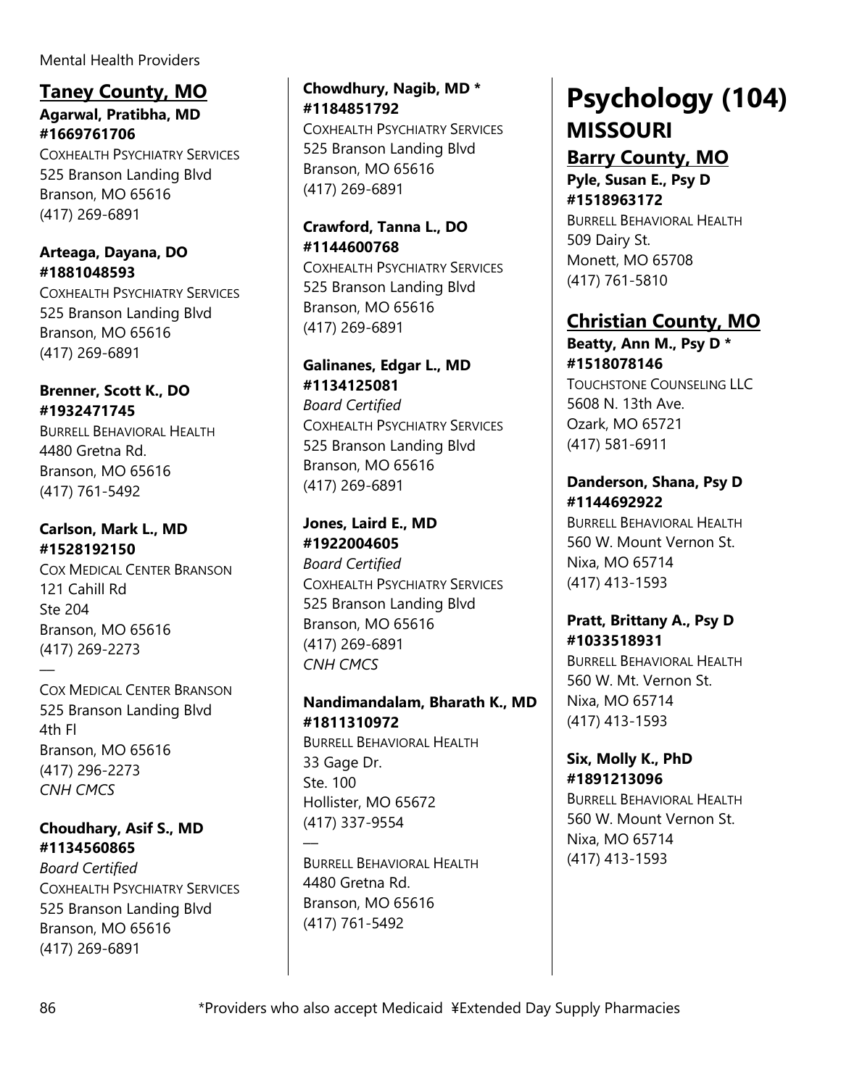#### **Taney County, MO Agarwal, Pratibha, MD #1669761706**

COXHEALTH PSYCHIATRY SERVICES 525 Branson Landing Blvd Branson, MO 65616 (417) 269-6891

#### **Arteaga, Dayana, DO #1881048593**

COXHEALTH PSYCHIATRY SERVICES 525 Branson Landing Blvd Branson, MO 65616 (417) 269-6891

#### **Brenner, Scott K., DO #1932471745**

BURRELL BEHAVIORAL HEALTH 4480 Gretna Rd. Branson, MO 65616 (417) 761-5492

#### **Carlson, Mark L., MD #1528192150**

COX MEDICAL CENTER BRANSON 121 Cahill Rd Ste 204 Branson, MO 65616 (417) 269-2273 ––

COX MEDICAL CENTER BRANSON 525 Branson Landing Blvd 4th Fl Branson, MO 65616 (417) 296-2273 *CNH CMCS*

#### **Choudhary, Asif S., MD #1134560865**

*Board Certified* COXHEALTH PSYCHIATRY SERVICES 525 Branson Landing Blvd Branson, MO 65616 (417) 269-6891

## **Chowdhury, Nagib, MD \* #1184851792**

COXHEALTH PSYCHIATRY SERVICES 525 Branson Landing Blvd Branson, MO 65616 (417) 269-6891

#### **Crawford, Tanna L., DO #1144600768**

COXHEALTH PSYCHIATRY SERVICES 525 Branson Landing Blvd Branson, MO 65616 (417) 269-6891

#### **Galinanes, Edgar L., MD #1134125081**

*Board Certified* COXHEALTH PSYCHIATRY SERVICES 525 Branson Landing Blvd Branson, MO 65616 (417) 269-6891

#### **Jones, Laird E., MD #1922004605**

*Board Certified* COXHEALTH PSYCHIATRY SERVICES 525 Branson Landing Blvd Branson, MO 65616 (417) 269-6891 *CNH CMCS*

#### **Nandimandalam, Bharath K., MD #1811310972** BURRELL BEHAVIORAL HEALTH

33 Gage Dr. Ste. 100 Hollister, MO 65672 (417) 337-9554 ––

BURRELL BEHAVIORAL HEALTH 4480 Gretna Rd. Branson, MO 65616 (417) 761-5492

# **Psychology (104) MISSOURI**

# **Barry County, MO**

**Pyle, Susan E., Psy D #1518963172** BURRELL BEHAVIORAL HEALTH 509 Dairy St. Monett, MO 65708 (417) 761-5810

# **Christian County, MO**

**Beatty, Ann M., Psy D \* #1518078146** TOUCHSTONE COUNSELING LLC 5608 N. 13th Ave. Ozark, MO 65721 (417) 581-6911

#### **Danderson, Shana, Psy D #1144692922**

BURRELL BEHAVIORAL HEALTH 560 W. Mount Vernon St. Nixa, MO 65714 (417) 413-1593

#### **Pratt, Brittany A., Psy D #1033518931**

BURRELL BEHAVIORAL HEALTH 560 W. Mt. Vernon St. Nixa, MO 65714 (417) 413-1593

#### **Six, Molly K., PhD #1891213096**

**BURRELL BEHAVIORAL HEAITH** 560 W. Mount Vernon St. Nixa, MO 65714 (417) 413-1593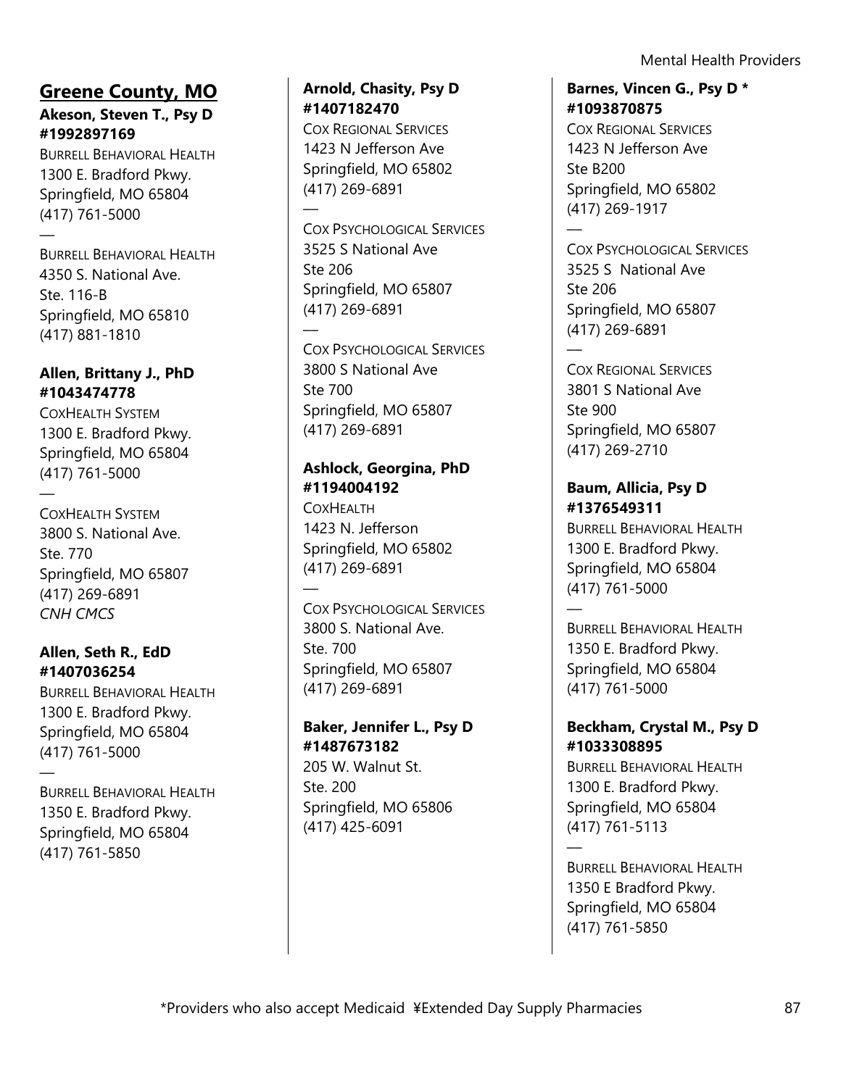#### **Greene County, MO Akeson, Steven T., Psy D #1992897169**

BURRELL BEHAVIORAL HEALTH 1300 E. Bradford Pkwy. Springfield, MO 65804 (417) 761-5000

–– BURRELL BEHAVIORAL HEALTH 4350 S. National Ave. Ste. 116-B Springfield, MO 65810 (417) 881-1810

#### **Allen, Brittany J., PhD #1043474778**

COXHEALTH SYSTEM 1300 E. Bradford Pkwy. Springfield, MO 65804 (417) 761-5000

––

COXHEALTH SYSTEM 3800 S. National Ave. Ste. 770 Springfield, MO 65807 (417) 269-6891 *CNH CMCS*

#### **Allen, Seth R., EdD #1407036254**

BURRELL BEHAVIORAL HEALTH 1300 E. Bradford Pkwy. Springfield, MO 65804 (417) 761-5000

–– BURRELL BEHAVIORAL HEALTH 1350 E. Bradford Pkwy. Springfield, MO 65804 (417) 761-5850

# **Arnold, Chasity, Psy D #1407182470**

COX REGIONAL SERVICES 1423 N Jefferson Ave Springfield, MO 65802 (417) 269-6891

–– COX PSYCHOLOGICAL SERVICES 3525 S National Ave Ste 206 Springfield, MO 65807 (417) 269-6891 ––

COX PSYCHOLOGICAL SERVICES 3800 S National Ave Ste 700 Springfield, MO 65807 (417) 269-6891

#### **Ashlock, Georgina, PhD #1194004192**

COXHEALTH 1423 N. Jefferson Springfield, MO 65802 (417) 269-6891

––

COX PSYCHOLOGICAL SERVICES 3800 S. National Ave. Ste. 700 Springfield, MO 65807 (417) 269-6891

#### **Baker, Jennifer L., Psy D #1487673182** 205 W. Walnut St.

Ste. 200 Springfield, MO 65806 (417) 425-6091

#### **Barnes, Vincen G., Psy D \* #1093870875**

COX REGIONAL SERVICES 1423 N Jefferson Ave Ste B200 Springfield, MO 65802 (417) 269-1917

–– COX PSYCHOLOGICAL SERVICES 3525 S National Ave Ste 206 Springfield, MO 65807 (417) 269-6891

–– COX REGIONAL SERVICES 3801 S National Ave Ste 900 Springfield, MO 65807 (417) 269-2710

**Baum, Allicia, Psy D #1376549311** BURRELL BEHAVIORAL HEALTH 1300 E. Bradford Pkwy. Springfield, MO 65804 (417) 761-5000

BURRELL BEHAVIORAL HEALTH 1350 E. Bradford Pkwy. Springfield, MO 65804 (417) 761-5000

––

––

#### **Beckham, Crystal M., Psy D #1033308895**

BURRELL BEHAVIORAL HEALTH 1300 E. Bradford Pkwy. Springfield, MO 65804 (417) 761-5113

BURRELL BEHAVIORAL HEALTH 1350 E Bradford Pkwy. Springfield, MO 65804 (417) 761-5850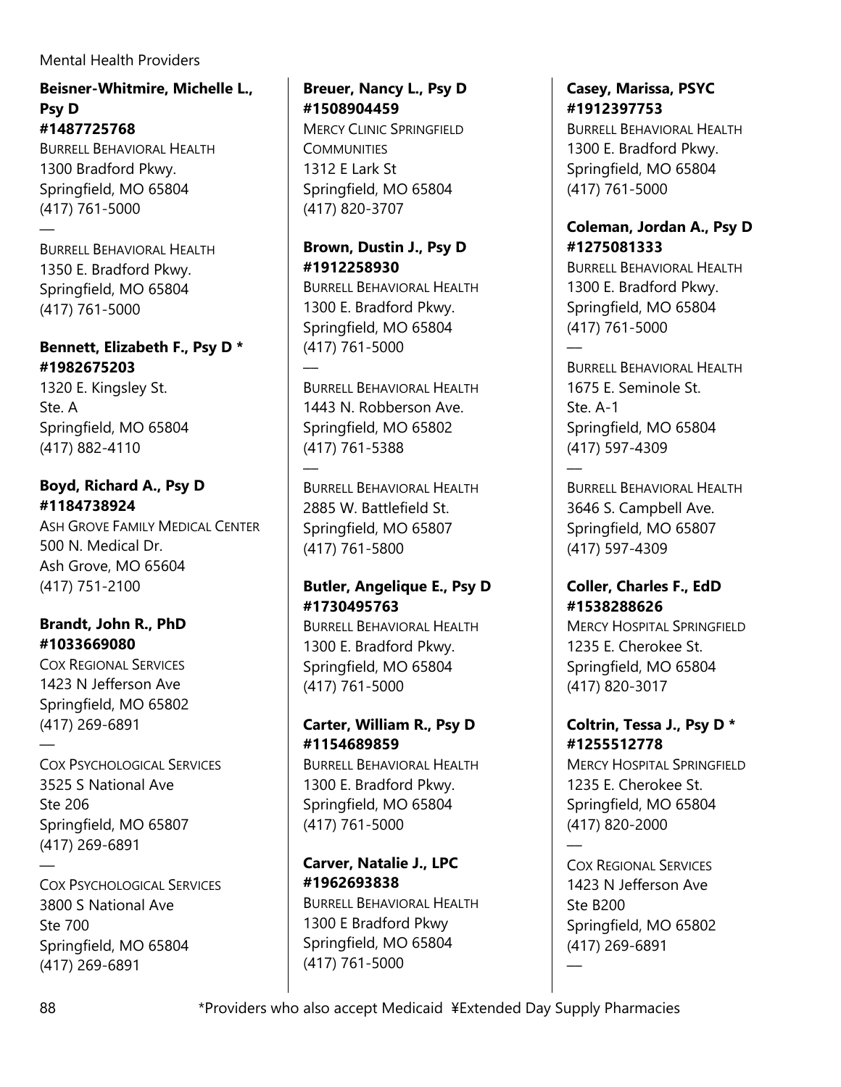# **Beisner-Whitmire, Michelle L., Psy D #1487725768** BURRELL BEHAVIORAL HEALTH

1300 Bradford Pkwy. Springfield, MO 65804 (417) 761-5000

–– BURRELL BEHAVIORAL HEALTH 1350 E. Bradford Pkwy. Springfield, MO 65804 (417) 761-5000

#### **Bennett, Elizabeth F., Psy D \* #1982675203**

1320 E. Kingsley St. Ste. A Springfield, MO 65804 (417) 882-4110

#### **Boyd, Richard A., Psy D #1184738924**

ASH GROVE FAMILY MEDICAL CENTER 500 N. Medical Dr. Ash Grove, MO 65604 (417) 751-2100

#### **Brandt, John R., PhD #1033669080**

COX REGIONAL SERVICES 1423 N Jefferson Ave Springfield, MO 65802 (417) 269-6891

COX PSYCHOLOGICAL SERVICES 3525 S National Ave Ste 206 Springfield, MO 65807 (417) 269-6891

COX PSYCHOLOGICAL SERVICES 3800 S National Ave Ste 700 Springfield, MO 65804 (417) 269-6891

#### **Breuer, Nancy L., Psy D #1508904459**

MERCY CLINIC SPRINGFIELD **COMMUNITIES** 1312 E Lark St Springfield, MO 65804 (417) 820-3707

#### **Brown, Dustin J., Psy D #1912258930**

BURRELL BEHAVIORAL HEALTH 1300 E. Bradford Pkwy. Springfield, MO 65804 (417) 761-5000 ––

BURRELL BEHAVIORAL HEALTH 1443 N. Robberson Ave. Springfield, MO 65802 (417) 761-5388 ––

BURRELL BEHAVIORAL HEALTH 2885 W. Battlefield St. Springfield, MO 65807 (417) 761-5800

#### **Butler, Angelique E., Psy D #1730495763**

BURRELL BEHAVIORAL HEALTH 1300 E. Bradford Pkwy. Springfield, MO 65804 (417) 761-5000

#### **Carter, William R., Psy D #1154689859**

BURRELL BEHAVIORAL HEALTH 1300 E. Bradford Pkwy. Springfield, MO 65804 (417) 761-5000

#### **Carver, Natalie J., LPC #1962693838**

BURRELL BEHAVIORAL HEALTH 1300 E Bradford Pkwy Springfield, MO 65804 (417) 761-5000

#### **Casey, Marissa, PSYC #1912397753**

BURRELL BEHAVIORAL HEALTH 1300 E. Bradford Pkwy. Springfield, MO 65804 (417) 761-5000

#### **Coleman, Jordan A., Psy D #1275081333**

BURRELL BEHAVIORAL HEALTH 1300 E. Bradford Pkwy. Springfield, MO 65804 (417) 761-5000

–– BURRELL BEHAVIORAL HEALTH 1675 E. Seminole St. Ste. A-1 Springfield, MO 65804 (417) 597-4309

–– BURRELL BEHAVIORAL HEALTH 3646 S. Campbell Ave. Springfield, MO 65807 (417) 597-4309

#### **Coller, Charles F., EdD #1538288626**

MERCY HOSPITAL SPRINGFIELD 1235 E. Cherokee St. Springfield, MO 65804 (417) 820-3017

### **Coltrin, Tessa J., Psy D \* #1255512778**

MERCY HOSPITAL SPRINGFIELD 1235 E. Cherokee St. Springfield, MO 65804 (417) 820-2000 ––

COX REGIONAL SERVICES 1423 N Jefferson Ave Ste B200 Springfield, MO 65802 (417) 269-6891 ––

––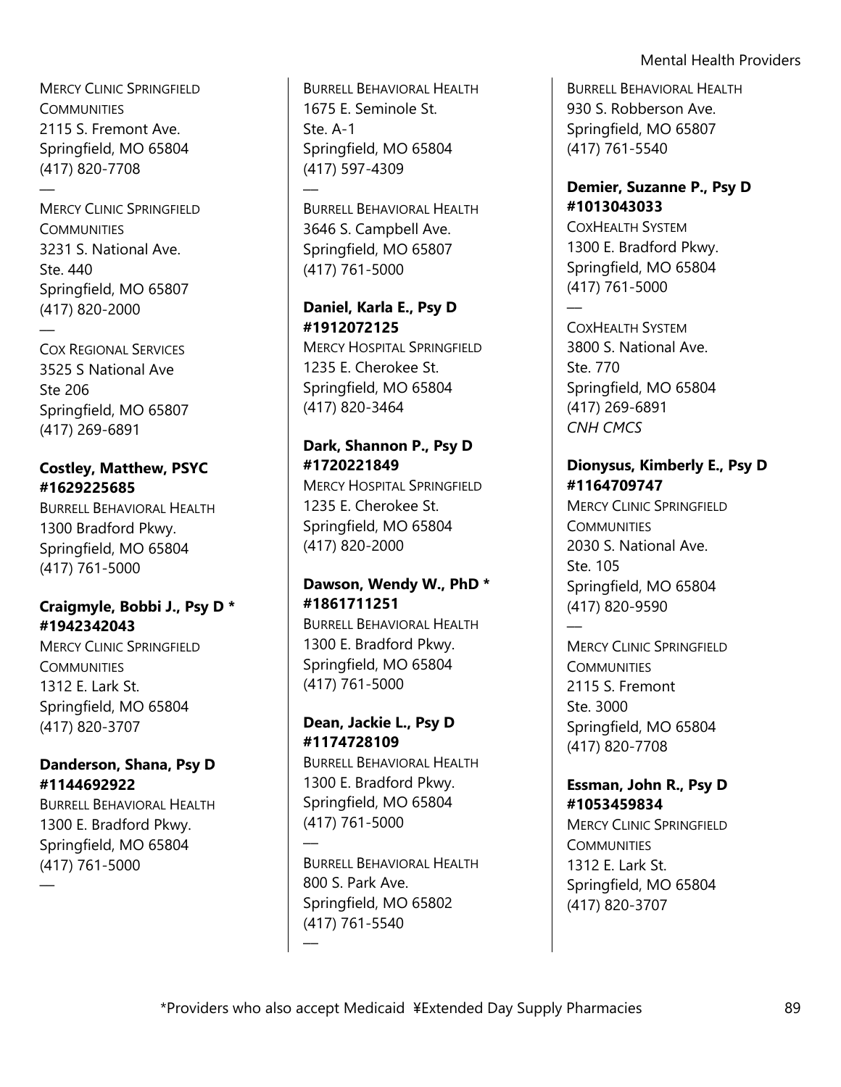MERCY CLINIC SPRINGFIELD **COMMUNITIES** 2115 S. Fremont Ave. Springfield, MO 65804 (417) 820-7708

MERCY CLINIC SPRINGFIELD **COMMUNITIES** 3231 S. National Ave. Ste. 440 Springfield, MO 65807 (417) 820-2000

––

––

COX REGIONAL SERVICES 3525 S National Ave Ste 206 Springfield, MO 65807 (417) 269-6891

#### **Costley, Matthew, PSYC #1629225685**

BURRELL BEHAVIORAL HEALTH 1300 Bradford Pkwy. Springfield, MO 65804 (417) 761-5000

#### **Craigmyle, Bobbi J., Psy D \* #1942342043**

MERCY CLINIC SPRINGFIELD **COMMUNITIES** 1312 E. Lark St. Springfield, MO 65804 (417) 820-3707

#### **Danderson, Shana, Psy D #1144692922**

BURRELL BEHAVIORAL HEALTH 1300 E. Bradford Pkwy. Springfield, MO 65804 (417) 761-5000

––

BURRELL BEHAVIORAL HEALTH 1675 E. Seminole St. Ste. A-1 Springfield, MO 65804 (417) 597-4309 ––

BURRELL BEHAVIORAL HEALTH 3646 S. Campbell Ave. Springfield, MO 65807 (417) 761-5000

#### **Daniel, Karla E., Psy D #1912072125**

MERCY HOSPITAL SPRINGFIELD 1235 E. Cherokee St. Springfield, MO 65804 (417) 820-3464

#### **Dark, Shannon P., Psy D #1720221849**

MERCY HOSPITAL SPRINGFIELD 1235 E. Cherokee St. Springfield, MO 65804 (417) 820-2000

#### **Dawson, Wendy W., PhD \* #1861711251**

BURRELL BEHAVIORAL HEALTH 1300 E. Bradford Pkwy. Springfield, MO 65804 (417) 761-5000

#### **Dean, Jackie L., Psy D #1174728109**

BURRELL BEHAVIORAL HEALTH 1300 E. Bradford Pkwy. Springfield, MO 65804 (417) 761-5000 ––

BURRELL BEHAVIORAL HEALTH 800 S. Park Ave. Springfield, MO 65802 (417) 761-5540 ––

BURRELL BEHAVIORAL HEALTH 930 S. Robberson Ave. Springfield, MO 65807 (417) 761-5540

#### **Demier, Suzanne P., Psy D #1013043033**

COXHEALTH SYSTEM 1300 E. Bradford Pkwy. Springfield, MO 65804 (417) 761-5000

–– COXHEALTH SYSTEM 3800 S. National Ave. Ste. 770 Springfield, MO 65804 (417) 269-6891 *CNH CMCS*

#### **Dionysus, Kimberly E., Psy D #1164709747**

MERCY CLINIC SPRINGFIELD **COMMUNITIES** 2030 S. National Ave. Ste. 105 Springfield, MO 65804 (417) 820-9590

–– MERCY CLINIC SPRINGFIELD **COMMUNITIES** 2115 S. Fremont Ste. 3000 Springfield, MO 65804

(417) 820-7708

# **Essman, John R., Psy D #1053459834**

MERCY CLINIC SPRINGFIELD **COMMUNITIES** 1312 E. Lark St. Springfield, MO 65804 (417) 820-3707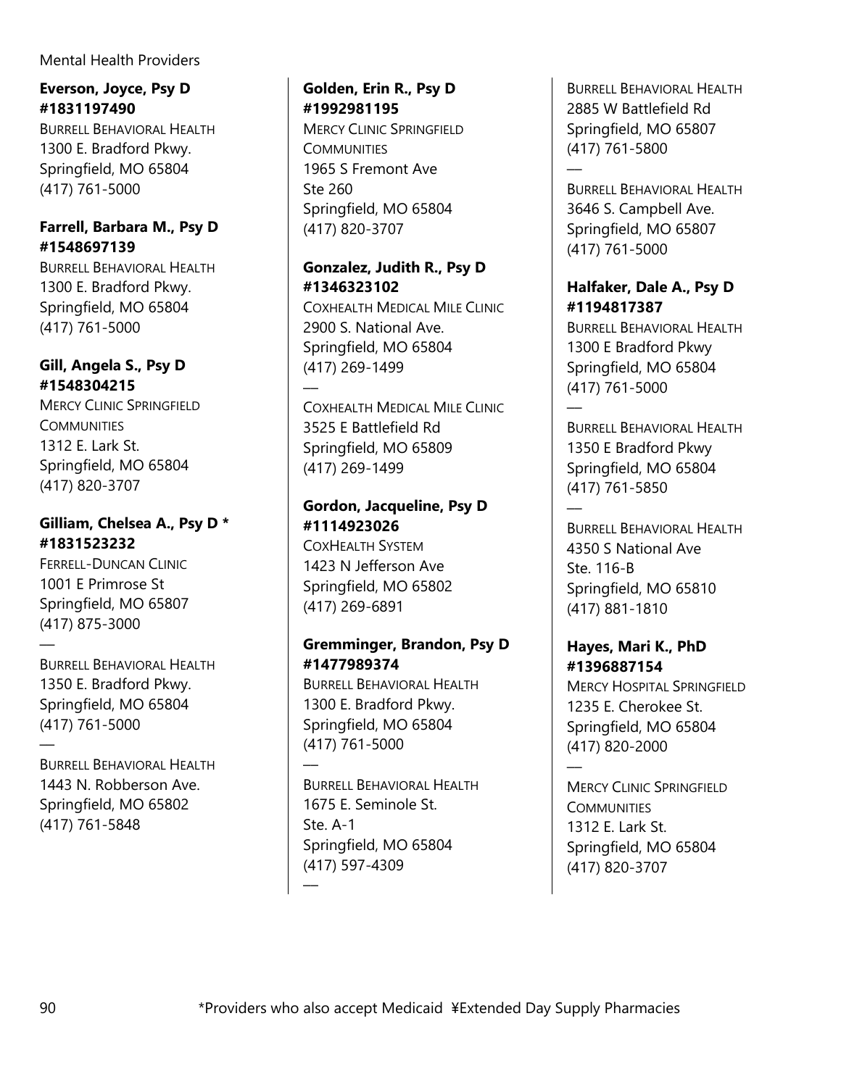#### **Everson, Joyce, Psy D #1831197490**

BURRELL BEHAVIORAL HEALTH 1300 E. Bradford Pkwy. Springfield, MO 65804 (417) 761-5000

#### **Farrell, Barbara M., Psy D #1548697139**

BURRELL BEHAVIORAL HEALTH 1300 E. Bradford Pkwy. Springfield, MO 65804 (417) 761-5000

#### **Gill, Angela S., Psy D #1548304215**

MERCY CLINIC SPRINGFIELD **COMMUNITIES** 1312 E. Lark St. Springfield, MO 65804 (417) 820-3707

#### **Gilliam, Chelsea A., Psy D \* #1831523232**

FERRELL-DUNCAN CLINIC 1001 E Primrose St Springfield, MO 65807 (417) 875-3000

BURRELL BEHAVIORAL HEALTH 1350 E. Bradford Pkwy. Springfield, MO 65804 (417) 761-5000

BURRELL BEHAVIORAL HEALTH 1443 N. Robberson Ave. Springfield, MO 65802 (417) 761-5848

## **Golden, Erin R., Psy D #1992981195**

MERCY CLINIC SPRINGFIELD **COMMUNITIES** 1965 S Fremont Ave Ste 260 Springfield, MO 65804 (417) 820-3707

#### **Gonzalez, Judith R., Psy D #1346323102**

COXHEALTH MEDICAL MILE CLINIC 2900 S. National Ave. Springfield, MO 65804 (417) 269-1499

COXHEALTH MEDICAL MILE CLINIC 3525 E Battlefield Rd Springfield, MO 65809 (417) 269-1499

––

#### **Gordon, Jacqueline, Psy D #1114923026**

COXHEALTH SYSTEM 1423 N Jefferson Ave Springfield, MO 65802 (417) 269-6891

#### **Gremminger, Brandon, Psy D #1477989374**

BURRELL BEHAVIORAL HEALTH 1300 E. Bradford Pkwy. Springfield, MO 65804 (417) 761-5000 ––

BURRELL BEHAVIORAL HEALTH 1675 E. Seminole St. Ste. A-1 Springfield, MO 65804 (417) 597-4309 ––

BURRELL BEHAVIORAL HEALTH 2885 W Battlefield Rd Springfield, MO 65807 (417) 761-5800

––

––

––

––

BURRELL BEHAVIORAL HEALTH 3646 S. Campbell Ave. Springfield, MO 65807 (417) 761-5000

#### **Halfaker, Dale A., Psy D #1194817387**

BURRELL BEHAVIORAL HEALTH 1300 E Bradford Pkwy Springfield, MO 65804 (417) 761-5000

BURRELL BEHAVIORAL HEALTH 1350 E Bradford Pkwy Springfield, MO 65804 (417) 761-5850

BURRELL BEHAVIORAL HEALTH 4350 S National Ave Ste. 116-B Springfield, MO 65810 (417) 881-1810

### **Hayes, Mari K., PhD #1396887154**

MERCY HOSPITAL SPRINGFIELD 1235 E. Cherokee St. Springfield, MO 65804 (417) 820-2000

MERCY CLINIC SPRINGFIELD **COMMUNITIES** 1312 E. Lark St. Springfield, MO 65804 (417) 820-3707

––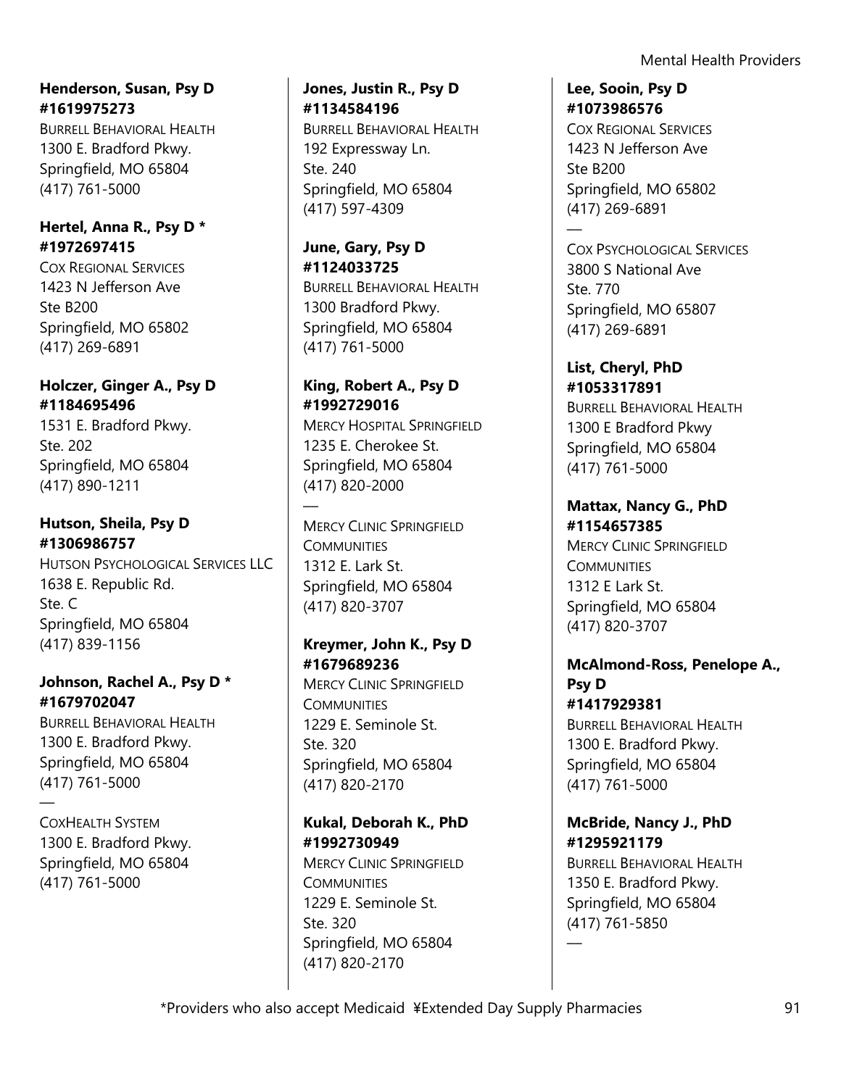#### **Henderson, Susan, Psy D #1619975273**

BURRELL BEHAVIORAL HEALTH 1300 E. Bradford Pkwy. Springfield, MO 65804 (417) 761-5000

#### **Hertel, Anna R., Psy D \* #1972697415**

COX REGIONAL SERVICES 1423 N Jefferson Ave Ste B200 Springfield, MO 65802 (417) 269-6891

#### **Holczer, Ginger A., Psy D #1184695496**

1531 E. Bradford Pkwy. Ste. 202 Springfield, MO 65804 (417) 890-1211

#### **Hutson, Sheila, Psy D #1306986757**

HUTSON PSYCHOLOGICAL SERVICES LLC 1638 E. Republic Rd. Ste. C Springfield, MO 65804 (417) 839-1156

#### **Johnson, Rachel A., Psy D \* #1679702047**

BURRELL BEHAVIORAL HEALTH 1300 E. Bradford Pkwy. Springfield, MO 65804 (417) 761-5000

–– COXHEALTH SYSTEM 1300 E. Bradford Pkwy. Springfield, MO 65804 (417) 761-5000

# **Jones, Justin R., Psy D #1134584196**

BURRELL BEHAVIORAL HEALTH 192 Expressway Ln. Ste. 240 Springfield, MO 65804 (417) 597-4309

#### **June, Gary, Psy D #1124033725** BURRELL BEHAVIORAL HEALTH 1300 Bradford Pkwy.

Springfield, MO 65804 (417) 761-5000

#### **King, Robert A., Psy D #1992729016**

MERCY HOSPITAL SPRINGFIELD 1235 E. Cherokee St. Springfield, MO 65804 (417) 820-2000

–– MERCY CLINIC SPRINGFIELD **COMMUNITIES** 1312 E. Lark St. Springfield, MO 65804 (417) 820-3707

# **Kreymer, John K., Psy D #1679689236**

MERCY CLINIC SPRINGFIELD **COMMUNITIES** 1229 E. Seminole St. Ste. 320 Springfield, MO 65804 (417) 820-2170

### **Kukal, Deborah K., PhD #1992730949**

MERCY CLINIC SPRINGFIELD **COMMUNITIES** 1229 E. Seminole St. Ste. 320 Springfield, MO 65804 (417) 820-2170

#### **Lee, Sooin, Psy D #1073986576**

COX REGIONAL SERVICES 1423 N Jefferson Ave Ste B200 Springfield, MO 65802 (417) 269-6891

–– COX PSYCHOLOGICAL SERVICES 3800 S National Ave Ste. 770 Springfield, MO 65807 (417) 269-6891

#### **List, Cheryl, PhD #1053317891**

BURRELL BEHAVIORAL HEALTH 1300 E Bradford Pkwy Springfield, MO 65804 (417) 761-5000

#### **Mattax, Nancy G., PhD #1154657385**

MERCY CLINIC SPRINGFIELD **COMMUNITIES** 1312 E Lark St. Springfield, MO 65804 (417) 820-3707

#### **McAlmond-Ross, Penelope A., Psy D #1417929381**

BURRELL BEHAVIORAL HEALTH 1300 E. Bradford Pkwy. Springfield, MO 65804 (417) 761-5000

#### **McBride, Nancy J., PhD #1295921179**

BURRELL BEHAVIORAL HEALTH 1350 E. Bradford Pkwy. Springfield, MO 65804 (417) 761-5850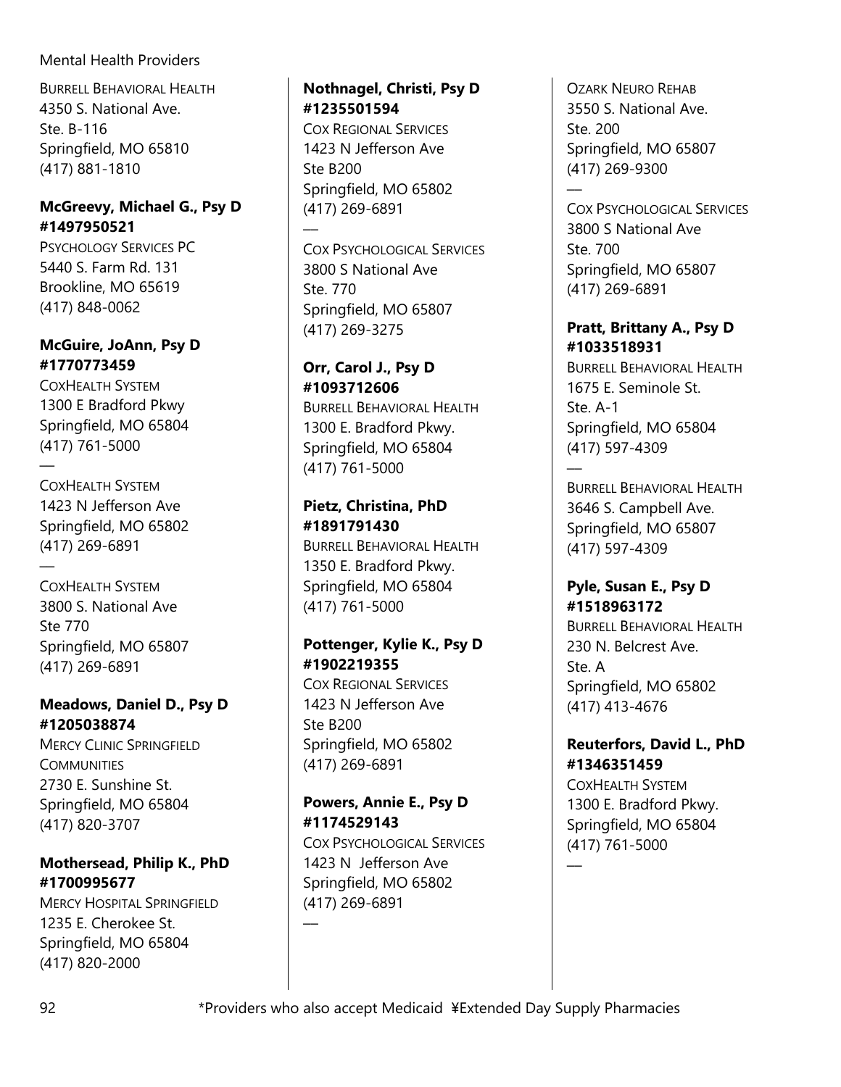BURRELL BEHAVIORAL HEALTH 4350 S. National Ave. Ste. B-116 Springfield, MO 65810 (417) 881-1810

#### **McGreevy, Michael G., Psy D #1497950521**

PSYCHOLOGY SERVICES PC 5440 S. Farm Rd. 131 Brookline, MO 65619 (417) 848-0062

#### **McGuire, JoAnn, Psy D #1770773459**

COXHEALTH SYSTEM 1300 E Bradford Pkwy Springfield, MO 65804 (417) 761-5000

–– COXHEALTH SYSTEM 1423 N Jefferson Ave Springfield, MO 65802 (417) 269-6891

#### –– COXHEALTH SYSTEM 3800 S. National Ave Ste 770 Springfield, MO 65807 (417) 269-6891

#### **Meadows, Daniel D., Psy D #1205038874**

MERCY CLINIC SPRINGFIELD **COMMUNITIES** 2730 E. Sunshine St. Springfield, MO 65804 (417) 820-3707

#### **Mothersead, Philip K., PhD #1700995677**

MERCY HOSPITAL SPRINGFIELD 1235 E. Cherokee St. Springfield, MO 65804 (417) 820-2000

# **Nothnagel, Christi, Psy D #1235501594**

COX REGIONAL SERVICES 1423 N Jefferson Ave Ste B200 Springfield, MO 65802 (417) 269-6891

–– COX PSYCHOLOGICAL SERVICES 3800 S National Ave Ste. 770 Springfield, MO 65807 (417) 269-3275

#### **Orr, Carol J., Psy D #1093712606**

BURRELL BEHAVIORAL HEALTH 1300 E. Bradford Pkwy. Springfield, MO 65804 (417) 761-5000

#### **Pietz, Christina, PhD #1891791430**

BURRELL BEHAVIORAL HEALTH 1350 E. Bradford Pkwy. Springfield, MO 65804 (417) 761-5000

#### **Pottenger, Kylie K., Psy D #1902219355**

COX REGIONAL SERVICES 1423 N Jefferson Ave Ste B200 Springfield, MO 65802 (417) 269-6891

#### **Powers, Annie E., Psy D #1174529143**

COX PSYCHOLOGICAL SERVICES 1423 N Jefferson Ave Springfield, MO 65802 (417) 269-6891

––

OZARK NEURO REHAB 3550 S. National Ave. Ste. 200 Springfield, MO 65807 (417) 269-9300

–– COX PSYCHOLOGICAL SERVICES 3800 S National Ave Ste. 700 Springfield, MO 65807 (417) 269-6891

#### **Pratt, Brittany A., Psy D #1033518931**

BURRELL BEHAVIORAL HEALTH 1675 E. Seminole St. Ste. A-1 Springfield, MO 65804 (417) 597-4309

–– BURRELL BEHAVIORAL HEALTH 3646 S. Campbell Ave. Springfield, MO 65807 (417) 597-4309

#### **Pyle, Susan E., Psy D #1518963172**

BURRELL BEHAVIORAL HEALTH 230 N. Belcrest Ave. Ste. A Springfield, MO 65802 (417) 413-4676

#### **Reuterfors, David L., PhD #1346351459**

COXHEALTH SYSTEM 1300 E. Bradford Pkwy. Springfield, MO 65804 (417) 761-5000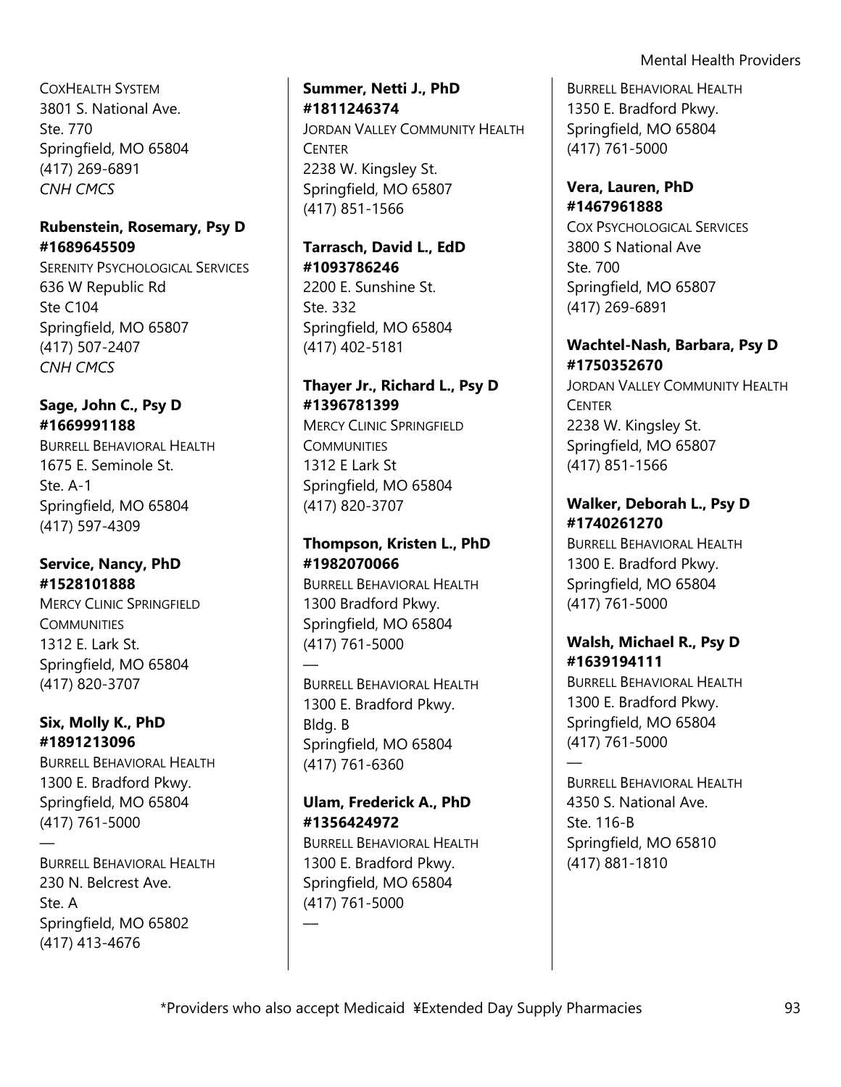COXHEALTH SYSTEM 3801 S. National Ave. Ste. 770 Springfield, MO 65804 (417) 269-6891 *CNH CMCS*

#### **Rubenstein, Rosemary, Psy D #1689645509**

SERENITY PSYCHOLOGICAL SERVICES 636 W Republic Rd Ste C104 Springfield, MO 65807 (417) 507-2407 *CNH CMCS*

#### **Sage, John C., Psy D #1669991188**

BURRELL BEHAVIORAL HEALTH 1675 E. Seminole St. Ste. A-1 Springfield, MO 65804 (417) 597-4309

#### **Service, Nancy, PhD #1528101888**

MERCY CLINIC SPRINGFIELD **COMMUNITIES** 1312 E. Lark St. Springfield, MO 65804 (417) 820-3707

#### **Six, Molly K., PhD #1891213096**

––

BURRELL BEHAVIORAL HEALTH 1300 E. Bradford Pkwy. Springfield, MO 65804 (417) 761-5000

BURRELL BEHAVIORAL HEALTH 230 N. Belcrest Ave. Ste. A Springfield, MO 65802 (417) 413-4676

#### **Summer, Netti J., PhD #1811246374** JORDAN VALLEY COMMUNITY HEALTH **CENTER**

2238 W. Kingsley St. Springfield, MO 65807 (417) 851-1566

## **Tarrasch, David L., EdD #1093786246** 2200 E. Sunshine St.

Ste. 332 Springfield, MO 65804 (417) 402-5181

#### **Thayer Jr., Richard L., Psy D #1396781399**

MERCY CLINIC SPRINGFIELD **COMMUNITIES** 1312 E Lark St Springfield, MO 65804 (417) 820-3707

#### **Thompson, Kristen L., PhD #1982070066**

BURRELL BEHAVIORAL HEALTH 1300 Bradford Pkwy. Springfield, MO 65804 (417) 761-5000 ––

BURRELL BEHAVIORAL HEALTH 1300 E. Bradford Pkwy. Bldg. B Springfield, MO 65804 (417) 761-6360

#### **Ulam, Frederick A., PhD #1356424972**

BURRELL BEHAVIORAL HEALTH 1300 E. Bradford Pkwy. Springfield, MO 65804 (417) 761-5000

––

BURRELL BEHAVIORAL HEALTH 1350 E. Bradford Pkwy. Springfield, MO 65804 (417) 761-5000

#### **Vera, Lauren, PhD #1467961888**

COX PSYCHOLOGICAL SERVICES 3800 S National Ave Ste. 700 Springfield, MO 65807 (417) 269-6891

#### **Wachtel-Nash, Barbara, Psy D #1750352670**

JORDAN VALLEY COMMUNITY HEALTH **CENTER** 2238 W. Kingsley St. Springfield, MO 65807 (417) 851-1566

#### **Walker, Deborah L., Psy D #1740261270**

BURRELL BEHAVIORAL HEALTH 1300 E. Bradford Pkwy. Springfield, MO 65804 (417) 761-5000

#### **Walsh, Michael R., Psy D #1639194111**

BURRELL BEHAVIORAL HEALTH 1300 E. Bradford Pkwy. Springfield, MO 65804 (417) 761-5000

–– BURRELL BEHAVIORAL HEALTH 4350 S. National Ave. Ste. 116-B Springfield, MO 65810 (417) 881-1810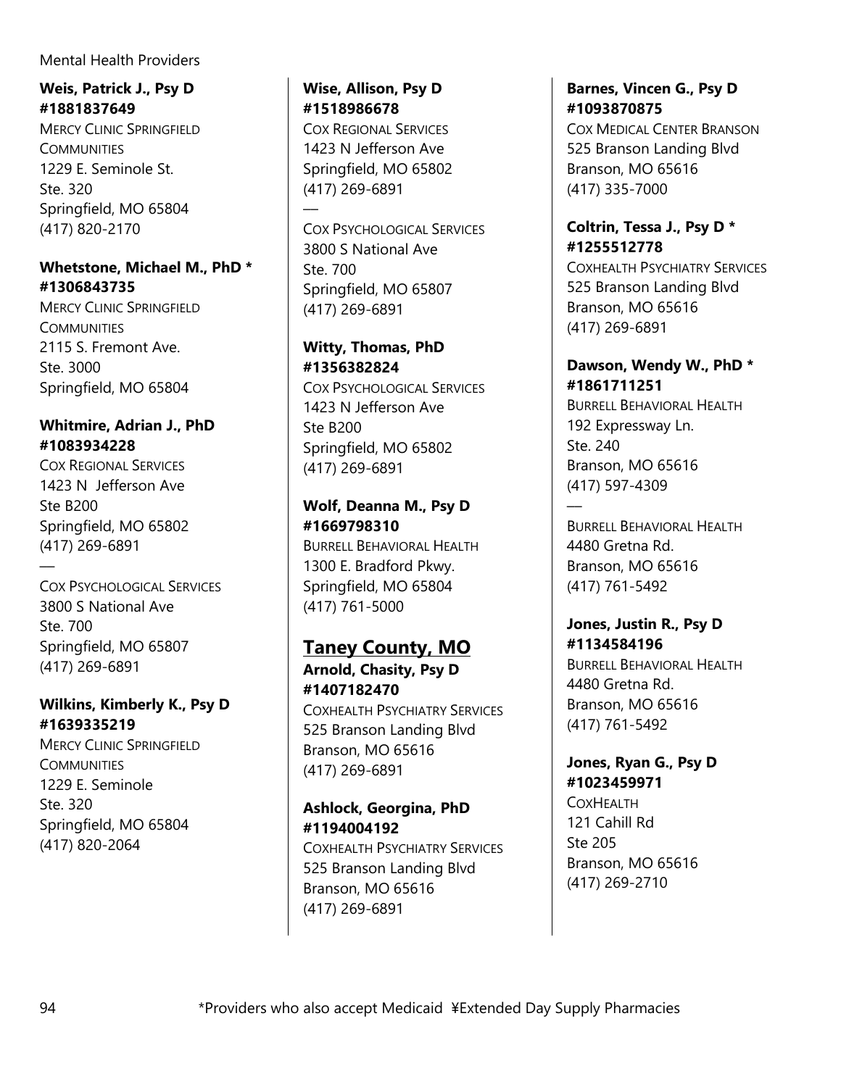**Weis, Patrick J., Psy D #1881837649** MERCY CLINIC SPRINGFIELD **COMMUNITIES** 1229 E. Seminole St. Ste. 320 Springfield, MO 65804 (417) 820-2170

#### **Whetstone, Michael M., PhD \* #1306843735**

MERCY CLINIC SPRINGFIELD **COMMUNITIES** 2115 S. Fremont Ave. Ste. 3000 Springfield, MO 65804

#### **Whitmire, Adrian J., PhD #1083934228**

COX REGIONAL SERVICES 1423 N Jefferson Ave Ste B200 Springfield, MO 65802 (417) 269-6891

–– COX PSYCHOLOGICAL SERVICES 3800 S National Ave Ste. 700 Springfield, MO 65807 (417) 269-6891

#### **Wilkins, Kimberly K., Psy D #1639335219**

MERCY CLINIC SPRINGFIELD **COMMUNITIES** 1229 E. Seminole Ste. 320 Springfield, MO 65804 (417) 820-2064

# **Wise, Allison, Psy D #1518986678**

COX REGIONAL SERVICES 1423 N Jefferson Ave Springfield, MO 65802 (417) 269-6891

–– COX PSYCHOLOGICAL SERVICES 3800 S National Ave Ste. 700 Springfield, MO 65807 (417) 269-6891

#### **Witty, Thomas, PhD #1356382824**

COX PSYCHOLOGICAL SERVICES 1423 N Jefferson Ave Ste B200 Springfield, MO 65802 (417) 269-6891

#### **Wolf, Deanna M., Psy D #1669798310**

BURRELL BEHAVIORAL HEALTH 1300 E. Bradford Pkwy. Springfield, MO 65804 (417) 761-5000

# **Taney County, MO**

# **Arnold, Chasity, Psy D #1407182470**

COXHEALTH PSYCHIATRY SERVICES 525 Branson Landing Blvd Branson, MO 65616 (417) 269-6891

#### **Ashlock, Georgina, PhD #1194004192**

COXHEALTH PSYCHIATRY SERVICES 525 Branson Landing Blvd Branson, MO 65616 (417) 269-6891

#### **Barnes, Vincen G., Psy D #1093870875**

COX MEDICAL CENTER BRANSON 525 Branson Landing Blvd Branson, MO 65616 (417) 335-7000

#### **Coltrin, Tessa J., Psy D \* #1255512778**

COXHEALTH PSYCHIATRY SERVICES 525 Branson Landing Blvd Branson, MO 65616 (417) 269-6891

#### **Dawson, Wendy W., PhD \* #1861711251**

BURRELL BEHAVIORAL HEALTH 192 Expressway Ln. Ste. 240 Branson, MO 65616 (417) 597-4309

–– BURRELL BEHAVIORAL HEALTH 4480 Gretna Rd. Branson, MO 65616 (417) 761-5492

#### **Jones, Justin R., Psy D #1134584196**

BURRELL BEHAVIORAL HEALTH 4480 Gretna Rd. Branson, MO 65616 (417) 761-5492

#### **Jones, Ryan G., Psy D #1023459971**

**COXHEALTH** 121 Cahill Rd Ste 205 Branson, MO 65616 (417) 269-2710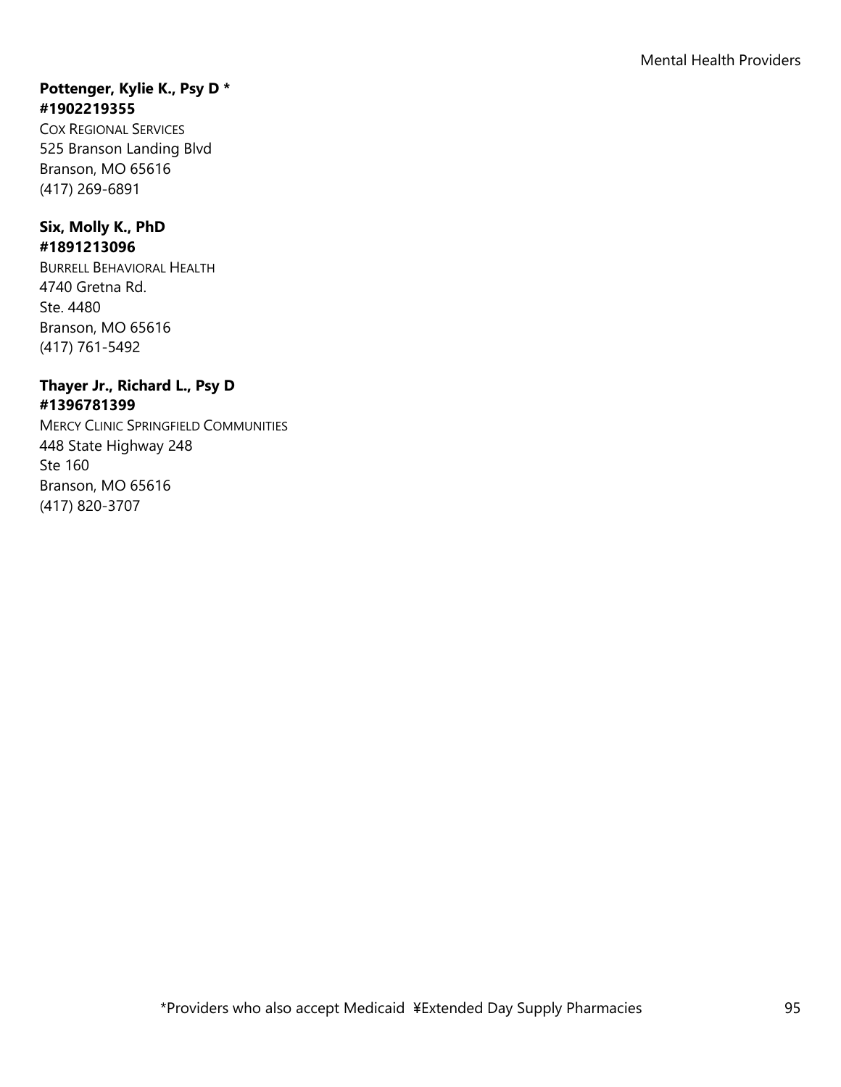#### **Pottenger, Kylie K., Psy D \* #1902219355**

COX REGIONAL SERVICES 525 Branson Landing Blvd Branson, MO 65616 (417) 269-6891

#### **Six, Molly K., PhD #1891213096**

BURRELL BEHAVIORAL HEALTH 4740 Gretna Rd. Ste. 4480 Branson, MO 65616 (417) 761-5492

#### **Thayer Jr., Richard L., Psy D #1396781399**

MERCY CLINIC SPRINGFIELD COMMUNITIES 448 State Highway 248 Ste 160 Branson, MO 65616 (417) 820-3707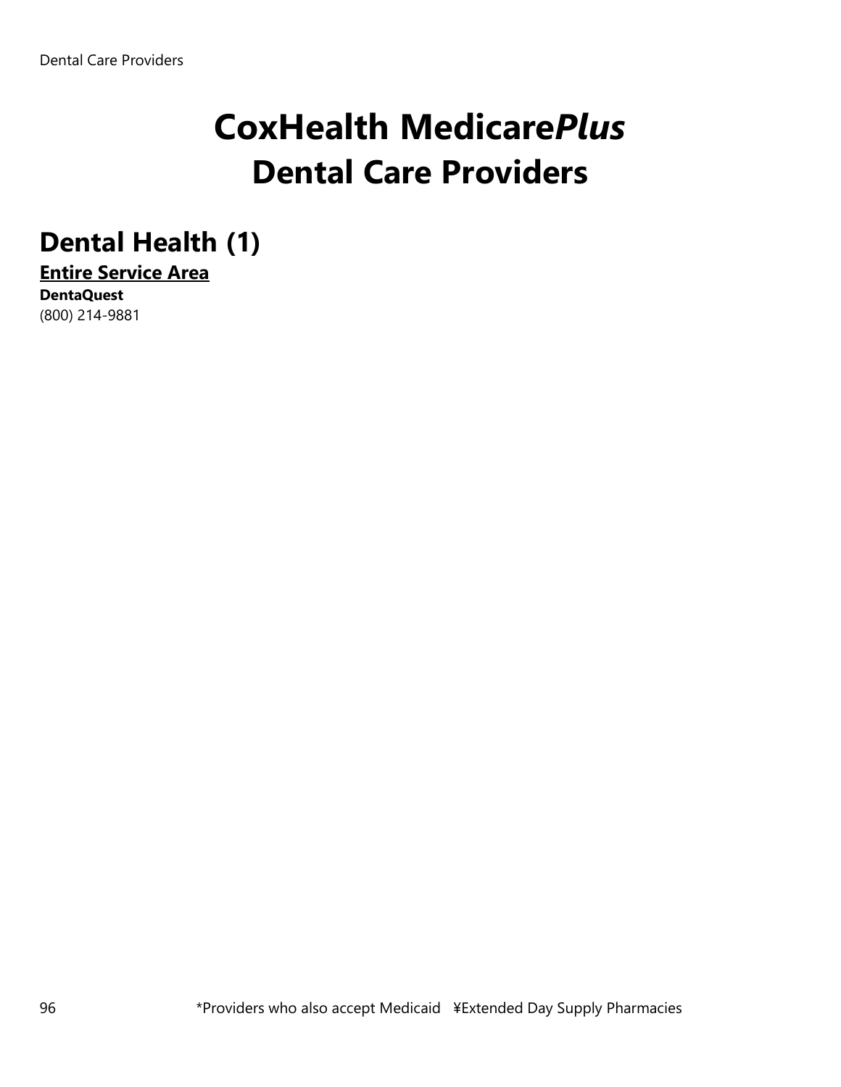# **CoxHealth Medicare***Plus* **Dental Care Providers**

**Dental Health (1)** 

#### **Entire Service Area**

**DentaQuest** (800) 214-9881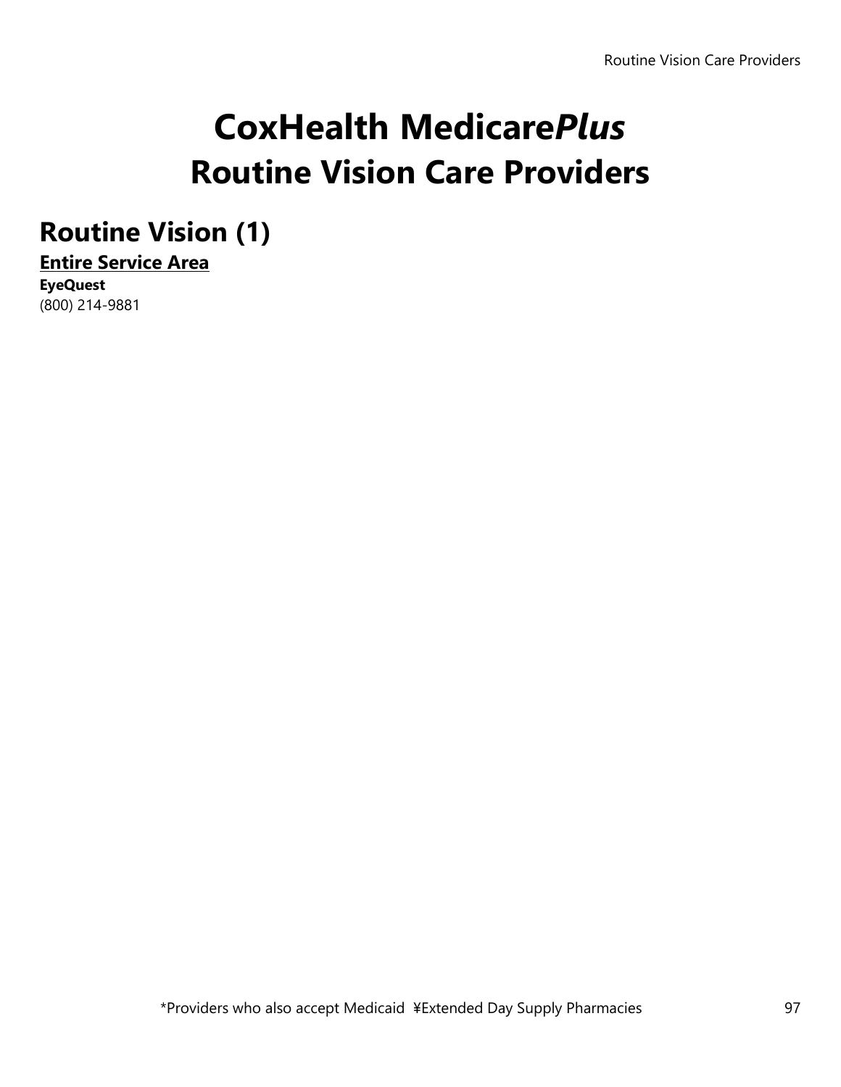# **CoxHealth Medicare***Plus* **Routine Vision Care Providers**

**Routine Vision (1)** 

# **Entire Service Area**

**EyeQuest** (800) 214-9881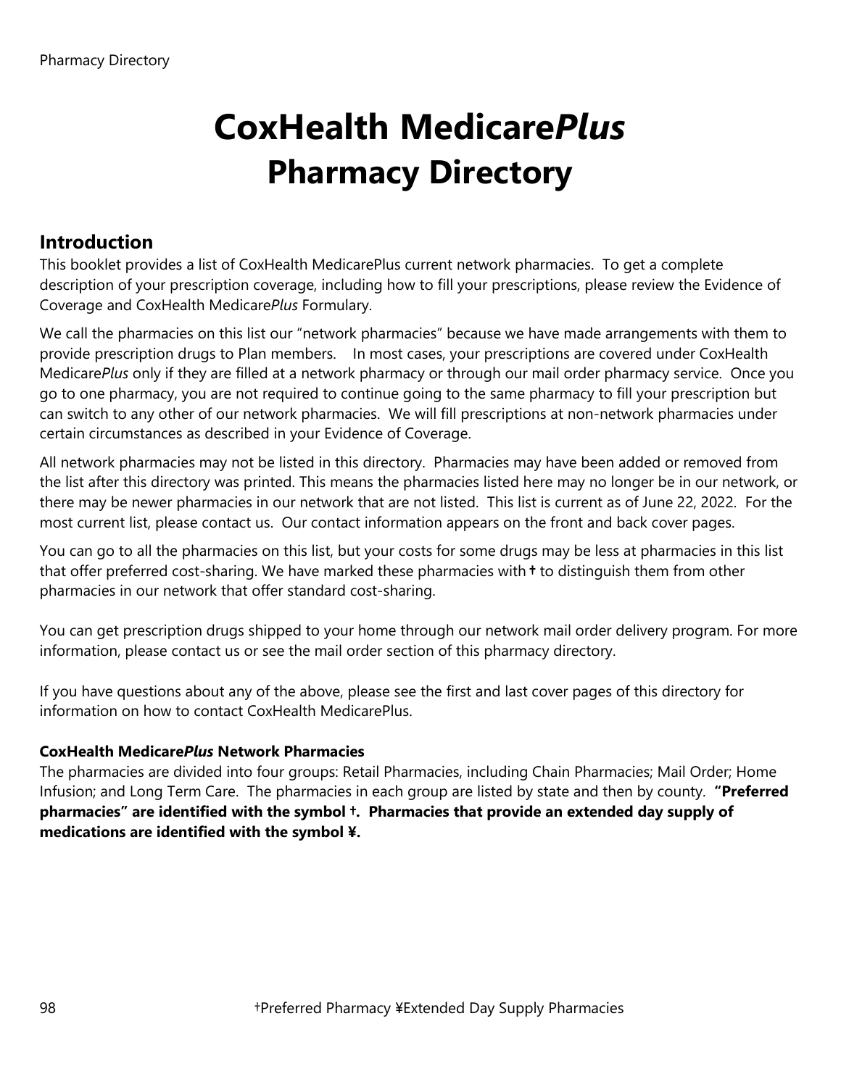# **CoxHealth Medicare***Plus* **Pharmacy Directory**

# **Introduction**

This booklet provides a list of CoxHealth MedicarePlus current network pharmacies. To get a complete description of your prescription coverage, including how to fill your prescriptions, please review the Evidence of Coverage and CoxHealth Medicare*Plus* Formulary.

We call the pharmacies on this list our "network pharmacies" because we have made arrangements with them to provide prescription drugs to Plan members. In most cases, your prescriptions are covered under CoxHealth Medicare*Plus* only if they are filled at a network pharmacy or through our mail order pharmacy service. Once you go to one pharmacy, you are not required to continue going to the same pharmacy to fill your prescription but can switch to any other of our network pharmacies. We will fill prescriptions at non-network pharmacies under certain circumstances as described in your Evidence of Coverage.

All network pharmacies may not be listed in this directory. Pharmacies may have been added or removed from the list after this directory was printed. This means the pharmacies listed here may no longer be in our network, or there may be newer pharmacies in our network that are not listed. This list is current as of June 22, 2022. For the most current list, please contact us. Our contact information appears on the front and back cover pages.

You can go to all the pharmacies on this list, but your costs for some drugs may be less at pharmacies in this list that offer preferred cost-sharing. We have marked these pharmacies with **†** to distinguish them from other pharmacies in our network that offer standard cost-sharing.

You can get prescription drugs shipped to your home through our network mail order delivery program. For more information, please contact us or see the mail order section of this pharmacy directory.

If you have questions about any of the above, please see the first and last cover pages of this directory for information on how to contact CoxHealth MedicarePlus.

#### **CoxHealth Medicare***Plus* **Network Pharmacies**

The pharmacies are divided into four groups: Retail Pharmacies, including Chain Pharmacies; Mail Order; Home Infusion; and Long Term Care. The pharmacies in each group are listed by state and then by county. **"Preferred pharmacies" are identified with the symbol †. Pharmacies that provide an extended day supply of medications are identified with the symbol ¥.**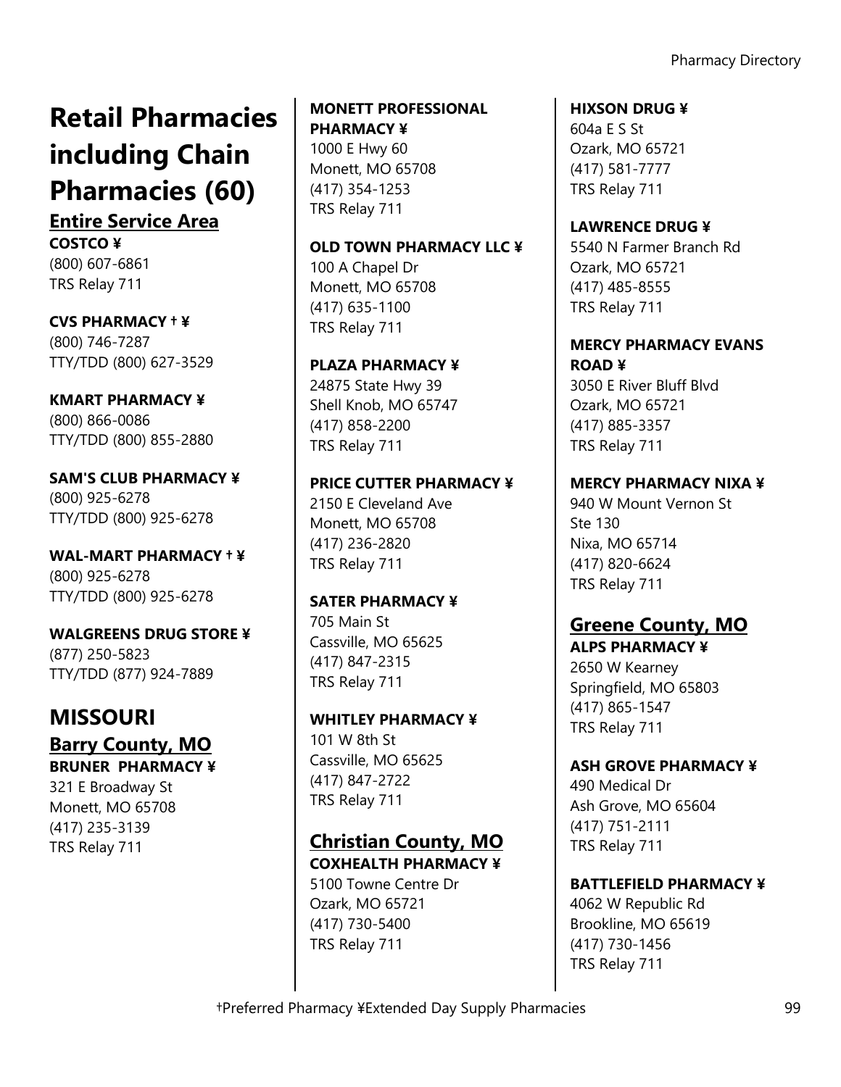#### Pharmacy Directory

# **Retail Pharmacies including Chain Pharmacies (60)**

#### **Entire Service Area COSTCO ¥**

(800) 607-6861 TRS Relay 711

**CVS PHARMACY † ¥** (800) 746-7287 TTY/TDD (800) 627-3529

**KMART PHARMACY ¥** (800) 866-0086 TTY/TDD (800) 855-2880

**SAM'S CLUB PHARMACY ¥** (800) 925-6278 TTY/TDD (800) 925-6278

**WAL-MART PHARMACY † ¥** (800) 925-6278 TTY/TDD (800) 925-6278

**WALGREENS DRUG STORE ¥** (877) 250-5823 TTY/TDD (877) 924-7889

# **MISSOURI Barry County, MO BRUNER PHARMACY ¥**

321 E Broadway St Monett, MO 65708 (417) 235-3139 TRS Relay 711

**MONETT PROFESSIONAL PHARMACY ¥** 1000 E Hwy 60 Monett, MO 65708 (417) 354-1253 TRS Relay 711

**OLD TOWN PHARMACY LLC ¥** 100 A Chapel Dr Monett, MO 65708 (417) 635-1100 TRS Relay 711

**PLAZA PHARMACY ¥** 24875 State Hwy 39 Shell Knob, MO 65747 (417) 858-2200 TRS Relay 711

**PRICE CUTTER PHARMACY ¥** 2150 E Cleveland Ave Monett, MO 65708 (417) 236-2820 TRS Relay 711

**SATER PHARMACY ¥** 705 Main St Cassville, MO 65625 (417) 847-2315 TRS Relay 711

**WHITLEY PHARMACY ¥** 101 W 8th St Cassville, MO 65625 (417) 847-2722 TRS Relay 711

# **Christian County, MO COXHEALTH PHARMACY ¥**

5100 Towne Centre Dr Ozark, MO 65721 (417) 730-5400 TRS Relay 711

**HIXSON DRUG ¥** 604a E S St Ozark, MO 65721 (417) 581-7777 TRS Relay 711

**LAWRENCE DRUG ¥** 5540 N Farmer Branch Rd Ozark, MO 65721 (417) 485-8555 TRS Relay 711

**MERCY PHARMACY EVANS ROAD ¥** 3050 E River Bluff Blvd Ozark, MO 65721 (417) 885-3357 TRS Relay 711

#### **MERCY PHARMACY NIXA ¥**

940 W Mount Vernon St Ste 130 Nixa, MO 65714 (417) 820-6624 TRS Relay 711

# **Greene County, MO**

**ALPS PHARMACY ¥** 2650 W Kearney Springfield, MO 65803 (417) 865-1547 TRS Relay 711

**ASH GROVE PHARMACY ¥** 490 Medical Dr Ash Grove, MO 65604 (417) 751-2111 TRS Relay 711

**BATTLEFIELD PHARMACY ¥** 4062 W Republic Rd Brookline, MO 65619 (417) 730-1456 TRS Relay 711

†Preferred Pharmacy ¥Extended Day Supply Pharmacies 99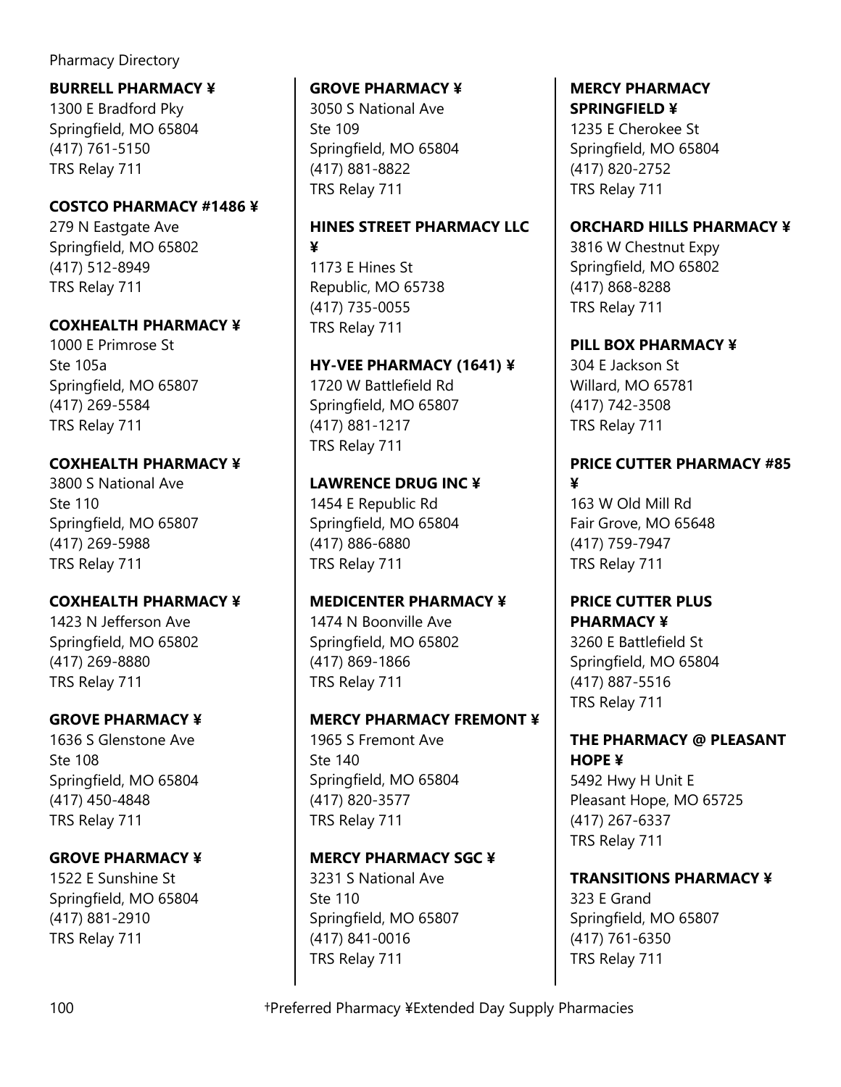#### Pharmacy Directory

#### **BURRELL PHARMACY ¥**

1300 E Bradford Pky Springfield, MO 65804 (417) 761-5150 TRS Relay 711

#### **COSTCO PHARMACY #1486 ¥**

279 N Eastgate Ave Springfield, MO 65802 (417) 512-8949 TRS Relay 711

#### **COXHEALTH PHARMACY ¥**

1000 E Primrose St Ste 105a Springfield, MO 65807 (417) 269-5584 TRS Relay 711

#### **COXHEALTH PHARMACY ¥**

3800 S National Ave Ste 110 Springfield, MO 65807 (417) 269-5988 TRS Relay 711

#### **COXHEALTH PHARMACY ¥**

1423 N Jefferson Ave Springfield, MO 65802 (417) 269-8880 TRS Relay 711

#### **GROVE PHARMACY ¥**

1636 S Glenstone Ave Ste 108 Springfield, MO 65804 (417) 450-4848 TRS Relay 711

#### **GROVE PHARMACY ¥**

1522 E Sunshine St Springfield, MO 65804 (417) 881-2910 TRS Relay 711

#### **GROVE PHARMACY ¥**

3050 S National Ave Ste 109 Springfield, MO 65804 (417) 881-8822 TRS Relay 711

#### **HINES STREET PHARMACY LLC ¥**

1173 E Hines St Republic, MO 65738 (417) 735-0055 TRS Relay 711

#### **HY-VEE PHARMACY (1641) ¥**

1720 W Battlefield Rd Springfield, MO 65807 (417) 881-1217 TRS Relay 711

#### **LAWRENCE DRUG INC ¥**

1454 E Republic Rd Springfield, MO 65804 (417) 886-6880 TRS Relay 711

#### **MEDICENTER PHARMACY ¥**

1474 N Boonville Ave Springfield, MO 65802 (417) 869-1866 TRS Relay 711

#### **MERCY PHARMACY FREMONT ¥**

1965 S Fremont Ave Ste 140 Springfield, MO 65804 (417) 820-3577 TRS Relay 711

#### **MERCY PHARMACY SGC ¥**

3231 S National Ave Ste 110 Springfield, MO 65807 (417) 841-0016 TRS Relay 711

#### **MERCY PHARMACY SPRINGFIELD ¥**

1235 E Cherokee St Springfield, MO 65804 (417) 820-2752 TRS Relay 711

#### **ORCHARD HILLS PHARMACY ¥**

3816 W Chestnut Expy Springfield, MO 65802 (417) 868-8288 TRS Relay 711

#### **PILL BOX PHARMACY ¥**

304 E Jackson St Willard, MO 65781 (417) 742-3508 TRS Relay 711

#### **PRICE CUTTER PHARMACY #85 ¥**

163 W Old Mill Rd Fair Grove, MO 65648 (417) 759-7947 TRS Relay 711

#### **PRICE CUTTER PLUS PHARMACY ¥**

3260 E Battlefield St Springfield, MO 65804 (417) 887-5516 TRS Relay 711

#### **THE PHARMACY @ PLEASANT HOPE ¥**

5492 Hwy H Unit E Pleasant Hope, MO 65725 (417) 267-6337 TRS Relay 711

#### **TRANSITIONS PHARMACY ¥**

323 E Grand Springfield, MO 65807 (417) 761-6350 TRS Relay 711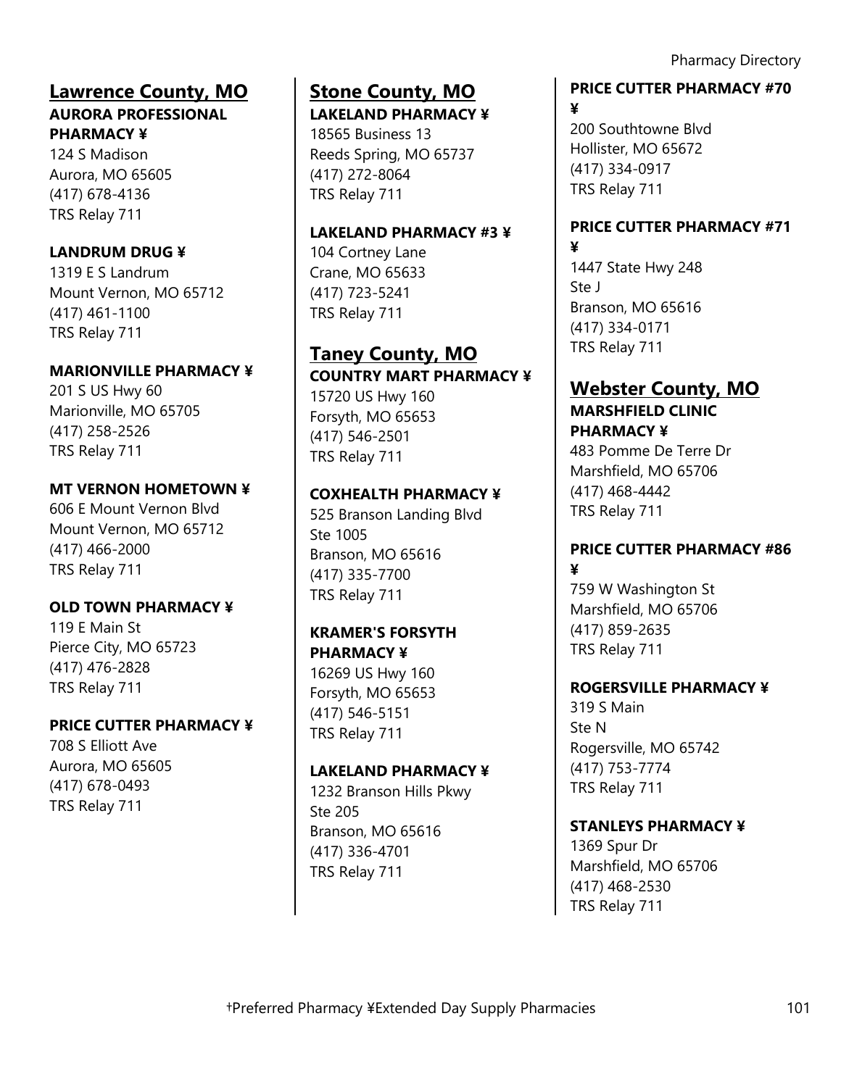Pharmacy Directory

#### **Lawrence County, MO AURORA PROFESSIONAL PHARMACY ¥**

124 S Madison Aurora, MO 65605 (417) 678-4136 TRS Relay 711

#### **LANDRUM DRUG ¥**

1319 E S Landrum Mount Vernon, MO 65712 (417) 461-1100 TRS Relay 711

#### **MARIONVILLE PHARMACY ¥**

201 S US Hwy 60 Marionville, MO 65705 (417) 258-2526 TRS Relay 711

#### **MT VERNON HOMETOWN ¥**

606 E Mount Vernon Blvd Mount Vernon, MO 65712 (417) 466-2000 TRS Relay 711

#### **OLD TOWN PHARMACY ¥**

119 E Main St Pierce City, MO 65723 (417) 476-2828 TRS Relay 711

#### **PRICE CUTTER PHARMACY ¥**

708 S Elliott Ave Aurora, MO 65605 (417) 678-0493 TRS Relay 711

# **Stone County, MO LAKELAND PHARMACY ¥**

18565 Business 13 Reeds Spring, MO 65737 (417) 272-8064 TRS Relay 711

#### **LAKELAND PHARMACY #3 ¥**

104 Cortney Lane Crane, MO 65633 (417) 723-5241 TRS Relay 711

# **Taney County, MO**

**COUNTRY MART PHARMACY ¥** 15720 US Hwy 160 Forsyth, MO 65653 (417) 546-2501 TRS Relay 711

#### **COXHEALTH PHARMACY ¥**

525 Branson Landing Blvd Ste 1005 Branson, MO 65616 (417) 335-7700 TRS Relay 711

# **KRAMER'S FORSYTH**

**PHARMACY ¥**

16269 US Hwy 160 Forsyth, MO 65653 (417) 546-5151 TRS Relay 711

#### **LAKELAND PHARMACY ¥**

1232 Branson Hills Pkwy Ste 205 Branson, MO 65616 (417) 336-4701 TRS Relay 711

#### **PRICE CUTTER PHARMACY #70 ¥**

200 Southtowne Blvd Hollister, MO 65672 (417) 334-0917 TRS Relay 711

# **PRICE CUTTER PHARMACY #71**

**¥**  1447 State Hwy 248 Ste J Branson, MO 65616 (417) 334-0171 TRS Relay 711

#### **Webster County, MO MARSHFIELD CLINIC**

**PHARMACY ¥** 483 Pomme De Terre Dr

Marshfield, MO 65706 (417) 468-4442 TRS Relay 711

#### **PRICE CUTTER PHARMACY #86 ¥**

759 W Washington St Marshfield, MO 65706 (417) 859-2635 TRS Relay 711

#### **ROGERSVILLE PHARMACY ¥**

319 S Main Ste N Rogersville, MO 65742 (417) 753-7774 TRS Relay 711

#### **STANLEYS PHARMACY ¥**

1369 Spur Dr Marshfield, MO 65706 (417) 468-2530 TRS Relay 711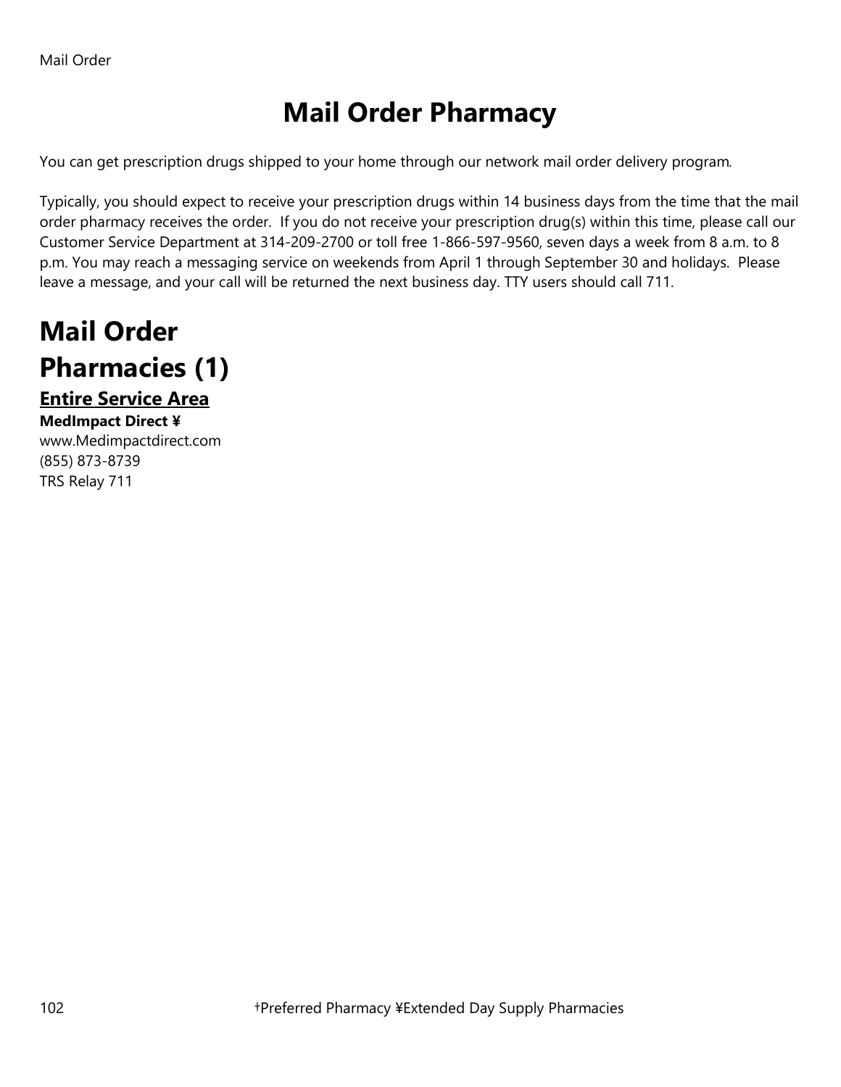# **Mail Order Pharmacy**

You can get prescription drugs shipped to your home through our network mail order delivery program*.* 

Typically, you should expect to receive your prescription drugs within 14 business days from the time that the mail order pharmacy receives the order. If you do not receive your prescription drug(s) within this time, please call our Customer Service Department at 314-209-2700 or toll free 1-866-597-9560, seven days a week from 8 a.m. to 8 p.m. You may reach a messaging service on weekends from April 1 through September 30 and holidays. Please leave a message, and your call will be returned the next business day. TTY users should call 711.

# **Mail Order Pharmacies (1) Entire Service Area**

**MedImpact Direct ¥** www.Medimpactdirect.com (855) 873-8739 TRS Relay 711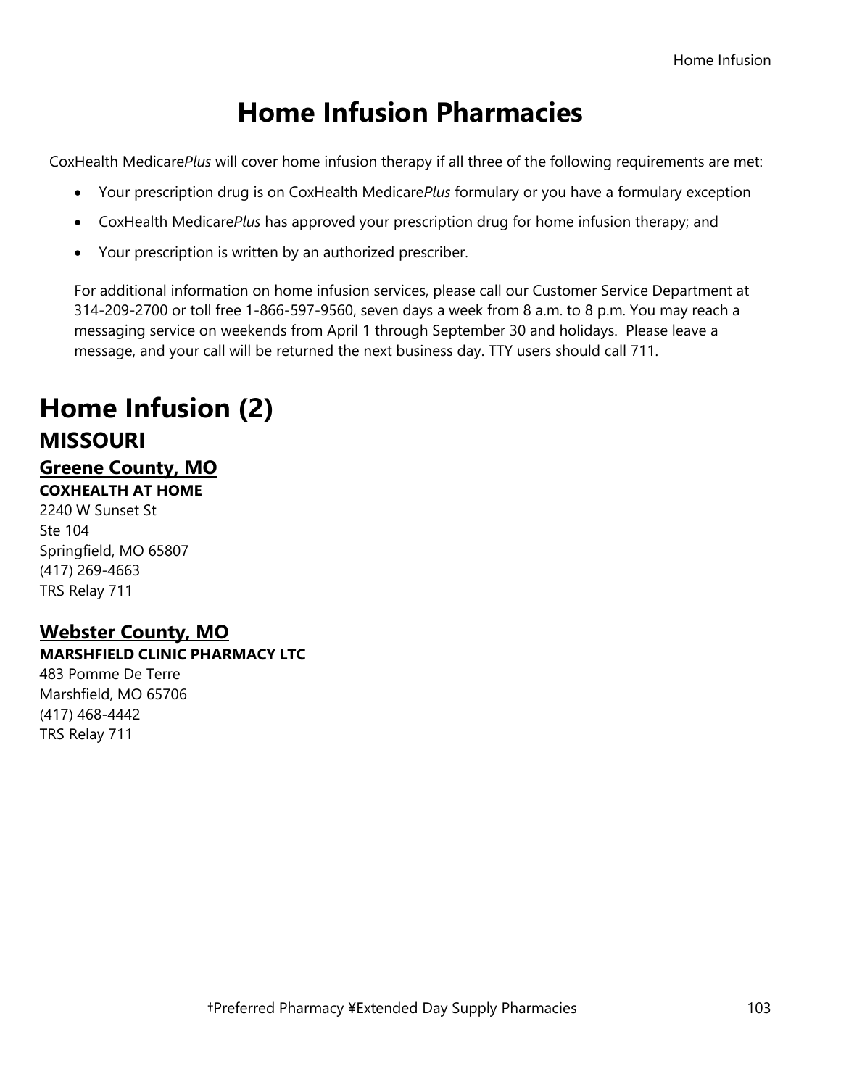# **Home Infusion Pharmacies**

CoxHealth Medicare*Plus* will cover home infusion therapy if all three of the following requirements are met:

- Your prescription drug is on CoxHealth Medicare*Plus* formulary or you have a formulary exception
- CoxHealth Medicare*Plus* has approved your prescription drug for home infusion therapy; and
- Your prescription is written by an authorized prescriber.

For additional information on home infusion services, please call our Customer Service Department at 314-209-2700 or toll free 1-866-597-9560, seven days a week from 8 a.m. to 8 p.m. You may reach a messaging service on weekends from April 1 through September 30 and holidays. Please leave a message, and your call will be returned the next business day. TTY users should call 711.

# **Home Infusion (2)**

# **MISSOURI**

# **Greene County, MO**

**COXHEALTH AT HOME** 2240 W Sunset St Ste 104 Springfield, MO 65807 (417) 269-4663 TRS Relay 711

# **Webster County, MO**

#### **MARSHFIELD CLINIC PHARMACY LTC** 483 Pomme De Terre Marshfield, MO 65706 (417) 468-4442

TRS Relay 711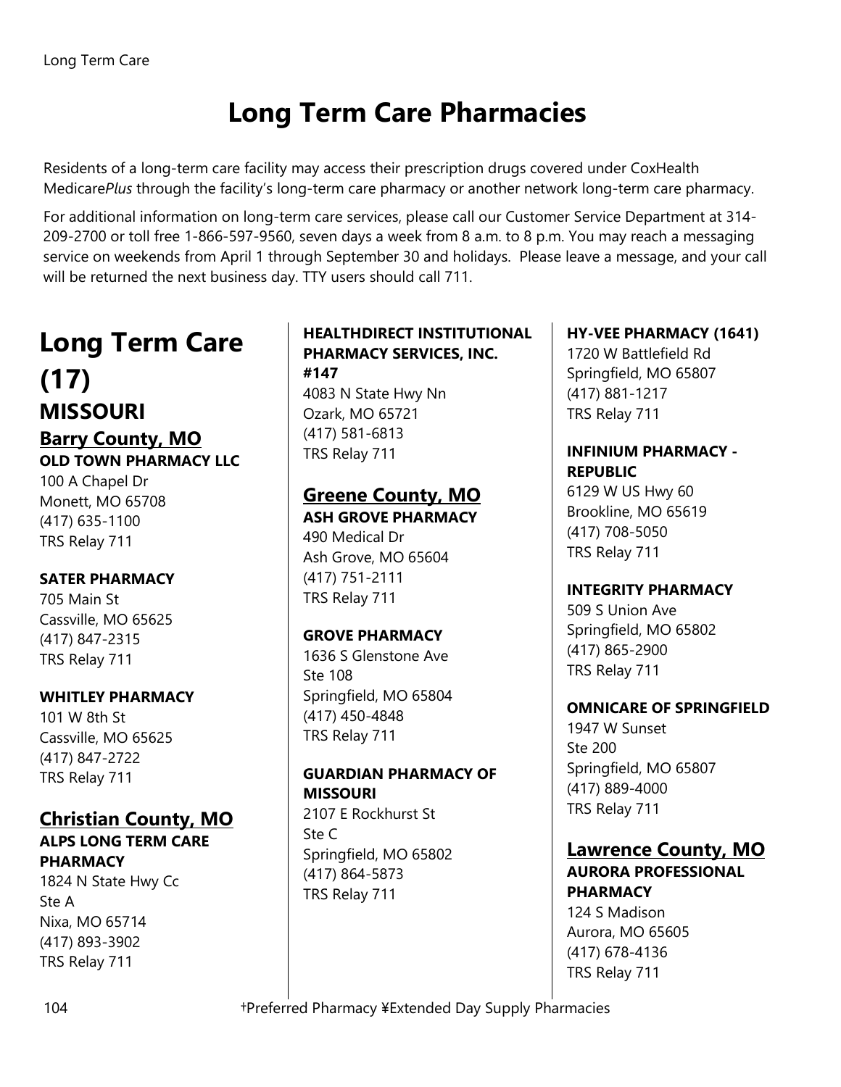# **Long Term Care Pharmacies**

Residents of a long-term care facility may access their prescription drugs covered under CoxHealth Medicare*Plus* through the facility's long-term care pharmacy or another network long-term care pharmacy.

For additional information on long-term care services, please call our Customer Service Department at 314- 209-2700 or toll free 1-866-597-9560, seven days a week from 8 a.m. to 8 p.m. You may reach a messaging service on weekends from April 1 through September 30 and holidays. Please leave a message, and your call will be returned the next business day. TTY users should call 711.

# **Long Term Care (17) MISSOURI Barry County, MO OLD TOWN PHARMACY LLC**

100 A Chapel Dr Monett, MO 65708

(417) 635-1100 TRS Relay 711

#### **SATER PHARMACY**

705 Main St Cassville, MO 65625 (417) 847-2315 TRS Relay 711

#### **WHITLEY PHARMACY**

101 W 8th St Cassville, MO 65625 (417) 847-2722 TRS Relay 711

# **Christian County, MO**

### **ALPS LONG TERM CARE PHARMACY**

1824 N State Hwy Cc Ste A Nixa, MO 65714 (417) 893-3902 TRS Relay 711

# **HEALTHDIRECT INSTITUTIONAL PHARMACY SERVICES, INC. #147**

4083 N State Hwy Nn Ozark, MO 65721 (417) 581-6813 TRS Relay 711

# **Greene County, MO**

**ASH GROVE PHARMACY** 490 Medical Dr Ash Grove, MO 65604 (417) 751-2111 TRS Relay 711

#### **GROVE PHARMACY**

1636 S Glenstone Ave Ste 108 Springfield, MO 65804 (417) 450-4848 TRS Relay 711

#### **GUARDIAN PHARMACY OF MISSOURI**

2107 E Rockhurst St Ste C Springfield, MO 65802 (417) 864-5873 TRS Relay 711

#### **HY-VEE PHARMACY (1641)**

1720 W Battlefield Rd Springfield, MO 65807 (417) 881-1217 TRS Relay 711

### **INFINIUM PHARMACY - REPUBLIC**

6129 W US Hwy 60 Brookline, MO 65619 (417) 708-5050 TRS Relay 711

#### **INTEGRITY PHARMACY**

509 S Union Ave Springfield, MO 65802 (417) 865-2900 TRS Relay 711

#### **OMNICARE OF SPRINGFIELD**

1947 W Sunset Ste 200 Springfield, MO 65807 (417) 889-4000 TRS Relay 711

## **Lawrence County, MO AURORA PROFESSIONAL PHARMACY**

124 S Madison Aurora, MO 65605 (417) 678-4136 TRS Relay 711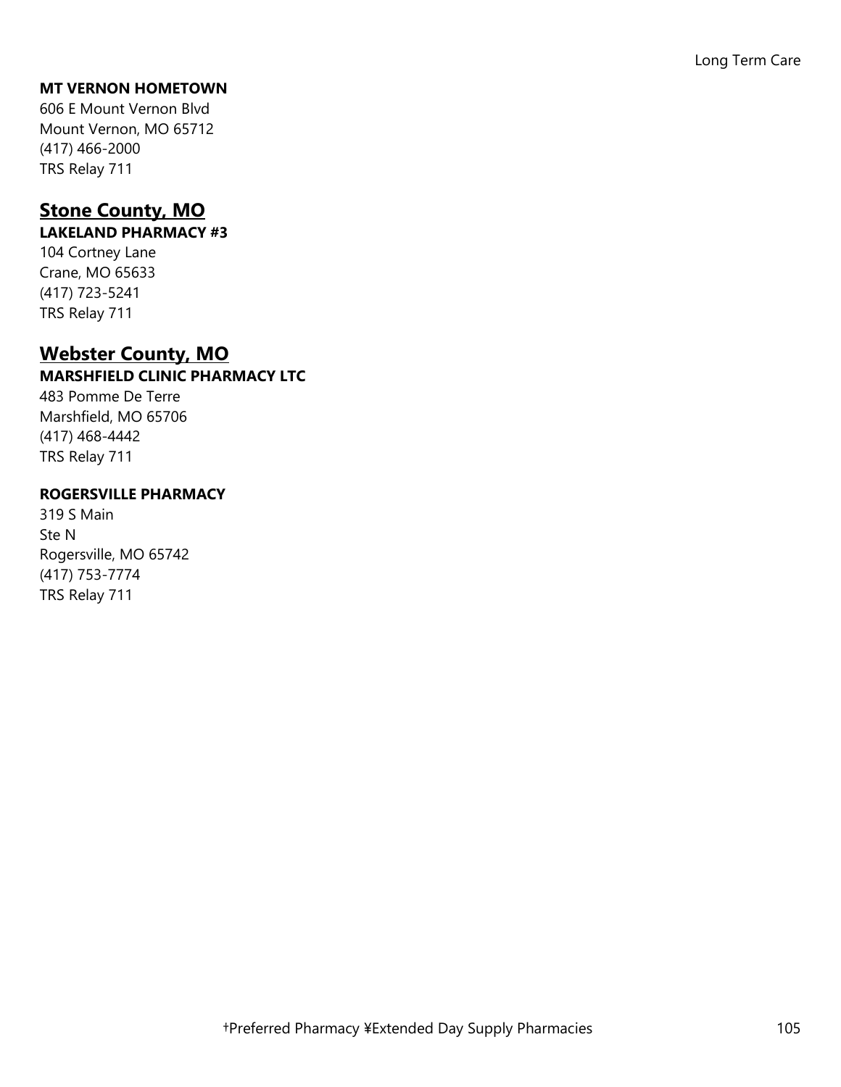#### **MT VERNON HOMETOWN**

606 E Mount Vernon Blvd Mount Vernon, MO 65712 (417) 466-2000 TRS Relay 711

# **Stone County, MO**

## **LAKELAND PHARMACY #3**

104 Cortney Lane Crane, MO 65633 (417) 723-5241 TRS Relay 711

### **Webster County, MO**

#### **MARSHFIELD CLINIC PHARMACY LTC**

483 Pomme De Terre Marshfield, MO 65706 (417) 468-4442 TRS Relay 711

#### **ROGERSVILLE PHARMACY**

319 S Main Ste N Rogersville, MO 65742 (417) 753-7774 TRS Relay 711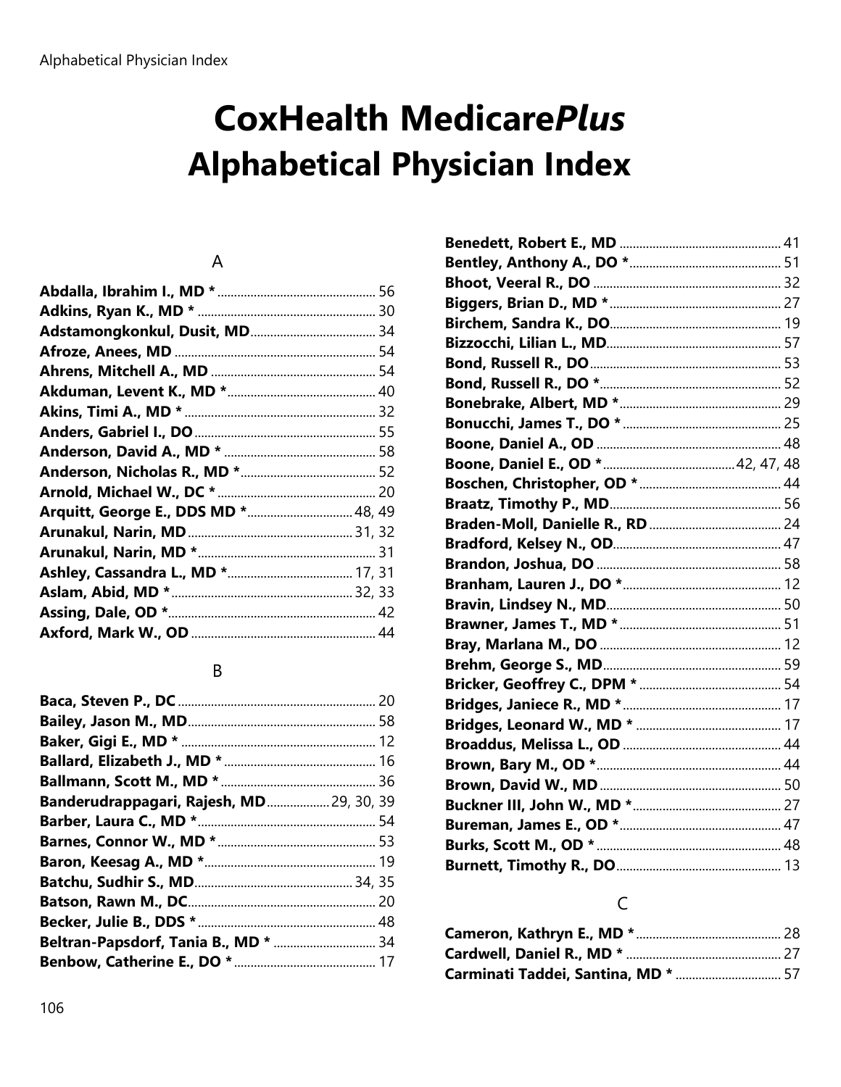# **CoxHealth MedicarePlus Alphabetical Physician Index**

#### $\boldsymbol{\mathsf{A}}$

| Arquitt, George E., DDS MD * 48, 49 |  |
|-------------------------------------|--|
|                                     |  |
|                                     |  |
|                                     |  |
|                                     |  |
|                                     |  |
|                                     |  |
|                                     |  |

#### $\sf B$

| Banderudrappagari, Rajesh, MD 29, 30, 39 |  |
|------------------------------------------|--|
|                                          |  |
|                                          |  |
|                                          |  |
|                                          |  |
|                                          |  |
|                                          |  |
| Beltran-Papsdorf, Tania B., MD *  34     |  |
|                                          |  |
|                                          |  |

# $\mathsf C$

| Carminati Taddei, Santina, MD *  57 |  |
|-------------------------------------|--|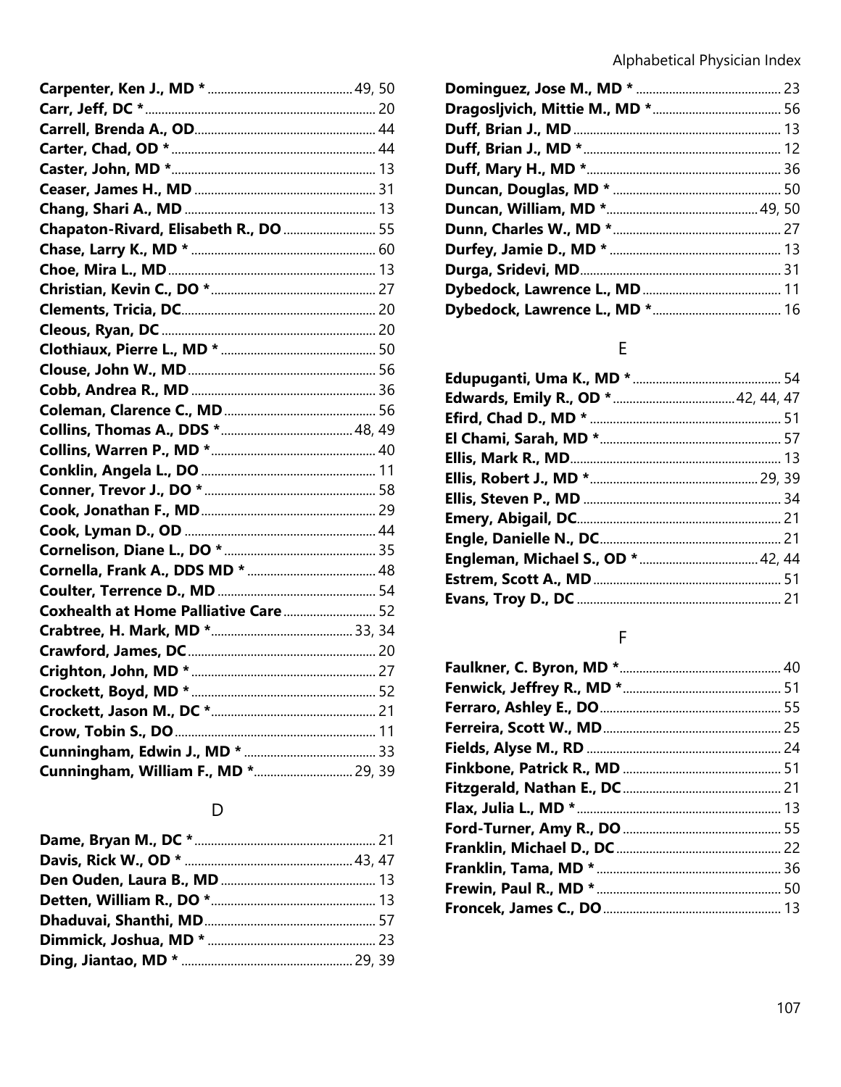| Chapaton-Rivard, Elisabeth R., DO  55 |  |
|---------------------------------------|--|
|                                       |  |
|                                       |  |
|                                       |  |
|                                       |  |
|                                       |  |
|                                       |  |
|                                       |  |
|                                       |  |
|                                       |  |
|                                       |  |
|                                       |  |
|                                       |  |
|                                       |  |
|                                       |  |
|                                       |  |
|                                       |  |
|                                       |  |
|                                       |  |
| Coxhealth at Home Palliative Care 52  |  |
|                                       |  |
|                                       |  |
|                                       |  |
|                                       |  |
|                                       |  |
|                                       |  |
|                                       |  |
| Cunningham, William F., MD * 29, 39   |  |

# $\mathsf{D}%$

# $\mathsf{E}% _{0}\left( \mathsf{E}\right)$

# $\bar{\mathsf{F}}$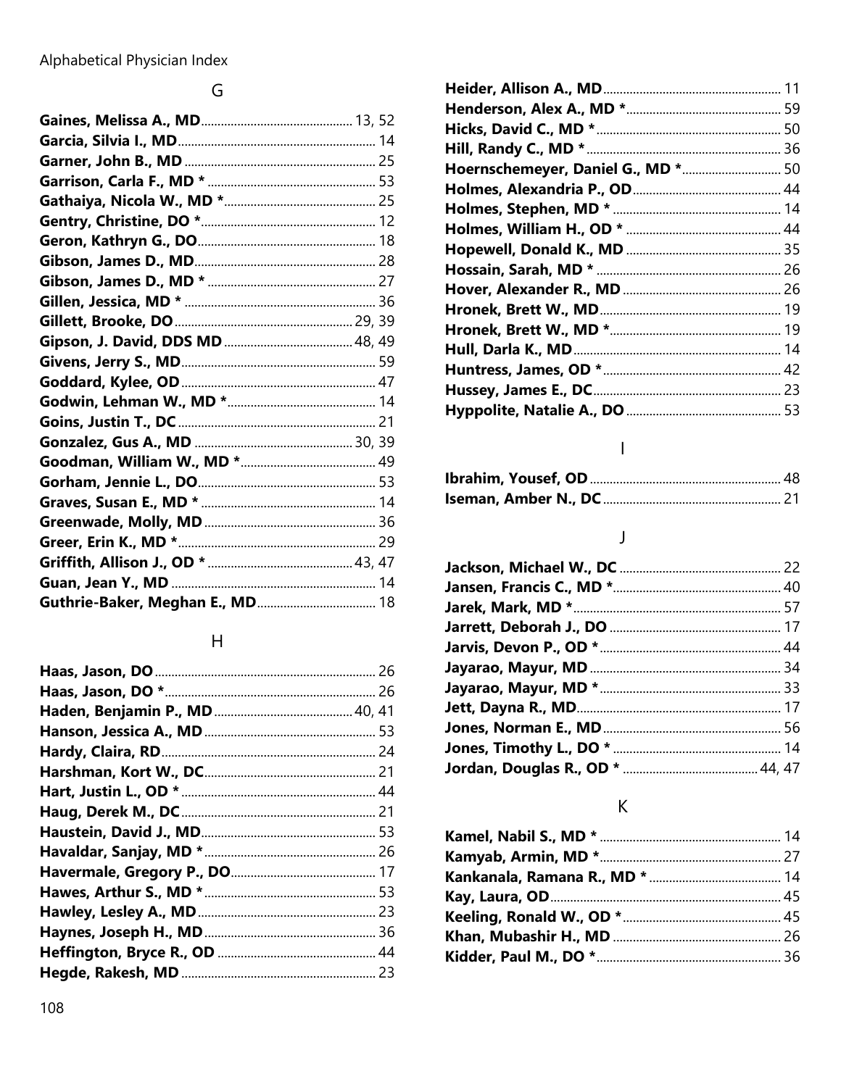## $\mathsf G$

## $\overline{H}$

| Hoernschemeyer, Daniel G., MD * 50 |  |
|------------------------------------|--|
|                                    |  |
|                                    |  |
|                                    |  |
|                                    |  |
|                                    |  |
|                                    |  |
|                                    |  |
|                                    |  |
|                                    |  |
|                                    |  |
|                                    |  |
|                                    |  |
|                                    |  |

## $\begin{array}{c} \begin{array}{c} \end{array} \end{array}$

# $\mathsf{J}$

# $\mathsf{K}$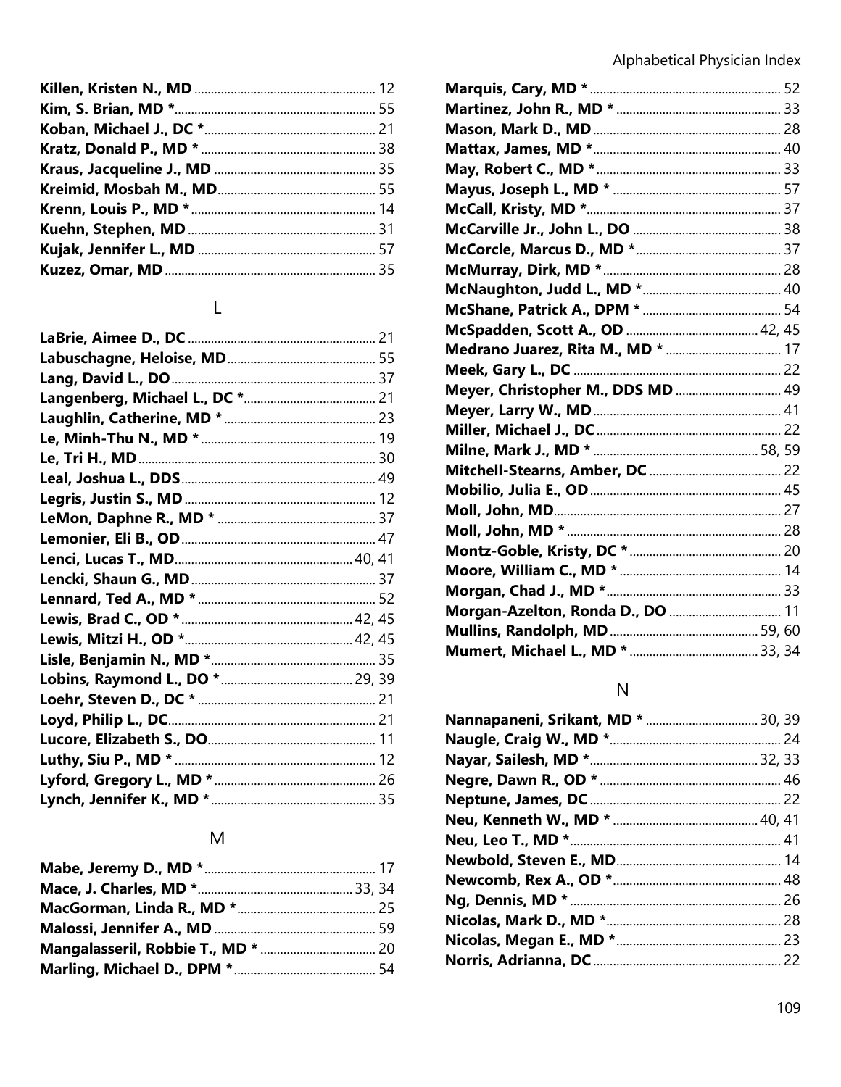# $\bar{\mathsf{L}}$

#### $\sf M$

| Medrano Juarez, Rita M., MD *  17 |  |
|-----------------------------------|--|
|                                   |  |
| Meyer, Christopher M., DDS MD  49 |  |
|                                   |  |
|                                   |  |
|                                   |  |
|                                   |  |
|                                   |  |
|                                   |  |
|                                   |  |
|                                   |  |
|                                   |  |
|                                   |  |
|                                   |  |
|                                   |  |
|                                   |  |
|                                   |  |

## $\overline{\mathsf{N}}$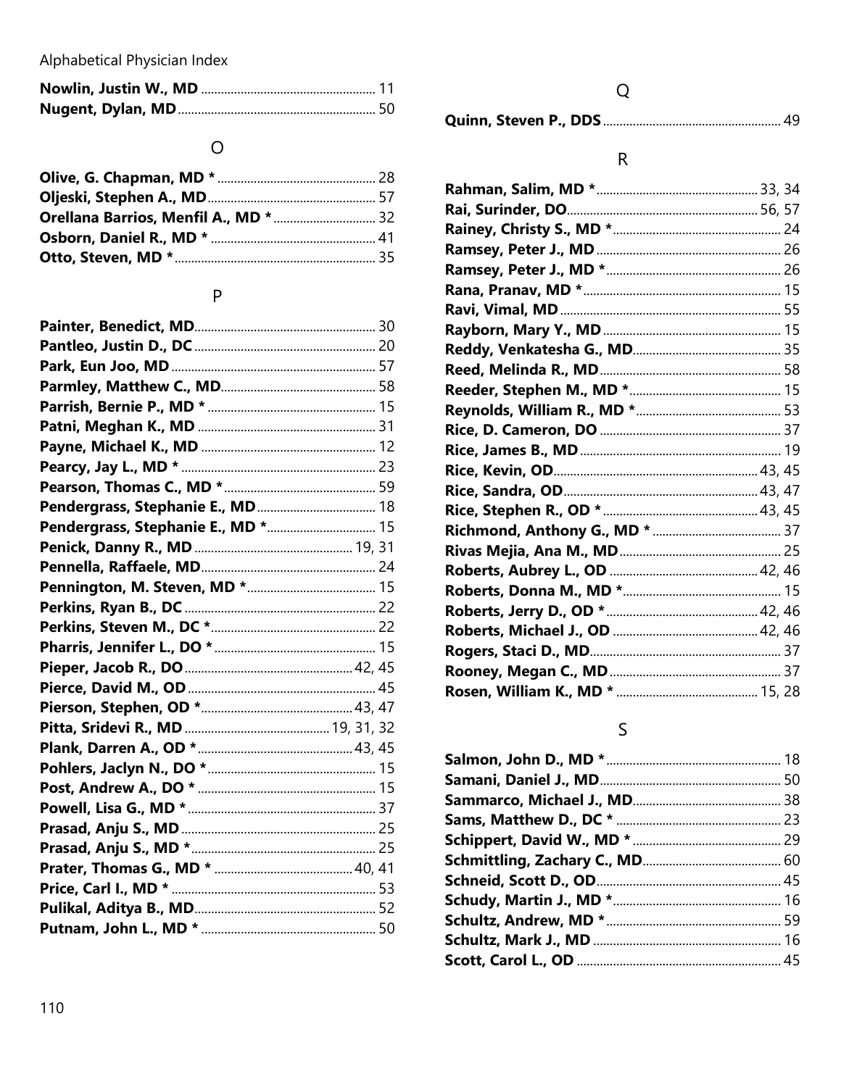## $\circ$

#### $\sf P$

| Pendergrass, Stephanie E., MD * 15 |  |
|------------------------------------|--|
|                                    |  |
|                                    |  |
|                                    |  |
|                                    |  |
|                                    |  |
|                                    |  |
|                                    |  |
|                                    |  |
|                                    |  |
|                                    |  |
|                                    |  |
|                                    |  |
|                                    |  |
|                                    |  |
|                                    |  |
|                                    |  |
|                                    |  |
|                                    |  |
|                                    |  |
|                                    |  |
|                                    |  |

# ${\sf Q}$

#### ${\sf R}$

## $\mathsf S$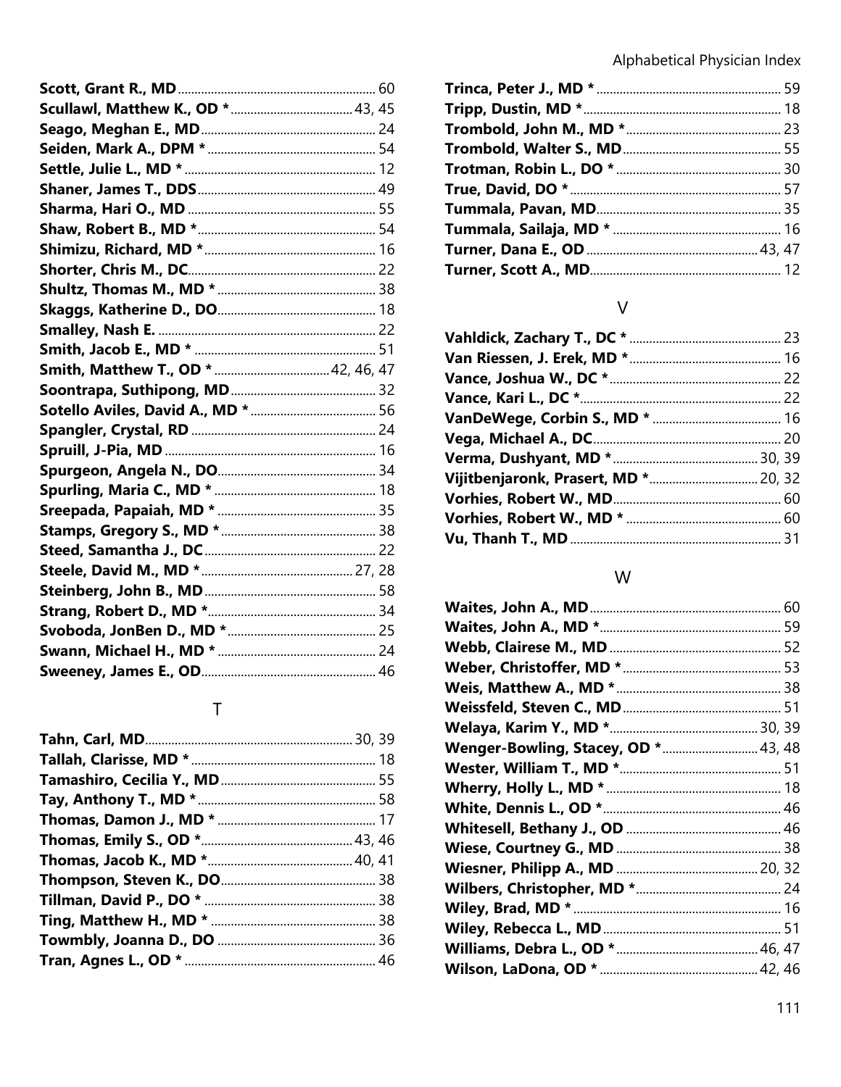# $\bar{\mathsf{T}}$

## $\overline{\mathsf{V}}$

## $W$

| Wenger-Bowling, Stacey, OD * 43, 48 |  |
|-------------------------------------|--|
|                                     |  |
|                                     |  |
|                                     |  |
|                                     |  |
|                                     |  |
|                                     |  |
|                                     |  |
|                                     |  |
|                                     |  |
|                                     |  |
|                                     |  |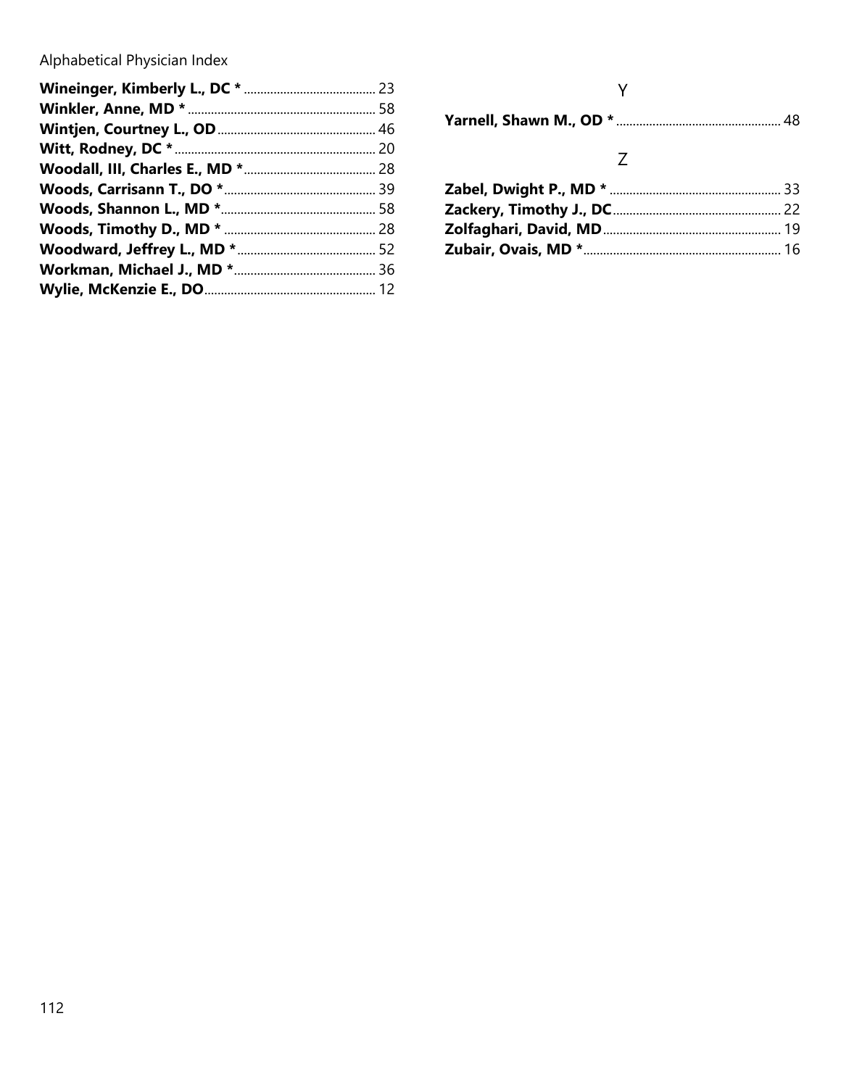#### Alphabetical Physician Index

# $\mathsf{Y}$

| Yarnell, Shawn M., OD * . |  |  |
|---------------------------|--|--|
|                           |  |  |

# $\overline{z}$